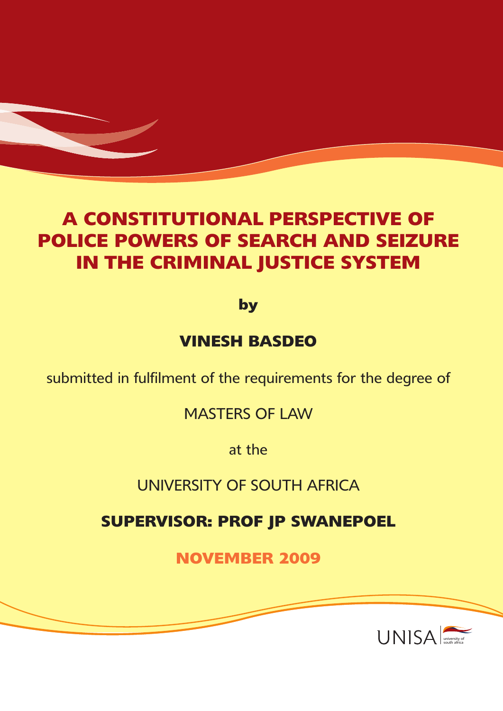# **A CONSTITUTIONAL PERSPECTIVE OF POLICE POWERS OF SEARCH AND SEIZURE IN THE CRIMINAL JUSTICE SYSTEM**

**by**

# **VINESH BASDEO**

submitted in fulfilment of the requirements for the degree of

MASTERS OF LAW

at the

UNIVERSITY OF SOUTH AFRICA

**SUPERVISOR: PROF JP SWANEPOEL**

**NOVEMBER 2009**

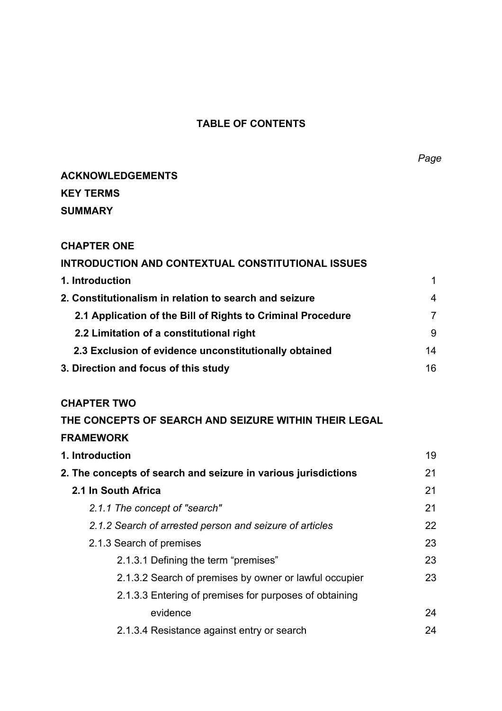# **TABLE OF CONTENTS**

# **ACKNOWLEDGEMENTS KEY TERMS SUMMARY**

# **CHAPTER ONE**

| INTRODUCTION AND CONTEXTUAL CONSTITUTIONAL ISSUES           |                |
|-------------------------------------------------------------|----------------|
| 1. Introduction                                             | 1              |
| 2. Constitutionalism in relation to search and seizure      | 4              |
| 2.1 Application of the Bill of Rights to Criminal Procedure | $\overline{7}$ |
| 2.2 Limitation of a constitutional right                    | 9              |
| 2.3 Exclusion of evidence unconstitutionally obtained       | 14             |
| 3. Direction and focus of this study                        | 16.            |

# **CHAPTER TWO**

| THE CONCEPTS OF SEARCH AND SEIZURE WITHIN THEIR LEGAL          |    |
|----------------------------------------------------------------|----|
| <b>FRAMEWORK</b>                                               |    |
| 1. Introduction                                                | 19 |
| 2. The concepts of search and seizure in various jurisdictions | 21 |
| 2.1 In South Africa                                            | 21 |
| 2.1.1 The concept of "search"                                  | 21 |
| 2.1.2 Search of arrested person and seizure of articles        | 22 |
| 2.1.3 Search of premises                                       | 23 |
| 2.1.3.1 Defining the term "premises"                           | 23 |
| 2.1.3.2 Search of premises by owner or lawful occupier         | 23 |
| 2.1.3.3 Entering of premises for purposes of obtaining         |    |
| evidence                                                       | 24 |
| 2.1.3.4 Resistance against entry or search                     | 24 |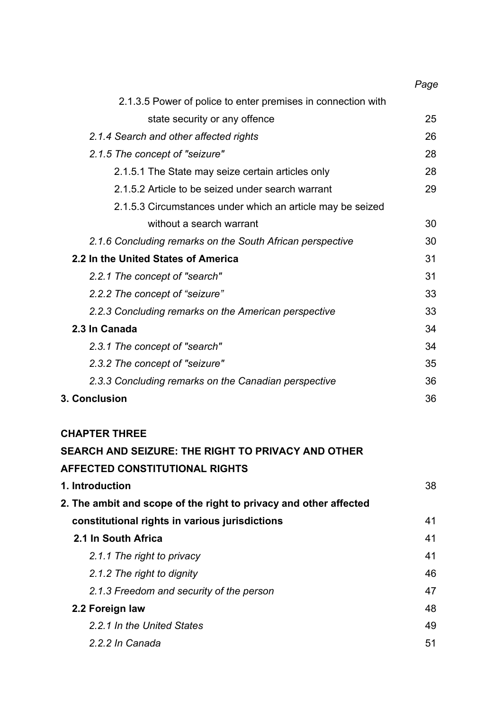|                                                              | Page |
|--------------------------------------------------------------|------|
| 2.1.3.5 Power of police to enter premises in connection with |      |
| state security or any offence                                | 25   |
| 2.1.4 Search and other affected rights                       | 26   |
| 2.1.5 The concept of "seizure"                               | 28   |
| 2.1.5.1 The State may seize certain articles only            | 28   |
| 2.1.5.2 Article to be seized under search warrant            | 29   |
| 2.1.5.3 Circumstances under which an article may be seized   |      |
| without a search warrant                                     | 30   |
| 2.1.6 Concluding remarks on the South African perspective    | 30   |
| 2.2 In the United States of America                          | 31   |
| 2.2.1 The concept of "search"                                | 31   |
| 2.2.2 The concept of "seizure"                               | 33   |
| 2.2.3 Concluding remarks on the American perspective         | 33   |
| 2.3 In Canada                                                | 34   |
| 2.3.1 The concept of "search"                                | 34   |
| 2.3.2 The concept of "seizure"                               | 35   |
| 2.3.3 Concluding remarks on the Canadian perspective         | 36   |
| 3. Conclusion                                                | 36   |

# **CHAPTER THREE**

| SEARCH AND SEIZURE: THE RIGHT TO PRIVACY AND OTHER                |    |
|-------------------------------------------------------------------|----|
| <b>AFFECTED CONSTITUTIONAL RIGHTS</b>                             |    |
| 1. Introduction                                                   | 38 |
| 2. The ambit and scope of the right to privacy and other affected |    |
| constitutional rights in various jurisdictions                    | 41 |
| 2.1 In South Africa                                               | 41 |
| 2.1.1 The right to privacy                                        | 41 |
| 2.1.2 The right to dignity                                        | 46 |
| 2.1.3 Freedom and security of the person                          | 47 |
| 2.2 Foreign law                                                   | 48 |
| 2.2.1 In the United States                                        | 49 |
| 2.2.2 In Canada                                                   | 51 |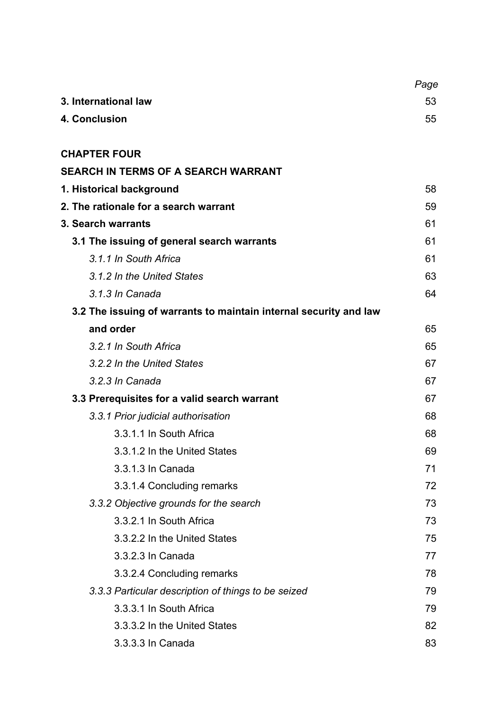|                                                                   | Page |
|-------------------------------------------------------------------|------|
| 3. International law                                              | 53   |
| <b>4. Conclusion</b>                                              | 55   |
|                                                                   |      |
| <b>CHAPTER FOUR</b>                                               |      |
| <b>SEARCH IN TERMS OF A SEARCH WARRANT</b>                        |      |
| 1. Historical background                                          | 58   |
| 2. The rationale for a search warrant                             | 59   |
| <b>3. Search warrants</b>                                         | 61   |
| 3.1 The issuing of general search warrants                        | 61   |
| 3.1.1 In South Africa                                             | 61   |
| 3.1.2 In the United States                                        | 63   |
| 3.1.3 In Canada                                                   | 64   |
| 3.2 The issuing of warrants to maintain internal security and law |      |
| and order                                                         | 65   |
| 3.2.1 In South Africa                                             | 65   |
| 3.2.2 In the United States                                        | 67   |
| 3.2.3 In Canada                                                   | 67   |
| 3.3 Prerequisites for a valid search warrant                      | 67   |
| 3.3.1 Prior judicial authorisation                                | 68   |
| 3.3.1.1 In South Africa                                           | 68   |
| 3.3.1.2 In the United States                                      | 69   |
| 3.3.1.3 In Canada                                                 | 71   |
| 3.3.1.4 Concluding remarks                                        | 72   |
| 3.3.2 Objective grounds for the search                            | 73   |
| 3.3.2.1 In South Africa                                           | 73   |
| 3.3.2.2 In the United States                                      | 75   |
| 3.3.2.3 In Canada                                                 | 77   |
| 3.3.2.4 Concluding remarks                                        | 78   |
| 3.3.3 Particular description of things to be seized               | 79   |
| 3.3.3.1 In South Africa                                           | 79   |
| 3.3.3.2 In the United States                                      | 82   |
| 3.3.3.3 In Canada                                                 | 83   |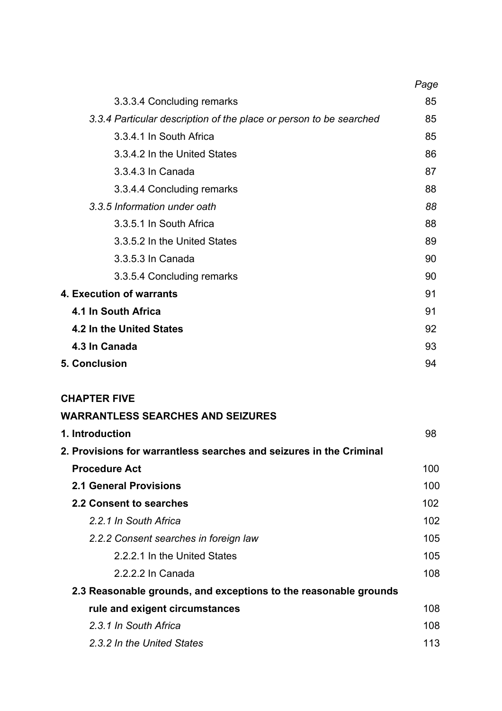|                                                                    | Page |
|--------------------------------------------------------------------|------|
| 3.3.3.4 Concluding remarks                                         | 85   |
| 3.3.4 Particular description of the place or person to be searched | 85   |
| 3.3.4.1 In South Africa                                            | 85   |
| 3.3.4.2 In the United States                                       | 86   |
| 3.3.4.3 In Canada                                                  | 87   |
| 3.3.4.4 Concluding remarks                                         | 88   |
| 3.3.5 Information under oath                                       | 88   |
| 3.3.5.1 In South Africa                                            | 88   |
| 3.3.5.2 In the United States                                       | 89   |
| 3.3.5.3 In Canada                                                  | 90   |
| 3.3.5.4 Concluding remarks                                         | 90   |
| 4. Execution of warrants                                           | 91   |
| 4.1 In South Africa                                                | 91   |
| 4.2 In the United States                                           | 92   |
| 4.3 In Canada                                                      | 93   |
| <b>5. Conclusion</b>                                               | 94   |
|                                                                    |      |

# **CHAPTER FIVE**

# **WARRANTLESS SEARCHES AND SEIZURES**

| 1. Introduction                                                     | 98  |
|---------------------------------------------------------------------|-----|
| 2. Provisions for warrantless searches and seizures in the Criminal |     |
| <b>Procedure Act</b>                                                | 100 |
| <b>2.1 General Provisions</b>                                       | 100 |
| 2.2 Consent to searches                                             | 102 |
| 2.2.1 In South Africa                                               | 102 |
| 2.2.2 Consent searches in foreign law                               | 105 |
| 2.2.2.1 In the United States                                        | 105 |
| 2.2.2.2 In Canada                                                   | 108 |
| 2.3 Reasonable grounds, and exceptions to the reasonable grounds    |     |
| rule and exigent circumstances                                      | 108 |
| 2.3.1 In South Africa                                               | 108 |
| 2.3.2 In the United States                                          | 113 |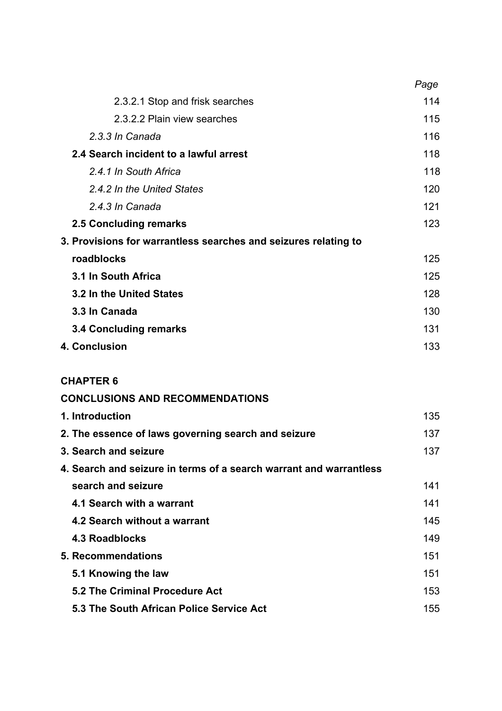|                                                                 | Page |
|-----------------------------------------------------------------|------|
| 2.3.2.1 Stop and frisk searches                                 | 114  |
| 2.3.2.2 Plain view searches                                     | 115  |
| 2.3.3 In Canada                                                 | 116  |
| 2.4 Search incident to a lawful arrest                          | 118  |
| 2.4.1 In South Africa                                           | 118  |
| 2.4.2 In the United States                                      | 120  |
| 2.4.3 In Canada                                                 | 121  |
| 2.5 Concluding remarks                                          | 123  |
| 3. Provisions for warrantless searches and seizures relating to |      |
| roadblocks                                                      | 125  |
| 3.1 In South Africa                                             | 125  |
| 3.2 In the United States                                        | 128  |
| 3.3 In Canada                                                   | 130  |
| <b>3.4 Concluding remarks</b>                                   | 131  |
| 4. Conclusion                                                   | 133  |
|                                                                 |      |

# **CHAPTER 6**

| <b>CONCLUSIONS AND RECOMMENDATIONS</b> |
|----------------------------------------|
|----------------------------------------|

| 1. Introduction                                                    | 135 |
|--------------------------------------------------------------------|-----|
| 2. The essence of laws governing search and seizure                | 137 |
| 3. Search and seizure                                              | 137 |
| 4. Search and seizure in terms of a search warrant and warrantless |     |
| search and seizure                                                 | 141 |
| 4.1 Search with a warrant                                          | 141 |
| 4.2 Search without a warrant                                       | 145 |
| 4.3 Roadblocks                                                     | 149 |
| 5. Recommendations                                                 | 151 |
| 5.1 Knowing the law                                                | 151 |
| 5.2 The Criminal Procedure Act                                     | 153 |
| 5.3 The South African Police Service Act                           | 155 |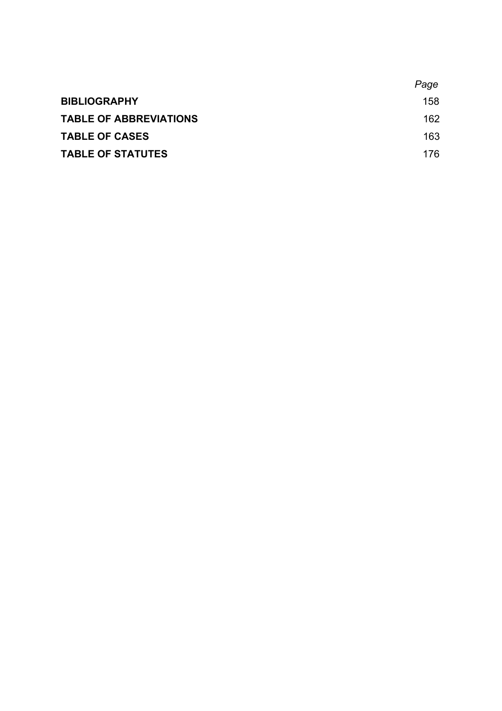|                               | Page |
|-------------------------------|------|
| <b>BIBLIOGRAPHY</b>           | 158  |
| <b>TABLE OF ABBREVIATIONS</b> | 162  |
| <b>TABLE OF CASES</b>         | 163  |
| <b>TABLE OF STATUTES</b>      | 176. |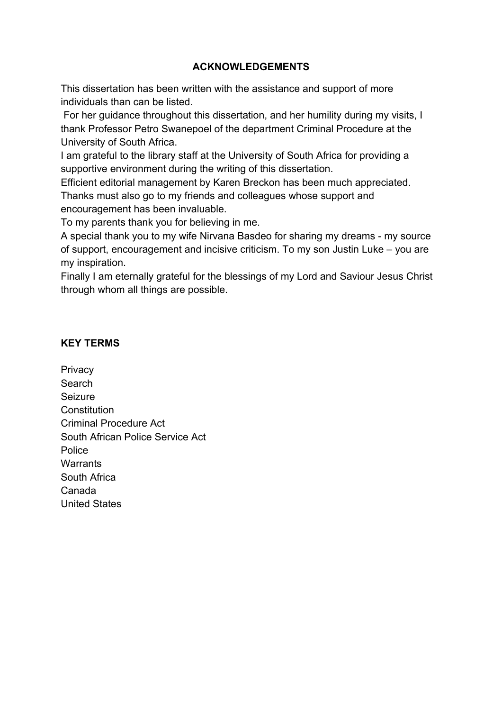# **ACKNOWLEDGEMENTS**

This dissertation has been written with the assistance and support of more individuals than can be listed.

 For her guidance throughout this dissertation, and her humility during my visits, I thank Professor Petro Swanepoel of the department Criminal Procedure at the University of South Africa.

I am grateful to the library staff at the University of South Africa for providing a supportive environment during the writing of this dissertation.

Efficient editorial management by Karen Breckon has been much appreciated. Thanks must also go to my friends and colleagues whose support and encouragement has been invaluable.

To my parents thank you for believing in me.

A special thank you to my wife Nirvana Basdeo for sharing my dreams - my source of support, encouragement and incisive criticism. To my son Justin Luke – you are my inspiration.

Finally I am eternally grateful for the blessings of my Lord and Saviour Jesus Christ through whom all things are possible.

# **KEY TERMS**

**Privacy Search** Seizure **Constitution** Criminal Procedure Act South African Police Service Act Police **Warrants** South Africa Canada United States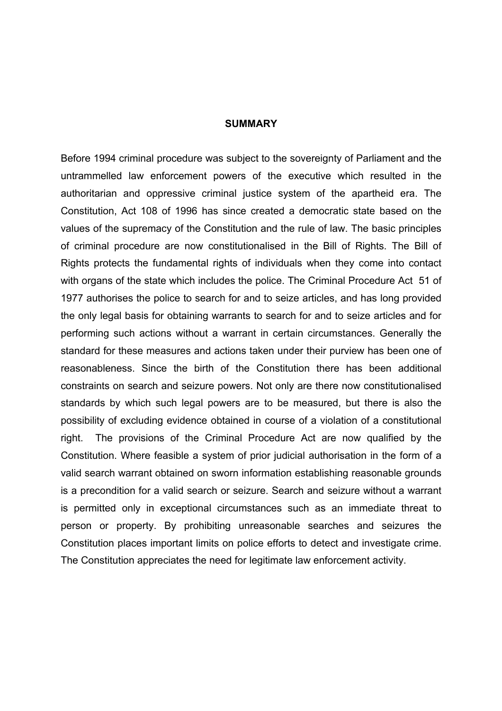#### **SUMMARY**

Before 1994 criminal procedure was subject to the sovereignty of Parliament and the untrammelled law enforcement powers of the executive which resulted in the authoritarian and oppressive criminal justice system of the apartheid era. The Constitution, Act 108 of 1996 has since created a democratic state based on the values of the supremacy of the Constitution and the rule of law. The basic principles of criminal procedure are now constitutionalised in the Bill of Rights. The Bill of Rights protects the fundamental rights of individuals when they come into contact with organs of the state which includes the police. The Criminal Procedure Act 51 of 1977 authorises the police to search for and to seize articles, and has long provided the only legal basis for obtaining warrants to search for and to seize articles and for performing such actions without a warrant in certain circumstances. Generally the standard for these measures and actions taken under their purview has been one of reasonableness. Since the birth of the Constitution there has been additional constraints on search and seizure powers. Not only are there now constitutionalised standards by which such legal powers are to be measured, but there is also the possibility of excluding evidence obtained in course of a violation of a constitutional right. The provisions of the Criminal Procedure Act are now qualified by the Constitution. Where feasible a system of prior judicial authorisation in the form of a valid search warrant obtained on sworn information establishing reasonable grounds is a precondition for a valid search or seizure. Search and seizure without a warrant is permitted only in exceptional circumstances such as an immediate threat to person or property. By prohibiting unreasonable searches and seizures the Constitution places important limits on police efforts to detect and investigate crime. The Constitution appreciates the need for legitimate law enforcement activity.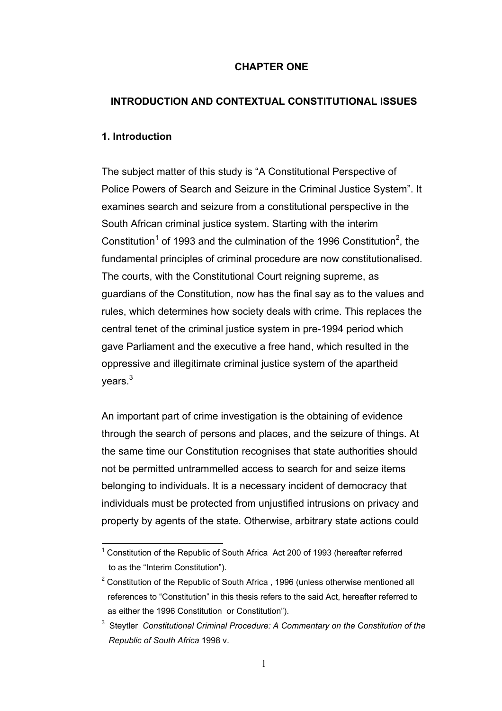### **CHAPTER ONE**

## **INTRODUCTION AND CONTEXTUAL CONSTITUTIONAL ISSUES**

### **1. Introduction**

 $\overline{a}$ 

The subject matter of this study is "A Constitutional Perspective of Police Powers of Search and Seizure in the Criminal Justice System". It examines search and seizure from a constitutional perspective in the South African criminal justice system. Starting with the interim Constitution<sup>1</sup> of 1993 and the culmination of the 1996 Constitution<sup>2</sup>, the fundamental principles of criminal procedure are now constitutionalised. The courts, with the Constitutional Court reigning supreme, as guardians of the Constitution, now has the final say as to the values and rules, which determines how society deals with crime. This replaces the central tenet of the criminal justice system in pre-1994 period which gave Parliament and the executive a free hand, which resulted in the oppressive and illegitimate criminal justice system of the apartheid years.<sup>3</sup>

An important part of crime investigation is the obtaining of evidence through the search of persons and places, and the seizure of things. At the same time our Constitution recognises that state authorities should not be permitted untrammelled access to search for and seize items belonging to individuals. It is a necessary incident of democracy that individuals must be protected from unjustified intrusions on privacy and property by agents of the state. Otherwise, arbitrary state actions could

 $1$  Constitution of the Republic of South Africa Act 200 of 1993 (hereafter referred to as the "Interim Constitution").

 $2$  Constitution of the Republic of South Africa, 1996 (unless otherwise mentioned all references to "Constitution" in this thesis refers to the said Act, hereafter referred to as either the 1996 Constitution or Constitution").

<sup>3</sup> Steytler *Constitutional Criminal Procedure: A Commentary on the Constitution of the Republic of South Africa* 1998 v.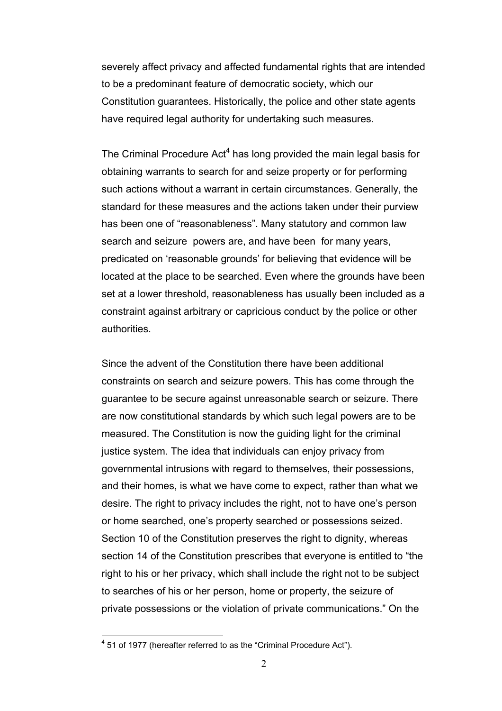severely affect privacy and affected fundamental rights that are intended to be a predominant feature of democratic society, which our Constitution guarantees. Historically, the police and other state agents have required legal authority for undertaking such measures.

The Criminal Procedure  $Act<sup>4</sup>$  has long provided the main legal basis for obtaining warrants to search for and seize property or for performing such actions without a warrant in certain circumstances. Generally, the standard for these measures and the actions taken under their purview has been one of "reasonableness". Many statutory and common law search and seizure powers are, and have been for many years, predicated on 'reasonable grounds' for believing that evidence will be located at the place to be searched. Even where the grounds have been set at a lower threshold, reasonableness has usually been included as a constraint against arbitrary or capricious conduct by the police or other authorities.

Since the advent of the Constitution there have been additional constraints on search and seizure powers. This has come through the guarantee to be secure against unreasonable search or seizure. There are now constitutional standards by which such legal powers are to be measured. The Constitution is now the guiding light for the criminal justice system. The idea that individuals can enjoy privacy from governmental intrusions with regard to themselves, their possessions, and their homes, is what we have come to expect, rather than what we desire. The right to privacy includes the right, not to have one's person or home searched, one's property searched or possessions seized. Section 10 of the Constitution preserves the right to dignity, whereas section 14 of the Constitution prescribes that everyone is entitled to "the right to his or her privacy, which shall include the right not to be subject to searches of his or her person, home or property, the seizure of private possessions or the violation of private communications." On the

 4 51 of 1977 (hereafter referred to as the "Criminal Procedure Act").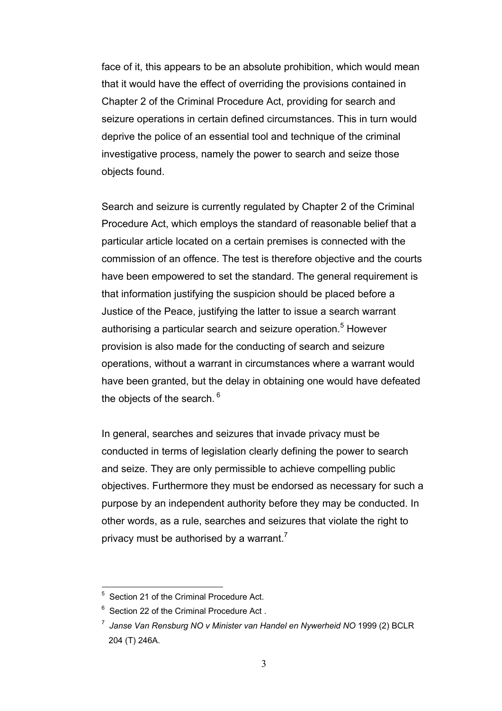face of it, this appears to be an absolute prohibition, which would mean that it would have the effect of overriding the provisions contained in Chapter 2 of the Criminal Procedure Act, providing for search and seizure operations in certain defined circumstances. This in turn would deprive the police of an essential tool and technique of the criminal investigative process, namely the power to search and seize those objects found.

Search and seizure is currently regulated by Chapter 2 of the Criminal Procedure Act, which employs the standard of reasonable belief that a particular article located on a certain premises is connected with the commission of an offence. The test is therefore objective and the courts have been empowered to set the standard. The general requirement is that information justifying the suspicion should be placed before a Justice of the Peace, justifying the latter to issue a search warrant authorising a particular search and seizure operation.<sup>5</sup> However provision is also made for the conducting of search and seizure operations, without a warrant in circumstances where a warrant would have been granted, but the delay in obtaining one would have defeated the objects of the search.  $6$ 

In general, searches and seizures that invade privacy must be conducted in terms of legislation clearly defining the power to search and seize. They are only permissible to achieve compelling public objectives. Furthermore they must be endorsed as necessary for such a purpose by an independent authority before they may be conducted. In other words, as a rule, searches and seizures that violate the right to privacy must be authorised by a warrant.<sup>7</sup>

<sup>&</sup>lt;sup>5</sup> Section 21 of the Criminal Procedure Act.

<sup>&</sup>lt;sup>6</sup> Section 22 of the Criminal Procedure Act.

<sup>7</sup> *Janse Van Rensburg NO v Minister van Handel en Nywerheid NO* 1999 (2) BCLR 204 (T) 246A.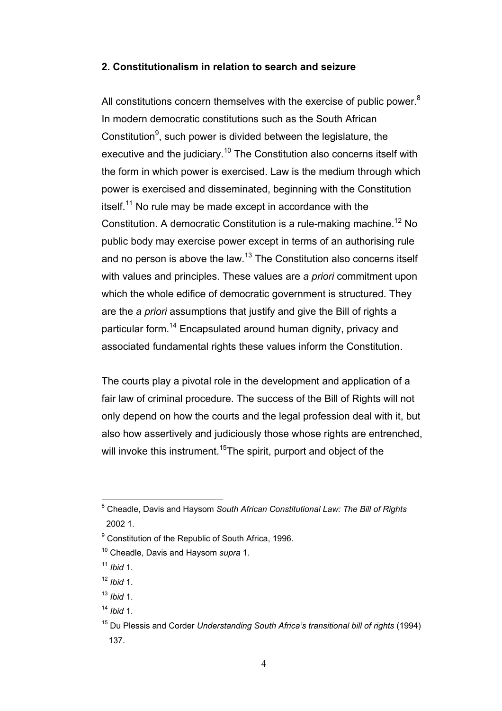#### **2. Constitutionalism in relation to search and seizure**

All constitutions concern themselves with the exercise of public power. $8$ In modern democratic constitutions such as the South African Constitution<sup>9</sup>, such power is divided between the legislature, the executive and the judiciary.<sup>10</sup> The Constitution also concerns itself with the form in which power is exercised. Law is the medium through which power is exercised and disseminated, beginning with the Constitution itself.<sup>11</sup> No rule may be made except in accordance with the Constitution. A democratic Constitution is a rule-making machine.<sup>12</sup> No public body may exercise power except in terms of an authorising rule and no person is above the law.<sup>13</sup> The Constitution also concerns itself with values and principles. These values are *a priori* commitment upon which the whole edifice of democratic government is structured. They are the *a priori* assumptions that justify and give the Bill of rights a particular form.<sup>14</sup> Encapsulated around human dignity, privacy and associated fundamental rights these values inform the Constitution.

The courts play a pivotal role in the development and application of a fair law of criminal procedure. The success of the Bill of Rights will not only depend on how the courts and the legal profession deal with it, but also how assertively and judiciously those whose rights are entrenched, will invoke this instrument.<sup>15</sup>The spirit, purport and object of the

 8 Cheadle, Davis and Haysom *South African Constitutional Law: The Bill of Rights* 2002 1.

<sup>&</sup>lt;sup>9</sup> Constitution of the Republic of South Africa, 1996.

<sup>10</sup> Cheadle, Davis and Haysom *supra* 1.

<sup>11</sup> *Ibid* 1.

<sup>12</sup> *Ibid* 1.

<sup>13</sup> *Ibid* 1.

<sup>14</sup> *Ibid* 1.

<sup>15</sup> Du Plessis and Corder *Understanding South Africa's transitional bill of rights* (1994) 137.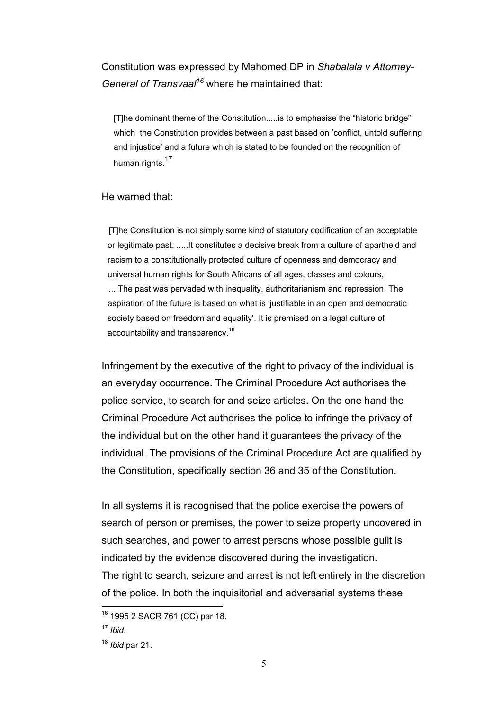# Constitution was expressed by Mahomed DP in *Shabalala v Attorney-General of Transvaal<sup>16</sup>* where he maintained that:

[T]he dominant theme of the Constitution.....is to emphasise the "historic bridge" which the Constitution provides between a past based on 'conflict, untold suffering and injustice' and a future which is stated to be founded on the recognition of human rights.<sup>17</sup>

#### He warned that:

 [T]he Constitution is not simply some kind of statutory codification of an acceptable or legitimate past. .....It constitutes a decisive break from a culture of apartheid and racism to a constitutionally protected culture of openness and democracy and universal human rights for South Africans of all ages, classes and colours, ... The past was pervaded with inequality, authoritarianism and repression. The aspiration of the future is based on what is 'justifiable in an open and democratic society based on freedom and equality'. It is premised on a legal culture of accountability and transparency.<sup>18</sup>

Infringement by the executive of the right to privacy of the individual is an everyday occurrence. The Criminal Procedure Act authorises the police service, to search for and seize articles. On the one hand the Criminal Procedure Act authorises the police to infringe the privacy of the individual but on the other hand it guarantees the privacy of the individual. The provisions of the Criminal Procedure Act are qualified by the Constitution, specifically section 36 and 35 of the Constitution.

In all systems it is recognised that the police exercise the powers of search of person or premises, the power to seize property uncovered in such searches, and power to arrest persons whose possible guilt is indicated by the evidence discovered during the investigation. The right to search, seizure and arrest is not left entirely in the discretion of the police. In both the inquisitorial and adversarial systems these

<sup>&</sup>lt;sup>16</sup> 1995 2 SACR 761 (CC) par 18.

<sup>17</sup> *Ibid*.

<sup>18</sup> *Ibid* par 21.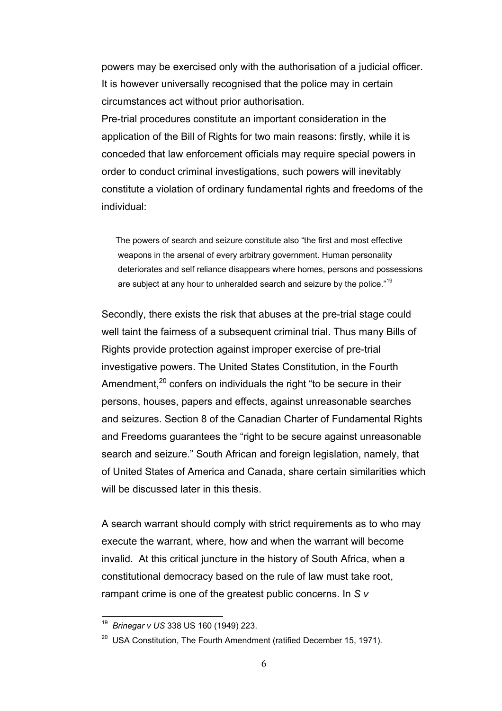powers may be exercised only with the authorisation of a judicial officer. It is however universally recognised that the police may in certain circumstances act without prior authorisation.

Pre-trial procedures constitute an important consideration in the application of the Bill of Rights for two main reasons: firstly, while it is conceded that law enforcement officials may require special powers in order to conduct criminal investigations, such powers will inevitably constitute a violation of ordinary fundamental rights and freedoms of the individual:

 The powers of search and seizure constitute also "the first and most effective weapons in the arsenal of every arbitrary government. Human personality deteriorates and self reliance disappears where homes, persons and possessions are subject at any hour to unheralded search and seizure by the police."<sup>19</sup>

Secondly, there exists the risk that abuses at the pre-trial stage could well taint the fairness of a subsequent criminal trial. Thus many Bills of Rights provide protection against improper exercise of pre-trial investigative powers. The United States Constitution, in the Fourth Amendment.<sup>20</sup> confers on individuals the right "to be secure in their persons, houses, papers and effects, against unreasonable searches and seizures. Section 8 of the Canadian Charter of Fundamental Rights and Freedoms guarantees the "right to be secure against unreasonable search and seizure." South African and foreign legislation, namely, that of United States of America and Canada, share certain similarities which will be discussed later in this thesis.

A search warrant should comply with strict requirements as to who may execute the warrant, where, how and when the warrant will become invalid. At this critical juncture in the history of South Africa, when a constitutional democracy based on the rule of law must take root, rampant crime is one of the greatest public concerns. In *S v* 

<sup>19</sup> *Brinegar v US* 338 US 160 (1949) 223.

 $20$  USA Constitution, The Fourth Amendment (ratified December 15, 1971).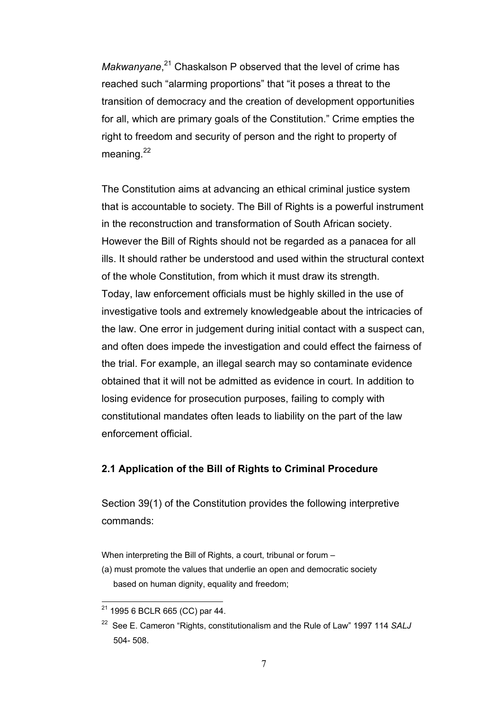Makwanyane,<sup>21</sup> Chaskalson P observed that the level of crime has reached such "alarming proportions" that "it poses a threat to the transition of democracy and the creation of development opportunities for all, which are primary goals of the Constitution." Crime empties the right to freedom and security of person and the right to property of meaning.<sup>22</sup>

The Constitution aims at advancing an ethical criminal justice system that is accountable to society. The Bill of Rights is a powerful instrument in the reconstruction and transformation of South African society. However the Bill of Rights should not be regarded as a panacea for all ills. It should rather be understood and used within the structural context of the whole Constitution, from which it must draw its strength. Today, law enforcement officials must be highly skilled in the use of investigative tools and extremely knowledgeable about the intricacies of the law. One error in judgement during initial contact with a suspect can, and often does impede the investigation and could effect the fairness of the trial. For example, an illegal search may so contaminate evidence obtained that it will not be admitted as evidence in court. In addition to losing evidence for prosecution purposes, failing to comply with constitutional mandates often leads to liability on the part of the law enforcement official.

## **2.1 Application of the Bill of Rights to Criminal Procedure**

Section 39(1) of the Constitution provides the following interpretive commands:

When interpreting the Bill of Rights, a court, tribunal or forum –

(a) must promote the values that underlie an open and democratic society based on human dignity, equality and freedom;

 $\overline{a}$  $^{21}$  1995 6 BCLR 665 (CC) par 44.

<sup>22</sup> See E. Cameron "Rights, constitutionalism and the Rule of Law" 1997 114 *SALJ* 504- 508.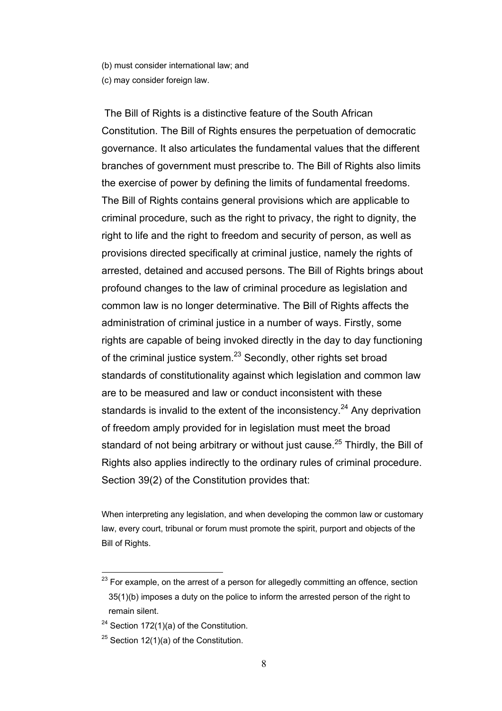(b) must consider international law; and

(c) may consider foreign law.

 The Bill of Rights is a distinctive feature of the South African Constitution. The Bill of Rights ensures the perpetuation of democratic governance. It also articulates the fundamental values that the different branches of government must prescribe to. The Bill of Rights also limits the exercise of power by defining the limits of fundamental freedoms. The Bill of Rights contains general provisions which are applicable to criminal procedure, such as the right to privacy, the right to dignity, the right to life and the right to freedom and security of person, as well as provisions directed specifically at criminal justice, namely the rights of arrested, detained and accused persons. The Bill of Rights brings about profound changes to the law of criminal procedure as legislation and common law is no longer determinative. The Bill of Rights affects the administration of criminal justice in a number of ways. Firstly, some rights are capable of being invoked directly in the day to day functioning of the criminal justice system. $^{23}$  Secondly, other rights set broad standards of constitutionality against which legislation and common law are to be measured and law or conduct inconsistent with these standards is invalid to the extent of the inconsistency.<sup>24</sup> Any deprivation of freedom amply provided for in legislation must meet the broad standard of not being arbitrary or without just cause.<sup>25</sup> Thirdly, the Bill of Rights also applies indirectly to the ordinary rules of criminal procedure. Section 39(2) of the Constitution provides that:

When interpreting any legislation, and when developing the common law or customary law, every court, tribunal or forum must promote the spirit, purport and objects of the Bill of Rights.

 $^{23}$  For example, on the arrest of a person for allegedly committing an offence, section 35(1)(b) imposes a duty on the police to inform the arrested person of the right to remain silent.

 $24$  Section 172(1)(a) of the Constitution.

<sup>&</sup>lt;sup>25</sup> Section 12(1)(a) of the Constitution.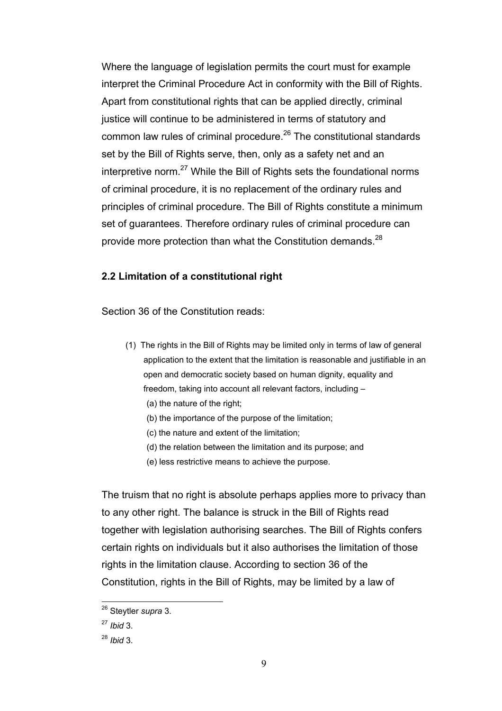Where the language of legislation permits the court must for example interpret the Criminal Procedure Act in conformity with the Bill of Rights. Apart from constitutional rights that can be applied directly, criminal justice will continue to be administered in terms of statutory and common law rules of criminal procedure. $26$  The constitutional standards set by the Bill of Rights serve, then, only as a safety net and an interpretive norm. $27$  While the Bill of Rights sets the foundational norms of criminal procedure, it is no replacement of the ordinary rules and principles of criminal procedure. The Bill of Rights constitute a minimum set of guarantees. Therefore ordinary rules of criminal procedure can provide more protection than what the Constitution demands.<sup>28</sup>

### **2.2 Limitation of a constitutional right**

Section 36 of the Constitution reads:

- (1) The rights in the Bill of Rights may be limited only in terms of law of general application to the extent that the limitation is reasonable and justifiable in an open and democratic society based on human dignity, equality and freedom, taking into account all relevant factors, including –
	- (a) the nature of the right;
	- (b) the importance of the purpose of the limitation;
	- (c) the nature and extent of the limitation;
	- (d) the relation between the limitation and its purpose; and
	- (e) less restrictive means to achieve the purpose.

The truism that no right is absolute perhaps applies more to privacy than to any other right. The balance is struck in the Bill of Rights read together with legislation authorising searches. The Bill of Rights confers certain rights on individuals but it also authorises the limitation of those rights in the limitation clause. According to section 36 of the Constitution, rights in the Bill of Rights, may be limited by a law of

<sup>26</sup> Steytler *supra* 3.

<sup>27</sup> *Ibid* 3.

<sup>28</sup> *Ibid* 3.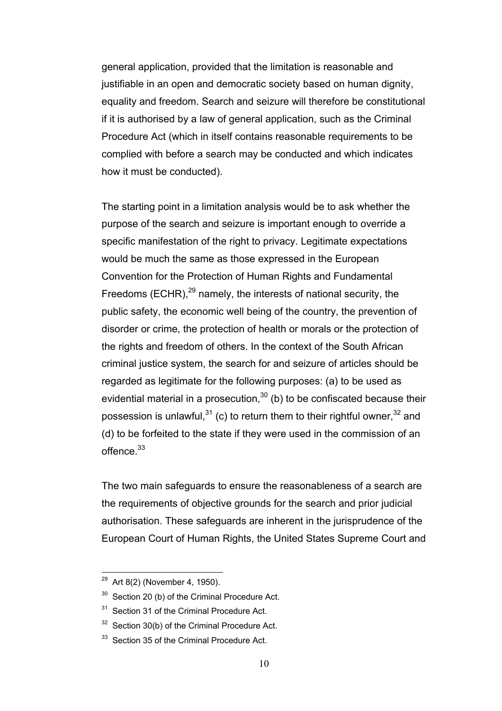general application, provided that the limitation is reasonable and justifiable in an open and democratic society based on human dignity, equality and freedom. Search and seizure will therefore be constitutional if it is authorised by a law of general application, such as the Criminal Procedure Act (which in itself contains reasonable requirements to be complied with before a search may be conducted and which indicates how it must be conducted).

The starting point in a limitation analysis would be to ask whether the purpose of the search and seizure is important enough to override a specific manifestation of the right to privacy. Legitimate expectations would be much the same as those expressed in the European Convention for the Protection of Human Rights and Fundamental Freedoms (ECHR), $^{29}$  namely, the interests of national security, the public safety, the economic well being of the country, the prevention of disorder or crime, the protection of health or morals or the protection of the rights and freedom of others. In the context of the South African criminal justice system, the search for and seizure of articles should be regarded as legitimate for the following purposes: (a) to be used as evidential material in a prosecution,  $30$  (b) to be confiscated because their possession is unlawful,  $31$  (c) to return them to their rightful owner,  $32$  and (d) to be forfeited to the state if they were used in the commission of an offence.<sup>33</sup>

The two main safeguards to ensure the reasonableness of a search are the requirements of objective grounds for the search and prior judicial authorisation. These safeguards are inherent in the jurisprudence of the European Court of Human Rights, the United States Supreme Court and

<sup>&</sup>lt;sup>29</sup> Art 8(2) (November 4, 1950).

 $30$  Section 20 (b) of the Criminal Procedure Act.

<sup>&</sup>lt;sup>31</sup> Section 31 of the Criminal Procedure Act.

 $32$  Section 30(b) of the Criminal Procedure Act.

<sup>&</sup>lt;sup>33</sup> Section 35 of the Criminal Procedure Act.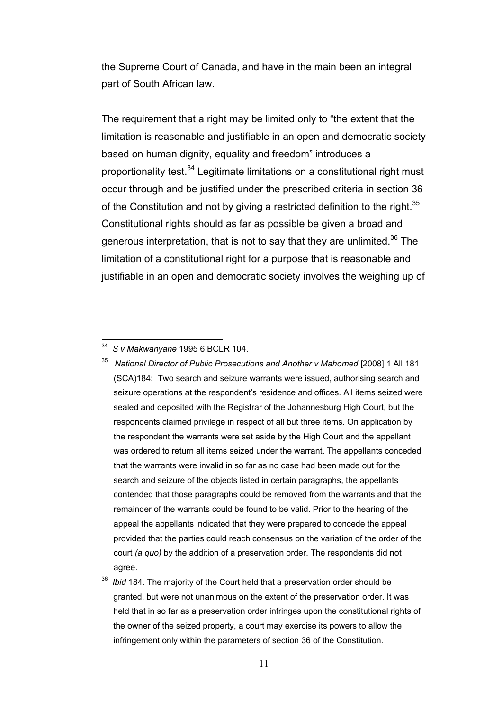the Supreme Court of Canada, and have in the main been an integral part of South African law.

The requirement that a right may be limited only to "the extent that the limitation is reasonable and justifiable in an open and democratic society based on human dignity, equality and freedom" introduces a proportionality test.<sup>34</sup> Legitimate limitations on a constitutional right must occur through and be justified under the prescribed criteria in section 36 of the Constitution and not by giving a restricted definition to the right.<sup>35</sup> Constitutional rights should as far as possible be given a broad and generous interpretation, that is not to say that they are unlimited.<sup>36</sup> The limitation of a constitutional right for a purpose that is reasonable and justifiable in an open and democratic society involves the weighing up of

 $\overline{a}$ 

35 *National Director of Public Prosecutions and Another v Mahomed* [2008] 1 All 181 (SCA)184: Two search and seizure warrants were issued, authorising search and seizure operations at the respondent's residence and offices. All items seized were sealed and deposited with the Registrar of the Johannesburg High Court, but the respondents claimed privilege in respect of all but three items. On application by the respondent the warrants were set aside by the High Court and the appellant was ordered to return all items seized under the warrant. The appellants conceded that the warrants were invalid in so far as no case had been made out for the search and seizure of the objects listed in certain paragraphs, the appellants contended that those paragraphs could be removed from the warrants and that the remainder of the warrants could be found to be valid. Prior to the hearing of the appeal the appellants indicated that they were prepared to concede the appeal provided that the parties could reach consensus on the variation of the order of the court *(a quo)* by the addition of a preservation order. The respondents did not agree.

<sup>34</sup> *S v Makwanyane* 1995 6 BCLR 104.

<sup>36</sup> *Ibid* 184. The majority of the Court held that a preservation order should be granted, but were not unanimous on the extent of the preservation order. It was held that in so far as a preservation order infringes upon the constitutional rights of the owner of the seized property, a court may exercise its powers to allow the infringement only within the parameters of section 36 of the Constitution.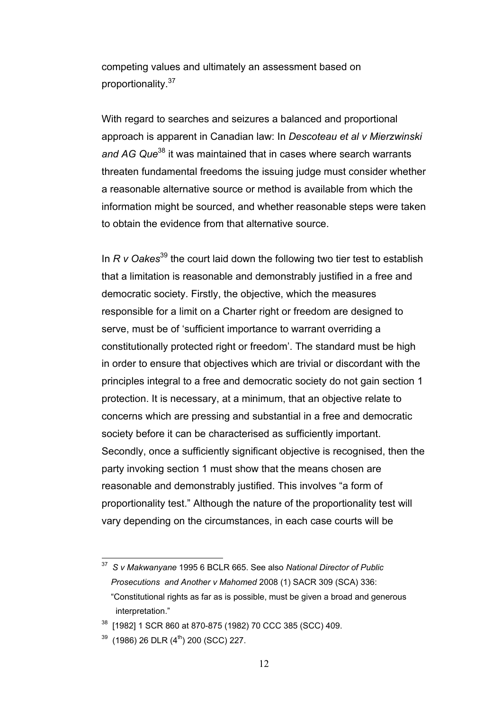competing values and ultimately an assessment based on proportionality.<sup>37</sup>

With regard to searches and seizures a balanced and proportional approach is apparent in Canadian law: In *Descoteau et al v Mierzwinski and AG Que*38 it was maintained that in cases where search warrants threaten fundamental freedoms the issuing judge must consider whether a reasonable alternative source or method is available from which the information might be sourced, and whether reasonable steps were taken to obtain the evidence from that alternative source.

In *R v Oakes*<sup>39</sup> the court laid down the following two tier test to establish that a limitation is reasonable and demonstrably justified in a free and democratic society. Firstly, the objective, which the measures responsible for a limit on a Charter right or freedom are designed to serve, must be of 'sufficient importance to warrant overriding a constitutionally protected right or freedom'. The standard must be high in order to ensure that objectives which are trivial or discordant with the principles integral to a free and democratic society do not gain section 1 protection. It is necessary, at a minimum, that an objective relate to concerns which are pressing and substantial in a free and democratic society before it can be characterised as sufficiently important. Secondly, once a sufficiently significant objective is recognised, then the party invoking section 1 must show that the means chosen are reasonable and demonstrably justified. This involves "a form of proportionality test." Although the nature of the proportionality test will vary depending on the circumstances, in each case courts will be

 $\overline{a}$ 37 *S v Makwanyane* 1995 6 BCLR 665. See also *National Director of Public Prosecutions and Another v Mahomed* 2008 (1) SACR 309 (SCA) 336: "Constitutional rights as far as is possible, must be given a broad and generous interpretation."

<sup>38 [1982] 1</sup> SCR 860 at 870-875 (1982) 70 CCC 385 (SCC) 409.

 $39$  (1986) 26 DLR (4<sup>th</sup>) 200 (SCC) 227.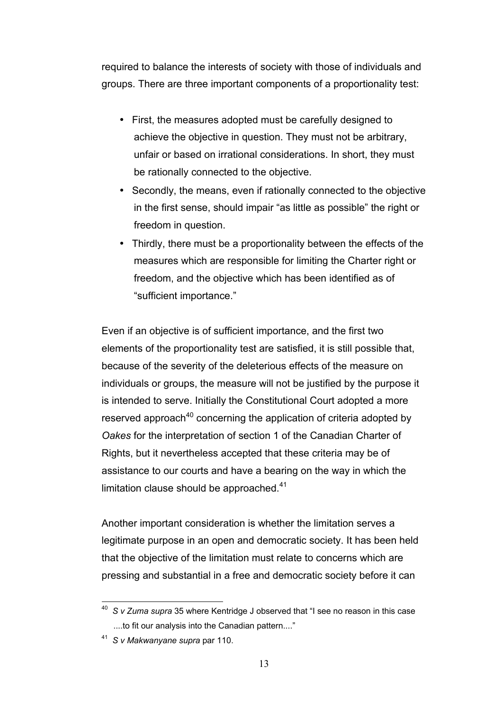required to balance the interests of society with those of individuals and groups. There are three important components of a proportionality test:

- First, the measures adopted must be carefully designed to achieve the objective in question. They must not be arbitrary, unfair or based on irrational considerations. In short, they must be rationally connected to the objective.
- Secondly, the means, even if rationally connected to the objective in the first sense, should impair "as little as possible" the right or freedom in question.
- Thirdly, there must be a proportionality between the effects of the measures which are responsible for limiting the Charter right or freedom, and the objective which has been identified as of "sufficient importance."

Even if an objective is of sufficient importance, and the first two elements of the proportionality test are satisfied, it is still possible that, because of the severity of the deleterious effects of the measure on individuals or groups, the measure will not be justified by the purpose it is intended to serve. Initially the Constitutional Court adopted a more reserved approach<sup>40</sup> concerning the application of criteria adopted by *Oakes* for the interpretation of section 1 of the Canadian Charter of Rights, but it nevertheless accepted that these criteria may be of assistance to our courts and have a bearing on the way in which the limitation clause should be approached.<sup>41</sup>

Another important consideration is whether the limitation serves a legitimate purpose in an open and democratic society. It has been held that the objective of the limitation must relate to concerns which are pressing and substantial in a free and democratic society before it can

 $\overline{a}$ 40 *S v Zuma supra* 35 where Kentridge J observed that "I see no reason in this case ....to fit our analysis into the Canadian pattern...."

<sup>41</sup> *S v Makwanyane supra* par 110.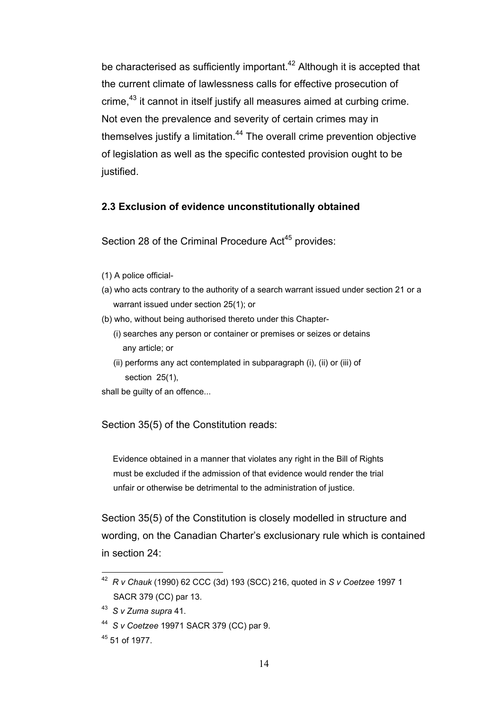be characterised as sufficiently important.<sup>42</sup> Although it is accepted that the current climate of lawlessness calls for effective prosecution of crime,<sup>43</sup> it cannot in itself justify all measures aimed at curbing crime. Not even the prevalence and severity of certain crimes may in themselves justify a limitation.<sup>44</sup> The overall crime prevention objective of legislation as well as the specific contested provision ought to be justified.

## **2.3 Exclusion of evidence unconstitutionally obtained**

Section 28 of the Criminal Procedure Act<sup>45</sup> provides:

- (1) A police official-
- (a) who acts contrary to the authority of a search warrant issued under section 21 or a warrant issued under section 25(1); or
- (b) who, without being authorised thereto under this Chapter-
	- (i) searches any person or container or premises or seizes or detains any article; or
	- (ii) performs any act contemplated in subparagraph (i), (ii) or (iii) of section 25(1),

shall be guilty of an offence...

Section 35(5) of the Constitution reads:

 Evidence obtained in a manner that violates any right in the Bill of Rights must be excluded if the admission of that evidence would render the trial unfair or otherwise be detrimental to the administration of justice.

Section 35(5) of the Constitution is closely modelled in structure and wording, on the Canadian Charter's exclusionary rule which is contained in section 24:

 $\overline{a}$ 42 *R v Chauk* (1990) 62 CCC (3d) 193 (SCC) 216, quoted in *S v Coetzee* 1997 1 SACR 379 (CC) par 13.

<sup>43</sup> *S v Zuma supra* 41.

<sup>44</sup> *S v Coetzee* 19971 SACR 379 (CC) par 9.

<sup>45 51</sup> of 1977.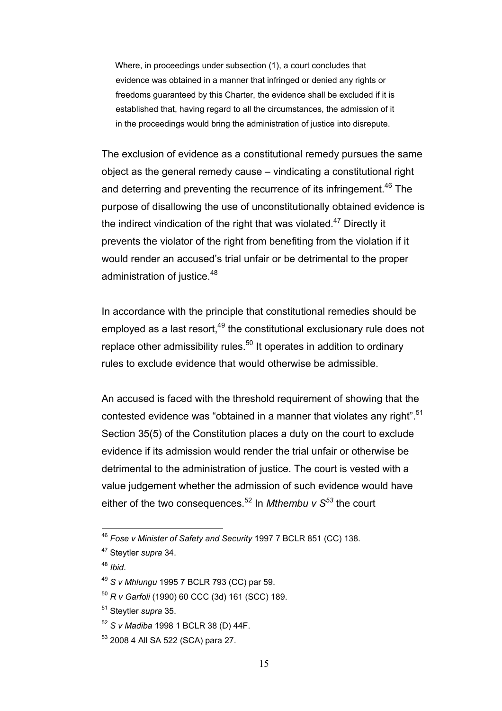Where, in proceedings under subsection (1), a court concludes that evidence was obtained in a manner that infringed or denied any rights or freedoms guaranteed by this Charter, the evidence shall be excluded if it is established that, having regard to all the circumstances, the admission of it in the proceedings would bring the administration of justice into disrepute.

The exclusion of evidence as a constitutional remedy pursues the same object as the general remedy cause – vindicating a constitutional right and deterring and preventing the recurrence of its infringement.<sup>46</sup> The purpose of disallowing the use of unconstitutionally obtained evidence is the indirect vindication of the right that was violated.<sup>47</sup> Directly it prevents the violator of the right from benefiting from the violation if it would render an accused's trial unfair or be detrimental to the proper administration of justice.<sup>48</sup>

In accordance with the principle that constitutional remedies should be employed as a last resort, $49$  the constitutional exclusionary rule does not replace other admissibility rules.<sup>50</sup> It operates in addition to ordinary rules to exclude evidence that would otherwise be admissible.

An accused is faced with the threshold requirement of showing that the contested evidence was "obtained in a manner that violates any right".<sup>51</sup> Section 35(5) of the Constitution places a duty on the court to exclude evidence if its admission would render the trial unfair or otherwise be detrimental to the administration of justice. The court is vested with a value judgement whether the admission of such evidence would have either of the two consequences.<sup>52</sup> In *Mthembu v S*<sup>53</sup> the court

 $\overline{a}$ 

53 2008 4 All SA 522 (SCA) para 27.

<sup>46</sup> *Fose v Minister of Safety and Security* 1997 7 BCLR 851 (CC) 138.

<sup>47</sup> Steytler *supra* 34.

<sup>48</sup> *Ibid*.

<sup>49</sup> *S v Mhlungu* 1995 7 BCLR 793 (CC) par 59.

<sup>50</sup> *R v Garfoli* (1990) 60 CCC (3d) 161 (SCC) 189.

<sup>51</sup> Steytler *supra* 35.

<sup>52</sup> *S v Madiba* 1998 1 BCLR 38 (D) 44F.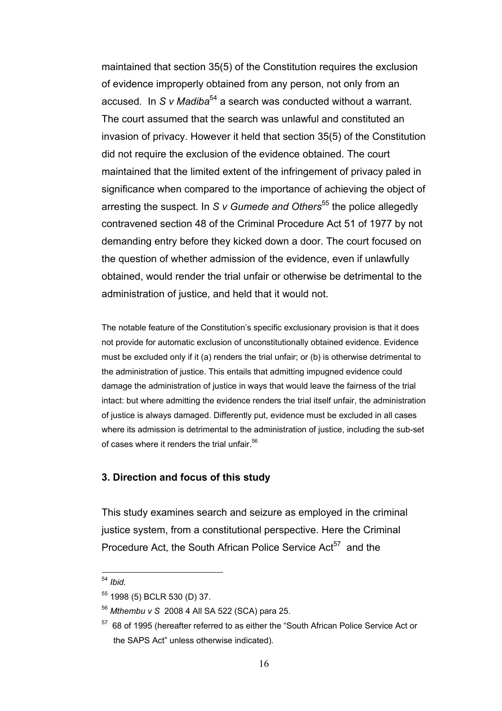maintained that section 35(5) of the Constitution requires the exclusion of evidence improperly obtained from any person, not only from an accused*.* In *S v Madiba*54 a search was conducted without a warrant. The court assumed that the search was unlawful and constituted an invasion of privacy. However it held that section 35(5) of the Constitution did not require the exclusion of the evidence obtained. The court maintained that the limited extent of the infringement of privacy paled in significance when compared to the importance of achieving the object of arresting the suspect. In *S v Gumede and Others*<sup>55</sup> the police allegedly contravened section 48 of the Criminal Procedure Act 51 of 1977 by not demanding entry before they kicked down a door. The court focused on the question of whether admission of the evidence, even if unlawfully obtained, would render the trial unfair or otherwise be detrimental to the administration of justice, and held that it would not.

The notable feature of the Constitution's specific exclusionary provision is that it does not provide for automatic exclusion of unconstitutionally obtained evidence. Evidence must be excluded only if it (a) renders the trial unfair; or (b) is otherwise detrimental to the administration of justice. This entails that admitting impugned evidence could damage the administration of justice in ways that would leave the fairness of the trial intact: but where admitting the evidence renders the trial itself unfair, the administration of justice is always damaged. Differently put, evidence must be excluded in all cases where its admission is detrimental to the administration of justice, including the sub-set of cases where it renders the trial unfair  $56$ 

# **3. Direction and focus of this study**

This study examines search and seizure as employed in the criminal justice system, from a constitutional perspective. Here the Criminal Procedure Act, the South African Police Service Act<sup>57</sup> and the

<sup>54</sup> *Ibid.*

<sup>55 1998 (5)</sup> BCLR 530 (D) 37.

<sup>56</sup> *Mthembu v S* 2008 4 All SA 522 (SCA) para 25.

<sup>57 68</sup> of 1995 (hereafter referred to as either the "South African Police Service Act or the SAPS Act" unless otherwise indicated).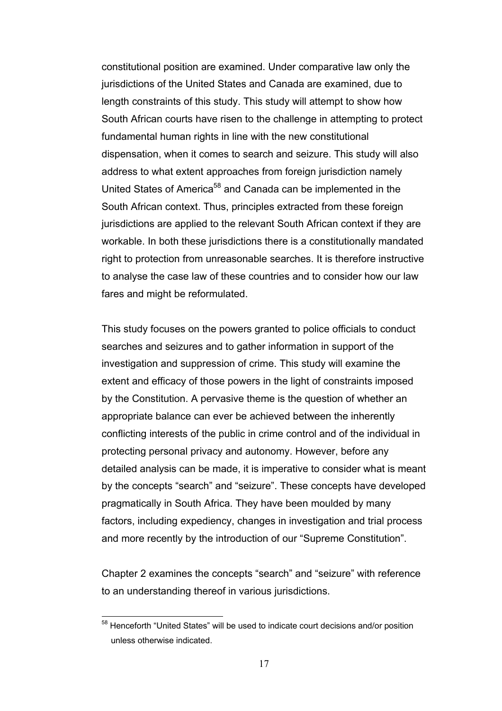constitutional position are examined. Under comparative law only the jurisdictions of the United States and Canada are examined, due to length constraints of this study. This study will attempt to show how South African courts have risen to the challenge in attempting to protect fundamental human rights in line with the new constitutional dispensation, when it comes to search and seizure. This study will also address to what extent approaches from foreign jurisdiction namely United States of America<sup>58</sup> and Canada can be implemented in the South African context. Thus, principles extracted from these foreign jurisdictions are applied to the relevant South African context if they are workable. In both these jurisdictions there is a constitutionally mandated right to protection from unreasonable searches. It is therefore instructive to analyse the case law of these countries and to consider how our law fares and might be reformulated.

This study focuses on the powers granted to police officials to conduct searches and seizures and to gather information in support of the investigation and suppression of crime. This study will examine the extent and efficacy of those powers in the light of constraints imposed by the Constitution. A pervasive theme is the question of whether an appropriate balance can ever be achieved between the inherently conflicting interests of the public in crime control and of the individual in protecting personal privacy and autonomy. However, before any detailed analysis can be made, it is imperative to consider what is meant by the concepts "search" and "seizure". These concepts have developed pragmatically in South Africa. They have been moulded by many factors, including expediency, changes in investigation and trial process and more recently by the introduction of our "Supreme Constitution".

Chapter 2 examines the concepts "search" and "seizure" with reference to an understanding thereof in various jurisdictions.

<sup>&</sup>lt;sup>58</sup> Henceforth "United States" will be used to indicate court decisions and/or position unless otherwise indicated.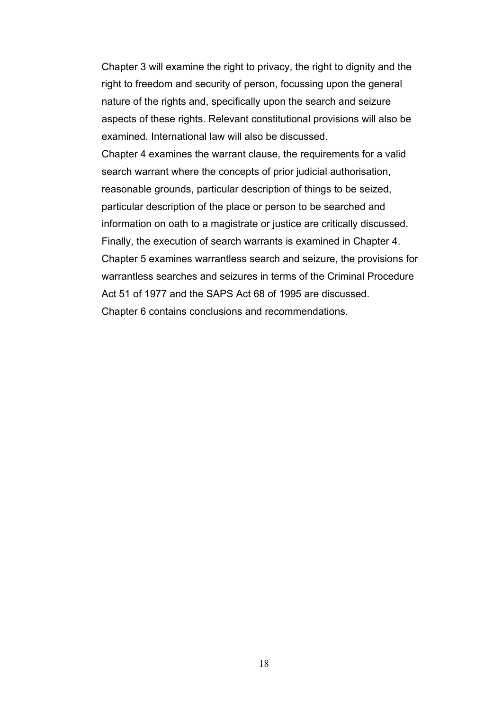Chapter 3 will examine the right to privacy, the right to dignity and the right to freedom and security of person, focussing upon the general nature of the rights and, specifically upon the search and seizure aspects of these rights. Relevant constitutional provisions will also be examined. International law will also be discussed.

Chapter 4 examines the warrant clause, the requirements for a valid search warrant where the concepts of prior judicial authorisation, reasonable grounds, particular description of things to be seized, particular description of the place or person to be searched and information on oath to a magistrate or justice are critically discussed. Finally, the execution of search warrants is examined in Chapter 4. Chapter 5 examines warrantless search and seizure, the provisions for warrantless searches and seizures in terms of the Criminal Procedure Act 51 of 1977 and the SAPS Act 68 of 1995 are discussed. Chapter 6 contains conclusions and recommendations.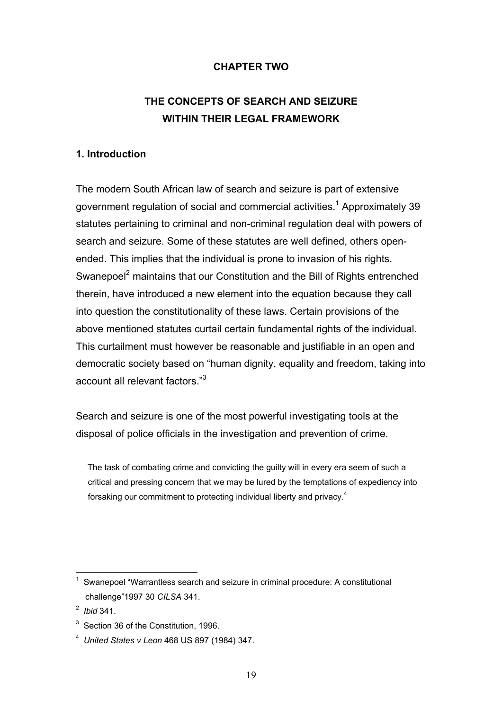# **CHAPTER TWO**

# **THE CONCEPTS OF SEARCH AND SEIZURE WITHIN THEIR LEGAL FRAMEWORK**

# **1. Introduction**

The modern South African law of search and seizure is part of extensive government regulation of social and commercial activities.<sup>1</sup> Approximately 39 statutes pertaining to criminal and non-criminal regulation deal with powers of search and seizure. Some of these statutes are well defined, others openended. This implies that the individual is prone to invasion of his rights. Swanepoel<sup>2</sup> maintains that our Constitution and the Bill of Rights entrenched therein, have introduced a new element into the equation because they call into question the constitutionality of these laws. Certain provisions of the above mentioned statutes curtail certain fundamental rights of the individual. This curtailment must however be reasonable and justifiable in an open and democratic society based on "human dignity, equality and freedom, taking into account all relevant factors."3

Search and seizure is one of the most powerful investigating tools at the disposal of police officials in the investigation and prevention of crime.

 The task of combating crime and convicting the guilty will in every era seem of such a critical and pressing concern that we may be lured by the temptations of expediency into forsaking our commitment to protecting individual liberty and privacy. $4$ 

 $\overline{a}$  $1$  Swanepoel "Warrantless search and seizure in criminal procedure: A constitutional challenge"1997 30 *CILSA* 341.

<sup>2</sup> *Ibid* 341.

 $3$  Section 36 of the Constitution, 1996.

<sup>4</sup> *United States v Leon* 468 US 897 (1984) 347.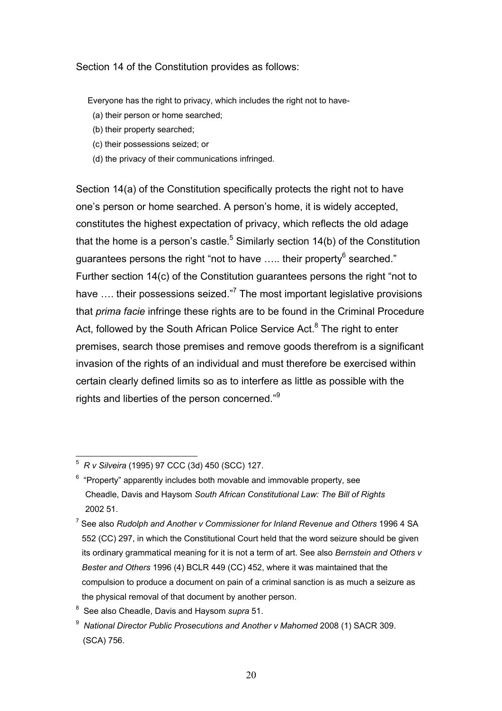Section 14 of the Constitution provides as follows:

Everyone has the right to privacy, which includes the right not to have-

- (a) their person or home searched;
- (b) their property searched;
- (c) their possessions seized; or
- (d) the privacy of their communications infringed.

Section 14(a) of the Constitution specifically protects the right not to have one's person or home searched. A person's home, it is widely accepted, constitutes the highest expectation of privacy, which reflects the old adage that the home is a person's castle.<sup>5</sup> Similarly section 14(b) of the Constitution guarantees persons the right "not to have ….. their property<sup>6</sup> searched." Further section 14(c) of the Constitution guarantees persons the right "not to have .... their possessions seized."<sup>7</sup> The most important legislative provisions that *prima facie* infringe these rights are to be found in the Criminal Procedure Act, followed by the South African Police Service Act.<sup>8</sup> The right to enter premises, search those premises and remove goods therefrom is a significant invasion of the rights of an individual and must therefore be exercised within certain clearly defined limits so as to interfere as little as possible with the rights and liberties of the person concerned."<sup>9</sup>

 5 *R v Silveira* (1995) 97 CCC (3d) 450 (SCC) 127.

 $6\degree$  "Property" apparently includes both movable and immovable property, see Cheadle, Davis and Haysom *South African Constitutional Law: The Bill of Rights* 2002 51.

<sup>7</sup> See also *Rudolph and Another v Commissioner for Inland Revenue and Others* 1996 4 SA 552 (CC) 297, in which the Constitutional Court held that the word seizure should be given its ordinary grammatical meaning for it is not a term of art. See also *Bernstein and Others v Bester and Others* 1996 (4) BCLR 449 (CC) 452, where it was maintained that the compulsion to produce a document on pain of a criminal sanction is as much a seizure as the physical removal of that document by another person.

<sup>8</sup> See also Cheadle, Davis and Haysom *supra* 51.

<sup>9</sup>  *National Director Public Prosecutions and Another v Mahomed* 2008 (1) SACR 309. (SCA) 756.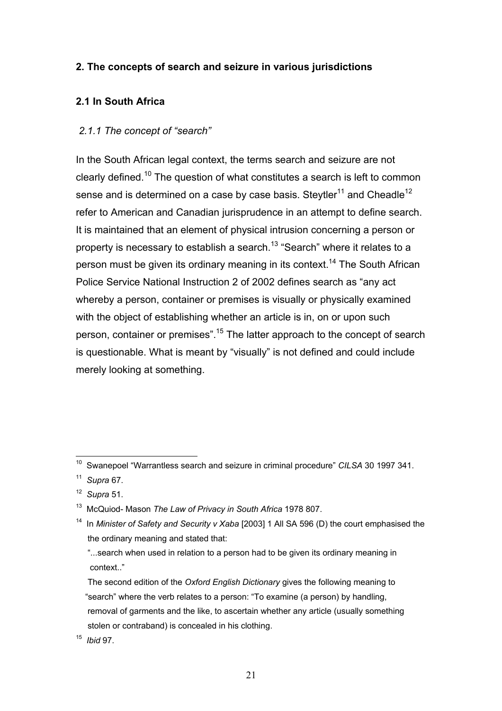# **2. The concepts of search and seizure in various jurisdictions**

# **2.1 In South Africa**

# *2.1.1 The concept of "search"*

In the South African legal context, the terms search and seizure are not clearly defined.10 The question of what constitutes a search is left to common sense and is determined on a case by case basis. Steytler<sup>11</sup> and Cheadle<sup>12</sup> refer to American and Canadian jurisprudence in an attempt to define search. It is maintained that an element of physical intrusion concerning a person or property is necessary to establish a search.<sup>13</sup> "Search" where it relates to a person must be given its ordinary meaning in its context.<sup>14</sup> The South African Police Service National Instruction 2 of 2002 defines search as "any act whereby a person, container or premises is visually or physically examined with the object of establishing whether an article is in, on or upon such person, container or premises".15 The latter approach to the concept of search is questionable. What is meant by "visually" is not defined and could include merely looking at something.

 $10\,$ 10 Swanepoel "Warrantless search and seizure in criminal procedure" *CILSA* 30 1997 341.

<sup>11</sup> *Supra* 67.

<sup>12</sup> *Supra* 51.

<sup>13</sup> McQuiod- Mason *The Law of Privacy in South Africa* 1978 807.

<sup>&</sup>lt;sup>14</sup> In *Minister of Safety and Security v Xaba* [2003] 1 All SA 596 (D) the court emphasised the the ordinary meaning and stated that:

 <sup>&</sup>quot;...search when used in relation to a person had to be given its ordinary meaning in context.."

The second edition of the *Oxford English Dictionary* gives the following meaning to "search" where the verb relates to a person: "To examine (a person) by handling, removal of garments and the like, to ascertain whether any article (usually something stolen or contraband) is concealed in his clothing.

<sup>15</sup> *Ibid* 97.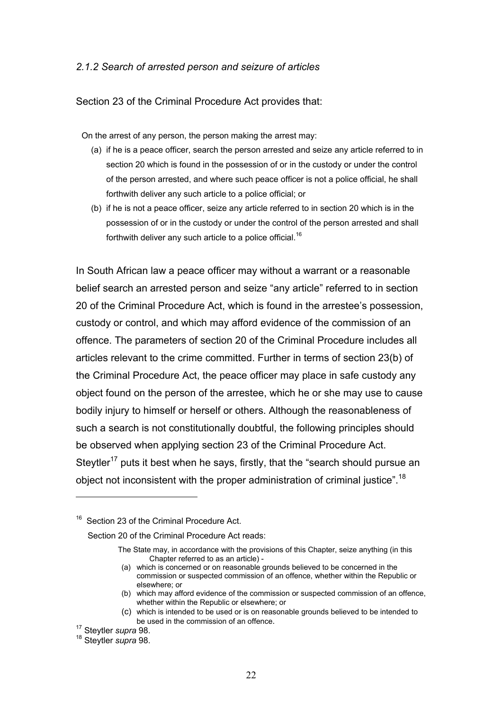### *2.1.2 Search of arrested person and seizure of articles*

Section 23 of the Criminal Procedure Act provides that:

On the arrest of any person, the person making the arrest may:

- (a) if he is a peace officer, search the person arrested and seize any article referred to in section 20 which is found in the possession of or in the custody or under the control of the person arrested, and where such peace officer is not a police official, he shall forthwith deliver any such article to a police official; or
- (b) if he is not a peace officer, seize any article referred to in section 20 which is in the possession of or in the custody or under the control of the person arrested and shall forthwith deliver any such article to a police official.<sup>16</sup>

In South African law a peace officer may without a warrant or a reasonable belief search an arrested person and seize "any article" referred to in section 20 of the Criminal Procedure Act, which is found in the arrestee's possession, custody or control, and which may afford evidence of the commission of an offence. The parameters of section 20 of the Criminal Procedure includes all articles relevant to the crime committed. Further in terms of section 23(b) of the Criminal Procedure Act, the peace officer may place in safe custody any object found on the person of the arrestee, which he or she may use to cause bodily injury to himself or herself or others. Although the reasonableness of such a search is not constitutionally doubtful, the following principles should be observed when applying section 23 of the Criminal Procedure Act. Steytler<sup>17</sup> puts it best when he says, firstly, that the "search should pursue an object not inconsistent with the proper administration of criminal justice".<sup>18</sup>

Section 23 of the Criminal Procedure Act.

Section 20 of the Criminal Procedure Act reads:

The State may, in accordance with the provisions of this Chapter, seize anything (in this Chapter referred to as an article) -

<sup>(</sup>a) which is concerned or on reasonable grounds believed to be concerned in the commission or suspected commission of an offence, whether within the Republic or elsewhere; or

<sup>(</sup>b) which may afford evidence of the commission or suspected commission of an offence, whether within the Republic or elsewhere; or

<sup>(</sup>c) which is intended to be used or is on reasonable grounds believed to be intended to be used in the commission of an offence. 17 Steytler *supra* 98.

<sup>18</sup> Steytler *supra* 98.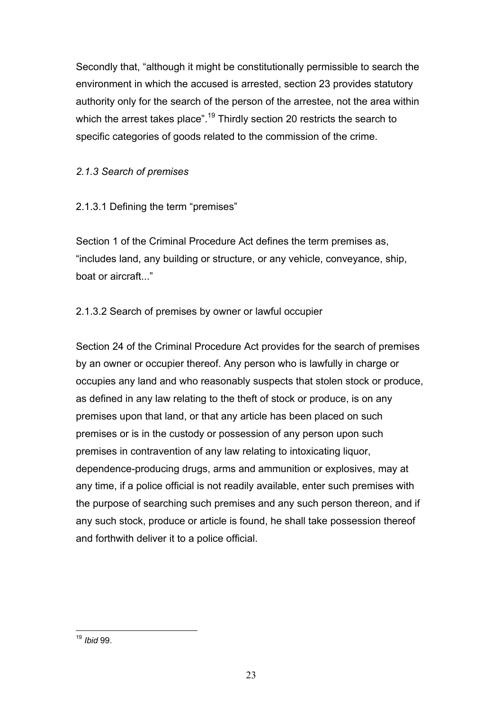Secondly that, "although it might be constitutionally permissible to search the environment in which the accused is arrested, section 23 provides statutory authority only for the search of the person of the arrestee, not the area within which the arrest takes place".<sup>19</sup> Thirdly section 20 restricts the search to specific categories of goods related to the commission of the crime.

# *2.1.3 Search of premises*

2.1.3.1 Defining the term "premises"

Section 1 of the Criminal Procedure Act defines the term premises as, "includes land, any building or structure, or any vehicle, conveyance, ship, boat or aircraft..."

# 2.1.3.2 Search of premises by owner or lawful occupier

Section 24 of the Criminal Procedure Act provides for the search of premises by an owner or occupier thereof. Any person who is lawfully in charge or occupies any land and who reasonably suspects that stolen stock or produce, as defined in any law relating to the theft of stock or produce, is on any premises upon that land, or that any article has been placed on such premises or is in the custody or possession of any person upon such premises in contravention of any law relating to intoxicating liquor, dependence-producing drugs, arms and ammunition or explosives, may at any time, if a police official is not readily available, enter such premises with the purpose of searching such premises and any such person thereon, and if any such stock, produce or article is found, he shall take possession thereof and forthwith deliver it to a police official.

 $\overline{a}$ <sup>19</sup> *Ibid* 99.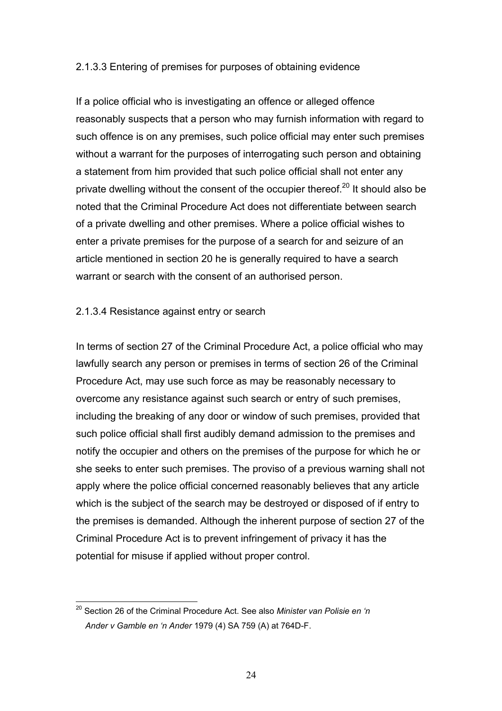## 2.1.3.3 Entering of premises for purposes of obtaining evidence

If a police official who is investigating an offence or alleged offence reasonably suspects that a person who may furnish information with regard to such offence is on any premises, such police official may enter such premises without a warrant for the purposes of interrogating such person and obtaining a statement from him provided that such police official shall not enter any private dwelling without the consent of the occupier thereof.<sup>20</sup> It should also be noted that the Criminal Procedure Act does not differentiate between search of a private dwelling and other premises. Where a police official wishes to enter a private premises for the purpose of a search for and seizure of an article mentioned in section 20 he is generally required to have a search warrant or search with the consent of an authorised person.

# 2.1.3.4 Resistance against entry or search

In terms of section 27 of the Criminal Procedure Act, a police official who may lawfully search any person or premises in terms of section 26 of the Criminal Procedure Act, may use such force as may be reasonably necessary to overcome any resistance against such search or entry of such premises, including the breaking of any door or window of such premises, provided that such police official shall first audibly demand admission to the premises and notify the occupier and others on the premises of the purpose for which he or she seeks to enter such premises. The proviso of a previous warning shall not apply where the police official concerned reasonably believes that any article which is the subject of the search may be destroyed or disposed of if entry to the premises is demanded. Although the inherent purpose of section 27 of the Criminal Procedure Act is to prevent infringement of privacy it has the potential for misuse if applied without proper control.

<sup>20</sup> Section 26 of the Criminal Procedure Act. See also *Minister van Polisie en 'n Ander v Gamble en 'n Ander* 1979 (4) SA 759 (A) at 764D-F.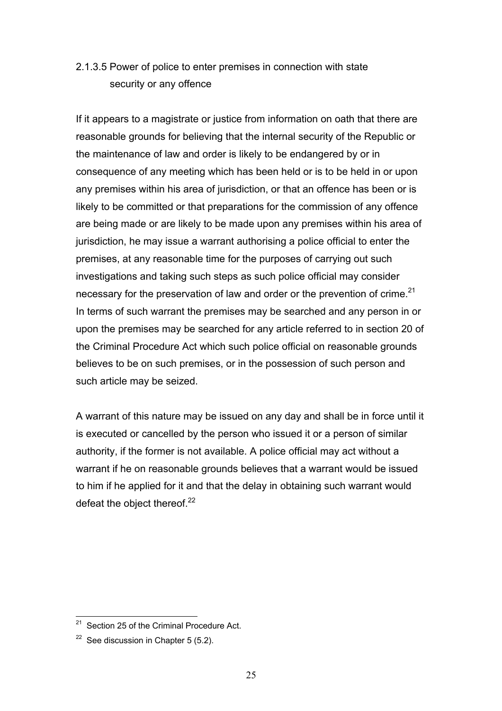# 2.1.3.5 Power of police to enter premises in connection with state security or any offence

If it appears to a magistrate or justice from information on oath that there are reasonable grounds for believing that the internal security of the Republic or the maintenance of law and order is likely to be endangered by or in consequence of any meeting which has been held or is to be held in or upon any premises within his area of jurisdiction, or that an offence has been or is likely to be committed or that preparations for the commission of any offence are being made or are likely to be made upon any premises within his area of jurisdiction, he may issue a warrant authorising a police official to enter the premises, at any reasonable time for the purposes of carrying out such investigations and taking such steps as such police official may consider necessary for the preservation of law and order or the prevention of crime. $21$ In terms of such warrant the premises may be searched and any person in or upon the premises may be searched for any article referred to in section 20 of the Criminal Procedure Act which such police official on reasonable grounds believes to be on such premises, or in the possession of such person and such article may be seized.

A warrant of this nature may be issued on any day and shall be in force until it is executed or cancelled by the person who issued it or a person of similar authority, if the former is not available. A police official may act without a warrant if he on reasonable grounds believes that a warrant would be issued to him if he applied for it and that the delay in obtaining such warrant would defeat the object thereof. $22$ 

<sup>&</sup>lt;sup>21</sup> Section 25 of the Criminal Procedure Act.

 $22$  See discussion in Chapter 5 (5.2).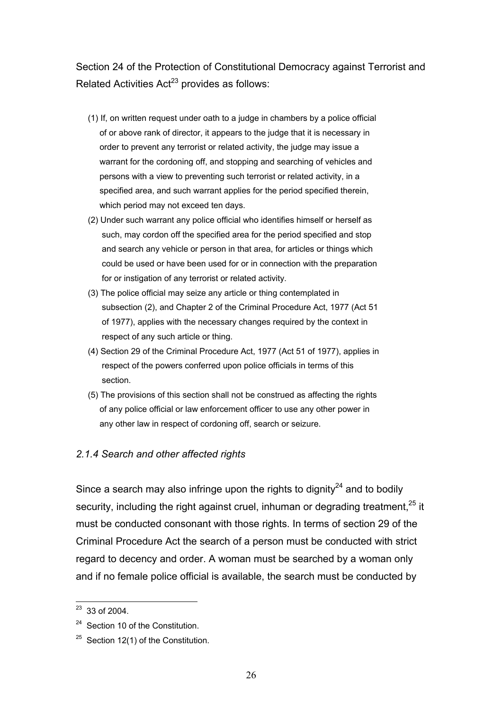Section 24 of the Protection of Constitutional Democracy against Terrorist and Related Activities  $Act^{23}$  provides as follows:

- (1) If, on written request under oath to a judge in chambers by a police official of or above rank of director, it appears to the judge that it is necessary in order to prevent any terrorist or related activity, the judge may issue a warrant for the cordoning off, and stopping and searching of vehicles and persons with a view to preventing such terrorist or related activity, in a specified area, and such warrant applies for the period specified therein, which period may not exceed ten days.
- (2) Under such warrant any police official who identifies himself or herself as such, may cordon off the specified area for the period specified and stop and search any vehicle or person in that area, for articles or things which could be used or have been used for or in connection with the preparation for or instigation of any terrorist or related activity.
- (3) The police official may seize any article or thing contemplated in subsection (2), and Chapter 2 of the Criminal Procedure Act, 1977 (Act 51 of 1977), applies with the necessary changes required by the context in respect of any such article or thing.
- (4) Section 29 of the Criminal Procedure Act, 1977 (Act 51 of 1977), applies in respect of the powers conferred upon police officials in terms of this section.
- (5) The provisions of this section shall not be construed as affecting the rights of any police official or law enforcement officer to use any other power in any other law in respect of cordoning off, search or seizure.

#### *2.1.4 Search and other affected rights*

Since a search may also infringe upon the rights to dignity<sup>24</sup> and to bodily security, including the right against cruel, inhuman or degrading treatment,  $25$  it must be conducted consonant with those rights. In terms of section 29 of the Criminal Procedure Act the search of a person must be conducted with strict regard to decency and order. A woman must be searched by a woman only and if no female police official is available, the search must be conducted by

 $23$  33 of 2004.

<sup>&</sup>lt;sup>24</sup> Section 10 of the Constitution.

 $25$  Section 12(1) of the Constitution.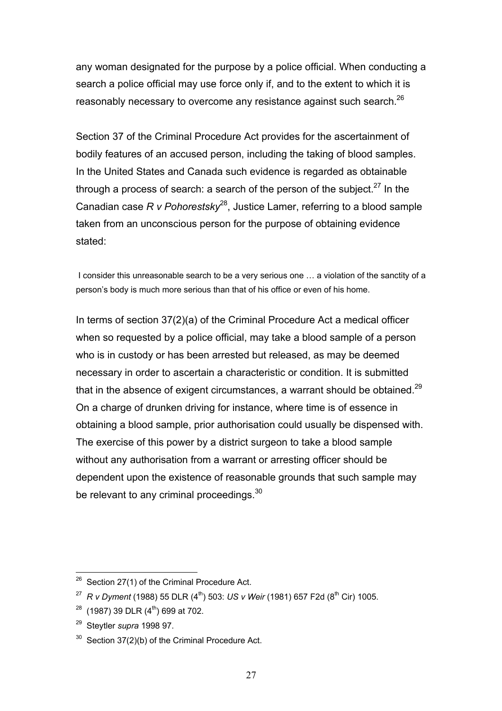any woman designated for the purpose by a police official. When conducting a search a police official may use force only if, and to the extent to which it is reasonably necessary to overcome any resistance against such search.<sup>26</sup>

Section 37 of the Criminal Procedure Act provides for the ascertainment of bodily features of an accused person, including the taking of blood samples. In the United States and Canada such evidence is regarded as obtainable through a process of search: a search of the person of the subject.<sup>27</sup> In the Canadian case *R v Pohorestsky*28, Justice Lamer, referring to a blood sample taken from an unconscious person for the purpose of obtaining evidence stated:

 I consider this unreasonable search to be a very serious one … a violation of the sanctity of a person's body is much more serious than that of his office or even of his home.

In terms of section 37(2)(a) of the Criminal Procedure Act a medical officer when so requested by a police official, may take a blood sample of a person who is in custody or has been arrested but released, as may be deemed necessary in order to ascertain a characteristic or condition. It is submitted that in the absence of exigent circumstances, a warrant should be obtained.<sup>29</sup> On a charge of drunken driving for instance, where time is of essence in obtaining a blood sample, prior authorisation could usually be dispensed with. The exercise of this power by a district surgeon to take a blood sample without any authorisation from a warrant or arresting officer should be dependent upon the existence of reasonable grounds that such sample may be relevant to any criminal proceedings.<sup>30</sup>

 $\overline{a}$  $26$  Section 27(1) of the Criminal Procedure Act.

<sup>&</sup>lt;sup>27</sup> *R v Dyment* (1988) 55 DLR (4<sup>th</sup>) 503: *US v Weir* (1981) 657 F2d (8<sup>th</sup> Cir) 1005.

 $28$  (1987) 39 DLR (4<sup>th</sup>) 699 at 702.

<sup>29</sup> Steytler *supra* 1998 97.

 $30$  Section 37(2)(b) of the Criminal Procedure Act.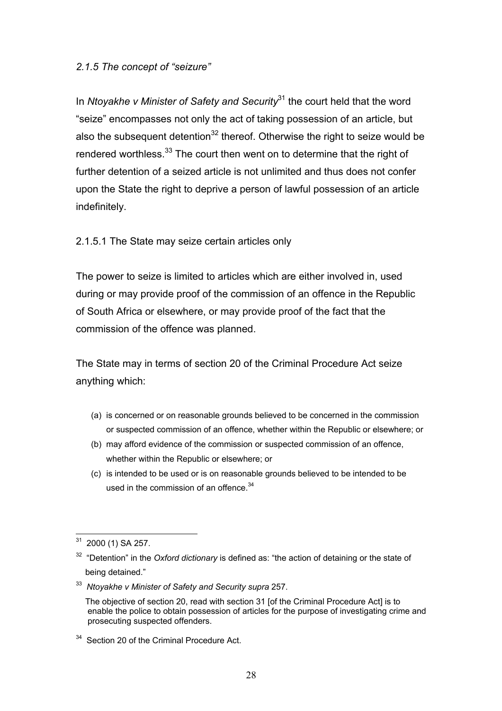### *2.1.5 The concept of "seizure"*

In *Ntoyakhe v Minister of Safety and Security*<sup>31</sup> the court held that the word "seize" encompasses not only the act of taking possession of an article, but also the subsequent detention<sup>32</sup> thereof. Otherwise the right to seize would be rendered worthless.<sup>33</sup> The court then went on to determine that the right of further detention of a seized article is not unlimited and thus does not confer upon the State the right to deprive a person of lawful possession of an article indefinitely.

2.1.5.1 The State may seize certain articles only

The power to seize is limited to articles which are either involved in, used during or may provide proof of the commission of an offence in the Republic of South Africa or elsewhere, or may provide proof of the fact that the commission of the offence was planned.

The State may in terms of section 20 of the Criminal Procedure Act seize anything which:

- (a) is concerned or on reasonable grounds believed to be concerned in the commission or suspected commission of an offence, whether within the Republic or elsewhere; or
- (b) may afford evidence of the commission or suspected commission of an offence, whether within the Republic or elsewhere; or
- (c) is intended to be used or is on reasonable grounds believed to be intended to be used in the commission of an offence.<sup>34</sup>

 $\overline{a}$ 2000 (1) SA 257.

<sup>&</sup>lt;sup>32</sup> "Detention" in the *Oxford dictionary* is defined as: "the action of detaining or the state of being detained."

<sup>33</sup> *Ntoyakhe v Minister of Safety and Security supra* 257.

The objective of section 20, read with section 31 [of the Criminal Procedure Act] is to enable the police to obtain possession of articles for the purpose of investigating crime and prosecuting suspected offenders.

<sup>&</sup>lt;sup>34</sup> Section 20 of the Criminal Procedure Act.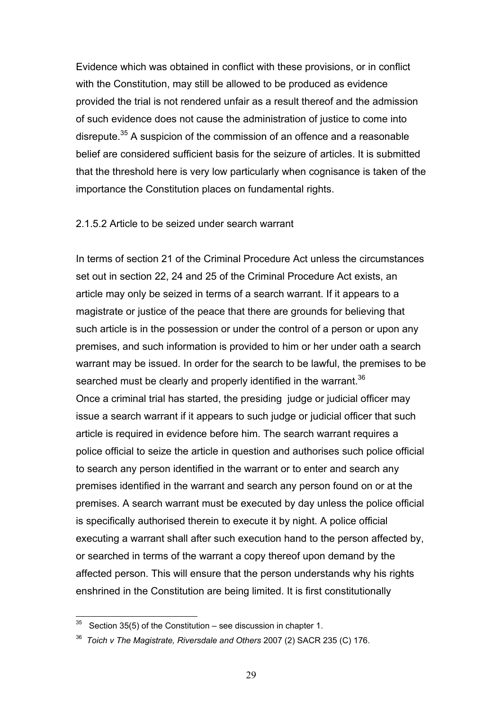Evidence which was obtained in conflict with these provisions, or in conflict with the Constitution, may still be allowed to be produced as evidence provided the trial is not rendered unfair as a result thereof and the admission of such evidence does not cause the administration of justice to come into disrepute.<sup>35</sup> A suspicion of the commission of an offence and a reasonable belief are considered sufficient basis for the seizure of articles. It is submitted that the threshold here is very low particularly when cognisance is taken of the importance the Constitution places on fundamental rights.

#### 2.1.5.2 Article to be seized under search warrant

In terms of section 21 of the Criminal Procedure Act unless the circumstances set out in section 22, 24 and 25 of the Criminal Procedure Act exists, an article may only be seized in terms of a search warrant. If it appears to a magistrate or justice of the peace that there are grounds for believing that such article is in the possession or under the control of a person or upon any premises, and such information is provided to him or her under oath a search warrant may be issued. In order for the search to be lawful, the premises to be searched must be clearly and properly identified in the warrant.<sup>36</sup> Once a criminal trial has started, the presiding judge or judicial officer may issue a search warrant if it appears to such judge or judicial officer that such article is required in evidence before him. The search warrant requires a police official to seize the article in question and authorises such police official to search any person identified in the warrant or to enter and search any premises identified in the warrant and search any person found on or at the premises. A search warrant must be executed by day unless the police official is specifically authorised therein to execute it by night. A police official executing a warrant shall after such execution hand to the person affected by, or searched in terms of the warrant a copy thereof upon demand by the affected person. This will ensure that the person understands why his rights enshrined in the Constitution are being limited. It is first constitutionally

 $35$  Section 35(5) of the Constitution – see discussion in chapter 1.

<sup>36</sup> *Toich v The Magistrate, Riversdale and Others* 2007 (2) SACR 235 (C) 176.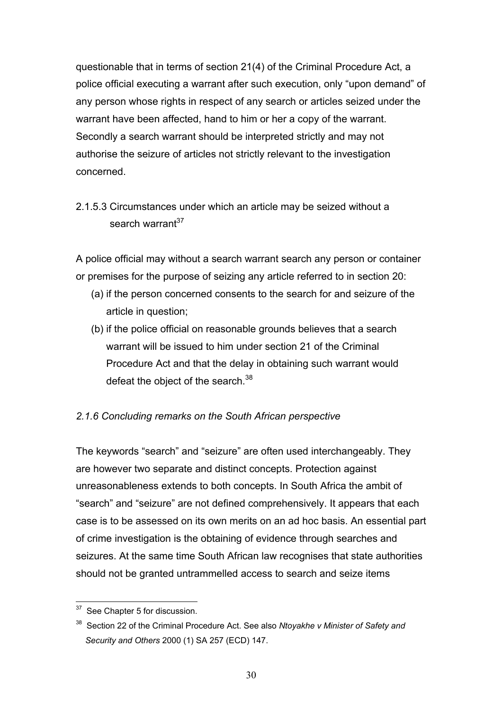questionable that in terms of section 21(4) of the Criminal Procedure Act, a police official executing a warrant after such execution, only "upon demand" of any person whose rights in respect of any search or articles seized under the warrant have been affected, hand to him or her a copy of the warrant. Secondly a search warrant should be interpreted strictly and may not authorise the seizure of articles not strictly relevant to the investigation concerned.

# 2.1.5.3 Circumstances under which an article may be seized without a search warrant<sup>37</sup>

A police official may without a search warrant search any person or container or premises for the purpose of seizing any article referred to in section 20:

- (a) if the person concerned consents to the search for and seizure of the article in question;
- (b) if the police official on reasonable grounds believes that a search warrant will be issued to him under section 21 of the Criminal Procedure Act and that the delay in obtaining such warrant would defeat the object of the search.<sup>38</sup>

## *2.1.6 Concluding remarks on the South African perspective*

The keywords "search" and "seizure" are often used interchangeably. They are however two separate and distinct concepts. Protection against unreasonableness extends to both concepts. In South Africa the ambit of "search" and "seizure" are not defined comprehensively. It appears that each case is to be assessed on its own merits on an ad hoc basis. An essential part of crime investigation is the obtaining of evidence through searches and seizures. At the same time South African law recognises that state authorities should not be granted untrammelled access to search and seize items

 $\overline{a}$ <sup>37</sup> See Chapter 5 for discussion.

<sup>38</sup> Section 22 of the Criminal Procedure Act. See also *Ntoyakhe v Minister of Safety and Security and Others* 2000 (1) SA 257 (ECD) 147.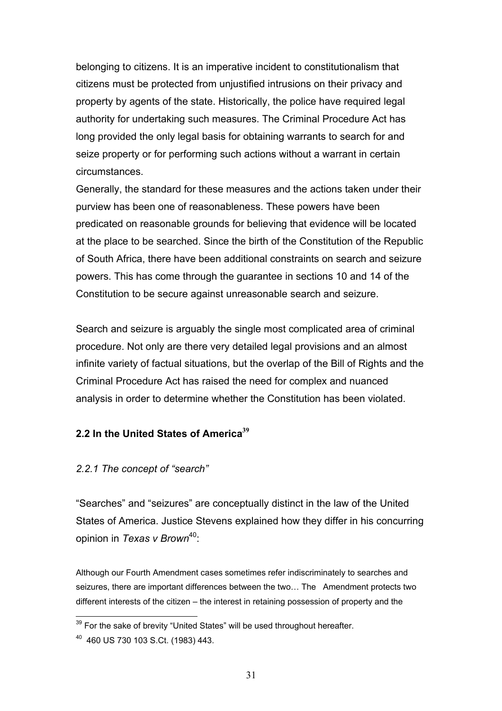belonging to citizens. It is an imperative incident to constitutionalism that citizens must be protected from unjustified intrusions on their privacy and property by agents of the state. Historically, the police have required legal authority for undertaking such measures. The Criminal Procedure Act has long provided the only legal basis for obtaining warrants to search for and seize property or for performing such actions without a warrant in certain circumstances.

Generally, the standard for these measures and the actions taken under their purview has been one of reasonableness. These powers have been predicated on reasonable grounds for believing that evidence will be located at the place to be searched. Since the birth of the Constitution of the Republic of South Africa, there have been additional constraints on search and seizure powers. This has come through the guarantee in sections 10 and 14 of the Constitution to be secure against unreasonable search and seizure.

Search and seizure is arguably the single most complicated area of criminal procedure. Not only are there very detailed legal provisions and an almost infinite variety of factual situations, but the overlap of the Bill of Rights and the Criminal Procedure Act has raised the need for complex and nuanced analysis in order to determine whether the Constitution has been violated.

## **2.2 In the United States of America<sup>39</sup>**

#### *2.2.1 The concept of "search"*

"Searches" and "seizures" are conceptually distinct in the law of the United States of America. Justice Stevens explained how they differ in his concurring opinion in *Texas v Brown*40:

Although our Fourth Amendment cases sometimes refer indiscriminately to searches and seizures, there are important differences between the two… The Amendment protects two different interests of the citizen – the interest in retaining possession of property and the

 $39$  For the sake of brevity "United States" will be used throughout hereafter.

<sup>40 460</sup> US 730 103 S.Ct. (1983) 443.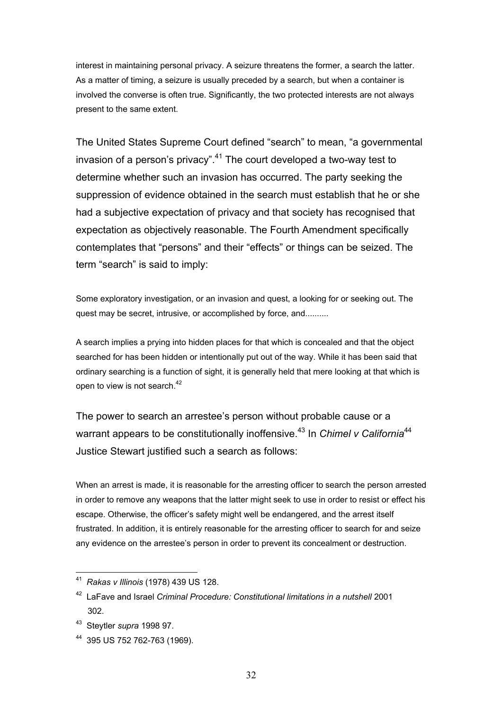interest in maintaining personal privacy. A seizure threatens the former, a search the latter. As a matter of timing, a seizure is usually preceded by a search, but when a container is involved the converse is often true. Significantly, the two protected interests are not always present to the same extent.

The United States Supreme Court defined "search" to mean, "a governmental invasion of a person's privacy". $41$  The court developed a two-way test to determine whether such an invasion has occurred. The party seeking the suppression of evidence obtained in the search must establish that he or she had a subjective expectation of privacy and that society has recognised that expectation as objectively reasonable. The Fourth Amendment specifically contemplates that "persons" and their "effects" or things can be seized. The term "search" is said to imply:

Some exploratory investigation, or an invasion and quest, a looking for or seeking out. The quest may be secret, intrusive, or accomplished by force, and..........

A search implies a prying into hidden places for that which is concealed and that the object searched for has been hidden or intentionally put out of the way. While it has been said that ordinary searching is a function of sight, it is generally held that mere looking at that which is open to view is not search.42

The power to search an arrestee's person without probable cause or a warrant appears to be constitutionally inoffensive.<sup>43</sup> In *Chimel v California*<sup>44</sup> Justice Stewart justified such a search as follows:

When an arrest is made, it is reasonable for the arresting officer to search the person arrested in order to remove any weapons that the latter might seek to use in order to resist or effect his escape. Otherwise, the officer's safety might well be endangered, and the arrest itself frustrated. In addition, it is entirely reasonable for the arresting officer to search for and seize any evidence on the arrestee's person in order to prevent its concealment or destruction.

<sup>41</sup> *Rakas v Illinois* (1978) 439 US 128.

<sup>42</sup> LaFave and Israel *Criminal Procedure: Constitutional limitations in a nutshell* 2001 302.

<sup>43</sup> Steytler *supra* 1998 97.

<sup>44 395</sup> US 752 762-763 (1969).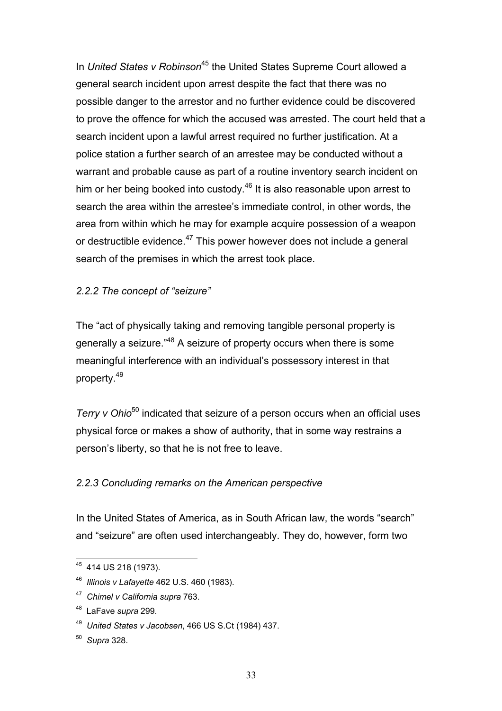In *United States v Robinson*45 the United States Supreme Court allowed a general search incident upon arrest despite the fact that there was no possible danger to the arrestor and no further evidence could be discovered to prove the offence for which the accused was arrested. The court held that a search incident upon a lawful arrest required no further justification. At a police station a further search of an arrestee may be conducted without a warrant and probable cause as part of a routine inventory search incident on him or her being booked into custody.<sup>46</sup> It is also reasonable upon arrest to search the area within the arrestee's immediate control, in other words, the area from within which he may for example acquire possession of a weapon or destructible evidence.<sup>47</sup> This power however does not include a general search of the premises in which the arrest took place.

## *2.2.2 The concept of "seizure"*

The "act of physically taking and removing tangible personal property is generally a seizure."48 A seizure of property occurs when there is some meaningful interference with an individual's possessory interest in that property.49

*Terry v Ohio*50 indicated that seizure of a person occurs when an official uses physical force or makes a show of authority, that in some way restrains a person's liberty, so that he is not free to leave.

## *2.2.3 Concluding remarks on the American perspective*

In the United States of America, as in South African law, the words "search" and "seizure" are often used interchangeably. They do, however, form two

<sup>45 414</sup> US 218 (1973).

<sup>46</sup> *Illinois v Lafayette* 462 U.S. 460 (1983).

<sup>47</sup> *Chimel v California supra* 763.

<sup>48</sup> LaFave *supra* 299.

<sup>49</sup> *United States v Jacobsen*, 466 US S.Ct (1984) 437.

<sup>50</sup> *Supra* 328.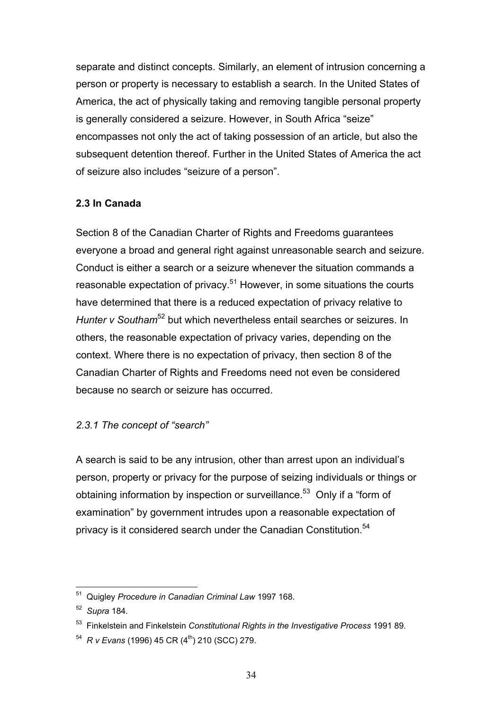separate and distinct concepts. Similarly, an element of intrusion concerning a person or property is necessary to establish a search. In the United States of America, the act of physically taking and removing tangible personal property is generally considered a seizure. However, in South Africa "seize" encompasses not only the act of taking possession of an article, but also the subsequent detention thereof. Further in the United States of America the act of seizure also includes "seizure of a person".

## **2.3 In Canada**

Section 8 of the Canadian Charter of Rights and Freedoms guarantees everyone a broad and general right against unreasonable search and seizure. Conduct is either a search or a seizure whenever the situation commands a reasonable expectation of privacy. $51$  However, in some situations the courts have determined that there is a reduced expectation of privacy relative to *Hunter v Southam*<sup>52</sup> but which nevertheless entail searches or seizures. In others, the reasonable expectation of privacy varies, depending on the context. Where there is no expectation of privacy, then section 8 of the Canadian Charter of Rights and Freedoms need not even be considered because no search or seizure has occurred.

## *2.3.1 The concept of "search"*

A search is said to be any intrusion, other than arrest upon an individual's person, property or privacy for the purpose of seizing individuals or things or obtaining information by inspection or surveillance.<sup>53</sup> Only if a "form of examination" by government intrudes upon a reasonable expectation of privacy is it considered search under the Canadian Constitution.<sup>54</sup>

 $\overline{a}$ 51 Quigley *Procedure in Canadian Criminal Law* 1997 168.

<sup>52</sup> *Supra* 184*.* 

<sup>53</sup> Finkelstein and Finkelstein *Constitutional Rights in the Investigative Process* 1991 89.

<sup>&</sup>lt;sup>54</sup> *R v Evans* (1996) 45 CR (4<sup>th</sup>) 210 (SCC) 279.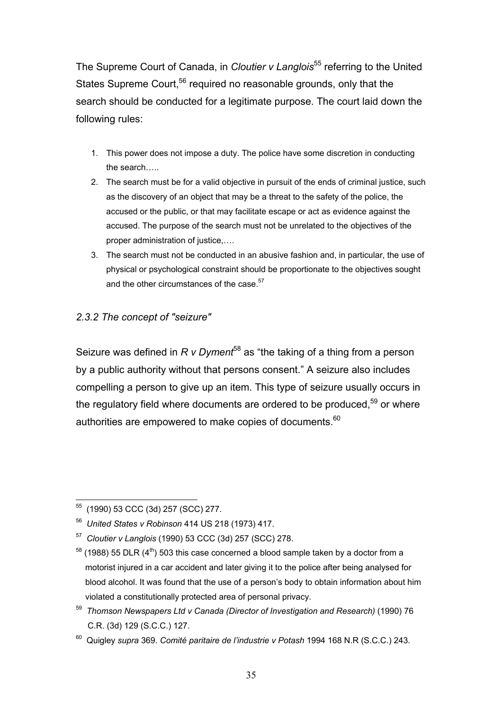The Supreme Court of Canada, in *Cloutier v Langlois*55 referring to the United States Supreme Court.<sup>56</sup> required no reasonable grounds, only that the search should be conducted for a legitimate purpose. The court laid down the following rules:

- 1. This power does not impose a duty. The police have some discretion in conducting the search…..
- 2. The search must be for a valid objective in pursuit of the ends of criminal justice, such as the discovery of an object that may be a threat to the safety of the police, the accused or the public, or that may facilitate escape or act as evidence against the accused. The purpose of the search must not be unrelated to the objectives of the proper administration of justice,….
- 3. The search must not be conducted in an abusive fashion and, in particular, the use of physical or psychological constraint should be proportionate to the objectives sought and the other circumstances of the case.<sup>57</sup>

## *2.3.2 The concept of "seizure"*

Seizure was defined in *R v Dyment*<sup>58</sup> as "the taking of a thing from a person by a public authority without that persons consent." A seizure also includes compelling a person to give up an item. This type of seizure usually occurs in the regulatory field where documents are ordered to be produced,  $59$  or where authorities are empowered to make copies of documents.<sup>60</sup>

 $\overline{a}$ 55 (1990) 53 CCC (3d) 257 (SCC) 277.

<sup>56</sup> *United States v Robinson* 414 US 218 (1973) 417.

<sup>57</sup> *Cloutier v Langlois* (1990) 53 CCC (3d) 257 (SCC) 278.

 $58$  (1988) 55 DLR (4<sup>th</sup>) 503 this case concerned a blood sample taken by a doctor from a motorist injured in a car accident and later giving it to the police after being analysed for blood alcohol. It was found that the use of a person's body to obtain information about him violated a constitutionally protected area of personal privacy.

<sup>59</sup> *Thomson Newspapers Ltd v Canada (Director of Investigation and Research)* (1990) 76 C.R. (3d) 129 (S.C.C.) 127.

<sup>60</sup> Quigley *supra* 369. *Comité paritaire de l'industrie v Potash* 1994 168 N.R (S.C.C.) 243.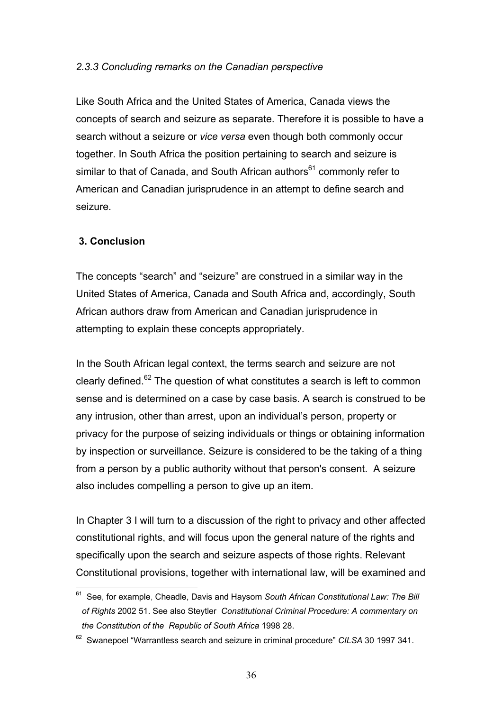### *2.3.3 Concluding remarks on the Canadian perspective*

Like South Africa and the United States of America, Canada views the concepts of search and seizure as separate. Therefore it is possible to have a search without a seizure or *vice versa* even though both commonly occur together. In South Africa the position pertaining to search and seizure is similar to that of Canada, and South African authors<sup>61</sup> commonly refer to American and Canadian jurisprudence in an attempt to define search and seizure.

## **3. Conclusion**

The concepts "search" and "seizure" are construed in a similar way in the United States of America, Canada and South Africa and, accordingly, South African authors draw from American and Canadian jurisprudence in attempting to explain these concepts appropriately.

In the South African legal context, the terms search and seizure are not clearly defined. $62$  The question of what constitutes a search is left to common sense and is determined on a case by case basis. A search is construed to be any intrusion, other than arrest, upon an individual's person, property or privacy for the purpose of seizing individuals or things or obtaining information by inspection or surveillance. Seizure is considered to be the taking of a thing from a person by a public authority without that person's consent. A seizure also includes compelling a person to give up an item.

In Chapter 3 I will turn to a discussion of the right to privacy and other affected constitutional rights, and will focus upon the general nature of the rights and specifically upon the search and seizure aspects of those rights. Relevant Constitutional provisions, together with international law, will be examined and

 $\overline{a}$ 61 See, for example, Cheadle, Davis and Haysom *South African Constitutional Law: The Bill of Rights* 2002 51. See also Steytler *Constitutional Criminal Procedure: A commentary on the Constitution of the Republic of South Africa* 1998 28.

<sup>62</sup> Swanepoel "Warrantless search and seizure in criminal procedure" *CILSA* 30 1997 341.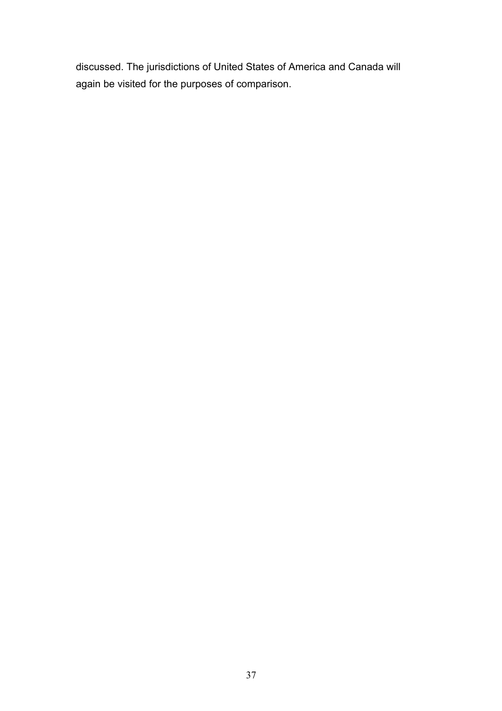discussed. The jurisdictions of United States of America and Canada will again be visited for the purposes of comparison.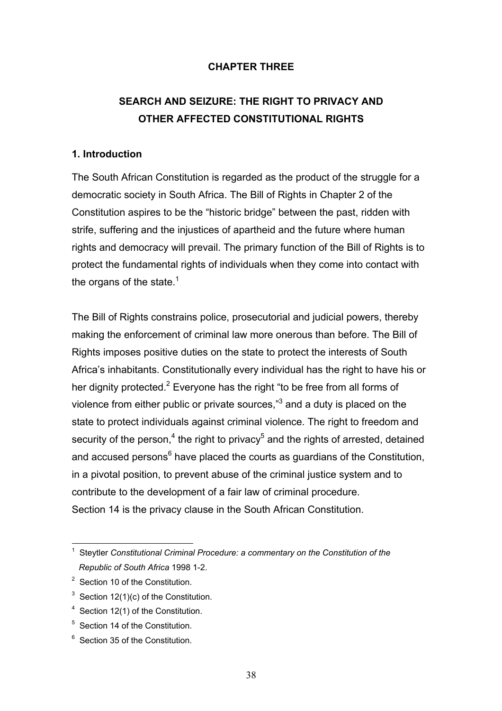## **CHAPTER THREE**

# **SEARCH AND SEIZURE: THE RIGHT TO PRIVACY AND OTHER AFFECTED CONSTITUTIONAL RIGHTS**

#### **1. Introduction**

The South African Constitution is regarded as the product of the struggle for a democratic society in South Africa. The Bill of Rights in Chapter 2 of the Constitution aspires to be the "historic bridge" between the past, ridden with strife, suffering and the injustices of apartheid and the future where human rights and democracy will prevail. The primary function of the Bill of Rights is to protect the fundamental rights of individuals when they come into contact with the organs of the state.<sup>1</sup>

The Bill of Rights constrains police, prosecutorial and judicial powers, thereby making the enforcement of criminal law more onerous than before. The Bill of Rights imposes positive duties on the state to protect the interests of South Africa's inhabitants. Constitutionally every individual has the right to have his or her dignity protected.<sup>2</sup> Everyone has the right "to be free from all forms of violence from either public or private sources," $3$  and a duty is placed on the state to protect individuals against criminal violence. The right to freedom and security of the person,<sup>4</sup> the right to privacy<sup>5</sup> and the rights of arrested, detained and accused persons<sup>6</sup> have placed the courts as guardians of the Constitution, in a pivotal position, to prevent abuse of the criminal justice system and to contribute to the development of a fair law of criminal procedure. Section 14 is the privacy clause in the South African Constitution.

<sup>6</sup> Section 35 of the Constitution.

 1 Steytler *Constitutional Criminal Procedure: a commentary on the Constitution of the Republic of South Africa* 1998 1-2.

<sup>&</sup>lt;sup>2</sup> Section 10 of the Constitution.

<sup>&</sup>lt;sup>3</sup> Section 12(1)(c) of the Constitution.

<sup>&</sup>lt;sup>4</sup> Section 12(1) of the Constitution.

<sup>&</sup>lt;sup>5</sup> Section 14 of the Constitution.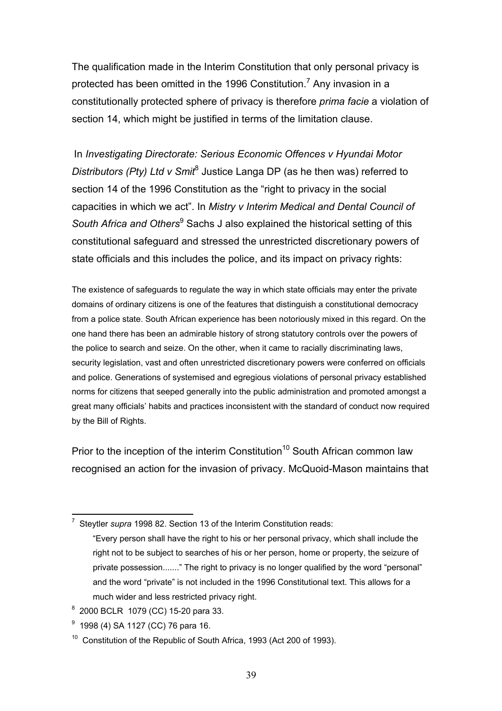The qualification made in the Interim Constitution that only personal privacy is protected has been omitted in the 1996 Constitution.<sup>7</sup> Any invasion in a constitutionally protected sphere of privacy is therefore *prima facie* a violation of section 14, which might be justified in terms of the limitation clause.

In *Investigating Directorate: Serious Economic Offences v Hyundai Motor*  Distributors (Pty) Ltd v Smit<sup>8</sup> Justice Langa DP (as he then was) referred to section 14 of the 1996 Constitution as the "right to privacy in the social capacities in which we act". In *Mistry v Interim Medical and Dental Council of*  South Africa and Others<sup>9</sup> Sachs J also explained the historical setting of this constitutional safeguard and stressed the unrestricted discretionary powers of state officials and this includes the police, and its impact on privacy rights:

The existence of safeguards to regulate the way in which state officials may enter the private domains of ordinary citizens is one of the features that distinguish a constitutional democracy from a police state. South African experience has been notoriously mixed in this regard. On the one hand there has been an admirable history of strong statutory controls over the powers of the police to search and seize. On the other, when it came to racially discriminating laws, security legislation, vast and often unrestricted discretionary powers were conferred on officials and police. Generations of systemised and egregious violations of personal privacy established norms for citizens that seeped generally into the public administration and promoted amongst a great many officials' habits and practices inconsistent with the standard of conduct now required by the Bill of Rights.

Prior to the inception of the interim Constitution<sup>10</sup> South African common law recognised an action for the invasion of privacy. McQuoid-Mason maintains that

 7 Steytler *supra* 1998 82. Section 13 of the Interim Constitution reads:

 <sup>&</sup>quot;Every person shall have the right to his or her personal privacy, which shall include the right not to be subject to searches of his or her person, home or property, the seizure of private possession......." The right to privacy is no longer qualified by the word "personal" and the word "private" is not included in the 1996 Constitutional text. This allows for a much wider and less restricted privacy right.

<sup>8</sup> 2000 BCLR 1079 (CC) 15-20 para 33.

<sup>&</sup>lt;sup>9</sup> 1998 (4) SA 1127 (CC) 76 para 16.

 $10$  Constitution of the Republic of South Africa, 1993 (Act 200 of 1993).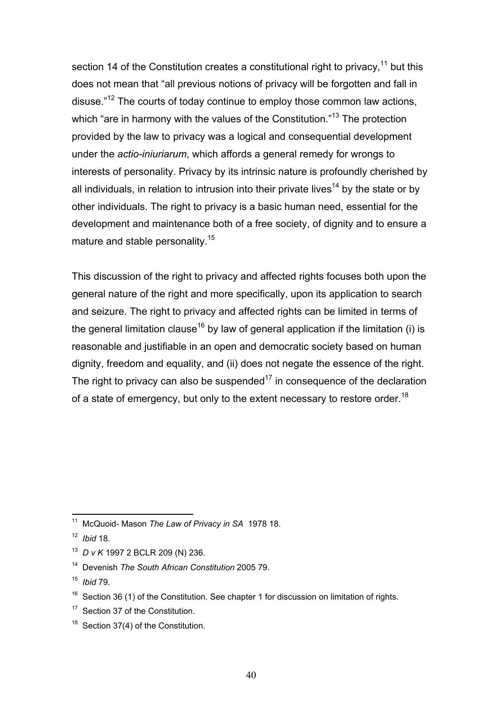section 14 of the Constitution creates a constitutional right to privacy,<sup>11</sup> but this does not mean that "all previous notions of privacy will be forgotten and fall in disuse."12 The courts of today continue to employ those common law actions, which "are in harmony with the values of the Constitution."<sup>13</sup> The protection provided by the law to privacy was a logical and consequential development under the *actio-iniuriarum*, which affords a general remedy for wrongs to interests of personality. Privacy by its intrinsic nature is profoundly cherished by all individuals, in relation to intrusion into their private lives<sup>14</sup> by the state or by other individuals. The right to privacy is a basic human need, essential for the development and maintenance both of a free society, of dignity and to ensure a mature and stable personality.<sup>15</sup>

This discussion of the right to privacy and affected rights focuses both upon the general nature of the right and more specifically, upon its application to search and seizure. The right to privacy and affected rights can be limited in terms of the general limitation clause<sup>16</sup> by law of general application if the limitation (i) is reasonable and justifiable in an open and democratic society based on human dignity, freedom and equality, and (ii) does not negate the essence of the right. The right to privacy can also be suspended<sup>17</sup> in consequence of the declaration of a state of emergency, but only to the extent necessary to restore order.<sup>18</sup>

 $\overline{a}$ 

<sup>18</sup> Section 37(4) of the Constitution.

<sup>11</sup> McQuoid- Mason *The Law of Privacy in SA* 1978 18.

<sup>12</sup> *Ibid* 18.

<sup>13</sup> *D v K* 1997 2 BCLR 209 (N) 236.

<sup>14</sup> Devenish *The South African Constitution* 2005 79.

<sup>15</sup> *Ibid* 79*.* 

 $16$  Section 36 (1) of the Constitution. See chapter 1 for discussion on limitation of rights.

<sup>&</sup>lt;sup>17</sup> Section 37 of the Constitution.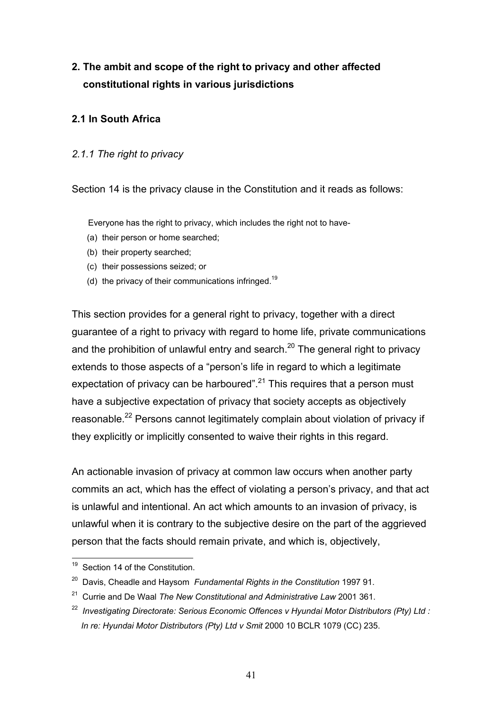# **2. The ambit and scope of the right to privacy and other affected constitutional rights in various jurisdictions**

## **2.1 In South Africa**

### *2.1.1 The right to privacy*

Section 14 is the privacy clause in the Constitution and it reads as follows:

Everyone has the right to privacy, which includes the right not to have-

- (a) their person or home searched;
- (b) their property searched;
- (c) their possessions seized; or
- (d) the privacy of their communications infringed.<sup>19</sup>

This section provides for a general right to privacy, together with a direct guarantee of a right to privacy with regard to home life, private communications and the prohibition of unlawful entry and search.<sup>20</sup> The general right to privacy extends to those aspects of a "person's life in regard to which a legitimate expectation of privacy can be harboured".<sup>21</sup> This requires that a person must have a subjective expectation of privacy that society accepts as objectively reasonable.<sup>22</sup> Persons cannot legitimately complain about violation of privacy if they explicitly or implicitly consented to waive their rights in this regard.

An actionable invasion of privacy at common law occurs when another party commits an act, which has the effect of violating a person's privacy, and that act is unlawful and intentional. An act which amounts to an invasion of privacy, is unlawful when it is contrary to the subjective desire on the part of the aggrieved person that the facts should remain private, and which is, objectively,

 $\overline{a}$ <sup>19</sup> Section 14 of the Constitution.

<sup>20</sup> Davis, Cheadle and Haysom *Fundamental Rights in the Constitution* 1997 91.

<sup>21</sup> Currie and De Waal *The New Constitutional and Administrative Law* 2001 361.

<sup>22</sup> *Investigating Directorate: Serious Economic Offences v Hyundai Motor Distributors (Pty) Ltd : In re: Hyundai Motor Distributors (Pty) Ltd v Smit* 2000 10 BCLR 1079 (CC) 235.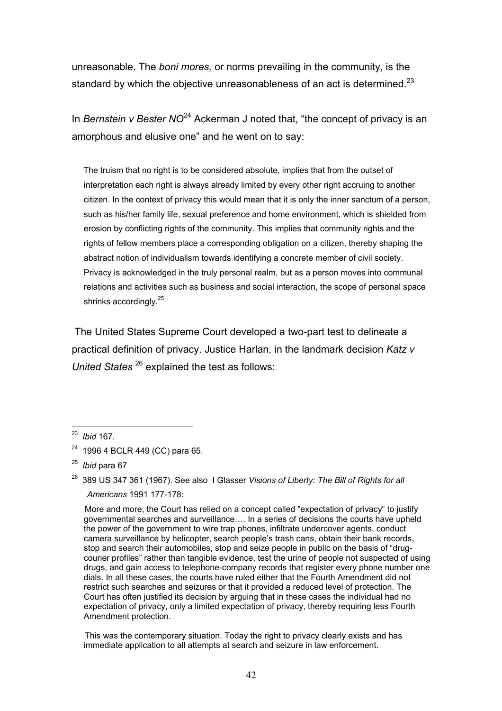unreasonable. The *boni mores,* or norms prevailing in the community, is the standard by which the objective unreasonableness of an act is determined. $^{23}$ 

In *Bernstein v Bester NO*<sup>24</sup> Ackerman J noted that, "the concept of privacy is an amorphous and elusive one" and he went on to say:

 The truism that no right is to be considered absolute, implies that from the outset of interpretation each right is always already limited by every other right accruing to another citizen. In the context of privacy this would mean that it is only the inner sanctum of a person, such as his/her family life, sexual preference and home environment, which is shielded from erosion by conflicting rights of the community. This implies that community rights and the rights of fellow members place a corresponding obligation on a citizen, thereby shaping the abstract notion of individualism towards identifying a concrete member of civil society. Privacy is acknowledged in the truly personal realm, but as a person moves into communal relations and activities such as business and social interaction, the scope of personal space shrinks accordingly.<sup>25</sup>

 The United States Supreme Court developed a two-part test to delineate a practical definition of privacy. Justice Harlan, in the landmark decision *Katz v United States* 26 explained the test as follows:

 $\overline{a}$ 23 *Ibid* 167.

<sup>24 1996 4</sup> BCLR 449 (CC) para 65.

<sup>25</sup> *Ibid* para 67

<sup>26 389</sup> US 347 361 (1967). See also I Glasser *Visions of Liberty: The Bill of Rights for all Americans* 1991 177-178:

More and more, the Court has relied on a concept called "expectation of privacy" to justify governmental searches and surveillance…. In a series of decisions the courts have upheld the power of the government to wire trap phones, infiltrate undercover agents, conduct camera surveillance by helicopter, search people's trash cans, obtain their bank records, stop and search their automobiles, stop and seize people in public on the basis of "drugcourier profiles" rather than tangible evidence, test the urine of people not suspected of using drugs, and gain access to telephone-company records that register every phone number one dials. In all these cases, the courts have ruled either that the Fourth Amendment did not restrict such searches and seizures or that it provided a reduced level of protection. The Court has often justified its decision by arguing that in these cases the individual had no expectation of privacy, only a limited expectation of privacy, thereby requiring less Fourth Amendment protection.

This was the contemporary situation. Today the right to privacy clearly exists and has immediate application to all attempts at search and seizure in law enforcement.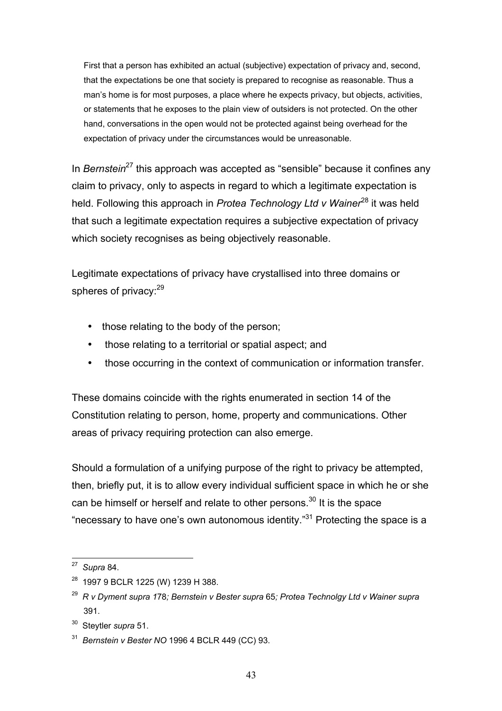First that a person has exhibited an actual (subjective) expectation of privacy and, second, that the expectations be one that society is prepared to recognise as reasonable. Thus a man's home is for most purposes, a place where he expects privacy, but objects, activities, or statements that he exposes to the plain view of outsiders is not protected. On the other hand, conversations in the open would not be protected against being overhead for the expectation of privacy under the circumstances would be unreasonable.

In *Bernstein*<sup>27</sup> this approach was accepted as "sensible" because it confines any claim to privacy, only to aspects in regard to which a legitimate expectation is held. Following this approach in *Protea Technology Ltd v Wainer*<sup>28</sup> it was held that such a legitimate expectation requires a subjective expectation of privacy which society recognises as being objectively reasonable.

Legitimate expectations of privacy have crystallised into three domains or spheres of privacy:<sup>29</sup>

- those relating to the body of the person;
- those relating to a territorial or spatial aspect; and
- those occurring in the context of communication or information transfer.

These domains coincide with the rights enumerated in section 14 of the Constitution relating to person, home, property and communications. Other areas of privacy requiring protection can also emerge.

Should a formulation of a unifying purpose of the right to privacy be attempted, then, briefly put, it is to allow every individual sufficient space in which he or she can be himself or herself and relate to other persons. $30$  It is the space "necessary to have one's own autonomous identity." $31$  Protecting the space is a

<sup>27</sup> *Supra* 84.

<sup>&</sup>lt;sup>28</sup> 1997 9 BCLR 1225 (W) 1239 H 388.

<sup>29</sup> *R v Dyment supra 1*78*; Bernstein v Bester supra* 65*; Protea Technolgy Ltd v Wainer supra* 391.

<sup>30</sup> Steytler *supra* 51.

<sup>31</sup> *Bernstein v Bester NO* 1996 4 BCLR 449 (CC) 93.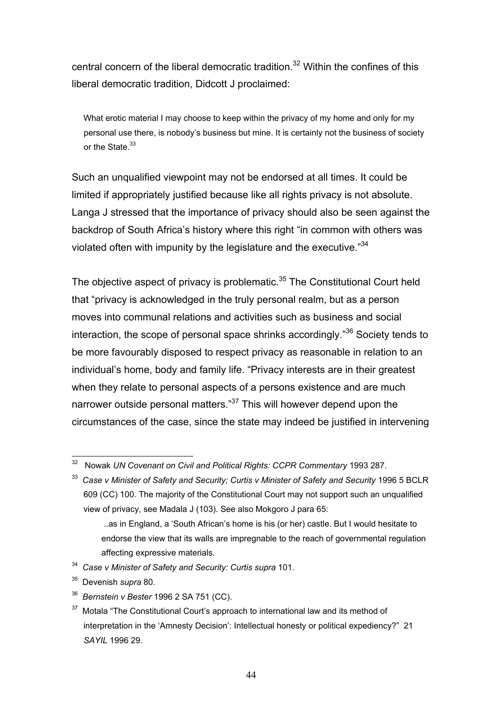central concern of the liberal democratic tradition.<sup>32</sup> Within the confines of this liberal democratic tradition, Didcott J proclaimed:

 What erotic material I may choose to keep within the privacy of my home and only for my personal use there, is nobody's business but mine. It is certainly not the business of society or the State.<sup>33</sup>

Such an unqualified viewpoint may not be endorsed at all times. It could be limited if appropriately justified because like all rights privacy is not absolute. Langa J stressed that the importance of privacy should also be seen against the backdrop of South Africa's history where this right "in common with others was violated often with impunity by the legislature and the executive."<sup>34</sup>

The objective aspect of privacy is problematic. $35$  The Constitutional Court held that "privacy is acknowledged in the truly personal realm, but as a person moves into communal relations and activities such as business and social interaction, the scope of personal space shrinks accordingly."36 Society tends to be more favourably disposed to respect privacy as reasonable in relation to an individual's home, body and family life. "Privacy interests are in their greatest when they relate to personal aspects of a persons existence and are much narrower outside personal matters."<sup>37</sup> This will however depend upon the circumstances of the case, since the state may indeed be justified in intervening

34 *Case v Minister of Safety and Security: Curtis supra* 101.

36 *Bernstein v Bester* 1996 2 SA 751 (CC).

 $\overline{a}$ 32 Nowak *UN Covenant on Civil and Political Rights: CCPR Commentary* 1993 287.

<sup>33</sup> *Case v Minister of Safety and Security; Curtis v Minister of Safety and Security* 1996 5 BCLR 609 (CC) 100. The majority of the Constitutional Court may not support such an unqualified view of privacy, see Madala J (103). See also Mokgoro J para 65:

 <sup>..</sup>as in England, a 'South African's home is his (or her) castle. But I would hesitate to endorse the view that its walls are impregnable to the reach of governmental regulation affecting expressive materials.

<sup>35</sup> Devenish *supra* 80.

 $37$  Motala "The Constitutional Court's approach to international law and its method of interpretation in the 'Amnesty Decision': Intellectual honesty or political expediency?" 21 *SAYIL* 1996 29.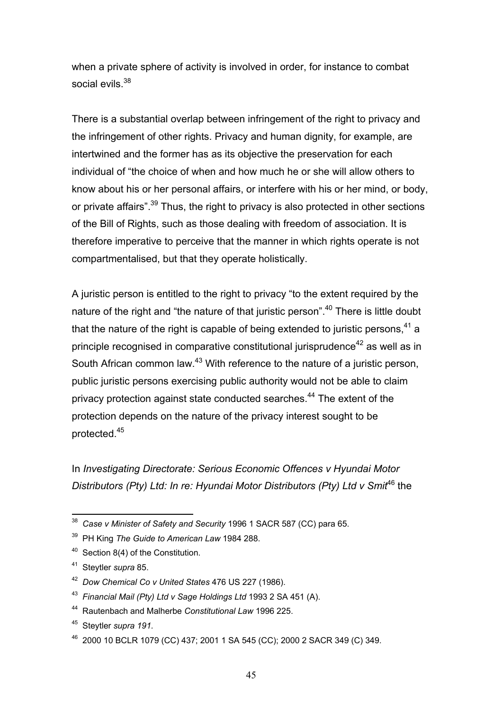when a private sphere of activity is involved in order, for instance to combat social evils  $38$ 

There is a substantial overlap between infringement of the right to privacy and the infringement of other rights. Privacy and human dignity, for example, are intertwined and the former has as its objective the preservation for each individual of "the choice of when and how much he or she will allow others to know about his or her personal affairs, or interfere with his or her mind, or body, or private affairs".<sup>39</sup> Thus, the right to privacy is also protected in other sections of the Bill of Rights, such as those dealing with freedom of association. It is therefore imperative to perceive that the manner in which rights operate is not compartmentalised, but that they operate holistically.

A juristic person is entitled to the right to privacy "to the extent required by the nature of the right and "the nature of that juristic person".<sup>40</sup> There is little doubt that the nature of the right is capable of being extended to juristic persons,  $41$  a principle recognised in comparative constitutional jurisprudence $42$  as well as in South African common law.<sup>43</sup> With reference to the nature of a juristic person, public juristic persons exercising public authority would not be able to claim privacy protection against state conducted searches.<sup>44</sup> The extent of the protection depends on the nature of the privacy interest sought to be protected.45

In *Investigating Directorate: Serious Economic Offences v Hyundai Motor Distributors (Pty) Ltd: In re: Hyundai Motor Distributors (Pty) Ltd v Smit*46 the

<sup>38</sup> *Case v Minister of Safety and Security* 1996 1 SACR 587 (CC) para 65.

<sup>39</sup> PH King *The Guide to American Law* 1984 288.

<sup>&</sup>lt;sup>40</sup> Section 8(4) of the Constitution.

<sup>41</sup> Steytler *supra* 85.

<sup>42</sup> *Dow Chemical Co v United States* 476 US 227 (1986).

<sup>43</sup> *Financial Mail (Pty) Ltd v Sage Holdings Ltd* 1993 2 SA 451 (A).

<sup>44</sup> Rautenbach and Malherbe *Constitutional Law* 1996 225.

<sup>45</sup> Steytler *supra 191.* 

<sup>46 2000 10</sup> BCLR 1079 (CC) 437; 2001 1 SA 545 (CC); 2000 2 SACR 349 (C) 349.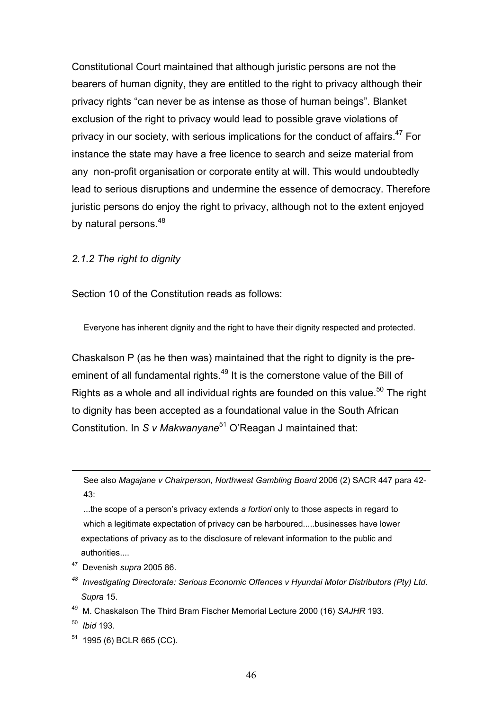Constitutional Court maintained that although juristic persons are not the bearers of human dignity, they are entitled to the right to privacy although their privacy rights "can never be as intense as those of human beings". Blanket exclusion of the right to privacy would lead to possible grave violations of privacy in our society, with serious implications for the conduct of affairs.  $47$  For instance the state may have a free licence to search and seize material from any non-profit organisation or corporate entity at will. This would undoubtedly lead to serious disruptions and undermine the essence of democracy. Therefore juristic persons do enjoy the right to privacy, although not to the extent enjoyed by natural persons.<sup>48</sup>

#### *2.1.2 The right to dignity*

Section 10 of the Constitution reads as follows:

Everyone has inherent dignity and the right to have their dignity respected and protected.

Chaskalson P (as he then was) maintained that the right to dignity is the preeminent of all fundamental rights.<sup>49</sup> It is the cornerstone value of the Bill of Rights as a whole and all individual rights are founded on this value.<sup>50</sup> The right to dignity has been accepted as a foundational value in the South African Constitution. In *S v Makwanyane*<sup>51</sup> O'Reagan J maintained that:

 See also *Magajane v Chairperson, Northwest Gambling Board* 2006 (2) SACR 447 para 42- 43:

 ...the scope of a person's privacy extends *a fortiori* only to those aspects in regard to which a legitimate expectation of privacy can be harboured.....businesses have lower expectations of privacy as to the disclosure of relevant information to the public and authorities....

- 47 Devenish *supra* 2005 86.
- *48 Investigating Directorate: Serious Economic Offences v Hyundai Motor Distributors (Pty) Ltd. Supra* 15.
- 49 M. Chaskalson The Third Bram Fischer Memorial Lecture 2000 (16) *SAJHR* 193.
- 50 *Ibid* 193.

1

 $51$  1995 (6) BCLR 665 (CC).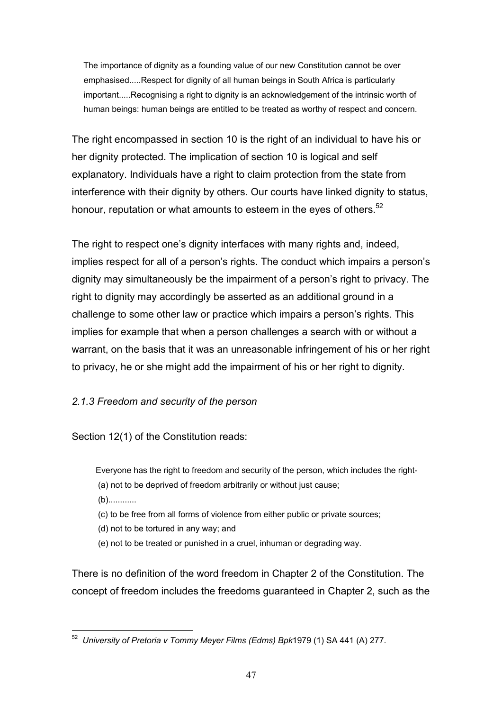The importance of dignity as a founding value of our new Constitution cannot be over emphasised.....Respect for dignity of all human beings in South Africa is particularly important.....Recognising a right to dignity is an acknowledgement of the intrinsic worth of human beings: human beings are entitled to be treated as worthy of respect and concern.

The right encompassed in section 10 is the right of an individual to have his or her dignity protected. The implication of section 10 is logical and self explanatory. Individuals have a right to claim protection from the state from interference with their dignity by others. Our courts have linked dignity to status, honour, reputation or what amounts to esteem in the eyes of others.<sup>52</sup>

The right to respect one's dignity interfaces with many rights and, indeed, implies respect for all of a person's rights. The conduct which impairs a person's dignity may simultaneously be the impairment of a person's right to privacy. The right to dignity may accordingly be asserted as an additional ground in a challenge to some other law or practice which impairs a person's rights. This implies for example that when a person challenges a search with or without a warrant, on the basis that it was an unreasonable infringement of his or her right to privacy, he or she might add the impairment of his or her right to dignity.

## *2.1.3 Freedom and security of the person*

Section 12(1) of the Constitution reads:

Everyone has the right to freedom and security of the person, which includes the right- (a) not to be deprived of freedom arbitrarily or without just cause;

(b)............

(c) to be free from all forms of violence from either public or private sources;

(d) not to be tortured in any way; and

(e) not to be treated or punished in a cruel, inhuman or degrading way.

There is no definition of the word freedom in Chapter 2 of the Constitution. The concept of freedom includes the freedoms guaranteed in Chapter 2, such as the

 $\overline{a}$ 52 *University of Pretoria v Tommy Meyer Films (Edms) Bpk*1979 (1) SA 441 (A) 277.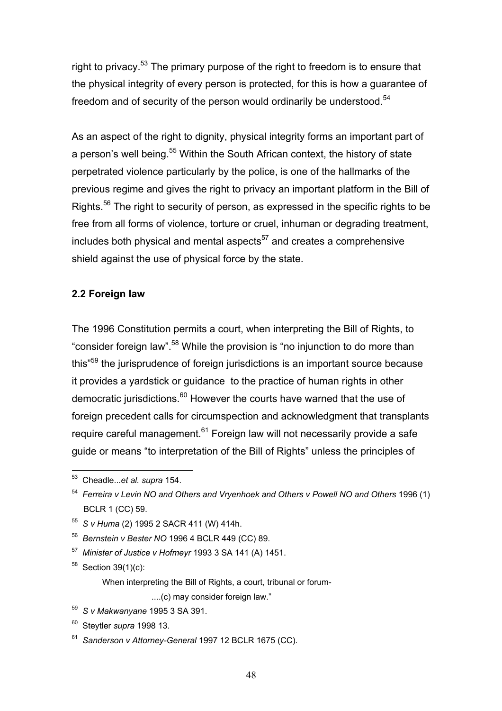right to privacy.<sup>53</sup> The primary purpose of the right to freedom is to ensure that the physical integrity of every person is protected, for this is how a guarantee of freedom and of security of the person would ordinarily be understood.<sup>54</sup>

As an aspect of the right to dignity, physical integrity forms an important part of a person's well being.<sup>55</sup> Within the South African context, the history of state perpetrated violence particularly by the police, is one of the hallmarks of the previous regime and gives the right to privacy an important platform in the Bill of Rights.<sup>56</sup> The right to security of person, as expressed in the specific rights to be free from all forms of violence, torture or cruel, inhuman or degrading treatment, includes both physical and mental aspects<sup>57</sup> and creates a comprehensive shield against the use of physical force by the state.

### **2.2 Foreign law**

The 1996 Constitution permits a court, when interpreting the Bill of Rights, to "consider foreign law".58 While the provision is "no injunction to do more than this"59 the jurisprudence of foreign jurisdictions is an important source because it provides a yardstick or guidance to the practice of human rights in other democratic jurisdictions. $60$  However the courts have warned that the use of foreign precedent calls for circumspection and acknowledgment that transplants require careful management.<sup>61</sup> Foreign law will not necessarily provide a safe guide or means "to interpretation of the Bill of Rights" unless the principles of

 $58$  Section 39(1)(c):

When interpreting the Bill of Rights, a court, tribunal or forum-

....(c) may consider foreign law."

 $\overline{a}$ 53 Cheadle...*et al. supra* 154.

<sup>54</sup> *Ferreira v Levin NO and Others and Vryenhoek and Others v Powell NO and Others* 1996 (1) BCLR 1 (CC) 59.

<sup>55</sup> *S v Huma* (2) 1995 2 SACR 411 (W) 414h.

<sup>56</sup> *Bernstein v Bester NO* 1996 4 BCLR 449 (CC) 89.

<sup>57</sup> *Minister of Justice v Hofmeyr* 1993 3 SA 141 (A) 1451.

<sup>59</sup> *S v Makwanyane* 1995 3 SA 391.

<sup>60</sup> Steytler *supra* 1998 13.

<sup>61</sup> *Sanderson v Attorney-General* 1997 12 BCLR 1675 (CC).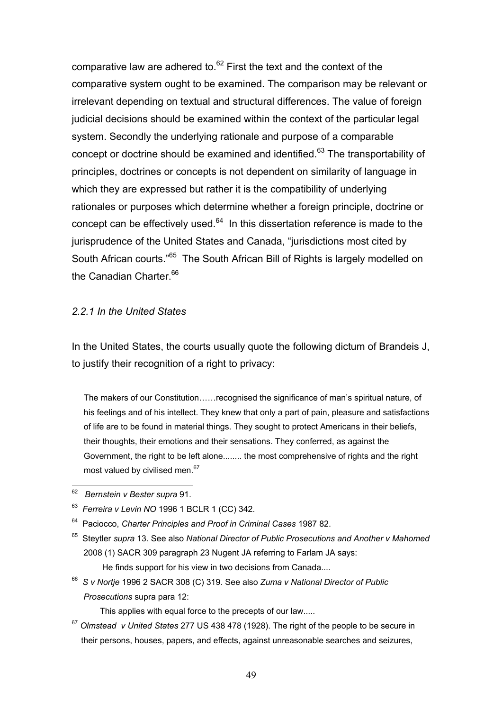comparative law are adhered to. $62$  First the text and the context of the comparative system ought to be examined. The comparison may be relevant or irrelevant depending on textual and structural differences. The value of foreign judicial decisions should be examined within the context of the particular legal system. Secondly the underlying rationale and purpose of a comparable concept or doctrine should be examined and identified.<sup>63</sup> The transportability of principles, doctrines or concepts is not dependent on similarity of language in which they are expressed but rather it is the compatibility of underlying rationales or purposes which determine whether a foreign principle, doctrine or concept can be effectively used.<sup>64</sup> In this dissertation reference is made to the jurisprudence of the United States and Canada, "jurisdictions most cited by South African courts.<sup>"65</sup> The South African Bill of Rights is largely modelled on the Canadian Charter.<sup>66</sup>

#### *2.2.1 In the United States*

In the United States, the courts usually quote the following dictum of Brandeis J, to justify their recognition of a right to privacy:

The makers of our Constitution……recognised the significance of man's spiritual nature, of his feelings and of his intellect. They knew that only a part of pain, pleasure and satisfactions of life are to be found in material things. They sought to protect Americans in their beliefs, their thoughts, their emotions and their sensations. They conferred, as against the Government, the right to be left alone........ the most comprehensive of rights and the right most valued by civilised men.<sup>67</sup>

 $\overline{a}$ 62 *Bernstein v Bester supra* 91.

- 64 Paciocco, *Charter Principles and Proof in Criminal Cases* 1987 82.
- 65 Steytler *supra* 13. See also *National Director of Public Prosecutions and Another v Mahomed* 2008 (1) SACR 309 paragraph 23 Nugent JA referring to Farlam JA says: He finds support for his view in two decisions from Canada....
- 66 *S v Nortje* 1996 2 SACR 308 (C) 319. See also *Zuma v National Director of Public Prosecutions* supra para 12:

This applies with equal force to the precepts of our law.....

<sup>67</sup> *Olmstead v United States* 277 US 438 478 (1928). The right of the people to be secure in their persons, houses, papers, and effects, against unreasonable searches and seizures,

<sup>63</sup> *Ferreira v Levin NO* 1996 1 BCLR 1 (CC) 342.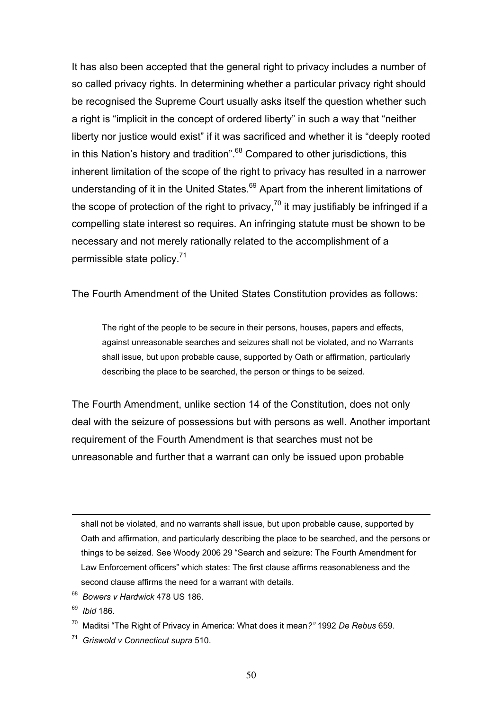It has also been accepted that the general right to privacy includes a number of so called privacy rights. In determining whether a particular privacy right should be recognised the Supreme Court usually asks itself the question whether such a right is "implicit in the concept of ordered liberty" in such a way that "neither liberty nor justice would exist" if it was sacrificed and whether it is "deeply rooted in this Nation's history and tradition". $68$  Compared to other jurisdictions, this inherent limitation of the scope of the right to privacy has resulted in a narrower understanding of it in the United States.<sup>69</sup> Apart from the inherent limitations of the scope of protection of the right to privacy,  $70$  it may justifiably be infringed if a compelling state interest so requires. An infringing statute must be shown to be necessary and not merely rationally related to the accomplishment of a permissible state policy.<sup>71</sup>

The Fourth Amendment of the United States Constitution provides as follows:

The right of the people to be secure in their persons, houses, papers and effects, against unreasonable searches and seizures shall not be violated, and no Warrants shall issue, but upon probable cause, supported by Oath or affirmation, particularly describing the place to be searched, the person or things to be seized.

The Fourth Amendment, unlike section 14 of the Constitution, does not only deal with the seizure of possessions but with persons as well. Another important requirement of the Fourth Amendment is that searches must not be unreasonable and further that a warrant can only be issued upon probable

shall not be violated, and no warrants shall issue, but upon probable cause, supported by Oath and affirmation, and particularly describing the place to be searched, and the persons or things to be seized. See Woody 2006 29 "Search and seizure: The Fourth Amendment for Law Enforcement officers" which states: The first clause affirms reasonableness and the second clause affirms the need for a warrant with details.

68 *Bowers v Hardwick* 478 US 186.

69 *Ibid* 186.

1

70 Maditsi "The Right of Privacy in America: What does it mean*?"* 1992 *De Rebus* 659.

71 *Griswold v Connecticut supra* 510.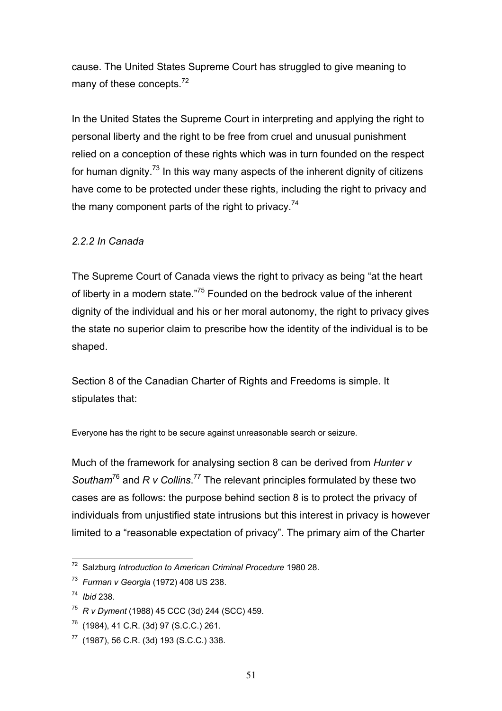cause. The United States Supreme Court has struggled to give meaning to many of these concepts.<sup>72</sup>

In the United States the Supreme Court in interpreting and applying the right to personal liberty and the right to be free from cruel and unusual punishment relied on a conception of these rights which was in turn founded on the respect for human dignity.<sup>73</sup> In this way many aspects of the inherent dignity of citizens have come to be protected under these rights, including the right to privacy and the many component parts of the right to privacy.<sup>74</sup>

## *2.2.2 In Canada*

The Supreme Court of Canada views the right to privacy as being "at the heart of liberty in a modern state."75 Founded on the bedrock value of the inherent dignity of the individual and his or her moral autonomy, the right to privacy gives the state no superior claim to prescribe how the identity of the individual is to be shaped.

Section 8 of the Canadian Charter of Rights and Freedoms is simple. It stipulates that:

Everyone has the right to be secure against unreasonable search or seizure.

Much of the framework for analysing section 8 can be derived from *Hunter v*  Southam<sup>76</sup> and *R v Collins*.<sup>77</sup> The relevant principles formulated by these two cases are as follows: the purpose behind section 8 is to protect the privacy of individuals from unjustified state intrusions but this interest in privacy is however limited to a "reasonable expectation of privacy". The primary aim of the Charter

 $\overline{a}$ 72 Salzburg *Introduction to American Criminal Procedure* 1980 28.

<sup>73</sup> *Furman v Georgia* (1972) 408 US 238.

<sup>74</sup> *Ibid* 238.

<sup>75</sup> *R v Dyment* (1988) 45 CCC (3d) 244 (SCC) 459.

 $76$  (1984), 41 C.R. (3d) 97 (S.C.C.) 261.

 $77$  (1987), 56 C.R. (3d) 193 (S.C.C.) 338.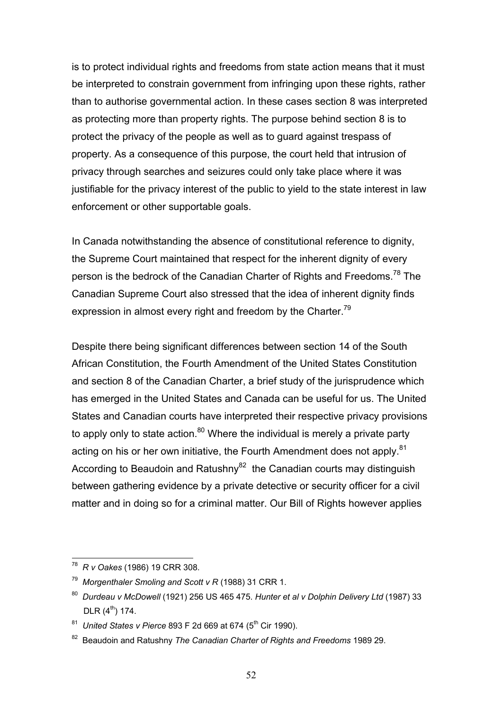is to protect individual rights and freedoms from state action means that it must be interpreted to constrain government from infringing upon these rights, rather than to authorise governmental action. In these cases section 8 was interpreted as protecting more than property rights. The purpose behind section 8 is to protect the privacy of the people as well as to guard against trespass of property. As a consequence of this purpose, the court held that intrusion of privacy through searches and seizures could only take place where it was justifiable for the privacy interest of the public to yield to the state interest in law enforcement or other supportable goals.

In Canada notwithstanding the absence of constitutional reference to dignity, the Supreme Court maintained that respect for the inherent dignity of every person is the bedrock of the Canadian Charter of Rights and Freedoms.<sup>78</sup> The Canadian Supreme Court also stressed that the idea of inherent dignity finds expression in almost every right and freedom by the Charter.<sup>79</sup>

Despite there being significant differences between section 14 of the South African Constitution, the Fourth Amendment of the United States Constitution and section 8 of the Canadian Charter, a brief study of the jurisprudence which has emerged in the United States and Canada can be useful for us. The United States and Canadian courts have interpreted their respective privacy provisions to apply only to state action. $80$  Where the individual is merely a private party acting on his or her own initiative, the Fourth Amendment does not apply.<sup>81</sup> According to Beaudoin and Ratushny<sup>82</sup> the Canadian courts may distinguish between gathering evidence by a private detective or security officer for a civil matter and in doing so for a criminal matter. Our Bill of Rights however applies

<sup>78</sup> *R v Oakes* (1986) 19 CRR 308.

<sup>79</sup> *Morgenthaler Smoling and Scott v R* (1988) 31 CRR 1.

<sup>80</sup> *Durdeau v McDowell* (1921) 256 US 465 475. *Hunter et al v Dolphin Delivery Ltd* (1987) 33  $DLR$  (4<sup>th</sup>) 174.

<sup>&</sup>lt;sup>81</sup> United States v Pierce 893 F 2d 669 at 674 (5<sup>th</sup> Cir 1990).

<sup>82</sup> Beaudoin and Ratushny *The Canadian Charter of Rights and Freedoms* 1989 29.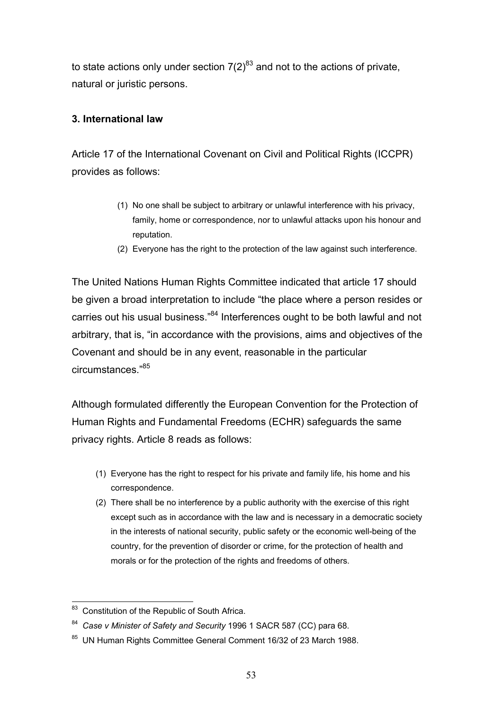to state actions only under section  $7(2)^{83}$  and not to the actions of private, natural or juristic persons.

### **3. International law**

Article 17 of the International Covenant on Civil and Political Rights (ICCPR) provides as follows:

- (1) No one shall be subject to arbitrary or unlawful interference with his privacy, family, home or correspondence, nor to unlawful attacks upon his honour and reputation.
- (2) Everyone has the right to the protection of the law against such interference.

The United Nations Human Rights Committee indicated that article 17 should be given a broad interpretation to include "the place where a person resides or carries out his usual business."<sup>84</sup> Interferences ought to be both lawful and not arbitrary, that is, "in accordance with the provisions, aims and objectives of the Covenant and should be in any event, reasonable in the particular circumstances<sup>"85</sup>

Although formulated differently the European Convention for the Protection of Human Rights and Fundamental Freedoms (ECHR) safeguards the same privacy rights. Article 8 reads as follows:

- (1) Everyone has the right to respect for his private and family life, his home and his correspondence.
- (2) There shall be no interference by a public authority with the exercise of this right except such as in accordance with the law and is necessary in a democratic society in the interests of national security, public safety or the economic well-being of the country, for the prevention of disorder or crime, for the protection of health and morals or for the protection of the rights and freedoms of others.

 $\overline{a}$ <sup>83</sup> Constitution of the Republic of South Africa.

<sup>84</sup> *Case v Minister of Safety and Security* 1996 1 SACR 587 (CC) para 68.

<sup>85</sup> UN Human Rights Committee General Comment 16/32 of 23 March 1988.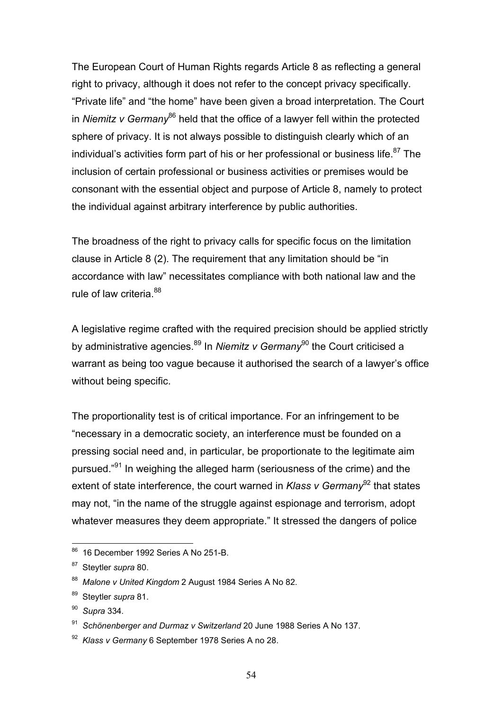The European Court of Human Rights regards Article 8 as reflecting a general right to privacy, although it does not refer to the concept privacy specifically. "Private life" and "the home" have been given a broad interpretation. The Court in *Niemitz v Germany*<sup>86</sup> held that the office of a lawyer fell within the protected sphere of privacy. It is not always possible to distinguish clearly which of an individual's activities form part of his or her professional or business life. $87$  The inclusion of certain professional or business activities or premises would be consonant with the essential object and purpose of Article 8, namely to protect the individual against arbitrary interference by public authorities.

The broadness of the right to privacy calls for specific focus on the limitation clause in Article 8 (2). The requirement that any limitation should be "in accordance with law" necessitates compliance with both national law and the rule of law criteria.<sup>88</sup>

A legislative regime crafted with the required precision should be applied strictly by administrative agencies.<sup>89</sup> In *Niemitz v Germany*<sup>90</sup> the Court criticised a warrant as being too vague because it authorised the search of a lawyer's office without being specific.

The proportionality test is of critical importance. For an infringement to be "necessary in a democratic society, an interference must be founded on a pressing social need and, in particular, be proportionate to the legitimate aim pursued."<sup>91</sup> In weighing the alleged harm (seriousness of the crime) and the extent of state interference, the court warned in *Klass v Germanv*<sup>92</sup> that states may not, "in the name of the struggle against espionage and terrorism, adopt whatever measures they deem appropriate." It stressed the dangers of police

<sup>&</sup>lt;sup>86</sup> 16 December 1992 Series A No 251-B.

<sup>87</sup> Steytler *supra* 80.

<sup>88</sup> *Malone v United Kingdom* 2 August 1984 Series A No 82.

<sup>89</sup> Steytler *supra* 81.

<sup>90</sup> *Supra* 334*.* 

<sup>91</sup> *Schönenberger and Durmaz v Switzerland* 20 June 1988 Series A No 137.

<sup>92</sup> *Klass v Germany* 6 September 1978 Series A no 28.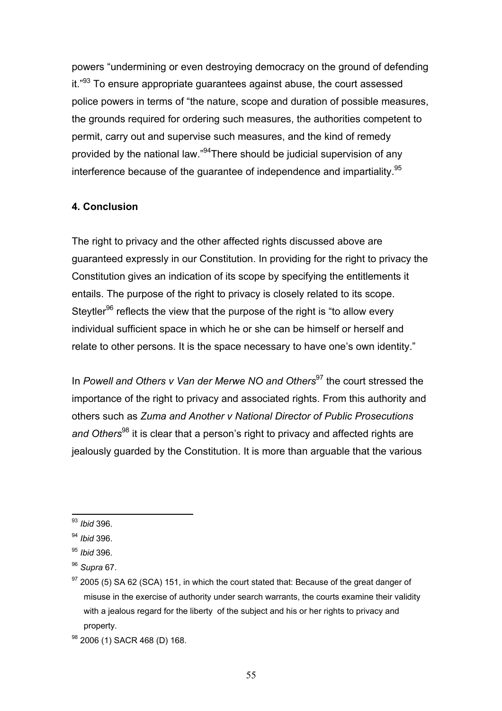powers "undermining or even destroying democracy on the ground of defending it."<sup>93</sup> To ensure appropriate guarantees against abuse, the court assessed police powers in terms of "the nature, scope and duration of possible measures, the grounds required for ordering such measures, the authorities competent to permit, carry out and supervise such measures, and the kind of remedy provided by the national law."<sup>94</sup>There should be judicial supervision of any interference because of the quarantee of independence and impartiality.<sup>95</sup>

## **4. Conclusion**

The right to privacy and the other affected rights discussed above are guaranteed expressly in our Constitution. In providing for the right to privacy the Constitution gives an indication of its scope by specifying the entitlements it entails. The purpose of the right to privacy is closely related to its scope. Steytler<sup>96</sup> reflects the view that the purpose of the right is "to allow every individual sufficient space in which he or she can be himself or herself and relate to other persons. It is the space necessary to have one's own identity."

In *Powell and Others v Van der Merwe NO and Others*97 the court stressed the importance of the right to privacy and associated rights. From this authority and others such as *Zuma and Another v National Director of Public Prosecutions*  and Others<sup>98</sup> it is clear that a person's right to privacy and affected rights are jealously guarded by the Constitution. It is more than arguable that the various

 $\overline{a}$ <sup>93</sup> *Ibid* 396.

<sup>94</sup> *Ibid* 396.

<sup>95</sup> *Ibid* 396.

<sup>96</sup> *Supra* 67.

 $97$  2005 (5) SA 62 (SCA) 151, in which the court stated that: Because of the great danger of misuse in the exercise of authority under search warrants, the courts examine their validity with a jealous regard for the liberty of the subject and his or her rights to privacy and property.

<sup>98 2006 (1)</sup> SACR 468 (D) 168.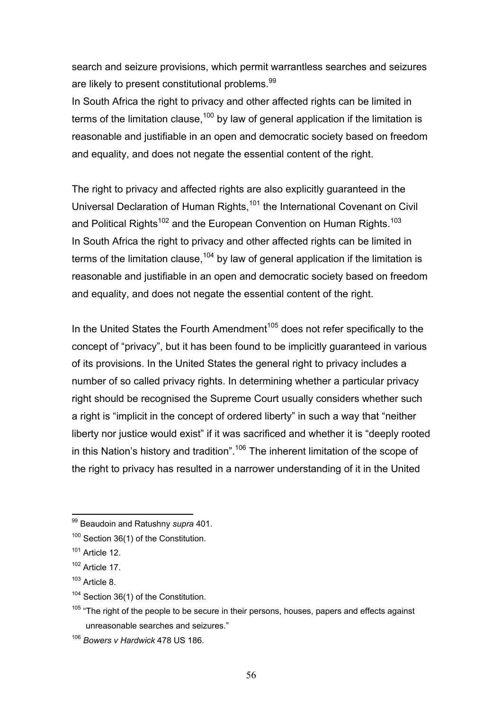search and seizure provisions, which permit warrantless searches and seizures are likely to present constitutional problems.<sup>99</sup>

In South Africa the right to privacy and other affected rights can be limited in terms of the limitation clause,<sup>100</sup> by law of general application if the limitation is reasonable and justifiable in an open and democratic society based on freedom and equality, and does not negate the essential content of the right.

The right to privacy and affected rights are also explicitly guaranteed in the Universal Declaration of Human Rights,<sup>101</sup> the International Covenant on Civil and Political Rights<sup>102</sup> and the European Convention on Human Rights.<sup>103</sup> In South Africa the right to privacy and other affected rights can be limited in terms of the limitation clause,  $104$  by law of general application if the limitation is reasonable and justifiable in an open and democratic society based on freedom and equality, and does not negate the essential content of the right.

In the United States the Fourth Amendment<sup>105</sup> does not refer specifically to the concept of "privacy", but it has been found to be implicitly guaranteed in various of its provisions. In the United States the general right to privacy includes a number of so called privacy rights. In determining whether a particular privacy right should be recognised the Supreme Court usually considers whether such a right is "implicit in the concept of ordered liberty" in such a way that "neither liberty nor justice would exist" if it was sacrificed and whether it is "deeply rooted in this Nation's history and tradition".<sup>106</sup> The inherent limitation of the scope of the right to privacy has resulted in a narrower understanding of it in the United

 $\overline{a}$ 99 Beaudoin and Ratushny *supra* 401.

<sup>&</sup>lt;sup>100</sup> Section 36(1) of the Constitution.

 $101$  Article 12.

 $102$  Article 17.

 $103$  Article 8.

<sup>&</sup>lt;sup>104</sup> Section 36(1) of the Constitution.

 $105$  "The right of the people to be secure in their persons, houses, papers and effects against unreasonable searches and seizures."

<sup>106</sup> *Bowers v Hardwick* 478 US 186.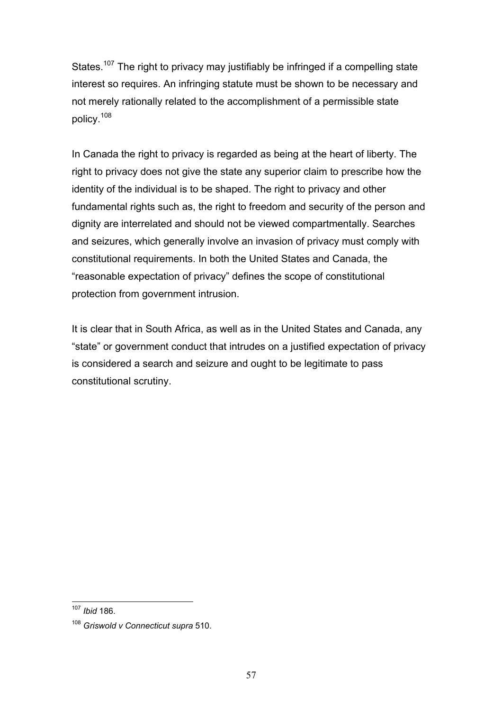States.<sup>107</sup> The right to privacy may justifiably be infringed if a compelling state interest so requires. An infringing statute must be shown to be necessary and not merely rationally related to the accomplishment of a permissible state policy.<sup>108</sup>

In Canada the right to privacy is regarded as being at the heart of liberty. The right to privacy does not give the state any superior claim to prescribe how the identity of the individual is to be shaped. The right to privacy and other fundamental rights such as, the right to freedom and security of the person and dignity are interrelated and should not be viewed compartmentally. Searches and seizures, which generally involve an invasion of privacy must comply with constitutional requirements. In both the United States and Canada, the "reasonable expectation of privacy" defines the scope of constitutional protection from government intrusion.

It is clear that in South Africa, as well as in the United States and Canada, any "state" or government conduct that intrudes on a justified expectation of privacy is considered a search and seizure and ought to be legitimate to pass constitutional scrutiny.

 $\overline{a}$ <sup>107</sup> *Ibid* 186.

<sup>108</sup> *Griswold v Connecticut supra* 510.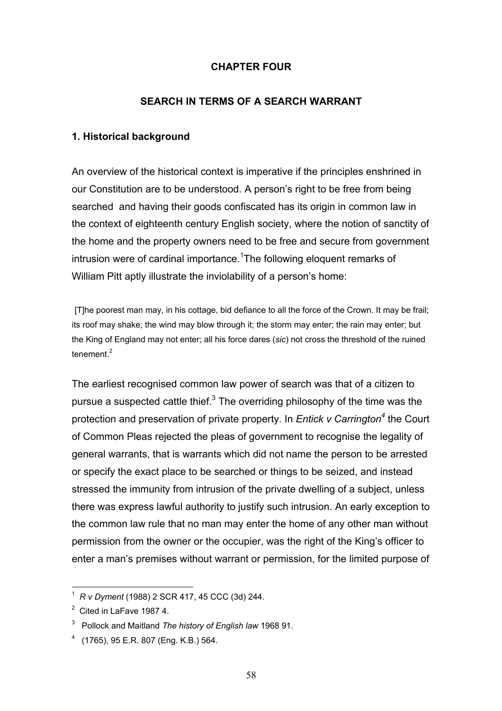#### **CHAPTER FOUR**

#### **SEARCH IN TERMS OF A SEARCH WARRANT**

#### **1. Historical background**

An overview of the historical context is imperative if the principles enshrined in our Constitution are to be understood. A person's right to be free from being searched and having their goods confiscated has its origin in common law in the context of eighteenth century English society, where the notion of sanctity of the home and the property owners need to be free and secure from government intrusion were of cardinal importance.<sup>1</sup>The following eloquent remarks of William Pitt aptly illustrate the inviolability of a person's home:

[T]he poorest man may, in his cottage, bid defiance to all the force of the Crown. It may be frail; its roof may shake; the wind may blow through it; the storm may enter; the rain may enter; but the King of England may not enter; all his force dares (*sic*) not cross the threshold of the ruined tenement $^2$ 

The earliest recognised common law power of search was that of a citizen to pursue a suspected cattle thief. $3$  The overriding philosophy of the time was the protection and preservation of private property. In *Entick v Carrington*<sup>4</sup> the Court of Common Pleas rejected the pleas of government to recognise the legality of general warrants, that is warrants which did not name the person to be arrested or specify the exact place to be searched or things to be seized, and instead stressed the immunity from intrusion of the private dwelling of a subject, unless there was express lawful authority to justify such intrusion. An early exception to the common law rule that no man may enter the home of any other man without permission from the owner or the occupier, was the right of the King's officer to enter a man's premises without warrant or permission, for the limited purpose of

<sup>1</sup> *R v Dyment* (1988) 2 SCR 417, 45 CCC (3d) 244.

 $2$  Cited in LaFave 1987 4.

<sup>3</sup> Pollock and Maitland *The history of English law* 1968 91.

<sup>4</sup> (1765), 95 E.R. 807 (Eng. K.B.) 564.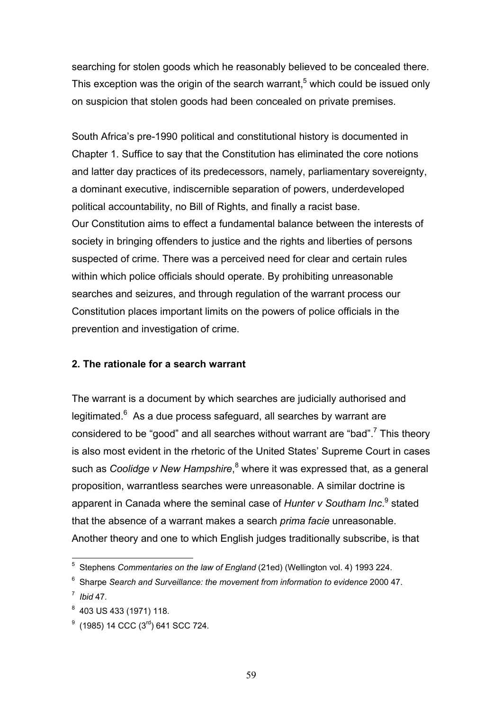searching for stolen goods which he reasonably believed to be concealed there. This exception was the origin of the search warrant,<sup>5</sup> which could be issued only on suspicion that stolen goods had been concealed on private premises.

South Africa's pre-1990 political and constitutional history is documented in Chapter 1. Suffice to say that the Constitution has eliminated the core notions and latter day practices of its predecessors, namely, parliamentary sovereignty, a dominant executive, indiscernible separation of powers, underdeveloped political accountability, no Bill of Rights, and finally a racist base. Our Constitution aims to effect a fundamental balance between the interests of society in bringing offenders to justice and the rights and liberties of persons suspected of crime. There was a perceived need for clear and certain rules within which police officials should operate. By prohibiting unreasonable searches and seizures, and through regulation of the warrant process our Constitution places important limits on the powers of police officials in the prevention and investigation of crime.

#### **2. The rationale for a search warrant**

The warrant is a document by which searches are judicially authorised and legitimated.<sup>6</sup> As a due process safeguard, all searches by warrant are considered to be "good" and all searches without warrant are "bad".<sup>7</sup> This theory is also most evident in the rhetoric of the United States' Supreme Court in cases such as *Coolidge v New Hampshire*,<sup>8</sup> where it was expressed that, as a general proposition, warrantless searches were unreasonable. A similar doctrine is apparent in Canada where the seminal case of Hunter v Southam Inc.<sup>9</sup> stated that the absence of a warrant makes a search *prima facie* unreasonable. Another theory and one to which English judges traditionally subscribe, is that

 5 Stephens *Commentaries on the law of England* (21ed) (Wellington vol. 4) 1993 224.

<sup>6</sup> Sharpe *Search and Surveillance: the movement from information to evidence* 2000 47.

<sup>7</sup> *Ibid* 47*.* 

 $8$  403 US 433 (1971) 118.

 $^{9}$  (1985) 14 CCC (3<sup>rd</sup>) 641 SCC 724.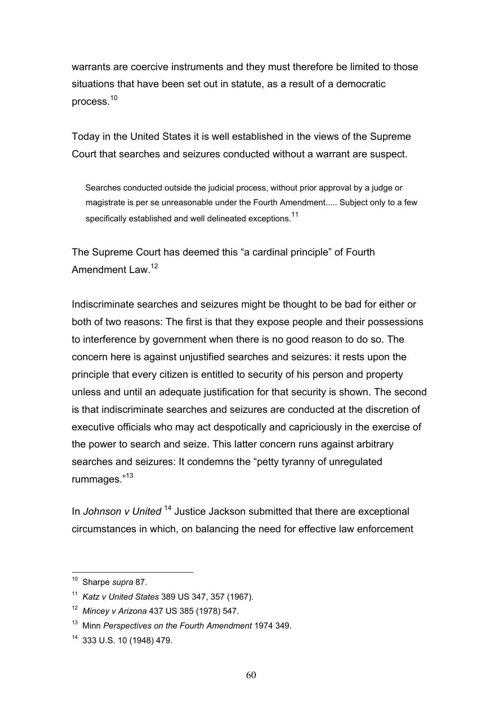warrants are coercive instruments and they must therefore be limited to those situations that have been set out in statute, as a result of a democratic process.<sup>10</sup>

Today in the United States it is well established in the views of the Supreme Court that searches and seizures conducted without a warrant are suspect.

 Searches conducted outside the judicial process, without prior approval by a judge or magistrate is per se unreasonable under the Fourth Amendment..... Subject only to a few specifically established and well delineated exceptions.<sup>11</sup>

The Supreme Court has deemed this "a cardinal principle" of Fourth Amendment Law.<sup>12</sup>

Indiscriminate searches and seizures might be thought to be bad for either or both of two reasons: The first is that they expose people and their possessions to interference by government when there is no good reason to do so. The concern here is against unjustified searches and seizures: it rests upon the principle that every citizen is entitled to security of his person and property unless and until an adequate justification for that security is shown. The second is that indiscriminate searches and seizures are conducted at the discretion of executive officials who may act despotically and capriciously in the exercise of the power to search and seize. This latter concern runs against arbitrary searches and seizures: It condemns the "petty tyranny of unregulated rummages."<sup>13</sup>

In *Johnson v United* 14 Justice Jackson submitted that there are exceptional circumstances in which, on balancing the need for effective law enforcement

<sup>10</sup> Sharpe *supra* 87.

<sup>11</sup> *Katz v United States* 389 US 347, 357 (1967).

<sup>12</sup> *Mincey v Arizona* 437 US 385 (1978) 547.

<sup>13</sup> Minn *Perspectives on the Fourth Amendment* 1974 349.

<sup>14 333</sup> U.S. 10 (1948) 479.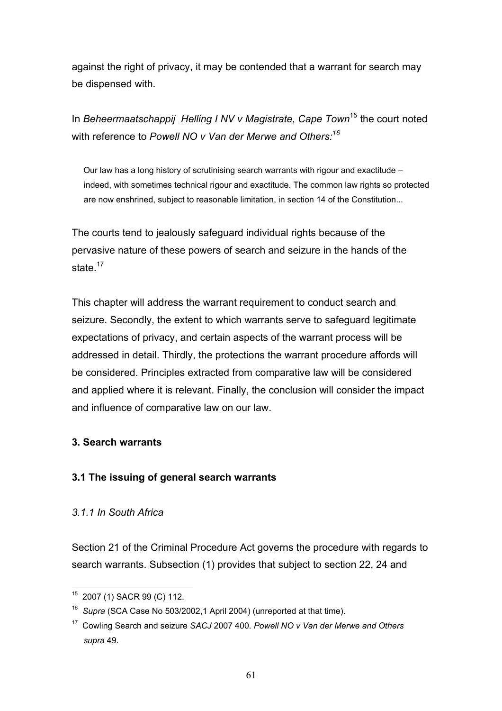against the right of privacy, it may be contended that a warrant for search may be dispensed with.

In *Beheermaatschappij Helling I NV v Magistrate, Cape Town*15 the court noted with reference to *Powell NO v Van der Merwe and Others:16*

 Our law has a long history of scrutinising search warrants with rigour and exactitude – indeed, with sometimes technical rigour and exactitude. The common law rights so protected are now enshrined, subject to reasonable limitation, in section 14 of the Constitution...

The courts tend to jealously safeguard individual rights because of the pervasive nature of these powers of search and seizure in the hands of the state.<sup>17</sup>

This chapter will address the warrant requirement to conduct search and seizure. Secondly, the extent to which warrants serve to safeguard legitimate expectations of privacy, and certain aspects of the warrant process will be addressed in detail. Thirdly, the protections the warrant procedure affords will be considered. Principles extracted from comparative law will be considered and applied where it is relevant. Finally, the conclusion will consider the impact and influence of comparative law on our law.

# **3. Search warrants**

# **3.1 The issuing of general search warrants**

# *3.1.1 In South Africa*

Section 21 of the Criminal Procedure Act governs the procedure with regards to search warrants. Subsection (1) provides that subject to section 22, 24 and

 $\overline{a}$ 15 2007 (1) SACR 99 (C) 112.

<sup>16</sup> *Supra* (SCA Case No 503/2002,1 April 2004) (unreported at that time).

<sup>17</sup> Cowling Search and seizure *SACJ* 2007 400. *Powell NO v Van der Merwe and Others supra* 49.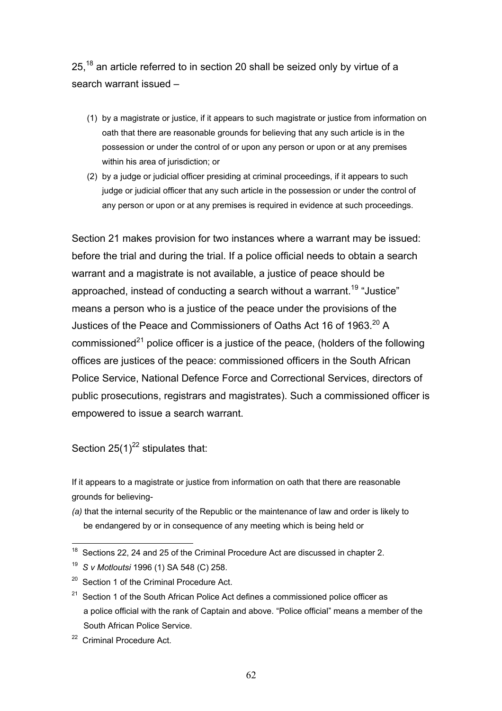25,<sup>18</sup> an article referred to in section 20 shall be seized only by virtue of a search warrant issued –

- (1) by a magistrate or justice, if it appears to such magistrate or justice from information on oath that there are reasonable grounds for believing that any such article is in the possession or under the control of or upon any person or upon or at any premises within his area of jurisdiction; or
- (2) by a judge or judicial officer presiding at criminal proceedings, if it appears to such judge or judicial officer that any such article in the possession or under the control of any person or upon or at any premises is required in evidence at such proceedings.

Section 21 makes provision for two instances where a warrant may be issued: before the trial and during the trial. If a police official needs to obtain a search warrant and a magistrate is not available, a justice of peace should be approached, instead of conducting a search without a warrant.<sup>19</sup> "Justice" means a person who is a justice of the peace under the provisions of the Justices of the Peace and Commissioners of Oaths Act 16 of 1963.<sup>20</sup> A commissioned<sup>21</sup> police officer is a justice of the peace, (holders of the following offices are justices of the peace: commissioned officers in the South African Police Service, National Defence Force and Correctional Services, directors of public prosecutions, registrars and magistrates). Such a commissioned officer is empowered to issue a search warrant.

Section  $25(1)^{22}$  stipulates that:

If it appears to a magistrate or justice from information on oath that there are reasonable grounds for believing-

*(a)* that the internal security of the Republic or the maintenance of law and order is likely to be endangered by or in consequence of any meeting which is being held or

 $\overline{a}$  $18$  Sections 22, 24 and 25 of the Criminal Procedure Act are discussed in chapter 2.

<sup>19</sup> *S v Motloutsi* 1996 (1) SA 548 (C) 258.

 $20$  Section 1 of the Criminal Procedure Act.

 $21$  Section 1 of the South African Police Act defines a commissioned police officer as a police official with the rank of Captain and above. "Police official" means a member of the South African Police Service.

<sup>&</sup>lt;sup>22</sup> Criminal Procedure Act.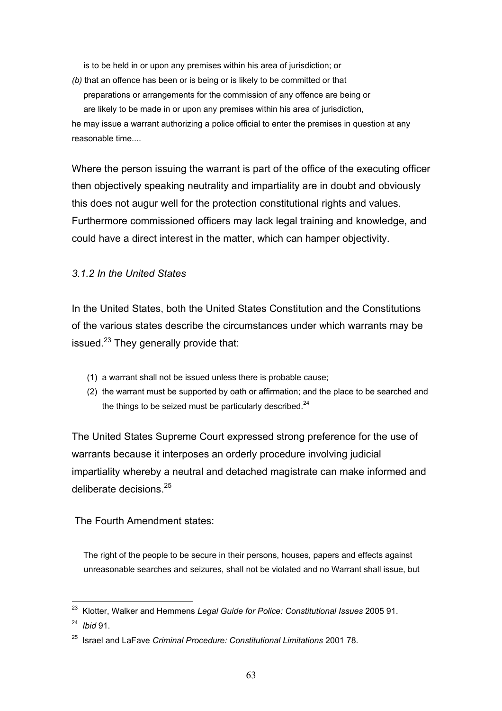is to be held in or upon any premises within his area of jurisdiction; or

*(b)* that an offence has been or is being or is likely to be committed or that preparations or arrangements for the commission of any offence are being or are likely to be made in or upon any premises within his area of jurisdiction, he may issue a warrant authorizing a police official to enter the premises in question at any reasonable time....

Where the person issuing the warrant is part of the office of the executing officer then objectively speaking neutrality and impartiality are in doubt and obviously this does not augur well for the protection constitutional rights and values. Furthermore commissioned officers may lack legal training and knowledge, and could have a direct interest in the matter, which can hamper objectivity.

### *3.1.2 In the United States*

In the United States, both the United States Constitution and the Constitutions of the various states describe the circumstances under which warrants may be issued. $^{23}$  They generally provide that:

- (1) a warrant shall not be issued unless there is probable cause;
- (2) the warrant must be supported by oath or affirmation; and the place to be searched and the things to be seized must be particularly described. $^{24}$

The United States Supreme Court expressed strong preference for the use of warrants because it interposes an orderly procedure involving judicial impartiality whereby a neutral and detached magistrate can make informed and deliberate decisions <sup>25</sup>

The Fourth Amendment states:

 The right of the people to be secure in their persons, houses, papers and effects against unreasonable searches and seizures, shall not be violated and no Warrant shall issue, but

 $\overline{a}$ 23 Klotter, Walker and Hemmens *Legal Guide for Police: Constitutional Issues* 2005 91.

<sup>24</sup> *Ibid* 91.

<sup>25</sup> Israel and LaFave *Criminal Procedure: Constitutional Limitations* 2001 78.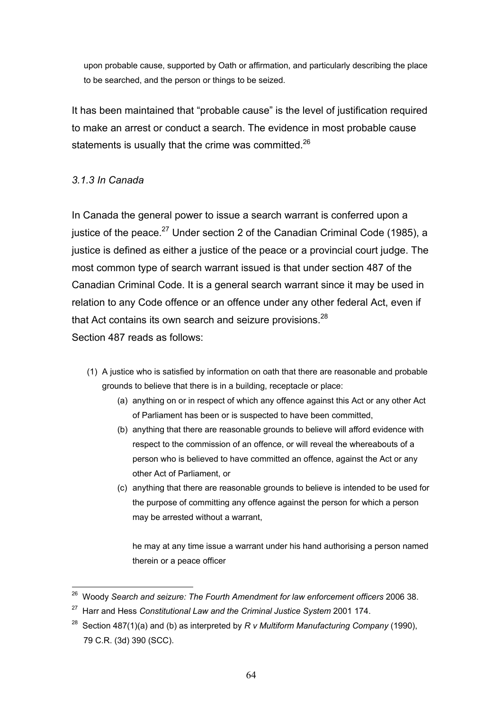upon probable cause, supported by Oath or affirmation, and particularly describing the place to be searched, and the person or things to be seized.

It has been maintained that "probable cause" is the level of justification required to make an arrest or conduct a search. The evidence in most probable cause statements is usually that the crime was committed.<sup>26</sup>

# *3.1.3 In Canada*

In Canada the general power to issue a search warrant is conferred upon a justice of the peace. $^{27}$  Under section 2 of the Canadian Criminal Code (1985), a justice is defined as either a justice of the peace or a provincial court judge. The most common type of search warrant issued is that under section 487 of the Canadian Criminal Code. It is a general search warrant since it may be used in relation to any Code offence or an offence under any other federal Act, even if that Act contains its own search and seizure provisions. $^{28}$ Section 487 reads as follows:

- (1) A justice who is satisfied by information on oath that there are reasonable and probable grounds to believe that there is in a building, receptacle or place:
	- (a) anything on or in respect of which any offence against this Act or any other Act of Parliament has been or is suspected to have been committed,
	- (b) anything that there are reasonable grounds to believe will afford evidence with respect to the commission of an offence, or will reveal the whereabouts of a person who is believed to have committed an offence, against the Act or any other Act of Parliament, or
	- (c) anything that there are reasonable grounds to believe is intended to be used for the purpose of committing any offence against the person for which a person may be arrested without a warrant,

he may at any time issue a warrant under his hand authorising a person named therein or a peace officer

 $\overline{a}$ 26 Woody *Search and seizure: The Fourth Amendment for law enforcement officers* 2006 38.

<sup>27</sup> Harr and Hess *Constitutional Law and the Criminal Justice System* 2001 174.

<sup>28</sup> Section 487(1)(a) and (b) as interpreted by *R v Multiform Manufacturing Company* (1990), 79 C.R. (3d) 390 (SCC).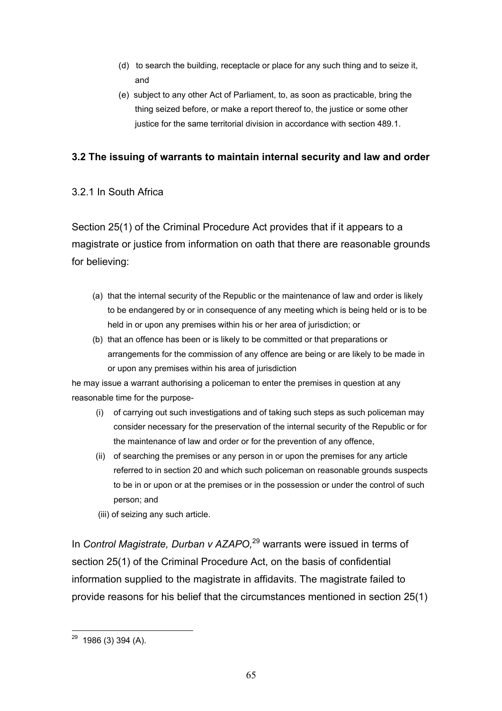- (d) to search the building, receptacle or place for any such thing and to seize it, and
- (e) subject to any other Act of Parliament, to, as soon as practicable, bring the thing seized before, or make a report thereof to, the justice or some other justice for the same territorial division in accordance with section 489.1.

# **3.2 The issuing of warrants to maintain internal security and law and order**

# 3.2.1 In South Africa

Section 25(1) of the Criminal Procedure Act provides that if it appears to a magistrate or justice from information on oath that there are reasonable grounds for believing:

- (a) that the internal security of the Republic or the maintenance of law and order is likely to be endangered by or in consequence of any meeting which is being held or is to be held in or upon any premises within his or her area of jurisdiction; or
- (b) that an offence has been or is likely to be committed or that preparations or arrangements for the commission of any offence are being or are likely to be made in or upon any premises within his area of jurisdiction

he may issue a warrant authorising a policeman to enter the premises in question at any reasonable time for the purpose-

- (i) of carrying out such investigations and of taking such steps as such policeman may consider necessary for the preservation of the internal security of the Republic or for the maintenance of law and order or for the prevention of any offence,
- (ii) of searching the premises or any person in or upon the premises for any article referred to in section 20 and which such policeman on reasonable grounds suspects to be in or upon or at the premises or in the possession or under the control of such person; and
- (iii) of seizing any such article.

In *Control Magistrate, Durban v AZAPO,*29 warrants were issued in terms of section 25(1) of the Criminal Procedure Act, on the basis of confidential information supplied to the magistrate in affidavits. The magistrate failed to provide reasons for his belief that the circumstances mentioned in section 25(1)

 $\overline{a}$  $29$  1986 (3) 394 (A).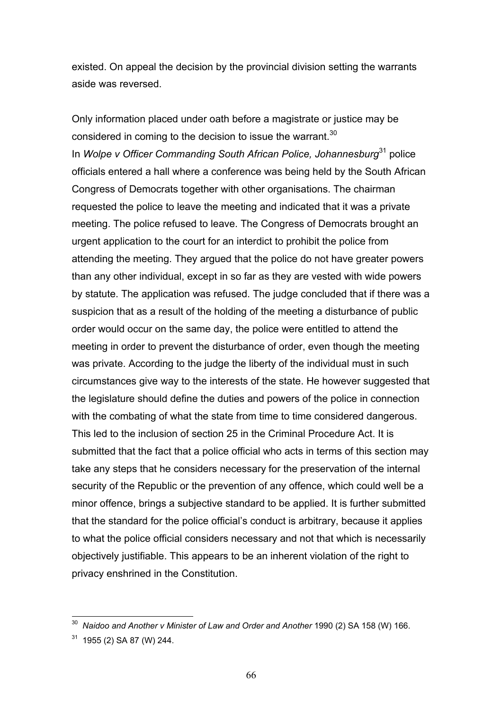existed. On appeal the decision by the provincial division setting the warrants aside was reversed.

Only information placed under oath before a magistrate or justice may be considered in coming to the decision to issue the warrant.  $30$ In *Wolpe v Officer Commanding South African Police, Johannesburg*31 police officials entered a hall where a conference was being held by the South African Congress of Democrats together with other organisations. The chairman requested the police to leave the meeting and indicated that it was a private meeting. The police refused to leave. The Congress of Democrats brought an urgent application to the court for an interdict to prohibit the police from attending the meeting. They argued that the police do not have greater powers than any other individual, except in so far as they are vested with wide powers by statute. The application was refused. The judge concluded that if there was a suspicion that as a result of the holding of the meeting a disturbance of public order would occur on the same day, the police were entitled to attend the meeting in order to prevent the disturbance of order, even though the meeting was private. According to the judge the liberty of the individual must in such circumstances give way to the interests of the state. He however suggested that the legislature should define the duties and powers of the police in connection with the combating of what the state from time to time considered dangerous. This led to the inclusion of section 25 in the Criminal Procedure Act. It is submitted that the fact that a police official who acts in terms of this section may take any steps that he considers necessary for the preservation of the internal security of the Republic or the prevention of any offence, which could well be a minor offence, brings a subjective standard to be applied. It is further submitted that the standard for the police official's conduct is arbitrary, because it applies to what the police official considers necessary and not that which is necessarily objectively justifiable. This appears to be an inherent violation of the right to privacy enshrined in the Constitution.

<sup>30</sup> *Naidoo and Another v Minister of Law and Order and Another* 1990 (2) SA 158 (W) 166.

 $31$  1955 (2) SA 87 (W) 244.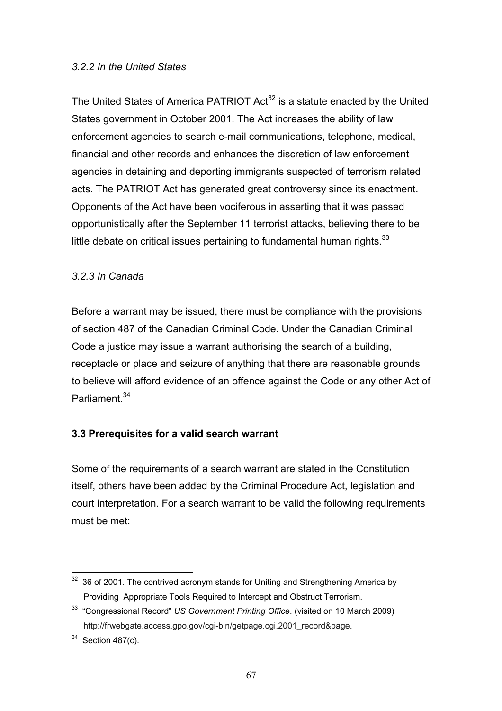### *3.2.2 In the United States*

The United States of America PATRIOT  $Act^{32}$  is a statute enacted by the United States government in October 2001. The Act increases the ability of law enforcement agencies to search e-mail communications, telephone, medical, financial and other records and enhances the discretion of law enforcement agencies in detaining and deporting immigrants suspected of terrorism related acts. The PATRIOT Act has generated great controversy since its enactment. Opponents of the Act have been vociferous in asserting that it was passed opportunistically after the September 11 terrorist attacks, believing there to be little debate on critical issues pertaining to fundamental human rights. $33$ 

# *3.2.3 In Canada*

Before a warrant may be issued, there must be compliance with the provisions of section 487 of the Canadian Criminal Code. Under the Canadian Criminal Code a justice may issue a warrant authorising the search of a building, receptacle or place and seizure of anything that there are reasonable grounds to believe will afford evidence of an offence against the Code or any other Act of Parliament<sup>34</sup>

# **3.3 Prerequisites for a valid search warrant**

Some of the requirements of a search warrant are stated in the Constitution itself, others have been added by the Criminal Procedure Act, legislation and court interpretation. For a search warrant to be valid the following requirements must be met:

 $\overline{a}$  $32$  36 of 2001. The contrived acronym stands for Uniting and Strengthening America by Providing Appropriate Tools Required to Intercept and Obstruct Terrorism.

<sup>33 &</sup>quot;Congressional Record" *US Government Printing Office*. (visited on 10 March 2009) http://frwebgate.access.gpo.gov/cgi-bin/getpage.cgi.2001\_record&page.

 $34$  Section 487(c).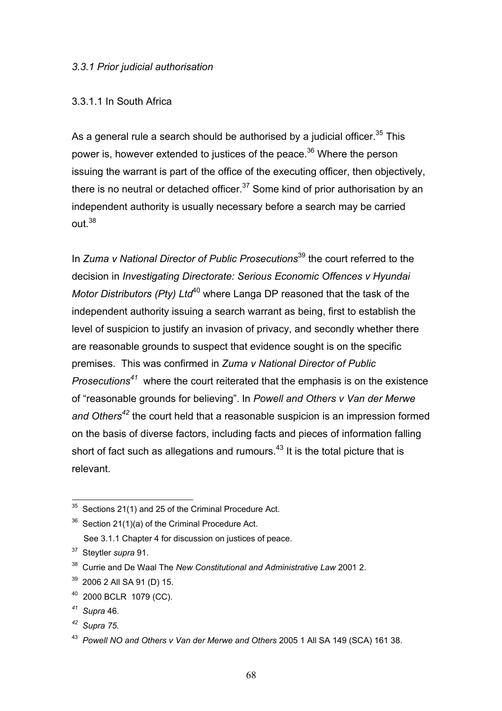#### *3.3.1 Prior judicial authorisation*

### 3.3.1.1 In South Africa

As a general rule a search should be authorised by a judicial officer.<sup>35</sup> This power is, however extended to justices of the peace.<sup>36</sup> Where the person issuing the warrant is part of the office of the executing officer, then objectively, there is no neutral or detached officer.<sup>37</sup> Some kind of prior authorisation by an independent authority is usually necessary before a search may be carried  $O<sub>II</sub>$   $138$ 

In *Zuma v National Director of Public Prosecutions*<sup>39</sup> the court referred to the decision in *Investigating Directorate: Serious Economic Offences v Hyundai Motor Distributors (Pty) Ltd*<sup>40</sup> where Langa DP reasoned that the task of the independent authority issuing a search warrant as being, first to establish the level of suspicion to justify an invasion of privacy, and secondly whether there are reasonable grounds to suspect that evidence sought is on the specific premises. This was confirmed in *Zuma v National Director of Public Prosecutions<sup>41</sup>* where the court reiterated that the emphasis is on the existence of "reasonable grounds for believing". In *Powell and Others v Van der Merwe*  and Others<sup>42</sup> the court held that a reasonable suspicion is an impression formed on the basis of diverse factors, including facts and pieces of information falling short of fact such as allegations and rumours. $43$  It is the total picture that is relevant.

 $\overline{a}$  $35$  Sections 21(1) and 25 of the Criminal Procedure Act.

 $36$  Section 21(1)(a) of the Criminal Procedure Act.

See 3.1.1 Chapter 4 for discussion on justices of peace.

<sup>37</sup> Steytler *supra* 91.

<sup>38</sup> Currie and De Waal The *New Constitutional and Administrative Law* 2001 2.

<sup>39 2006 2</sup> All SA 91 (D) 15.

<sup>40</sup> 2000 BCLR 1079 (CC).

*<sup>41</sup> Supra* 46.

*<sup>42</sup> Supra 75.* 

<sup>43</sup> *Powell NO and Others v Van der Merwe and Others* 2005 1 All SA 149 (SCA) 161 38.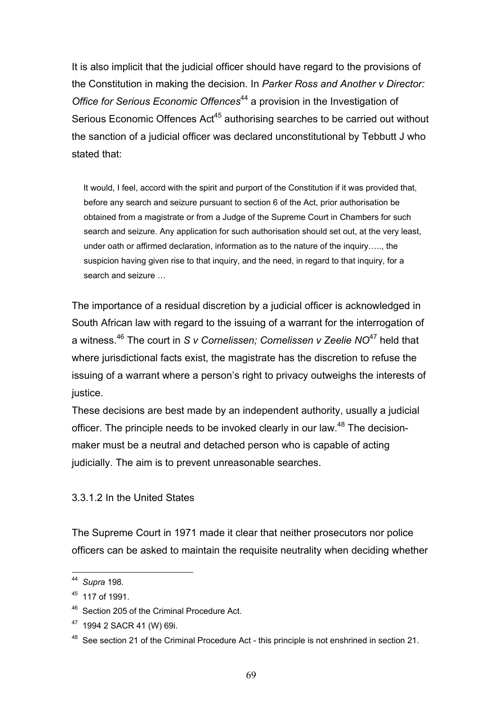It is also implicit that the judicial officer should have regard to the provisions of the Constitution in making the decision. In *Parker Ross and Another v Director: Office for Serious Economic Offences*<sup>44</sup> a provision in the Investigation of Serious Economic Offences Act<sup>45</sup> authorising searches to be carried out without the sanction of a judicial officer was declared unconstitutional by Tebbutt J who stated that:

 It would, I feel, accord with the spirit and purport of the Constitution if it was provided that, before any search and seizure pursuant to section 6 of the Act, prior authorisation be obtained from a magistrate or from a Judge of the Supreme Court in Chambers for such search and seizure. Any application for such authorisation should set out, at the very least, under oath or affirmed declaration, information as to the nature of the inquiry….., the suspicion having given rise to that inquiry, and the need, in regard to that inquiry, for a search and seizure …

The importance of a residual discretion by a judicial officer is acknowledged in South African law with regard to the issuing of a warrant for the interrogation of a witness.46 The court in *S v Cornelissen; Cornelissen v Zeelie NO*47 held that where jurisdictional facts exist, the magistrate has the discretion to refuse the issuing of a warrant where a person's right to privacy outweighs the interests of justice.

These decisions are best made by an independent authority, usually a judicial officer. The principle needs to be invoked clearly in our law.<sup>48</sup> The decisionmaker must be a neutral and detached person who is capable of acting judicially. The aim is to prevent unreasonable searches.

# 3.3.1.2 In the United States

The Supreme Court in 1971 made it clear that neither prosecutors nor police officers can be asked to maintain the requisite neutrality when deciding whether

<sup>44</sup> *Supra* 198*.* 

 $45$  117 of 1991.

<sup>46</sup> Section 205 of the Criminal Procedure Act.

<sup>47 1994 2</sup> SACR 41 (W) 69i.

<sup>&</sup>lt;sup>48</sup> See section 21 of the Criminal Procedure Act - this principle is not enshrined in section 21.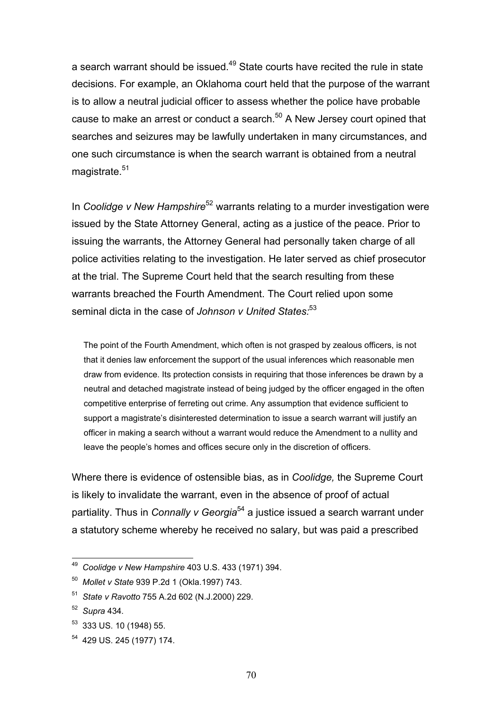a search warrant should be issued.<sup>49</sup> State courts have recited the rule in state decisions. For example, an Oklahoma court held that the purpose of the warrant is to allow a neutral judicial officer to assess whether the police have probable cause to make an arrest or conduct a search.<sup>50</sup> A New Jersey court opined that searches and seizures may be lawfully undertaken in many circumstances, and one such circumstance is when the search warrant is obtained from a neutral magistrate.<sup>51</sup>

In *Coolidge v New Hampshire*52 warrants relating to a murder investigation were issued by the State Attorney General, acting as a justice of the peace. Prior to issuing the warrants, the Attorney General had personally taken charge of all police activities relating to the investigation. He later served as chief prosecutor at the trial. The Supreme Court held that the search resulting from these warrants breached the Fourth Amendment. The Court relied upon some seminal dicta in the case of *Johnson v United States*<sup>53</sup>

 The point of the Fourth Amendment, which often is not grasped by zealous officers, is not that it denies law enforcement the support of the usual inferences which reasonable men draw from evidence. Its protection consists in requiring that those inferences be drawn by a neutral and detached magistrate instead of being judged by the officer engaged in the often competitive enterprise of ferreting out crime. Any assumption that evidence sufficient to support a magistrate's disinterested determination to issue a search warrant will justify an officer in making a search without a warrant would reduce the Amendment to a nullity and leave the people's homes and offices secure only in the discretion of officers.

Where there is evidence of ostensible bias, as in *Coolidge,* the Supreme Court is likely to invalidate the warrant, even in the absence of proof of actual partiality. Thus in *Connally v Georgia*<sup>54</sup> a justice issued a search warrant under a statutory scheme whereby he received no salary, but was paid a prescribed

<sup>49</sup> *Coolidge v New Hampshire* 403 U.S. 433 (1971) 394.

<sup>50</sup> *Mollet v State* 939 P.2d 1 (Okla.1997) 743.

<sup>51</sup> *State v Ravotto* 755 A.2d 602 (N.J.2000) 229.

<sup>52</sup> *Supra* 434*.* 

<sup>53 333</sup> US. 10 (1948) 55.

<sup>54 429</sup> US. 245 (1977) 174.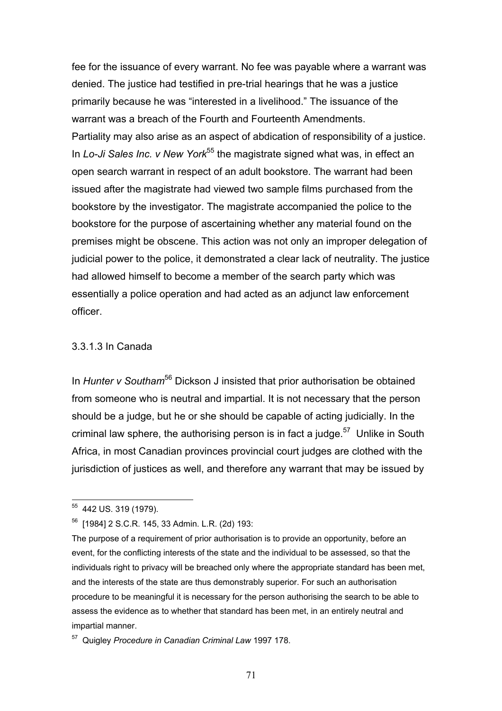fee for the issuance of every warrant. No fee was payable where a warrant was denied. The justice had testified in pre-trial hearings that he was a justice primarily because he was "interested in a livelihood." The issuance of the warrant was a breach of the Fourth and Fourteenth Amendments. Partiality may also arise as an aspect of abdication of responsibility of a justice. In *Lo-Ji Sales Inc. v New York*<sup>55</sup> the magistrate signed what was, in effect an open search warrant in respect of an adult bookstore. The warrant had been issued after the magistrate had viewed two sample films purchased from the bookstore by the investigator. The magistrate accompanied the police to the bookstore for the purpose of ascertaining whether any material found on the premises might be obscene. This action was not only an improper delegation of judicial power to the police, it demonstrated a clear lack of neutrality. The justice had allowed himself to become a member of the search party which was essentially a police operation and had acted as an adjunct law enforcement officer.

#### 3.3.1.3 In Canada

In *Hunter v Southam*56 Dickson J insisted that prior authorisation be obtained from someone who is neutral and impartial. It is not necessary that the person should be a judge, but he or she should be capable of acting judicially. In the criminal law sphere, the authorising person is in fact a judge.<sup>57</sup> Unlike in South Africa, in most Canadian provinces provincial court judges are clothed with the jurisdiction of justices as well, and therefore any warrant that may be issued by

 $\overline{a}$ <sup>55</sup> 442 US. 319 (1979).

<sup>56 [1984] 2</sup> S.C.R. 145, 33 Admin. L.R. (2d) 193:

The purpose of a requirement of prior authorisation is to provide an opportunity, before an event, for the conflicting interests of the state and the individual to be assessed, so that the individuals right to privacy will be breached only where the appropriate standard has been met, and the interests of the state are thus demonstrably superior. For such an authorisation procedure to be meaningful it is necessary for the person authorising the search to be able to assess the evidence as to whether that standard has been met, in an entirely neutral and impartial manner.

<sup>57</sup> Quigley *Procedure in Canadian Criminal Law* 1997 178.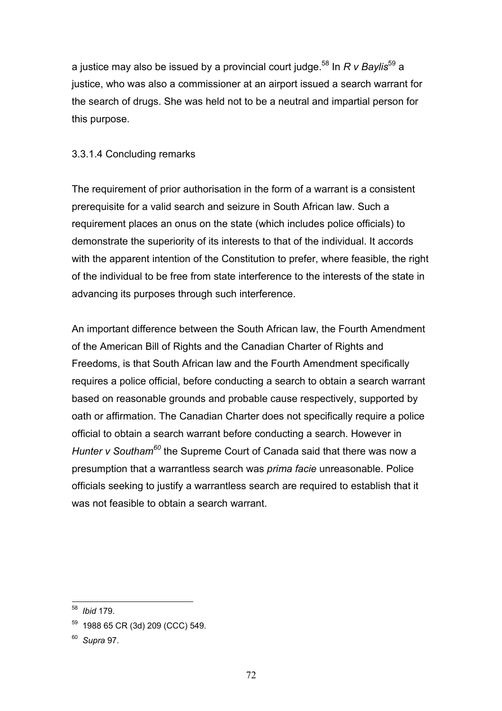a justice may also be issued by a provincial court judge.58 In *R v Baylis*59 a justice, who was also a commissioner at an airport issued a search warrant for the search of drugs. She was held not to be a neutral and impartial person for this purpose.

### 3.3.1.4 Concluding remarks

The requirement of prior authorisation in the form of a warrant is a consistent prerequisite for a valid search and seizure in South African law. Such a requirement places an onus on the state (which includes police officials) to demonstrate the superiority of its interests to that of the individual. It accords with the apparent intention of the Constitution to prefer, where feasible, the right of the individual to be free from state interference to the interests of the state in advancing its purposes through such interference.

An important difference between the South African law, the Fourth Amendment of the American Bill of Rights and the Canadian Charter of Rights and Freedoms, is that South African law and the Fourth Amendment specifically requires a police official, before conducting a search to obtain a search warrant based on reasonable grounds and probable cause respectively, supported by oath or affirmation. The Canadian Charter does not specifically require a police official to obtain a search warrant before conducting a search. However in *Hunter v Southam60* the Supreme Court of Canada said that there was now a presumption that a warrantless search was *prima facie* unreasonable. Police officials seeking to justify a warrantless search are required to establish that it was not feasible to obtain a search warrant.

 $\overline{a}$ 58 *Ibid* 179.

<sup>59 1988 65</sup> CR (3d) 209 (CCC) 549.

<sup>60</sup> *Supra* 97.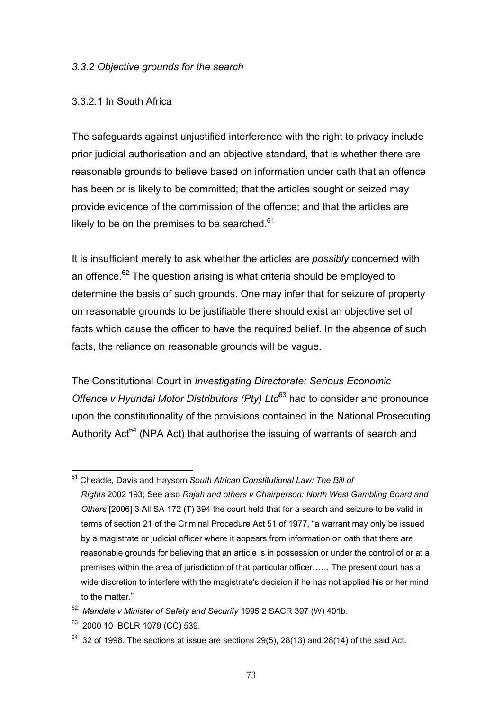#### *3.3.2 Objective grounds for the search*

### 3.3.2.1 In South Africa

The safeguards against unjustified interference with the right to privacy include prior judicial authorisation and an objective standard, that is whether there are reasonable grounds to believe based on information under oath that an offence has been or is likely to be committed; that the articles sought or seized may provide evidence of the commission of the offence; and that the articles are likely to be on the premises to be searched. $61$ 

It is insufficient merely to ask whether the articles are *possibly* concerned with an offence.<sup>62</sup> The question arising is what criteria should be employed to determine the basis of such grounds. One may infer that for seizure of property on reasonable grounds to be justifiable there should exist an objective set of facts which cause the officer to have the required belief. In the absence of such facts, the reliance on reasonable grounds will be vague.

The Constitutional Court in *Investigating Directorate: Serious Economic Offence v Hyundai Motor Distributors (Pty) Ltd*<sup>63</sup> had to consider and pronounce upon the constitutionality of the provisions contained in the National Prosecuting Authority Act<sup>64</sup> (NPA Act) that authorise the issuing of warrants of search and

 $\overline{a}$ 61 Cheadle, Davis and Haysom *South African Constitutional Law: The Bill of Rights* 2002 193; See also *Rajah and others v Chairperson: North West Gambling Board and Others* [2006] 3 All SA 172 (T) 394 the court held that for a search and seizure to be valid in terms of section 21 of the Criminal Procedure Act 51 of 1977, "a warrant may only be issued by a magistrate or judicial officer where it appears from information on oath that there are reasonable grounds for believing that an article is in possession or under the control of or at a premises within the area of jurisdiction of that particular officer…… The present court has a wide discretion to interfere with the magistrate's decision if he has not applied his or her mind to the matter."

<sup>62</sup> *Mandela v Minister of Safety and Security* 1995 2 SACR 397 (W) 401b.

<sup>63 2000 10</sup> BCLR 1079 (CC) 539.

 $64$  32 of 1998. The sections at issue are sections 29(5), 28(13) and 28(14) of the said Act.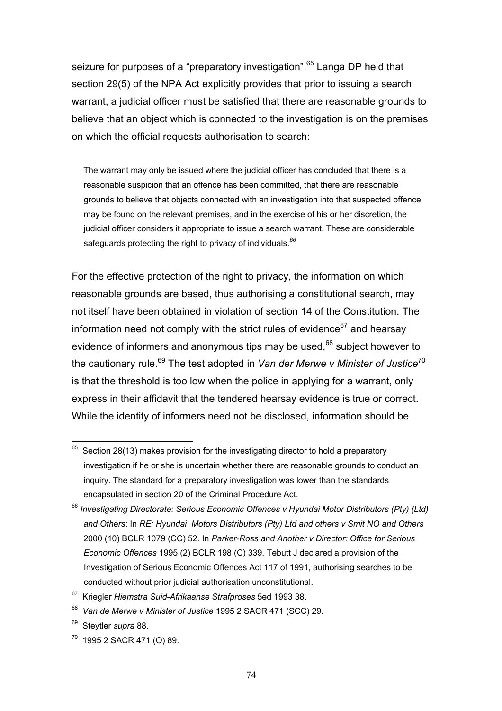seizure for purposes of a "preparatory investigation".<sup>65</sup> Langa DP held that section 29(5) of the NPA Act explicitly provides that prior to issuing a search warrant, a judicial officer must be satisfied that there are reasonable grounds to believe that an object which is connected to the investigation is on the premises on which the official requests authorisation to search:

 The warrant may only be issued where the judicial officer has concluded that there is a reasonable suspicion that an offence has been committed, that there are reasonable grounds to believe that objects connected with an investigation into that suspected offence may be found on the relevant premises, and in the exercise of his or her discretion, the judicial officer considers it appropriate to issue a search warrant. These are considerable safeguards protecting the right to privacy of individuals.*<sup>66</sup>*

For the effective protection of the right to privacy, the information on which reasonable grounds are based, thus authorising a constitutional search, may not itself have been obtained in violation of section 14 of the Constitution. The information need not comply with the strict rules of evidence $67$  and hearsay evidence of informers and anonymous tips may be used, $68$  subject however to the cautionary rule.<sup>69</sup> The test adopted in *Van der Merwe v Minister of Justice*<sup>70</sup> is that the threshold is too low when the police in applying for a warrant, only express in their affidavit that the tendered hearsay evidence is true or correct. While the identity of informers need not be disclosed, information should be

 $\overline{a}$ 

70 1995 2 SACR 471 (O) 89.

 $65$  Section 28(13) makes provision for the investigating director to hold a preparatory investigation if he or she is uncertain whether there are reasonable grounds to conduct an inquiry. The standard for a preparatory investigation was lower than the standards encapsulated in section 20 of the Criminal Procedure Act.

<sup>66</sup> *Investigating Directorate: Serious Economic Offences v Hyundai Motor Distributors (Pty) (Ltd) and Others*: In *RE: Hyundai Motors Distributors (Pty) Ltd and others v Smit NO and Others* 2000 (10) BCLR 1079 (CC) 52. In *Parker-Ross and Another v Director: Office for Serious Economic Offences* 1995 (2) BCLR 198 (C) 339, Tebutt J declared a provision of the Investigation of Serious Economic Offences Act 117 of 1991, authorising searches to be conducted without prior judicial authorisation unconstitutional.

<sup>67</sup> Kriegler *Hiemstra Suid-Afrikaanse Strafproses* 5ed 1993 38.

<sup>68</sup> *Van de Merwe v Minister of Justice* 1995 2 SACR 471 (SCC) 29.

Steytler *supra* 88.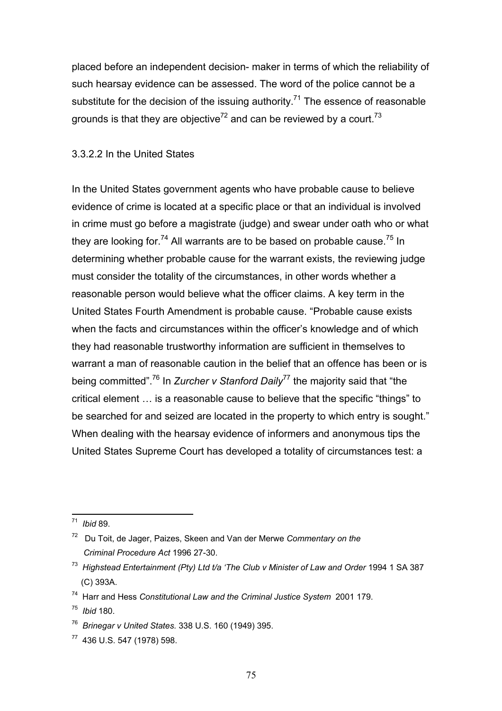placed before an independent decision- maker in terms of which the reliability of such hearsay evidence can be assessed. The word of the police cannot be a substitute for the decision of the issuing authority.<sup>71</sup> The essence of reasonable grounds is that they are objective<sup>72</sup> and can be reviewed by a court.<sup>73</sup>

#### 3.3.2.2 In the United States

In the United States government agents who have probable cause to believe evidence of crime is located at a specific place or that an individual is involved in crime must go before a magistrate (judge) and swear under oath who or what they are looking for.<sup>74</sup> All warrants are to be based on probable cause.<sup>75</sup> In determining whether probable cause for the warrant exists, the reviewing judge must consider the totality of the circumstances, in other words whether a reasonable person would believe what the officer claims. A key term in the United States Fourth Amendment is probable cause. "Probable cause exists when the facts and circumstances within the officer's knowledge and of which they had reasonable trustworthy information are sufficient in themselves to warrant a man of reasonable caution in the belief that an offence has been or is being committed".76 In *Zurcher v Stanford Daily*77 the majority said that "the critical element … is a reasonable cause to believe that the specific "things" to be searched for and seized are located in the property to which entry is sought." When dealing with the hearsay evidence of informers and anonymous tips the United States Supreme Court has developed a totality of circumstances test: a

 $\overline{a}$ 71 *Ibid* 89.

<sup>72</sup> Du Toit, de Jager, Paizes, Skeen and Van der Merwe *Commentary on the Criminal Procedure Act* 1996 27-30.

<sup>73</sup> *Highstead Entertainment (Pty) Ltd t/a 'The Club v Minister of Law and Order* 1994 1 SA 387 (C) 393A.

<sup>74</sup> Harr and Hess *Constitutional Law and the Criminal Justice System* 2001 179.

<sup>75</sup> *Ibid* 180.

<sup>76</sup> *Brinegar v United States.* 338 U.S. 160 (1949) 395.

<sup>77 436</sup> U.S. 547 (1978) 598.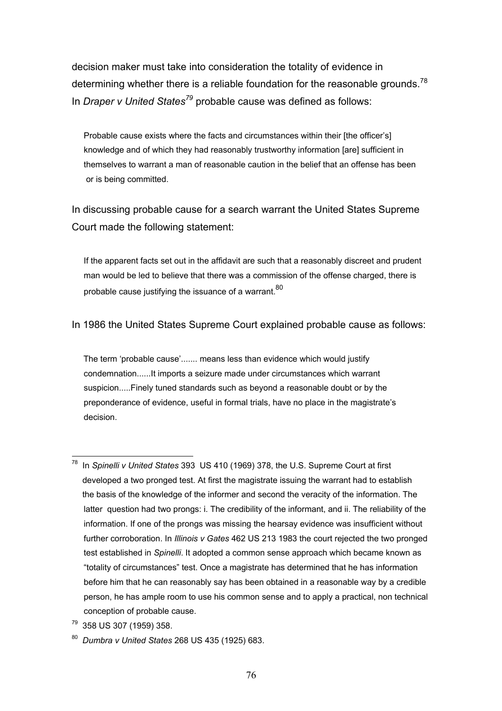decision maker must take into consideration the totality of evidence in determining whether there is a reliable foundation for the reasonable grounds.<sup>78</sup> In *Draper v United States<sup>79</sup>* probable cause was defined as follows:

Probable cause exists where the facts and circumstances within their [the officer's] knowledge and of which they had reasonably trustworthy information [are] sufficient in themselves to warrant a man of reasonable caution in the belief that an offense has been or is being committed.

In discussing probable cause for a search warrant the United States Supreme Court made the following statement:

If the apparent facts set out in the affidavit are such that a reasonably discreet and prudent man would be led to believe that there was a commission of the offense charged, there is probable cause justifying the issuance of a warrant.<sup>80</sup>

In 1986 the United States Supreme Court explained probable cause as follows:

 The term 'probable cause'....... means less than evidence which would justify condemnation......It imports a seizure made under circumstances which warrant suspicion.....Finely tuned standards such as beyond a reasonable doubt or by the preponderance of evidence, useful in formal trials, have no place in the magistrate's decision.

 $\overline{a}$ 78 In *Spinelli v United States* 393 US 410 (1969) 378, the U.S. Supreme Court at first developed a two pronged test. At first the magistrate issuing the warrant had to establish the basis of the knowledge of the informer and second the veracity of the information. The latter question had two prongs: i. The credibility of the informant, and ii. The reliability of the information. If one of the prongs was missing the hearsay evidence was insufficient without further corroboration. In *Illinois v Gates* 462 US 213 1983 the court rejected the two pronged test established in *Spinelli*. It adopted a common sense approach which became known as "totality of circumstances" test. Once a magistrate has determined that he has information before him that he can reasonably say has been obtained in a reasonable way by a credible person, he has ample room to use his common sense and to apply a practical, non technical conception of probable cause.

<sup>79 358</sup> US 307 (1959) 358.

<sup>80</sup> *Dumbra v United States* 268 US 435 (1925) 683.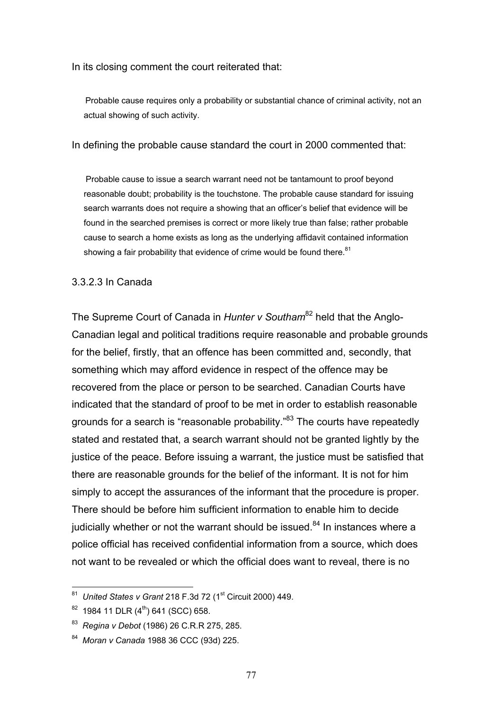In its closing comment the court reiterated that:

 Probable cause requires only a probability or substantial chance of criminal activity, not an actual showing of such activity.

In defining the probable cause standard the court in 2000 commented that:

 Probable cause to issue a search warrant need not be tantamount to proof beyond reasonable doubt; probability is the touchstone. The probable cause standard for issuing search warrants does not require a showing that an officer's belief that evidence will be found in the searched premises is correct or more likely true than false; rather probable cause to search a home exists as long as the underlying affidavit contained information showing a fair probability that evidence of crime would be found there. $81$ 

### 3.3.2.3 In Canada

The Supreme Court of Canada in *Hunter v Southam*<sup>82</sup> held that the Anglo-Canadian legal and political traditions require reasonable and probable grounds for the belief, firstly, that an offence has been committed and, secondly, that something which may afford evidence in respect of the offence may be recovered from the place or person to be searched. Canadian Courts have indicated that the standard of proof to be met in order to establish reasonable grounds for a search is "reasonable probability."83 The courts have repeatedly stated and restated that, a search warrant should not be granted lightly by the justice of the peace. Before issuing a warrant, the justice must be satisfied that there are reasonable grounds for the belief of the informant. It is not for him simply to accept the assurances of the informant that the procedure is proper. There should be before him sufficient information to enable him to decide judicially whether or not the warrant should be issued. $84$  In instances where a police official has received confidential information from a source, which does not want to be revealed or which the official does want to reveal, there is no

<sup>&</sup>lt;sup>81</sup> United States v Grant 218 F.3d 72 (1<sup>st</sup> Circuit 2000) 449.

 $82$  1984 11 DLR  $(4<sup>th</sup>)$  641 (SCC) 658.

<sup>83</sup> *Regina v Debot* (1986) 26 C.R.R 275, 285.

<sup>84</sup> *Moran v Canada* 1988 36 CCC (93d) 225.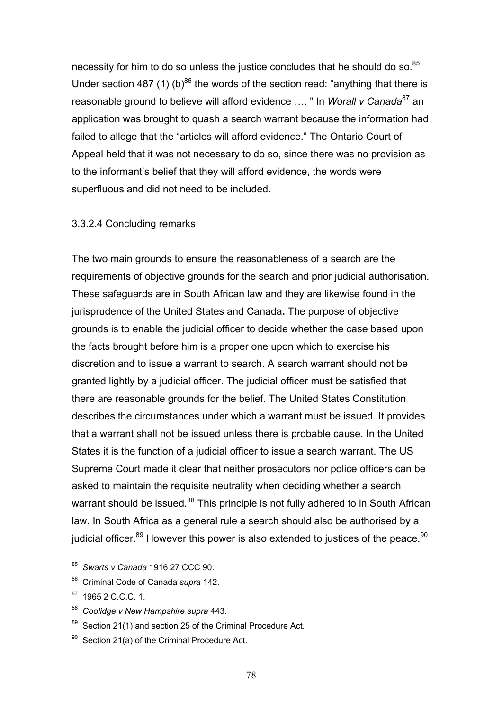necessity for him to do so unless the justice concludes that he should do so.<sup>85</sup> Under section 487 (1) (b)<sup>86</sup> the words of the section read: "anything that there is reasonable ground to believe will afford evidence .... " In *Worall v Canada*<sup>87</sup> an application was brought to quash a search warrant because the information had failed to allege that the "articles will afford evidence." The Ontario Court of Appeal held that it was not necessary to do so, since there was no provision as to the informant's belief that they will afford evidence, the words were superfluous and did not need to be included.

#### 3.3.2.4 Concluding remarks

The two main grounds to ensure the reasonableness of a search are the requirements of objective grounds for the search and prior judicial authorisation. These safeguards are in South African law and they are likewise found in the jurisprudence of the United States and Canada**.** The purpose of objective grounds is to enable the judicial officer to decide whether the case based upon the facts brought before him is a proper one upon which to exercise his discretion and to issue a warrant to search. A search warrant should not be granted lightly by a judicial officer. The judicial officer must be satisfied that there are reasonable grounds for the belief. The United States Constitution describes the circumstances under which a warrant must be issued. It provides that a warrant shall not be issued unless there is probable cause. In the United States it is the function of a judicial officer to issue a search warrant. The US Supreme Court made it clear that neither prosecutors nor police officers can be asked to maintain the requisite neutrality when deciding whether a search warrant should be issued.<sup>88</sup> This principle is not fully adhered to in South African law. In South Africa as a general rule a search should also be authorised by a judicial officer. $89$  However this power is also extended to justices of the peace.  $90$ 

<sup>85</sup> *Swarts v Canada* 1916 27 CCC 90.

<sup>86</sup> Criminal Code of Canada *supra* 142.

 $87$  1965 2 C.C.C. 1.

<sup>88</sup> *Coolidge v New Hampshire supra* 443.

 $89$  Section 21(1) and section 25 of the Criminal Procedure Act.

Section 21(a) of the Criminal Procedure Act.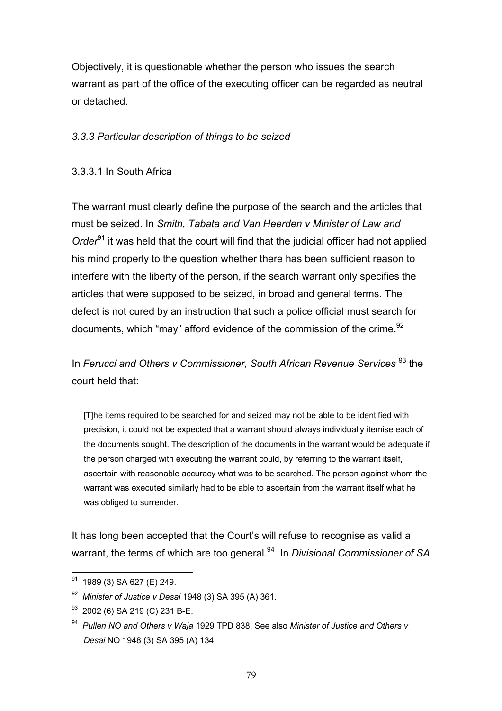Objectively, it is questionable whether the person who issues the search warrant as part of the office of the executing officer can be regarded as neutral or detached.

### *3.3.3 Particular description of things to be seized*

### 3.3.3.1 In South Africa

The warrant must clearly define the purpose of the search and the articles that must be seized. In *Smith, Tabata and Van Heerden v Minister of Law and Order*<sup>91</sup> it was held that the court will find that the judicial officer had not applied his mind properly to the question whether there has been sufficient reason to interfere with the liberty of the person, if the search warrant only specifies the articles that were supposed to be seized, in broad and general terms. The defect is not cured by an instruction that such a police official must search for documents, which "may" afford evidence of the commission of the crime.<sup>92</sup>

In *Ferucci and Others v Commissioner, South African Revenue Services* <sup>93</sup> the court held that:

 [T]he items required to be searched for and seized may not be able to be identified with precision, it could not be expected that a warrant should always individually itemise each of the documents sought. The description of the documents in the warrant would be adequate if the person charged with executing the warrant could, by referring to the warrant itself, ascertain with reasonable accuracy what was to be searched. The person against whom the warrant was executed similarly had to be able to ascertain from the warrant itself what he was obliged to surrender.

It has long been accepted that the Court's will refuse to recognise as valid a warrant, the terms of which are too general.94 In *Divisional Commissioner of SA* 

 $91$  1989 (3) SA 627 (E) 249.

<sup>92</sup> *Minister of Justice v Desai* 1948 (3) SA 395 (A) 361.

<sup>&</sup>lt;sup>93</sup> 2002 (6) SA 219 (C) 231 B-E.

<sup>94</sup> *Pullen NO and Others v Waja* 1929 TPD 838. See also *Minister of Justice and Others v Desai* NO 1948 (3) SA 395 (A) 134.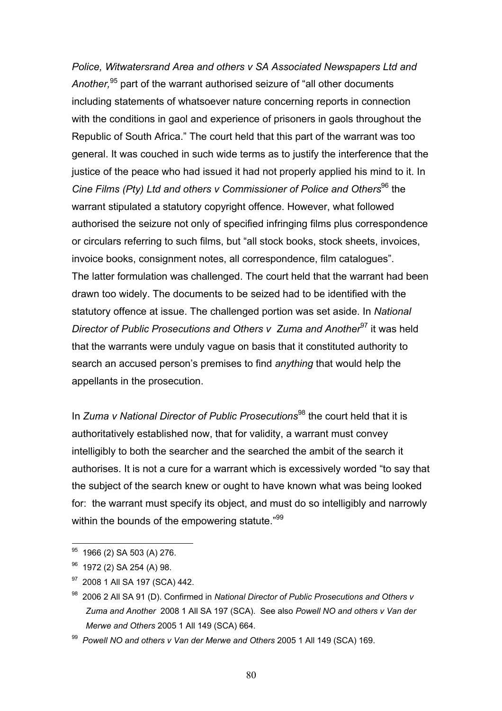*Police, Witwatersrand Area and others v SA Associated Newspapers Ltd and Another,*95 part of the warrant authorised seizure of "all other documents including statements of whatsoever nature concerning reports in connection with the conditions in gaol and experience of prisoners in gaols throughout the Republic of South Africa." The court held that this part of the warrant was too general. It was couched in such wide terms as to justify the interference that the justice of the peace who had issued it had not properly applied his mind to it. In *Cine Films (Pty) Ltd and others v Commissioner of Police and Others*<sup>96</sup> the warrant stipulated a statutory copyright offence. However, what followed authorised the seizure not only of specified infringing films plus correspondence or circulars referring to such films, but "all stock books, stock sheets, invoices, invoice books, consignment notes, all correspondence, film catalogues". The latter formulation was challenged. The court held that the warrant had been drawn too widely. The documents to be seized had to be identified with the statutory offence at issue. The challenged portion was set aside. In *National Director of Public Prosecutions and Others v Zuma and Another<sup>97</sup> it was held* that the warrants were unduly vague on basis that it constituted authority to search an accused person's premises to find *anything* that would help the appellants in the prosecution.

In *Zuma v National Director of Public Prosecutions*<sup>98</sup> the court held that it is authoritatively established now, that for validity, a warrant must convey intelligibly to both the searcher and the searched the ambit of the search it authorises. It is not a cure for a warrant which is excessively worded "to say that the subject of the search knew or ought to have known what was being looked for: the warrant must specify its object, and must do so intelligibly and narrowly within the bounds of the empowering statute."<sup>99</sup>

 $95$  1966 (2) SA 503 (A) 276.

 $96$  1972 (2) SA 254 (A) 98.

<sup>97 2008 1</sup> All SA 197 (SCA) 442.

<sup>98 2006 2</sup> All SA 91 (D). Confirmed in *National Director of Public Prosecutions and Others v Zuma and Another* 2008 1 All SA 197 (SCA). See also *Powell NO and others v Van der Merwe and Others* 2005 1 All 149 (SCA) 664.

<sup>99</sup> *Powell NO and others v Van der Merwe and Others* 2005 1 All 149 (SCA) 169.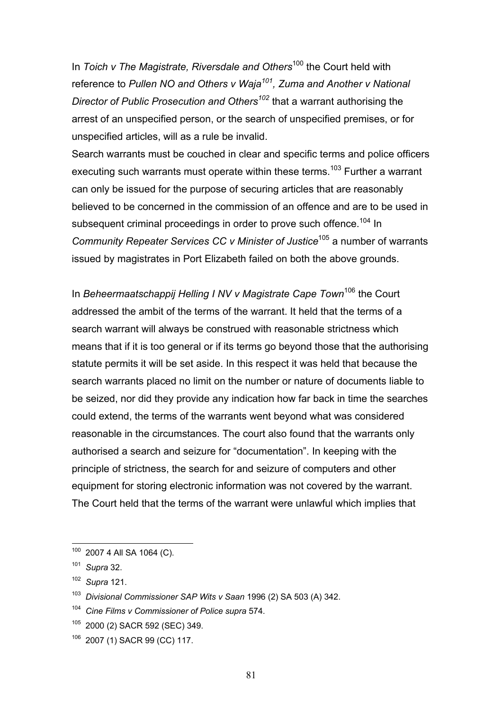In *Toich v The Magistrate, Riversdale and Others*<sup>100</sup> the Court held with reference to Pullen NO and Others v Waja<sup>101</sup>, Zuma and Another v National *Director of Public Prosecution and Others102* that a warrant authorising the arrest of an unspecified person, or the search of unspecified premises, or for unspecified articles, will as a rule be invalid.

Search warrants must be couched in clear and specific terms and police officers executing such warrants must operate within these terms.<sup>103</sup> Further a warrant can only be issued for the purpose of securing articles that are reasonably believed to be concerned in the commission of an offence and are to be used in subsequent criminal proceedings in order to prove such offence.<sup>104</sup> In *Community Repeater Services CC v Minister of Justice*105 a number of warrants issued by magistrates in Port Elizabeth failed on both the above grounds.

In *Beheermaatschappij Helling I NV v Magistrate Cape Town*106 the Court addressed the ambit of the terms of the warrant. It held that the terms of a search warrant will always be construed with reasonable strictness which means that if it is too general or if its terms go beyond those that the authorising statute permits it will be set aside. In this respect it was held that because the search warrants placed no limit on the number or nature of documents liable to be seized, nor did they provide any indication how far back in time the searches could extend, the terms of the warrants went beyond what was considered reasonable in the circumstances. The court also found that the warrants only authorised a search and seizure for "documentation". In keeping with the principle of strictness, the search for and seizure of computers and other equipment for storing electronic information was not covered by the warrant. The Court held that the terms of the warrant were unlawful which implies that

 $100$  2007 4 All SA 1064 (C).

<sup>101</sup> *Supra* 32.

<sup>102</sup> *Supra* 121.

<sup>103</sup> *Divisional Commissioner SAP Wits v Saan* 1996 (2) SA 503 (A) 342.

**Cine Films v Commissioner of Police supra 574.** 

<sup>105 2000 (2)</sup> SACR 592 (SEC) 349.

<sup>106 2007 (1)</sup> SACR 99 (CC) 117.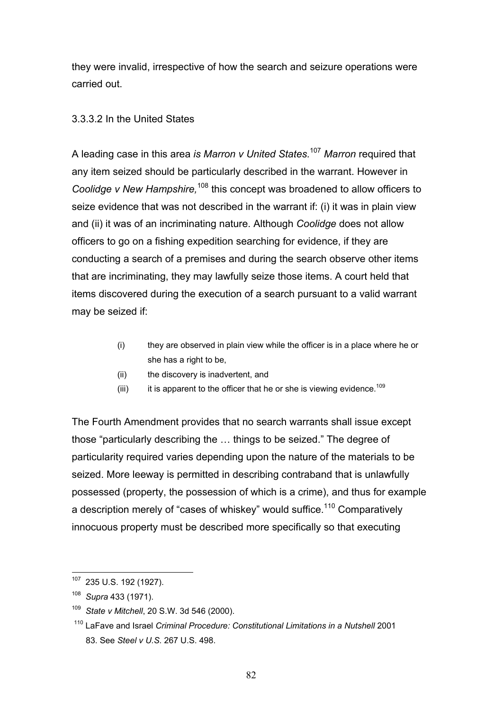they were invalid, irrespective of how the search and seizure operations were carried out.

# 3.3.3.2 In the United States

A leading case in this area *is Marron v United States.*<sup>107</sup> *Marron* required that any item seized should be particularly described in the warrant. However in *Coolidge v New Hampshire,*108 this concept was broadened to allow officers to seize evidence that was not described in the warrant if: (i) it was in plain view and (ii) it was of an incriminating nature. Although *Coolidge* does not allow officers to go on a fishing expedition searching for evidence, if they are conducting a search of a premises and during the search observe other items that are incriminating, they may lawfully seize those items. A court held that items discovered during the execution of a search pursuant to a valid warrant may be seized if:

- (i) they are observed in plain view while the officer is in a place where he or she has a right to be,
- (ii) the discovery is inadvertent, and
- (iii) it is apparent to the officer that he or she is viewing evidence.<sup>109</sup>

The Fourth Amendment provides that no search warrants shall issue except those "particularly describing the … things to be seized." The degree of particularity required varies depending upon the nature of the materials to be seized. More leeway is permitted in describing contraband that is unlawfully possessed (property, the possession of which is a crime), and thus for example a description merely of "cases of whiskey" would suffice.<sup>110</sup> Comparatively innocuous property must be described more specifically so that executing

 $\overline{a}$ 107 235 U.S. 192 (1927).

<sup>108</sup> *Supra* 433 (1971).

<sup>109</sup> *State v Mitchell*, 20 S.W. 3d 546 (2000).

<sup>110</sup> LaFave and Israel *Criminal Procedure: Constitutional Limitations in a Nutshell* 2001 83. See *Steel v U.S.* 267 U.S. 498.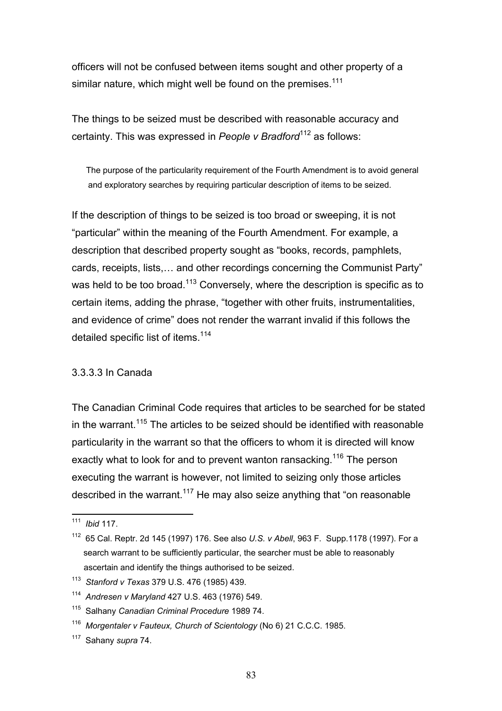officers will not be confused between items sought and other property of a similar nature, which might well be found on the premises. $111$ 

The things to be seized must be described with reasonable accuracy and certainty. This was expressed in *People v Bradford*112 as follows:

 The purpose of the particularity requirement of the Fourth Amendment is to avoid general and exploratory searches by requiring particular description of items to be seized.

If the description of things to be seized is too broad or sweeping, it is not "particular" within the meaning of the Fourth Amendment. For example, a description that described property sought as "books, records, pamphlets, cards, receipts, lists,… and other recordings concerning the Communist Party" was held to be too broad.<sup>113</sup> Conversely, where the description is specific as to certain items, adding the phrase, "together with other fruits, instrumentalities, and evidence of crime" does not render the warrant invalid if this follows the detailed specific list of items.<sup>114</sup>

### 3.3.3.3 In Canada

The Canadian Criminal Code requires that articles to be searched for be stated in the warrant.<sup>115</sup> The articles to be seized should be identified with reasonable particularity in the warrant so that the officers to whom it is directed will know exactly what to look for and to prevent wanton ransacking.<sup>116</sup> The person executing the warrant is however, not limited to seizing only those articles described in the warrant.<sup>117</sup> He may also seize anything that "on reasonable"

<sup>111</sup> *Ibid* 117.

<sup>112 65</sup> Cal. Reptr. 2d 145 (1997) 176. See also *U.S. v Abell*, 963 F. Supp.1178 (1997). For a search warrant to be sufficiently particular, the searcher must be able to reasonably ascertain and identify the things authorised to be seized.

<sup>113</sup> *Stanford v Texas* 379 U.S. 476 (1985) 439.

<sup>114</sup> *Andresen v Maryland* 427 U.S. 463 (1976) 549.

<sup>115</sup> Salhany *Canadian Criminal Procedure* 1989 74.

<sup>116</sup> *Morgentaler v Fauteux, Church of Scientology* (No 6) 21 C.C.C. 1985.

<sup>117</sup> Sahany *supra* 74.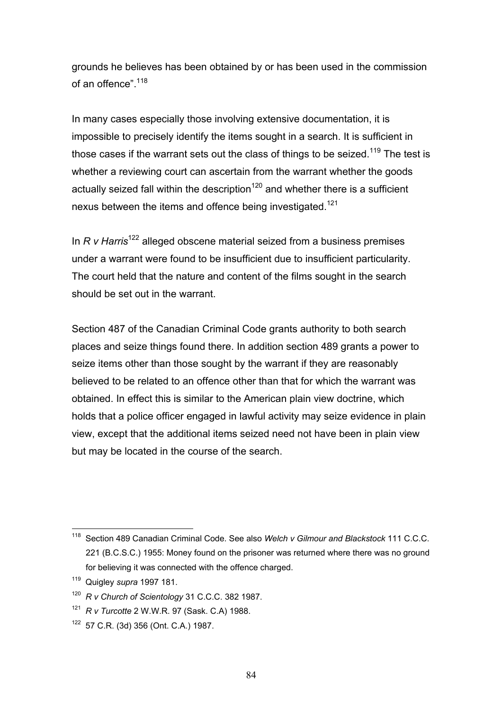grounds he believes has been obtained by or has been used in the commission of an offence" 118

In many cases especially those involving extensive documentation, it is impossible to precisely identify the items sought in a search. It is sufficient in those cases if the warrant sets out the class of things to be seized.<sup>119</sup> The test is whether a reviewing court can ascertain from the warrant whether the goods actually seized fall within the description<sup>120</sup> and whether there is a sufficient nexus between the items and offence being investigated.<sup>121</sup>

In *R v Harris*122 alleged obscene material seized from a business premises under a warrant were found to be insufficient due to insufficient particularity. The court held that the nature and content of the films sought in the search should be set out in the warrant.

Section 487 of the Canadian Criminal Code grants authority to both search places and seize things found there. In addition section 489 grants a power to seize items other than those sought by the warrant if they are reasonably believed to be related to an offence other than that for which the warrant was obtained. In effect this is similar to the American plain view doctrine, which holds that a police officer engaged in lawful activity may seize evidence in plain view, except that the additional items seized need not have been in plain view but may be located in the course of the search.

 $\overline{a}$ 118 Section 489 Canadian Criminal Code. See also *Welch v Gilmour and Blackstock* 111 C.C.C. 221 (B.C.S.C.) 1955: Money found on the prisoner was returned where there was no ground for believing it was connected with the offence charged.

<sup>119</sup> Quigley *supra* 1997 181.

<sup>120</sup> *R v Church of Scientology* 31 C.C.C. 382 1987.

<sup>121</sup> *R v Turcotte* 2 W.W.R. 97 (Sask. C.A) 1988.

<sup>122 57</sup> C.R. (3d) 356 (Ont. C.A.) 1987.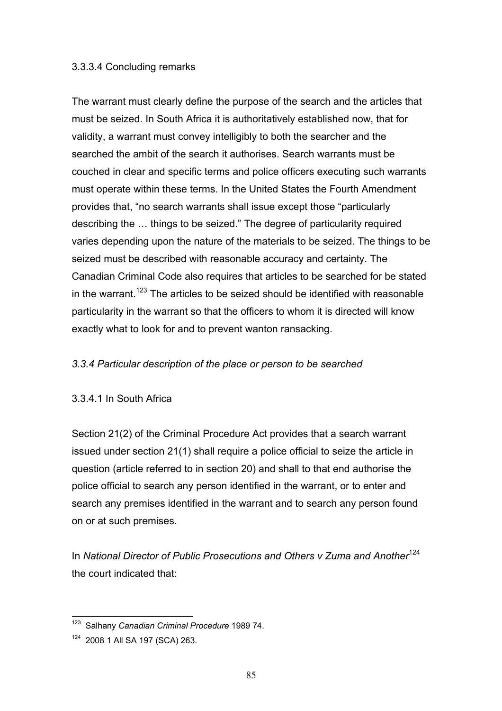### 3.3.3.4 Concluding remarks

The warrant must clearly define the purpose of the search and the articles that must be seized. In South Africa it is authoritatively established now, that for validity, a warrant must convey intelligibly to both the searcher and the searched the ambit of the search it authorises. Search warrants must be couched in clear and specific terms and police officers executing such warrants must operate within these terms. In the United States the Fourth Amendment provides that, "no search warrants shall issue except those "particularly describing the … things to be seized." The degree of particularity required varies depending upon the nature of the materials to be seized. The things to be seized must be described with reasonable accuracy and certainty. The Canadian Criminal Code also requires that articles to be searched for be stated in the warrant.<sup>123</sup> The articles to be seized should be identified with reasonable particularity in the warrant so that the officers to whom it is directed will know exactly what to look for and to prevent wanton ransacking.

# *3.3.4 Particular description of the place or person to be searched*

### 3.3.4.1 In South Africa

Section 21(2) of the Criminal Procedure Act provides that a search warrant issued under section 21(1) shall require a police official to seize the article in question (article referred to in section 20) and shall to that end authorise the police official to search any person identified in the warrant, or to enter and search any premises identified in the warrant and to search any person found on or at such premises.

In *National Director of Public Prosecutions and Others v Zuma and Another<sup>124</sup>* the court indicated that:

 $\overline{a}$ 123 Salhany *Canadian Criminal Procedure* 1989 74.

<sup>124 2008 1</sup> All SA 197 (SCA) 263.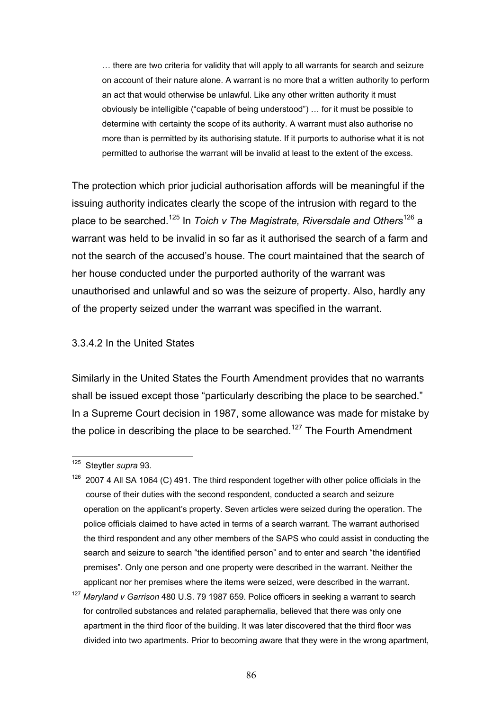… there are two criteria for validity that will apply to all warrants for search and seizure on account of their nature alone. A warrant is no more that a written authority to perform an act that would otherwise be unlawful. Like any other written authority it must obviously be intelligible ("capable of being understood") … for it must be possible to determine with certainty the scope of its authority. A warrant must also authorise no more than is permitted by its authorising statute. If it purports to authorise what it is not permitted to authorise the warrant will be invalid at least to the extent of the excess.

The protection which prior judicial authorisation affords will be meaningful if the issuing authority indicates clearly the scope of the intrusion with regard to the place to be searched.125 In *Toich v The Magistrate, Riversdale and Others*126 a warrant was held to be invalid in so far as it authorised the search of a farm and not the search of the accused's house. The court maintained that the search of her house conducted under the purported authority of the warrant was unauthorised and unlawful and so was the seizure of property. Also, hardly any of the property seized under the warrant was specified in the warrant.

#### 3.3.4.2 In the United States

Similarly in the United States the Fourth Amendment provides that no warrants shall be issued except those "particularly describing the place to be searched." In a Supreme Court decision in 1987, some allowance was made for mistake by the police in describing the place to be searched.<sup>127</sup> The Fourth Amendment

<sup>125</sup> Steytler *supra* 93.

 $126$  2007 4 All SA 1064 (C) 491. The third respondent together with other police officials in the course of their duties with the second respondent, conducted a search and seizure operation on the applicant's property. Seven articles were seized during the operation. The police officials claimed to have acted in terms of a search warrant. The warrant authorised the third respondent and any other members of the SAPS who could assist in conducting the search and seizure to search "the identified person" and to enter and search "the identified premises". Only one person and one property were described in the warrant. Neither the applicant nor her premises where the items were seized, were described in the warrant.

<sup>127</sup> *Maryland v Garrison* 480 U.S. 79 1987 659. Police officers in seeking a warrant to search for controlled substances and related paraphernalia, believed that there was only one apartment in the third floor of the building. It was later discovered that the third floor was divided into two apartments. Prior to becoming aware that they were in the wrong apartment,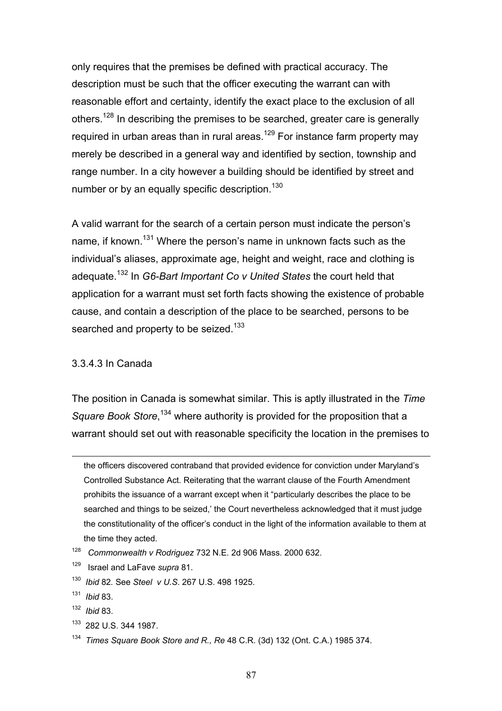only requires that the premises be defined with practical accuracy. The description must be such that the officer executing the warrant can with reasonable effort and certainty, identify the exact place to the exclusion of all others.<sup>128</sup> In describing the premises to be searched, greater care is generally required in urban areas than in rural areas.<sup>129</sup> For instance farm property may merely be described in a general way and identified by section, township and range number. In a city however a building should be identified by street and number or by an equally specific description.<sup>130</sup>

A valid warrant for the search of a certain person must indicate the person's name, if known.<sup>131</sup> Where the person's name in unknown facts such as the individual's aliases, approximate age, height and weight, race and clothing is adequate.132 In *G6-Bart Important Co v United States* the court held that application for a warrant must set forth facts showing the existence of probable cause, and contain a description of the place to be searched, persons to be searched and property to be seized.<sup>133</sup>

#### 3.3.4.3 In Canada

The position in Canada is somewhat similar. This is aptly illustrated in the *Time*  Square Book Store,<sup>134</sup> where authority is provided for the proposition that a warrant should set out with reasonable specificity the location in the premises to

the officers discovered contraband that provided evidence for conviction under Maryland's Controlled Substance Act. Reiterating that the warrant clause of the Fourth Amendment prohibits the issuance of a warrant except when it "particularly describes the place to be searched and things to be seized,' the Court nevertheless acknowledged that it must judge the constitutionality of the officer's conduct in the light of the information available to them at the time they acted.

1

<sup>128</sup> *Commonwealth v Rodriguez* 732 N.E. 2d 906 Mass. 2000 632.

<sup>129</sup> Israel and LaFave *supra* 81.

<sup>130</sup> *Ibid* 82*.* See *Steel v U.S*. 267 U.S. 498 1925.

<sup>131</sup> *Ibid* 83.

<sup>132</sup> *Ibid* 83.

<sup>133 282</sup> U.S. 344 1987.

<sup>134</sup> *Times Square Book Store and R., Re* 48 C.R. (3d) 132 (Ont. C.A.) 1985 374.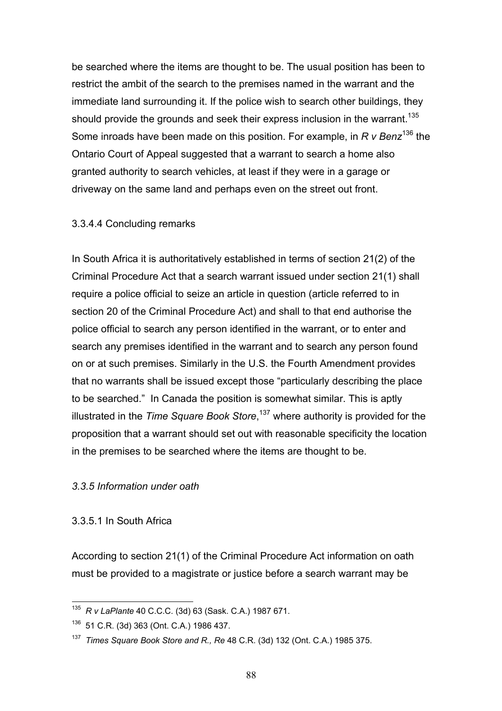be searched where the items are thought to be. The usual position has been to restrict the ambit of the search to the premises named in the warrant and the immediate land surrounding it. If the police wish to search other buildings, they should provide the grounds and seek their express inclusion in the warrant.<sup>135</sup> Some inroads have been made on this position. For example, in *R v Benz*136 the Ontario Court of Appeal suggested that a warrant to search a home also granted authority to search vehicles, at least if they were in a garage or driveway on the same land and perhaps even on the street out front.

### 3.3.4.4 Concluding remarks

In South Africa it is authoritatively established in terms of section 21(2) of the Criminal Procedure Act that a search warrant issued under section 21(1) shall require a police official to seize an article in question (article referred to in section 20 of the Criminal Procedure Act) and shall to that end authorise the police official to search any person identified in the warrant, or to enter and search any premises identified in the warrant and to search any person found on or at such premises. Similarly in the U.S. the Fourth Amendment provides that no warrants shall be issued except those "particularly describing the place to be searched." In Canada the position is somewhat similar. This is aptly illustrated in the *Time Square Book Store*, 137 where authority is provided for the proposition that a warrant should set out with reasonable specificity the location in the premises to be searched where the items are thought to be.

# *3.3.5 Information under oath*

### 3.3.5.1 In South Africa

According to section 21(1) of the Criminal Procedure Act information on oath must be provided to a magistrate or justice before a search warrant may be

 $\overline{a}$ 135 *R v LaPlante* 40 C.C.C. (3d) 63 (Sask. C.A.) 1987 671.

<sup>136 51</sup> C.R. (3d) 363 (Ont. C.A.) 1986 437.

<sup>137</sup> *Times Square Book Store and R., Re* 48 C.R. (3d) 132 (Ont. C.A.) 1985 375.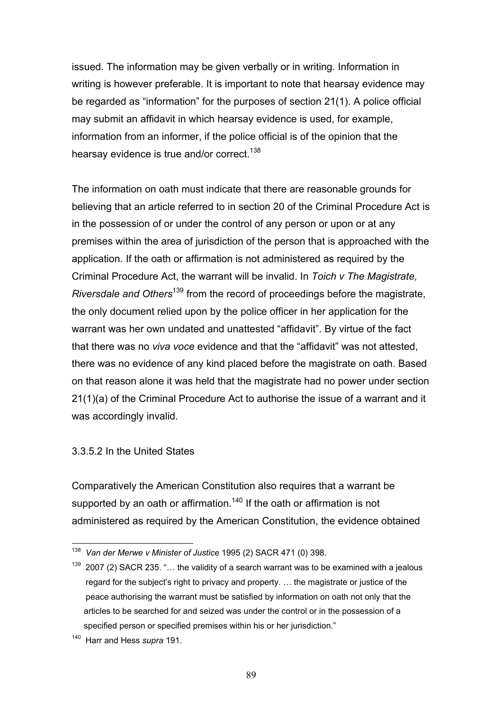issued. The information may be given verbally or in writing. Information in writing is however preferable. It is important to note that hearsay evidence may be regarded as "information" for the purposes of section 21(1). A police official may submit an affidavit in which hearsay evidence is used, for example, information from an informer, if the police official is of the opinion that the hearsay evidence is true and/or correct.<sup>138</sup>

The information on oath must indicate that there are reasonable grounds for believing that an article referred to in section 20 of the Criminal Procedure Act is in the possession of or under the control of any person or upon or at any premises within the area of jurisdiction of the person that is approached with the application. If the oath or affirmation is not administered as required by the Criminal Procedure Act, the warrant will be invalid. In *Toich v The Magistrate, Riversdale and Others*139 from the record of proceedings before the magistrate, the only document relied upon by the police officer in her application for the warrant was her own undated and unattested "affidavit". By virtue of the fact that there was no *viva voce* evidence and that the "affidavit" was not attested, there was no evidence of any kind placed before the magistrate on oath. Based on that reason alone it was held that the magistrate had no power under section 21(1)(a) of the Criminal Procedure Act to authorise the issue of a warrant and it was accordingly invalid.

### 3.3.5.2 In the United States

Comparatively the American Constitution also requires that a warrant be supported by an oath or affirmation.<sup>140</sup> If the oath or affirmation is not administered as required by the American Constitution, the evidence obtained

<sup>138</sup> *Van der Merwe v Minister of Justice* 1995 (2) SACR 471 (0) 398.

 $139$  2007 (2) SACR 235. "... the validity of a search warrant was to be examined with a jealous regard for the subject's right to privacy and property. … the magistrate or justice of the peace authorising the warrant must be satisfied by information on oath not only that the articles to be searched for and seized was under the control or in the possession of a specified person or specified premises within his or her jurisdiction."

<sup>140</sup> Harr and Hess *supra* 191.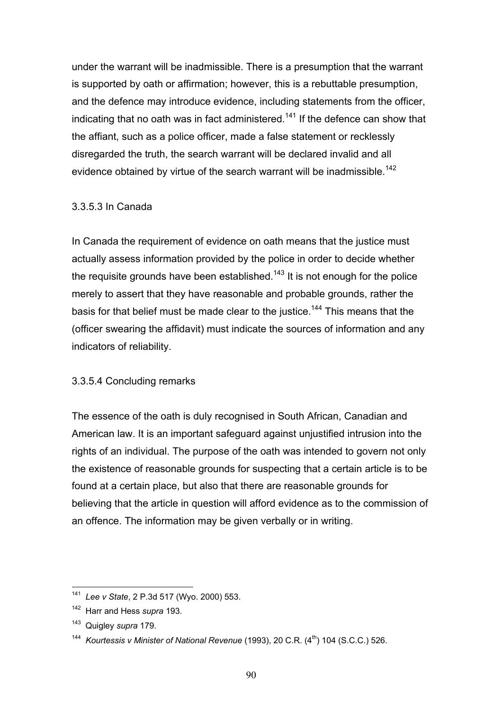under the warrant will be inadmissible. There is a presumption that the warrant is supported by oath or affirmation; however, this is a rebuttable presumption, and the defence may introduce evidence, including statements from the officer, indicating that no oath was in fact administered.<sup>141</sup> If the defence can show that the affiant, such as a police officer, made a false statement or recklessly disregarded the truth, the search warrant will be declared invalid and all evidence obtained by virtue of the search warrant will be inadmissible.<sup>142</sup>

### 3.3.5.3 In Canada

In Canada the requirement of evidence on oath means that the justice must actually assess information provided by the police in order to decide whether the requisite grounds have been established.<sup>143</sup> It is not enough for the police merely to assert that they have reasonable and probable grounds, rather the basis for that belief must be made clear to the justice.<sup>144</sup> This means that the (officer swearing the affidavit) must indicate the sources of information and any indicators of reliability.

# 3.3.5.4 Concluding remarks

The essence of the oath is duly recognised in South African, Canadian and American law. It is an important safeguard against unjustified intrusion into the rights of an individual. The purpose of the oath was intended to govern not only the existence of reasonable grounds for suspecting that a certain article is to be found at a certain place, but also that there are reasonable grounds for believing that the article in question will afford evidence as to the commission of an offence. The information may be given verbally or in writing.

<sup>141</sup> *Lee v State*, 2 P.3d 517 (Wyo. 2000) 553.

<sup>142</sup> Harr and Hess *supra* 193.

<sup>143</sup> Quigley *supra* 179.

<sup>&</sup>lt;sup>144</sup> *Kourtessis v Minister of National Revenue* (1993), 20 C.R. (4<sup>th</sup>) 104 (S.C.C.) 526.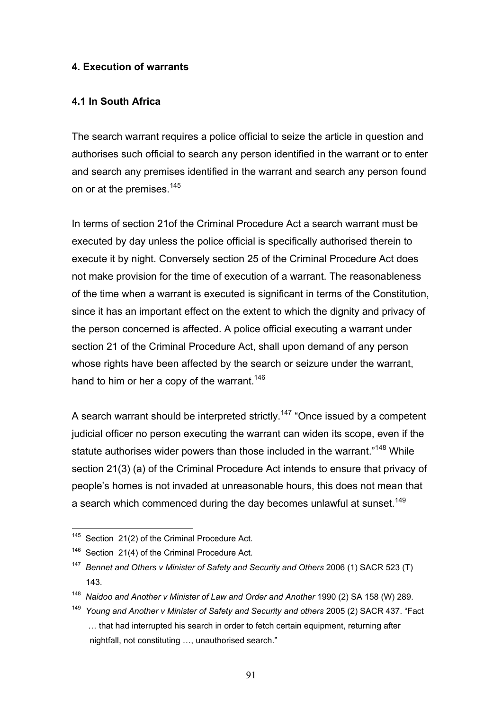### **4. Execution of warrants**

### **4.1 In South Africa**

The search warrant requires a police official to seize the article in question and authorises such official to search any person identified in the warrant or to enter and search any premises identified in the warrant and search any person found on or at the premises.<sup>145</sup>

In terms of section 21of the Criminal Procedure Act a search warrant must be executed by day unless the police official is specifically authorised therein to execute it by night. Conversely section 25 of the Criminal Procedure Act does not make provision for the time of execution of a warrant. The reasonableness of the time when a warrant is executed is significant in terms of the Constitution, since it has an important effect on the extent to which the dignity and privacy of the person concerned is affected. A police official executing a warrant under section 21 of the Criminal Procedure Act, shall upon demand of any person whose rights have been affected by the search or seizure under the warrant, hand to him or her a copy of the warrant.<sup>146</sup>

A search warrant should be interpreted strictly.<sup>147</sup> "Once issued by a competent judicial officer no person executing the warrant can widen its scope, even if the statute authorises wider powers than those included in the warrant."<sup>148</sup> While section 21(3) (a) of the Criminal Procedure Act intends to ensure that privacy of people's homes is not invaded at unreasonable hours, this does not mean that a search which commenced during the day becomes unlawful at sunset.<sup>149</sup>

 $\overline{a}$ 

<sup>148</sup> Naidoo and Another v Minister of Law and Order and Another 1990 (2) SA 158 (W) 289.

 $145$  Section 21(2) of the Criminal Procedure Act.

<sup>&</sup>lt;sup>146</sup> Section 21(4) of the Criminal Procedure Act.

<sup>&</sup>lt;sup>147</sup> Bennet and Others v Minister of Safety and Security and Others 2006 (1) SACR 523 (T) 143.

<sup>149</sup> *Young and Another v Minister of Safety and Security and others* 2005 (2) SACR 437. "Fact … that had interrupted his search in order to fetch certain equipment, returning after nightfall, not constituting …, unauthorised search."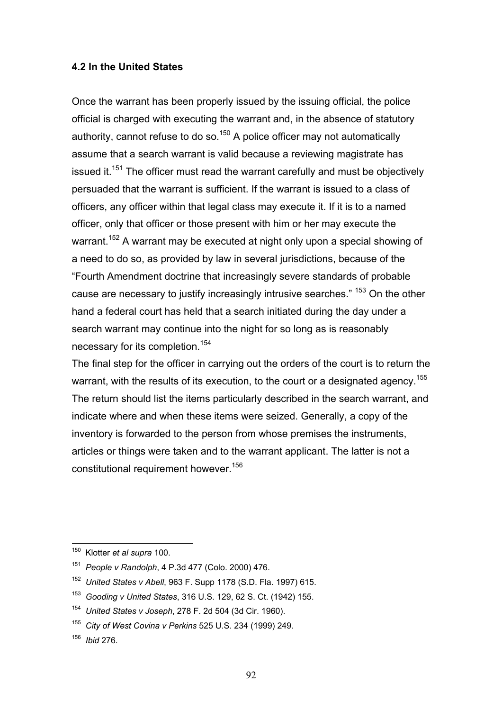### **4.2 In the United States**

Once the warrant has been properly issued by the issuing official, the police official is charged with executing the warrant and, in the absence of statutory authority, cannot refuse to do so.<sup>150</sup> A police officer may not automatically assume that a search warrant is valid because a reviewing magistrate has issued it.<sup>151</sup> The officer must read the warrant carefully and must be objectively persuaded that the warrant is sufficient. If the warrant is issued to a class of officers, any officer within that legal class may execute it. If it is to a named officer, only that officer or those present with him or her may execute the warrant.<sup>152</sup> A warrant may be executed at night only upon a special showing of a need to do so, as provided by law in several jurisdictions, because of the "Fourth Amendment doctrine that increasingly severe standards of probable cause are necessary to justify increasingly intrusive searches." <sup>153</sup> On the other hand a federal court has held that a search initiated during the day under a search warrant may continue into the night for so long as is reasonably necessary for its completion.<sup>154</sup>

The final step for the officer in carrying out the orders of the court is to return the warrant, with the results of its execution, to the court or a designated agency.<sup>155</sup> The return should list the items particularly described in the search warrant, and indicate where and when these items were seized. Generally, a copy of the inventory is forwarded to the person from whose premises the instruments, articles or things were taken and to the warrant applicant. The latter is not a constitutional requirement however.<sup>156</sup>

<sup>150</sup> Klotter *et al supra* 100.

<sup>151</sup> *People v Randolph*, 4 P.3d 477 (Colo. 2000) 476.

<sup>152</sup> *United States v Abell*, 963 F. Supp 1178 (S.D. Fla. 1997) 615.

<sup>153</sup> *Gooding v United States*, 316 U.S. 129, 62 S. Ct. (1942) 155.

<sup>154</sup> *United States v Joseph*, 278 F. 2d 504 (3d Cir. 1960).

<sup>155</sup> *City of West Covina v Perkins* 525 U.S. 234 (1999) 249.

<sup>156</sup> *Ibid* 276*.*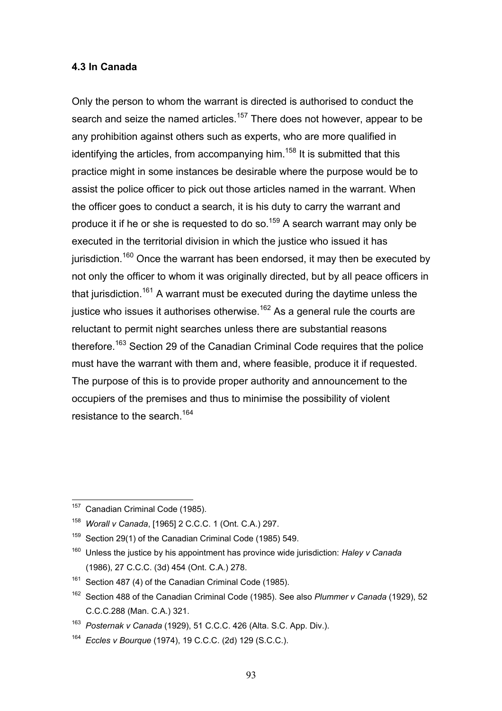### **4.3 In Canada**

Only the person to whom the warrant is directed is authorised to conduct the search and seize the named articles.<sup>157</sup> There does not however, appear to be any prohibition against others such as experts, who are more qualified in identifying the articles, from accompanying him.<sup>158</sup> It is submitted that this practice might in some instances be desirable where the purpose would be to assist the police officer to pick out those articles named in the warrant. When the officer goes to conduct a search, it is his duty to carry the warrant and produce it if he or she is requested to do so.<sup>159</sup> A search warrant may only be executed in the territorial division in which the justice who issued it has jurisdiction.<sup>160</sup> Once the warrant has been endorsed, it may then be executed by not only the officer to whom it was originally directed, but by all peace officers in that jurisdiction.<sup>161</sup> A warrant must be executed during the daytime unless the justice who issues it authorises otherwise.<sup>162</sup> As a general rule the courts are reluctant to permit night searches unless there are substantial reasons therefore.<sup>163</sup> Section 29 of the Canadian Criminal Code requires that the police must have the warrant with them and, where feasible, produce it if requested. The purpose of this is to provide proper authority and announcement to the occupiers of the premises and thus to minimise the possibility of violent resistance to the search.<sup>164</sup>

 $\overline{a}$ Canadian Criminal Code (1985).

<sup>158</sup> *Worall v Canada*, [1965] 2 C.C.C. 1 (Ont. C.A.) 297.

 $159$  Section 29(1) of the Canadian Criminal Code (1985) 549.

<sup>160</sup> Unless the justice by his appointment has province wide jurisdiction: *Haley v Canada* (1986), 27 C.C.C. (3d) 454 (Ont. C.A.) 278.

<sup>&</sup>lt;sup>161</sup> Section 487 (4) of the Canadian Criminal Code (1985).

<sup>162</sup> Section 488 of the Canadian Criminal Code (1985). See also *Plummer v Canada* (1929), 52 C.C.C.288 (Man. C.A.) 321.

<sup>163</sup> *Posternak v Canada* (1929), 51 C.C.C. 426 (Alta. S.C. App. Div.).

<sup>164</sup> *Eccles v Bourque* (1974), 19 C.C.C. (2d) 129 (S.C.C.).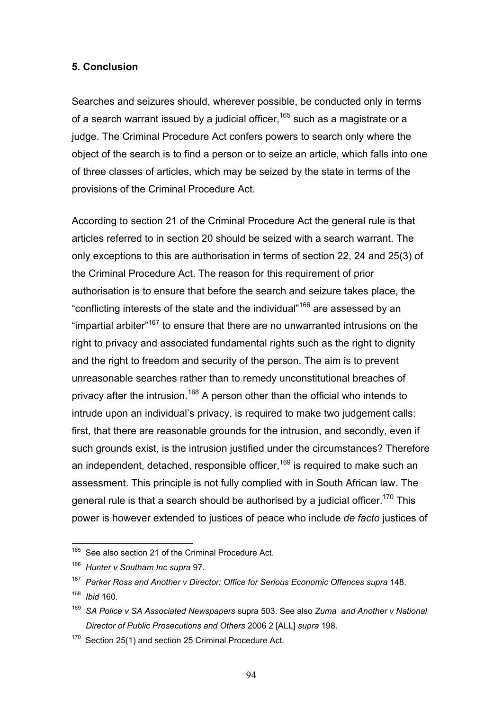#### **5. Conclusion**

Searches and seizures should, wherever possible, be conducted only in terms of a search warrant issued by a judicial officer,  $165$  such as a magistrate or a judge. The Criminal Procedure Act confers powers to search only where the object of the search is to find a person or to seize an article, which falls into one of three classes of articles, which may be seized by the state in terms of the provisions of the Criminal Procedure Act.

According to section 21 of the Criminal Procedure Act the general rule is that articles referred to in section 20 should be seized with a search warrant. The only exceptions to this are authorisation in terms of section 22, 24 and 25(3) of the Criminal Procedure Act. The reason for this requirement of prior authorisation is to ensure that before the search and seizure takes place, the "conflicting interests of the state and the individual"166 are assessed by an "impartial arbiter"167 to ensure that there are no unwarranted intrusions on the right to privacy and associated fundamental rights such as the right to dignity and the right to freedom and security of the person. The aim is to prevent unreasonable searches rather than to remedy unconstitutional breaches of privacy after the intrusion.<sup>168</sup> A person other than the official who intends to intrude upon an individual's privacy, is required to make two judgement calls: first, that there are reasonable grounds for the intrusion, and secondly, even if such grounds exist, is the intrusion justified under the circumstances? Therefore an independent, detached, responsible officer,  $169$  is required to make such an assessment. This principle is not fully complied with in South African law. The general rule is that a search should be authorised by a judicial officer.<sup>170</sup> This power is however extended to justices of peace who include *de facto* justices of

<sup>&</sup>lt;sup>165</sup> See also section 21 of the Criminal Procedure Act.

<sup>166</sup> *Hunter v Southam Inc supra* 97.

<sup>167</sup> *Parker Ross and Another v Director: Office for Serious Economic Offences supra* 148.

<sup>168</sup> *Ibid* 160*.* 

<sup>169</sup> *SA Police v SA Associated Newspapers* supra 503. See also *Zuma and Another v National Director of Public Prosecutions and Others* 2006 2 [ALL] *supra* 198.

<sup>&</sup>lt;sup>170</sup> Section 25(1) and section 25 Criminal Procedure Act.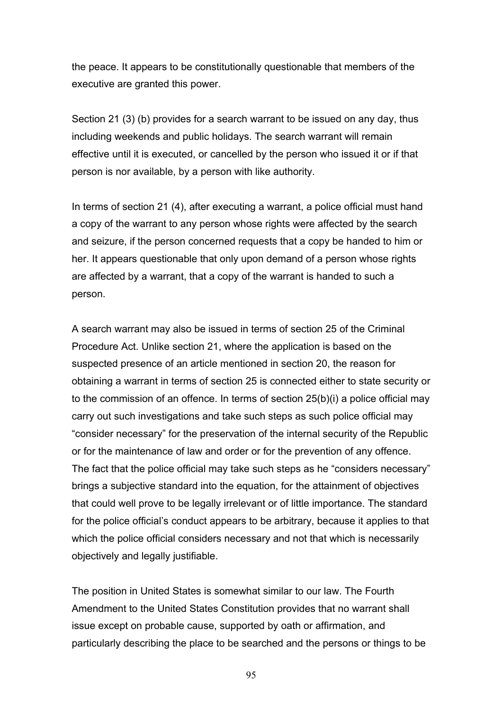the peace. It appears to be constitutionally questionable that members of the executive are granted this power.

Section 21 (3) (b) provides for a search warrant to be issued on any day, thus including weekends and public holidays. The search warrant will remain effective until it is executed, or cancelled by the person who issued it or if that person is nor available, by a person with like authority.

In terms of section 21 (4), after executing a warrant, a police official must hand a copy of the warrant to any person whose rights were affected by the search and seizure, if the person concerned requests that a copy be handed to him or her. It appears questionable that only upon demand of a person whose rights are affected by a warrant, that a copy of the warrant is handed to such a person.

A search warrant may also be issued in terms of section 25 of the Criminal Procedure Act. Unlike section 21, where the application is based on the suspected presence of an article mentioned in section 20, the reason for obtaining a warrant in terms of section 25 is connected either to state security or to the commission of an offence. In terms of section 25(b)(i) a police official may carry out such investigations and take such steps as such police official may "consider necessary" for the preservation of the internal security of the Republic or for the maintenance of law and order or for the prevention of any offence. The fact that the police official may take such steps as he "considers necessary" brings a subjective standard into the equation, for the attainment of objectives that could well prove to be legally irrelevant or of little importance. The standard for the police official's conduct appears to be arbitrary, because it applies to that which the police official considers necessary and not that which is necessarily objectively and legally justifiable.

The position in United States is somewhat similar to our law. The Fourth Amendment to the United States Constitution provides that no warrant shall issue except on probable cause, supported by oath or affirmation, and particularly describing the place to be searched and the persons or things to be

95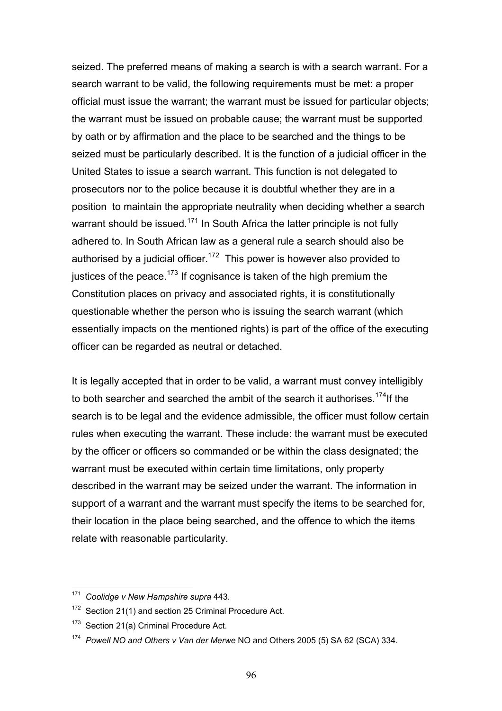seized. The preferred means of making a search is with a search warrant. For a search warrant to be valid, the following requirements must be met: a proper official must issue the warrant; the warrant must be issued for particular objects; the warrant must be issued on probable cause; the warrant must be supported by oath or by affirmation and the place to be searched and the things to be seized must be particularly described. It is the function of a judicial officer in the United States to issue a search warrant. This function is not delegated to prosecutors nor to the police because it is doubtful whether they are in a position to maintain the appropriate neutrality when deciding whether a search warrant should be issued.<sup>171</sup> In South Africa the latter principle is not fully adhered to. In South African law as a general rule a search should also be authorised by a judicial officer.<sup>172</sup> This power is however also provided to justices of the peace.<sup>173</sup> If cognisance is taken of the high premium the Constitution places on privacy and associated rights, it is constitutionally questionable whether the person who is issuing the search warrant (which essentially impacts on the mentioned rights) is part of the office of the executing officer can be regarded as neutral or detached.

It is legally accepted that in order to be valid, a warrant must convey intelligibly to both searcher and searched the ambit of the search it authorises.<sup>174</sup>If the search is to be legal and the evidence admissible, the officer must follow certain rules when executing the warrant. These include: the warrant must be executed by the officer or officers so commanded or be within the class designated; the warrant must be executed within certain time limitations, only property described in the warrant may be seized under the warrant. The information in support of a warrant and the warrant must specify the items to be searched for, their location in the place being searched, and the offence to which the items relate with reasonable particularity.

<sup>171</sup> *Coolidge v New Hampshire supra* 443.

<sup>&</sup>lt;sup>172</sup> Section 21(1) and section 25 Criminal Procedure Act.

<sup>&</sup>lt;sup>173</sup> Section 21(a) Criminal Procedure Act.

<sup>174</sup> *Powell NO and Others v Van der Merwe* NO and Others 2005 (5) SA 62 (SCA) 334.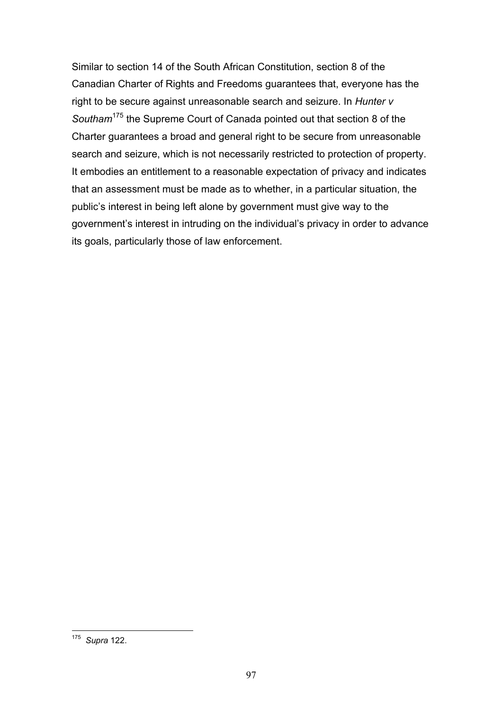Similar to section 14 of the South African Constitution, section 8 of the Canadian Charter of Rights and Freedoms guarantees that, everyone has the right to be secure against unreasonable search and seizure. In *Hunter v Southam*175 the Supreme Court of Canada pointed out that section 8 of the Charter guarantees a broad and general right to be secure from unreasonable search and seizure, which is not necessarily restricted to protection of property. It embodies an entitlement to a reasonable expectation of privacy and indicates that an assessment must be made as to whether, in a particular situation, the public's interest in being left alone by government must give way to the government's interest in intruding on the individual's privacy in order to advance its goals, particularly those of law enforcement.

 $\overline{a}$ 175 *Supra* 122.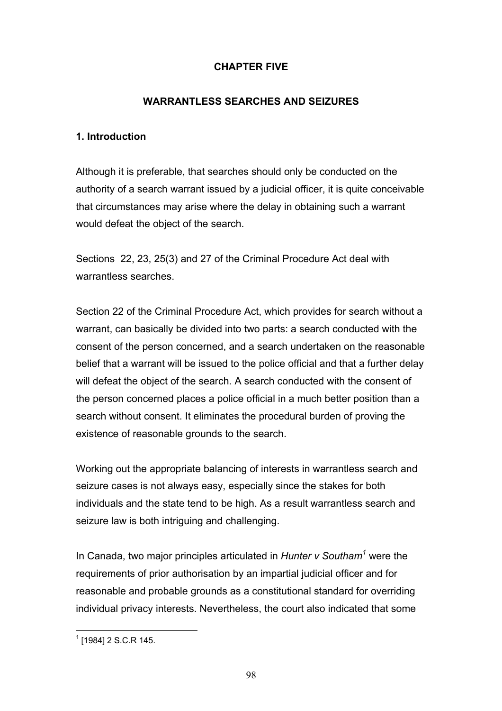# **CHAPTER FIVE**

# **WARRANTLESS SEARCHES AND SEIZURES**

## **1. Introduction**

Although it is preferable, that searches should only be conducted on the authority of a search warrant issued by a judicial officer, it is quite conceivable that circumstances may arise where the delay in obtaining such a warrant would defeat the object of the search.

Sections 22, 23, 25(3) and 27 of the Criminal Procedure Act deal with warrantless searches.

Section 22 of the Criminal Procedure Act, which provides for search without a warrant, can basically be divided into two parts: a search conducted with the consent of the person concerned, and a search undertaken on the reasonable belief that a warrant will be issued to the police official and that a further delay will defeat the object of the search. A search conducted with the consent of the person concerned places a police official in a much better position than a search without consent. It eliminates the procedural burden of proving the existence of reasonable grounds to the search.

Working out the appropriate balancing of interests in warrantless search and seizure cases is not always easy, especially since the stakes for both individuals and the state tend to be high. As a result warrantless search and seizure law is both intriguing and challenging.

In Canada, two major principles articulated in *Hunter v Southam<sup>1</sup>* were the requirements of prior authorisation by an impartial judicial officer and for reasonable and probable grounds as a constitutional standard for overriding individual privacy interests. Nevertheless, the court also indicated that some

<sup>1</sup> [1984] 2 S.C.R 145.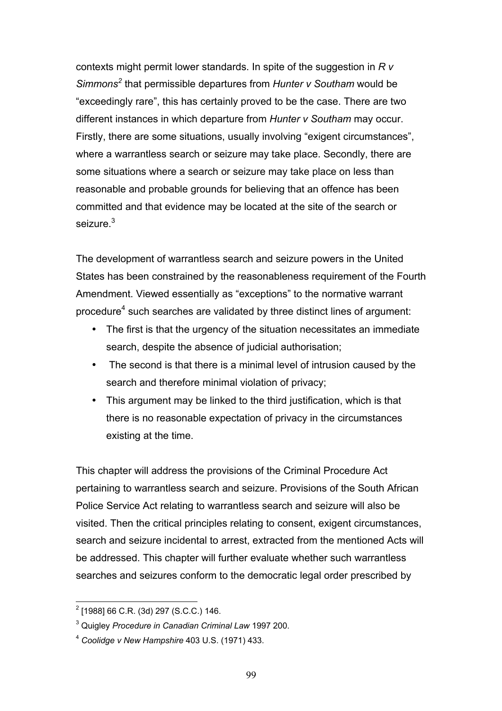contexts might permit lower standards. In spite of the suggestion in *R v Simmons<sup>2</sup>* that permissible departures from *Hunter v Southam* would be "exceedingly rare", this has certainly proved to be the case. There are two different instances in which departure from *Hunter v Southam* may occur. Firstly, there are some situations, usually involving "exigent circumstances", where a warrantless search or seizure may take place. Secondly, there are some situations where a search or seizure may take place on less than reasonable and probable grounds for believing that an offence has been committed and that evidence may be located at the site of the search or seizure.<sup>3</sup>

The development of warrantless search and seizure powers in the United States has been constrained by the reasonableness requirement of the Fourth Amendment. Viewed essentially as "exceptions" to the normative warrant procedure<sup>4</sup> such searches are validated by three distinct lines of argument:

- The first is that the urgency of the situation necessitates an immediate search, despite the absence of judicial authorisation;
- The second is that there is a minimal level of intrusion caused by the search and therefore minimal violation of privacy;
- This argument may be linked to the third justification, which is that there is no reasonable expectation of privacy in the circumstances existing at the time.

This chapter will address the provisions of the Criminal Procedure Act pertaining to warrantless search and seizure. Provisions of the South African Police Service Act relating to warrantless search and seizure will also be visited. Then the critical principles relating to consent, exigent circumstances, search and seizure incidental to arrest, extracted from the mentioned Acts will be addressed. This chapter will further evaluate whether such warrantless searches and seizures conform to the democratic legal order prescribed by

 2 [1988] 66 C.R. (3d) 297 (S.C.C.) 146.

<sup>3</sup> Quigley *Procedure in Canadian Criminal Law* 1997 200.

<sup>4</sup> *Coolidge v New Hampshire* 403 U.S. (1971) 433.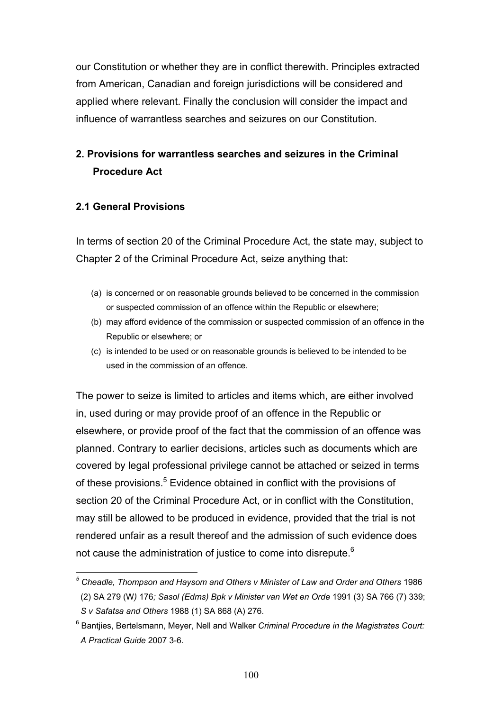our Constitution or whether they are in conflict therewith. Principles extracted from American, Canadian and foreign jurisdictions will be considered and applied where relevant. Finally the conclusion will consider the impact and influence of warrantless searches and seizures on our Constitution.

# **2. Provisions for warrantless searches and seizures in the Criminal Procedure Act**

## **2.1 General Provisions**

In terms of section 20 of the Criminal Procedure Act, the state may, subject to Chapter 2 of the Criminal Procedure Act, seize anything that:

- (a) is concerned or on reasonable grounds believed to be concerned in the commission or suspected commission of an offence within the Republic or elsewhere;
- (b) may afford evidence of the commission or suspected commission of an offence in the Republic or elsewhere; or
- (c) is intended to be used or on reasonable grounds is believed to be intended to be used in the commission of an offence.

The power to seize is limited to articles and items which, are either involved in, used during or may provide proof of an offence in the Republic or elsewhere, or provide proof of the fact that the commission of an offence was planned. Contrary to earlier decisions, articles such as documents which are covered by legal professional privilege cannot be attached or seized in terms of these provisions.<sup>5</sup> Evidence obtained in conflict with the provisions of section 20 of the Criminal Procedure Act, or in conflict with the Constitution, may still be allowed to be produced in evidence, provided that the trial is not rendered unfair as a result thereof and the admission of such evidence does not cause the administration of justice to come into disrepute.<sup>6</sup>

 $\overline{a}$ <sup>5</sup> Cheadle, Thompson and Haysom and Others v Minister of Law and Order and Others 1986 (2) SA 279 (W*)* 176*; Sasol (Edms) Bpk v Minister van Wet en Orde* 1991 (3) SA 766 (7) 339; *S v Safatsa and Others* 1988 (1) SA 868 (A) 276.

<sup>6</sup> Bantjies, Bertelsmann, Meyer, Nell and Walker *Criminal Procedure in the Magistrates Court: A Practical Guide* 2007 3-6.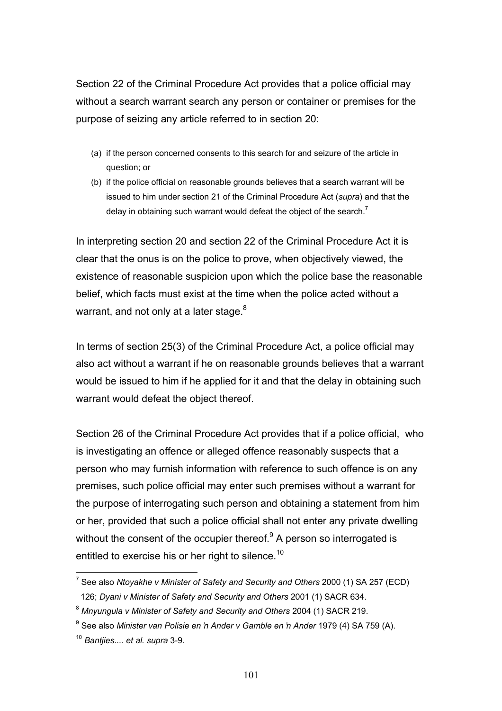Section 22 of the Criminal Procedure Act provides that a police official may without a search warrant search any person or container or premises for the purpose of seizing any article referred to in section 20:

- (a) if the person concerned consents to this search for and seizure of the article in question; or
- (b) if the police official on reasonable grounds believes that a search warrant will be issued to him under section 21 of the Criminal Procedure Act (*supra*) and that the delay in obtaining such warrant would defeat the object of the search.<sup>7</sup>

In interpreting section 20 and section 22 of the Criminal Procedure Act it is clear that the onus is on the police to prove, when objectively viewed, the existence of reasonable suspicion upon which the police base the reasonable belief, which facts must exist at the time when the police acted without a warrant, and not only at a later stage. $8<sup>8</sup>$ 

In terms of section 25(3) of the Criminal Procedure Act, a police official may also act without a warrant if he on reasonable grounds believes that a warrant would be issued to him if he applied for it and that the delay in obtaining such warrant would defeat the object thereof.

Section 26 of the Criminal Procedure Act provides that if a police official, who is investigating an offence or alleged offence reasonably suspects that a person who may furnish information with reference to such offence is on any premises, such police official may enter such premises without a warrant for the purpose of interrogating such person and obtaining a statement from him or her, provided that such a police official shall not enter any private dwelling without the consent of the occupier thereof.<sup>9</sup> A person so interrogated is entitled to exercise his or her right to silence.<sup>10</sup>

 7 See also *Ntoyakhe v Minister of Safety and Security and Others* 2000 (1) SA 257 (ECD) 126; *Dyani v Minister of Safety and Security and Others* 2001 (1) SACR 634.

<sup>8</sup> *Mnyungula v Minister of Safety and Security and Others* 2004 (1) SACR 219.

<sup>9</sup> See also *Minister van Polisie en 'n Ander v Gamble en 'n Ander* 1979 (4) SA 759 (A).

<sup>10</sup> *Bantjies.... et al. supra* 3-9.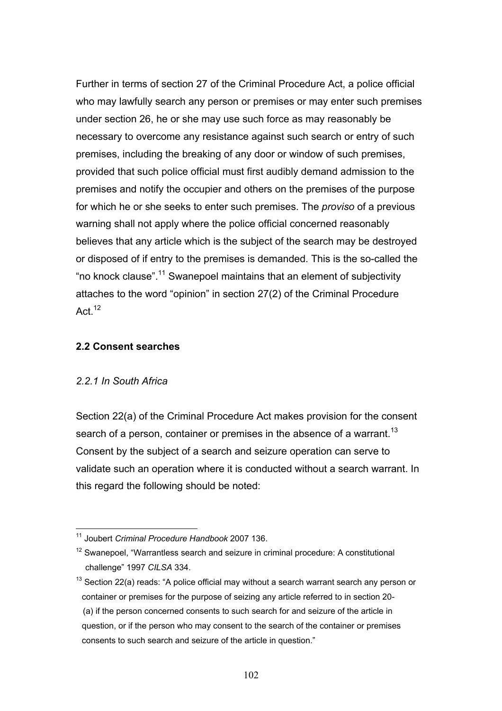Further in terms of section 27 of the Criminal Procedure Act, a police official who may lawfully search any person or premises or may enter such premises under section 26, he or she may use such force as may reasonably be necessary to overcome any resistance against such search or entry of such premises, including the breaking of any door or window of such premises, provided that such police official must first audibly demand admission to the premises and notify the occupier and others on the premises of the purpose for which he or she seeks to enter such premises. The *proviso* of a previous warning shall not apply where the police official concerned reasonably believes that any article which is the subject of the search may be destroyed or disposed of if entry to the premises is demanded. This is the so-called the "no knock clause".11 Swanepoel maintains that an element of subjectivity attaches to the word "opinion" in section 27(2) of the Criminal Procedure Act $12$ 

### **2.2 Consent searches**

### *2.2.1 In South Africa*

Section 22(a) of the Criminal Procedure Act makes provision for the consent search of a person, container or premises in the absence of a warrant.<sup>13</sup> Consent by the subject of a search and seizure operation can serve to validate such an operation where it is conducted without a search warrant. In this regard the following should be noted:

 $\overline{a}$ 11 Joubert *Criminal Procedure Handbook* 2007 136.

<sup>&</sup>lt;sup>12</sup> Swanepoel, "Warrantless search and seizure in criminal procedure: A constitutional challenge" 1997 *CILSA* 334.

 $13$  Section 22(a) reads: "A police official may without a search warrant search any person or container or premises for the purpose of seizing any article referred to in section 20- (a) if the person concerned consents to such search for and seizure of the article in question, or if the person who may consent to the search of the container or premises consents to such search and seizure of the article in question."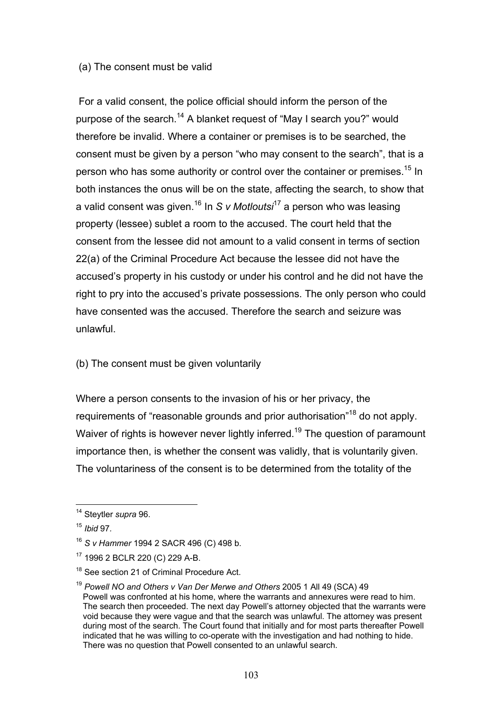#### (a) The consent must be valid

 For a valid consent, the police official should inform the person of the purpose of the search.<sup>14</sup> A blanket request of "May I search you?" would therefore be invalid. Where a container or premises is to be searched, the consent must be given by a person "who may consent to the search", that is a person who has some authority or control over the container or premises.<sup>15</sup> In both instances the onus will be on the state, affecting the search, to show that a valid consent was given.16 In *S v Motloutsi*17 a person who was leasing property (lessee) sublet a room to the accused. The court held that the consent from the lessee did not amount to a valid consent in terms of section 22(a) of the Criminal Procedure Act because the lessee did not have the accused's property in his custody or under his control and he did not have the right to pry into the accused's private possessions. The only person who could have consented was the accused. Therefore the search and seizure was unlawful.

### (b) The consent must be given voluntarily

Where a person consents to the invasion of his or her privacy, the requirements of "reasonable grounds and prior authorisation"<sup>18</sup> do not apply. Waiver of rights is however never lightly inferred.<sup>19</sup> The question of paramount importance then, is whether the consent was validly, that is voluntarily given. The voluntariness of the consent is to be determined from the totality of the

<sup>14</sup> Steytler *supra* 96.

<sup>15</sup> *Ibid* 97*.*

<sup>16</sup> *S v Hammer* 1994 2 SACR 496 (C) 498 b.

<sup>17 1996 2</sup> BCLR 220 (C) 229 A-B.

<sup>&</sup>lt;sup>18</sup> See section 21 of Criminal Procedure Act.

<sup>19</sup> *Powell NO and Others v Van Der Merwe and Others* 2005 1 All 49 (SCA) 49 Powell was confronted at his home, where the warrants and annexures were read to him. The search then proceeded. The next day Powell's attorney objected that the warrants were void because they were vague and that the search was unlawful. The attorney was present during most of the search. The Court found that initially and for most parts thereafter Powell indicated that he was willing to co-operate with the investigation and had nothing to hide. There was no question that Powell consented to an unlawful search.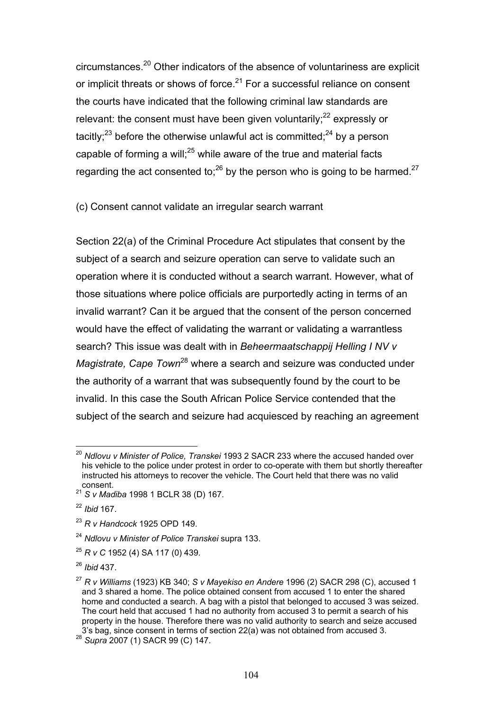circumstances.20 Other indicators of the absence of voluntariness are explicit or implicit threats or shows of force.<sup>21</sup> For a successful reliance on consent the courts have indicated that the following criminal law standards are relevant: the consent must have been given voluntarily; $^{22}$  expressly or tacitly;<sup>23</sup> before the otherwise unlawful act is committed;<sup>24</sup> by a person capable of forming a will; $^{25}$  while aware of the true and material facts regarding the act consented to: $^{26}$  by the person who is going to be harmed.<sup>27</sup>

(c) Consent cannot validate an irregular search warrant

Section 22(a) of the Criminal Procedure Act stipulates that consent by the subject of a search and seizure operation can serve to validate such an operation where it is conducted without a search warrant. However, what of those situations where police officials are purportedly acting in terms of an invalid warrant? Can it be argued that the consent of the person concerned would have the effect of validating the warrant or validating a warrantless search? This issue was dealt with in *Beheermaatschappij Helling I NV v Magistrate, Cape Town*28 where a search and seizure was conducted under the authority of a warrant that was subsequently found by the court to be invalid. In this case the South African Police Service contended that the subject of the search and seizure had acquiesced by reaching an agreement

 $\overline{a}$ <sup>20</sup> Ndlovu v Minister of Police, Transkei 1993 2 SACR 233 where the accused handed over his vehicle to the police under protest in order to co-operate with them but shortly thereafter instructed his attorneys to recover the vehicle. The Court held that there was no valid consent.

<sup>21</sup> *S v Madiba* 1998 1 BCLR 38 (D) 167.

<sup>22</sup> *Ibid* 167.

<sup>23</sup> *R v Handcock* 1925 OPD 149.

<sup>24</sup> *Ndlovu v Minister of Police Transkei* supra 133.

<sup>25</sup> *R v C* 1952 (4) SA 117 (0) 439.

<sup>26</sup> *Ibid* 437.

<sup>27</sup> *R v Williams* (1923) KB 340; *S v Mayekiso en Andere* 1996 (2) SACR 298 (C), accused 1 and 3 shared a home. The police obtained consent from accused 1 to enter the shared home and conducted a search. A bag with a pistol that belonged to accused 3 was seized. The court held that accused 1 had no authority from accused 3 to permit a search of his property in the house. Therefore there was no valid authority to search and seize accused 3's bag, since consent in terms of section 22(a) was not obtained from accused 3. 28 *Supra* 2007 (1) SACR 99 (C) 147.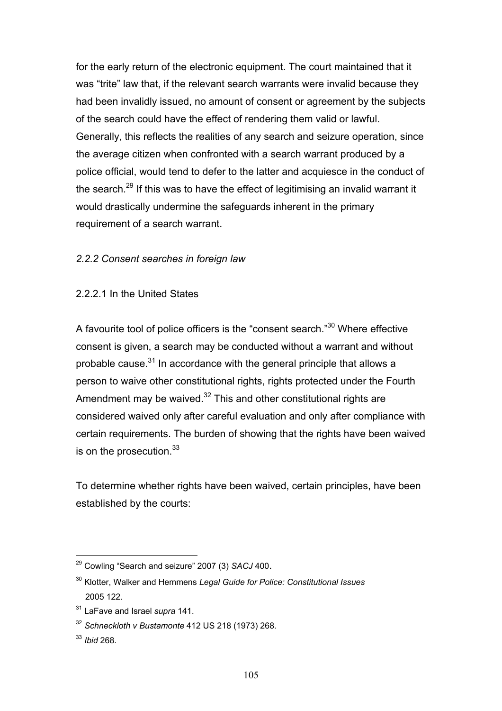for the early return of the electronic equipment. The court maintained that it was "trite" law that, if the relevant search warrants were invalid because they had been invalidly issued, no amount of consent or agreement by the subjects of the search could have the effect of rendering them valid or lawful. Generally, this reflects the realities of any search and seizure operation, since the average citizen when confronted with a search warrant produced by a police official, would tend to defer to the latter and acquiesce in the conduct of the search.<sup>29</sup> If this was to have the effect of legitimising an invalid warrant it would drastically undermine the safeguards inherent in the primary requirement of a search warrant.

# *2.2.2 Consent searches in foreign law*

2.2.2.1 In the United States

A favourite tool of police officers is the "consent search."30 Where effective consent is given, a search may be conducted without a warrant and without probable cause. $31$  In accordance with the general principle that allows a person to waive other constitutional rights, rights protected under the Fourth Amendment may be waived.<sup>32</sup> This and other constitutional rights are considered waived only after careful evaluation and only after compliance with certain requirements. The burden of showing that the rights have been waived is on the prosecution.<sup>33</sup>

To determine whether rights have been waived, certain principles, have been established by the courts:

<sup>29</sup> Cowling "Search and seizure" 2007 (3) *SACJ* 400.

<sup>30</sup> Klotter, Walker and Hemmens *Legal Guide for Police: Constitutional Issues* 2005 122.

<sup>31</sup> LaFave and Israel *supra* 141.

<sup>32</sup> *Schneckloth v Bustamonte* 412 US 218 (1973) 268.

<sup>33</sup> *Ibid* 268.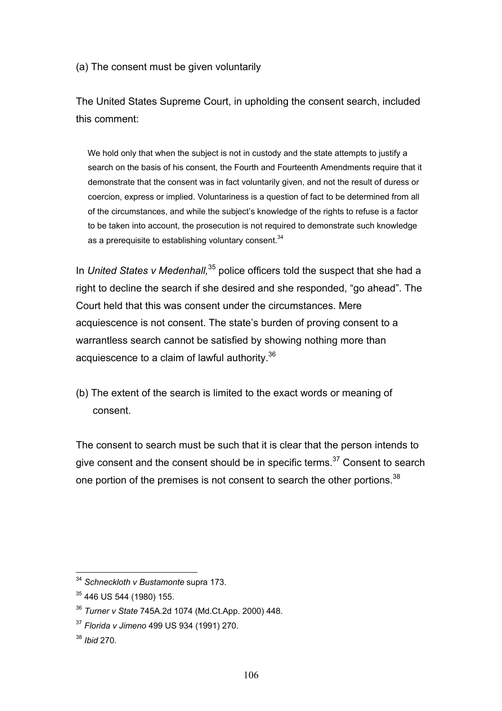(a) The consent must be given voluntarily

The United States Supreme Court, in upholding the consent search, included this comment:

We hold only that when the subject is not in custody and the state attempts to justify a search on the basis of his consent, the Fourth and Fourteenth Amendments require that it demonstrate that the consent was in fact voluntarily given, and not the result of duress or coercion, express or implied. Voluntariness is a question of fact to be determined from all of the circumstances, and while the subject's knowledge of the rights to refuse is a factor to be taken into account, the prosecution is not required to demonstrate such knowledge as a prerequisite to establishing voluntary consent.<sup>34</sup>

In *United States v Medenhall*,<sup>35</sup> police officers told the suspect that she had a right to decline the search if she desired and she responded, "go ahead". The Court held that this was consent under the circumstances. Mere acquiescence is not consent. The state's burden of proving consent to a warrantless search cannot be satisfied by showing nothing more than acquiescence to a claim of lawful authority.<sup>36</sup>

(b) The extent of the search is limited to the exact words or meaning of consent.

The consent to search must be such that it is clear that the person intends to give consent and the consent should be in specific terms. $37$  Consent to search one portion of the premises is not consent to search the other portions.<sup>38</sup>

<sup>34</sup> *Schneckloth v Bustamonte* supra 173.

<sup>35 446</sup> US 544 (1980) 155.

<sup>36</sup> *Turner v State* 745A.2d 1074 (Md.Ct.App. 2000) 448.

<sup>37</sup> *Florida v Jimeno* 499 US 934 (1991) 270.

<sup>38</sup> *Ibid* 270*.*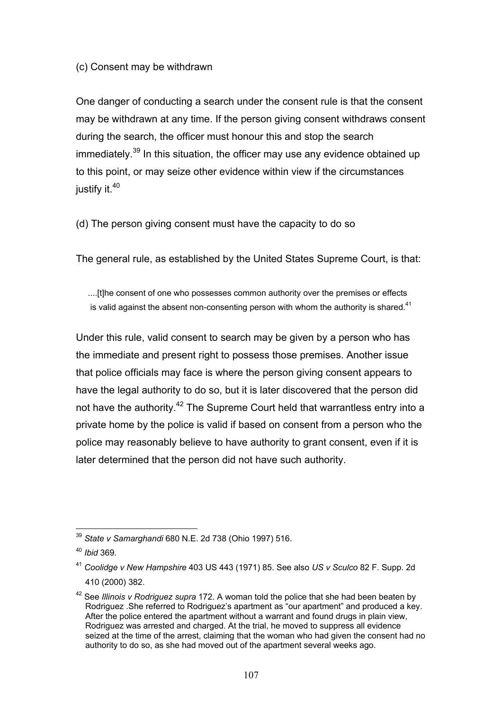(c) Consent may be withdrawn

One danger of conducting a search under the consent rule is that the consent may be withdrawn at any time. If the person giving consent withdraws consent during the search, the officer must honour this and stop the search immediately.<sup>39</sup> In this situation, the officer may use any evidence obtained up to this point, or may seize other evidence within view if the circumstances justify it.<sup>40</sup>

(d) The person giving consent must have the capacity to do so

The general rule, as established by the United States Supreme Court, is that:

....[t]he consent of one who possesses common authority over the premises or effects is valid against the absent non-consenting person with whom the authority is shared. $41$ 

Under this rule, valid consent to search may be given by a person who has the immediate and present right to possess those premises. Another issue that police officials may face is where the person giving consent appears to have the legal authority to do so, but it is later discovered that the person did not have the authority.<sup>42</sup> The Supreme Court held that warrantless entry into a private home by the police is valid if based on consent from a person who the police may reasonably believe to have authority to grant consent, even if it is later determined that the person did not have such authority.

 $\overline{a}$ <sup>39</sup> *State v Samarghandi* 680 N.E. 2d 738 (Ohio 1997) 516.

<sup>40</sup> *Ibid* 369*.* 

<sup>41</sup> *Coolidge v New Hampshire* 403 US 443 (1971) 85. See also *US v Sculco* 82 F. Supp. 2d 410 (2000) 382.

<sup>42</sup> See *Illinois v Rodriguez supra* 172. A woman told the police that she had been beaten by Rodriguez .She referred to Rodriguez's apartment as "our apartment" and produced a key. After the police entered the apartment without a warrant and found drugs in plain view, Rodriguez was arrested and charged. At the trial, he moved to suppress all evidence seized at the time of the arrest, claiming that the woman who had given the consent had no authority to do so, as she had moved out of the apartment several weeks ago.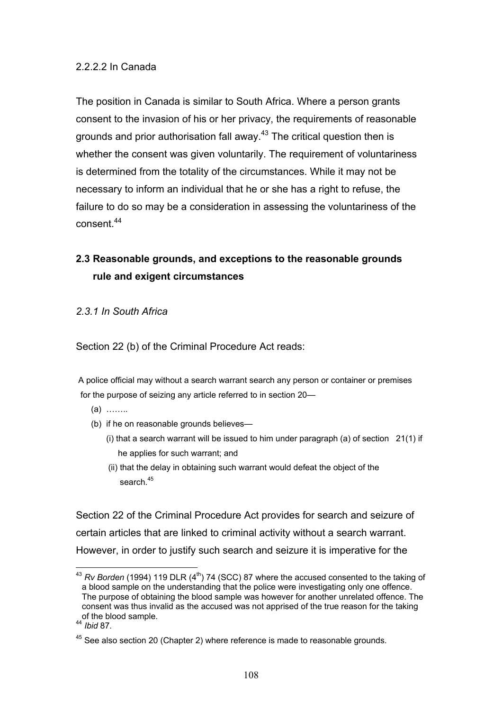## 2.2.2.2 In Canada

The position in Canada is similar to South Africa. Where a person grants consent to the invasion of his or her privacy, the requirements of reasonable grounds and prior authorisation fall away.<sup>43</sup> The critical question then is whether the consent was given voluntarily. The requirement of voluntariness is determined from the totality of the circumstances. While it may not be necessary to inform an individual that he or she has a right to refuse, the failure to do so may be a consideration in assessing the voluntariness of the consent.<sup>44</sup>

# **2.3 Reasonable grounds, and exceptions to the reasonable grounds rule and exigent circumstances**

### *2.3.1 In South Africa*

Section 22 (b) of the Criminal Procedure Act reads:

 A police official may without a search warrant search any person or container or premises for the purpose of seizing any article referred to in section 20—

- (a) ……..
- (b) if he on reasonable grounds believes—
	- (i) that a search warrant will be issued to him under paragraph (a) of section 21(1) if he applies for such warrant; and
	- (ii) that the delay in obtaining such warrant would defeat the object of the search $45$

Section 22 of the Criminal Procedure Act provides for search and seizure of certain articles that are linked to criminal activity without a search warrant. However, in order to justify such search and seizure it is imperative for the

 $\overline{a}$ <sup>43</sup> *Rv Borden* (1994) 119 DLR (4<sup>th</sup>) 74 (SCC) 87 where the accused consented to the taking of a blood sample on the understanding that the police were investigating only one offence. The purpose of obtaining the blood sample was however for another unrelated offence. The consent was thus invalid as the accused was not apprised of the true reason for the taking of the blood sample. 44 *Ibid* 87*.*

<sup>&</sup>lt;sup>45</sup> See also section 20 (Chapter 2) where reference is made to reasonable grounds.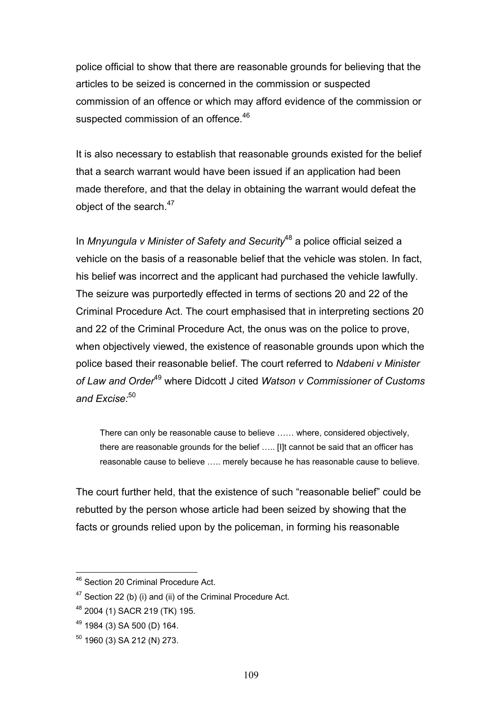police official to show that there are reasonable grounds for believing that the articles to be seized is concerned in the commission or suspected commission of an offence or which may afford evidence of the commission or suspected commission of an offence.<sup>46</sup>

It is also necessary to establish that reasonable grounds existed for the belief that a search warrant would have been issued if an application had been made therefore, and that the delay in obtaining the warrant would defeat the object of the search.<sup>47</sup>

In *Mnyungula v Minister of Safety and Security*48 a police official seized a vehicle on the basis of a reasonable belief that the vehicle was stolen. In fact, his belief was incorrect and the applicant had purchased the vehicle lawfully. The seizure was purportedly effected in terms of sections 20 and 22 of the Criminal Procedure Act. The court emphasised that in interpreting sections 20 and 22 of the Criminal Procedure Act, the onus was on the police to prove, when objectively viewed, the existence of reasonable grounds upon which the police based their reasonable belief. The court referred to *Ndabeni v Minister of Law and Order*49 where Didcott J cited *Watson v Commissioner of Customs and Excise:*<sup>50</sup>

There can only be reasonable cause to believe …… where, considered objectively, there are reasonable grounds for the belief ….. [I]t cannot be said that an officer has reasonable cause to believe ….. merely because he has reasonable cause to believe.

The court further held, that the existence of such "reasonable belief" could be rebutted by the person whose article had been seized by showing that the facts or grounds relied upon by the policeman, in forming his reasonable

<sup>&</sup>lt;sup>46</sup> Section 20 Criminal Procedure Act.

 $47$  Section 22 (b) (i) and (ii) of the Criminal Procedure Act.

<sup>48 2004 (1)</sup> SACR 219 (TK) 195.

<sup>49 1984 (3)</sup> SA 500 (D) 164.

 $50$  1960 (3) SA 212 (N) 273.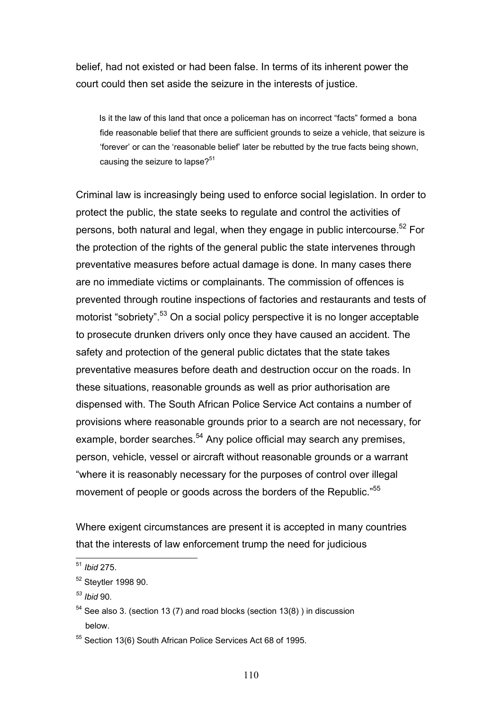belief, had not existed or had been false. In terms of its inherent power the court could then set aside the seizure in the interests of justice.

 Is it the law of this land that once a policeman has on incorrect "facts" formed a bona fide reasonable belief that there are sufficient grounds to seize a vehicle, that seizure is 'forever' or can the 'reasonable belief' later be rebutted by the true facts being shown, causing the seizure to lapse? $51$ 

Criminal law is increasingly being used to enforce social legislation. In order to protect the public, the state seeks to regulate and control the activities of persons, both natural and legal, when they engage in public intercourse.<sup>52</sup> For the protection of the rights of the general public the state intervenes through preventative measures before actual damage is done. In many cases there are no immediate victims or complainants. The commission of offences is prevented through routine inspections of factories and restaurants and tests of motorist "sobriety".<sup>53</sup> On a social policy perspective it is no longer acceptable to prosecute drunken drivers only once they have caused an accident. The safety and protection of the general public dictates that the state takes preventative measures before death and destruction occur on the roads. In these situations, reasonable grounds as well as prior authorisation are dispensed with. The South African Police Service Act contains a number of provisions where reasonable grounds prior to a search are not necessary, for example, border searches.<sup>54</sup> Any police official may search any premises, person, vehicle, vessel or aircraft without reasonable grounds or a warrant "where it is reasonably necessary for the purposes of control over illegal movement of people or goods across the borders of the Republic."<sup>55</sup>

Where exigent circumstances are present it is accepted in many countries that the interests of law enforcement trump the need for judicious

<sup>51</sup> *Ibid* 275.

<sup>52</sup> Steytler 1998 90.

*<sup>53</sup> Ibid* 90*.* 

 $54$  See also 3. (section 13 (7) and road blocks (section 13(8)) in discussion below.

<sup>55</sup> Section 13(6) South African Police Services Act 68 of 1995.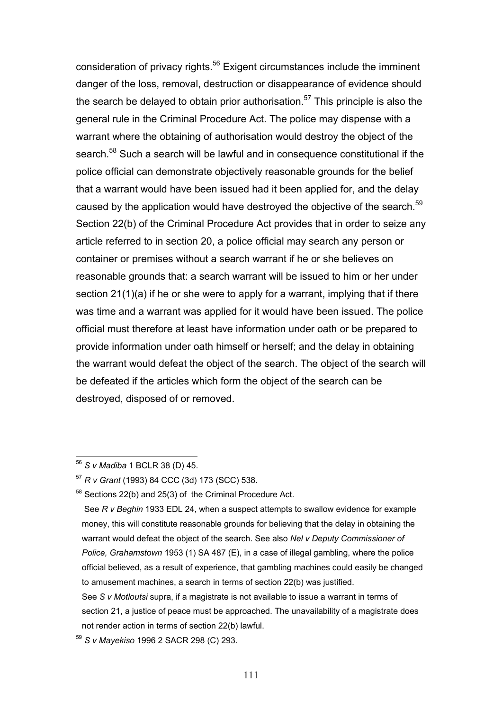consideration of privacy rights.<sup>56</sup> Exigent circumstances include the imminent danger of the loss, removal, destruction or disappearance of evidence should the search be delayed to obtain prior authorisation.<sup>57</sup> This principle is also the general rule in the Criminal Procedure Act. The police may dispense with a warrant where the obtaining of authorisation would destroy the object of the search.<sup>58</sup> Such a search will be lawful and in consequence constitutional if the police official can demonstrate objectively reasonable grounds for the belief that a warrant would have been issued had it been applied for, and the delay caused by the application would have destroyed the objective of the search.<sup>59</sup> Section 22(b) of the Criminal Procedure Act provides that in order to seize any article referred to in section 20, a police official may search any person or container or premises without a search warrant if he or she believes on reasonable grounds that: a search warrant will be issued to him or her under section 21(1)(a) if he or she were to apply for a warrant, implying that if there was time and a warrant was applied for it would have been issued. The police official must therefore at least have information under oath or be prepared to provide information under oath himself or herself; and the delay in obtaining the warrant would defeat the object of the search. The object of the search will be defeated if the articles which form the object of the search can be destroyed, disposed of or removed.

<sup>56</sup> *S v Madiba* 1 BCLR 38 (D) 45.

<sup>57</sup> *R v Grant* (1993) 84 CCC (3d) 173 (SCC) 538.

<sup>58</sup> Sections 22(b) and 25(3) of the Criminal Procedure Act.

See *R v Beghin* 1933 EDL 24, when a suspect attempts to swallow evidence for example money, this will constitute reasonable grounds for believing that the delay in obtaining the warrant would defeat the object of the search. See also *Nel v Deputy Commissioner of Police, Grahamstown* 1953 (1) SA 487 (E), in a case of illegal gambling, where the police official believed, as a result of experience, that gambling machines could easily be changed to amusement machines, a search in terms of section 22(b) was justified.

See *S v Motloutsi* supra, if a magistrate is not available to issue a warrant in terms of section 21, a justice of peace must be approached. The unavailability of a magistrate does not render action in terms of section 22(b) lawful.

<sup>59</sup> *S v Mayekiso* 1996 2 SACR 298 (C) 293.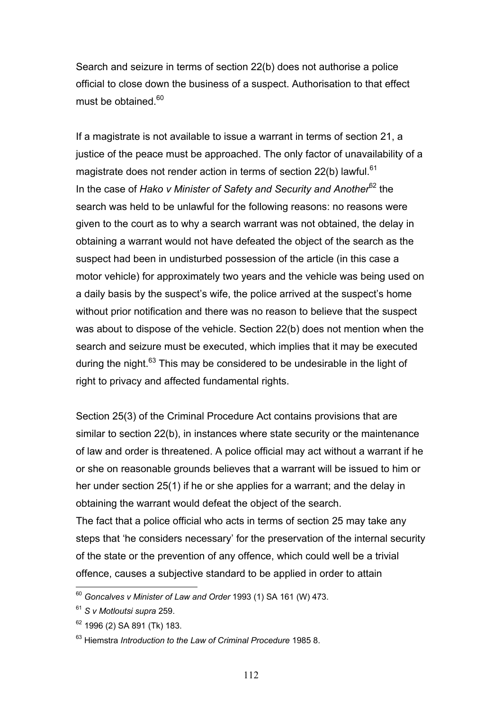Search and seizure in terms of section 22(b) does not authorise a police official to close down the business of a suspect. Authorisation to that effect must be obtained.<sup>60</sup>

If a magistrate is not available to issue a warrant in terms of section 21, a justice of the peace must be approached. The only factor of unavailability of a magistrate does not render action in terms of section  $22(b)$  lawful.<sup>61</sup> In the case of *Hako v Minister of Safety and Security and Another*62 the search was held to be unlawful for the following reasons: no reasons were given to the court as to why a search warrant was not obtained, the delay in obtaining a warrant would not have defeated the object of the search as the suspect had been in undisturbed possession of the article (in this case a motor vehicle) for approximately two years and the vehicle was being used on a daily basis by the suspect's wife, the police arrived at the suspect's home without prior notification and there was no reason to believe that the suspect was about to dispose of the vehicle. Section 22(b) does not mention when the search and seizure must be executed, which implies that it may be executed during the night.<sup>63</sup> This may be considered to be undesirable in the light of right to privacy and affected fundamental rights.

Section 25(3) of the Criminal Procedure Act contains provisions that are similar to section 22(b), in instances where state security or the maintenance of law and order is threatened. A police official may act without a warrant if he or she on reasonable grounds believes that a warrant will be issued to him or her under section 25(1) if he or she applies for a warrant; and the delay in obtaining the warrant would defeat the object of the search.

The fact that a police official who acts in terms of section 25 may take any steps that 'he considers necessary' for the preservation of the internal security of the state or the prevention of any offence, which could well be a trivial offence, causes a subjective standard to be applied in order to attain

<sup>60</sup> *Goncalves v Minister of Law and Order* 1993 (1) SA 161 (W) 473.

<sup>61</sup> *S v Motloutsi supra* 259.

<sup>62 1996 (2)</sup> SA 891 (Tk) 183.

<sup>63</sup> Hiemstra *Introduction to the Law of Criminal Procedure* 1985 8.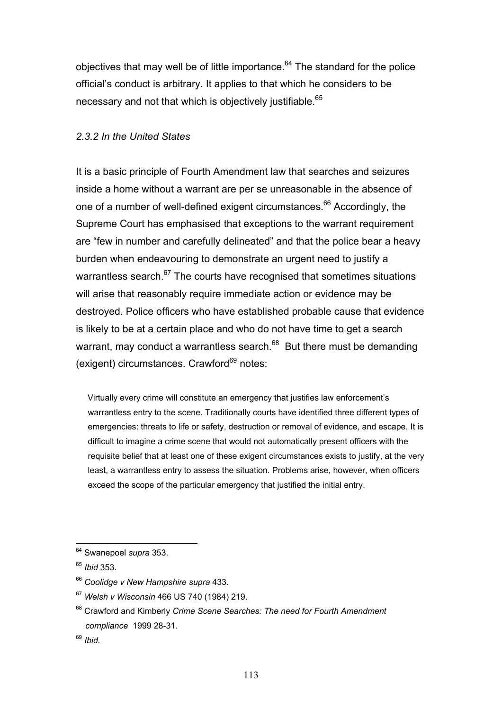objectives that may well be of little importance.<sup>64</sup> The standard for the police official's conduct is arbitrary. It applies to that which he considers to be necessary and not that which is objectively justifiable.<sup>65</sup>

### *2.3.2 In the United States*

It is a basic principle of Fourth Amendment law that searches and seizures inside a home without a warrant are per se unreasonable in the absence of one of a number of well-defined exigent circumstances.<sup>66</sup> Accordingly, the Supreme Court has emphasised that exceptions to the warrant requirement are "few in number and carefully delineated" and that the police bear a heavy burden when endeavouring to demonstrate an urgent need to justify a warrantless search.<sup>67</sup> The courts have recognised that sometimes situations will arise that reasonably require immediate action or evidence may be destroyed. Police officers who have established probable cause that evidence is likely to be at a certain place and who do not have time to get a search warrant, may conduct a warrantless search.<sup>68</sup> But there must be demanding (exigent) circumstances. Crawford<sup>69</sup> notes:

 Virtually every crime will constitute an emergency that justifies law enforcement's warrantless entry to the scene. Traditionally courts have identified three different types of emergencies: threats to life or safety, destruction or removal of evidence, and escape. It is difficult to imagine a crime scene that would not automatically present officers with the requisite belief that at least one of these exigent circumstances exists to justify, at the very least, a warrantless entry to assess the situation. Problems arise, however, when officers exceed the scope of the particular emergency that justified the initial entry.

<sup>64</sup> Swanepoel *supra* 353.

<sup>65</sup> *Ibid* 353.

<sup>66</sup> *Coolidge v New Hampshire supra* 433.

<sup>67</sup> *Welsh v Wisconsin* 466 US 740 (1984) 219.

<sup>68</sup> Crawford and Kimberly *Crime Scene Searches: The need for Fourth Amendment compliance* 1999 28-31.

<sup>69</sup> *Ibid.*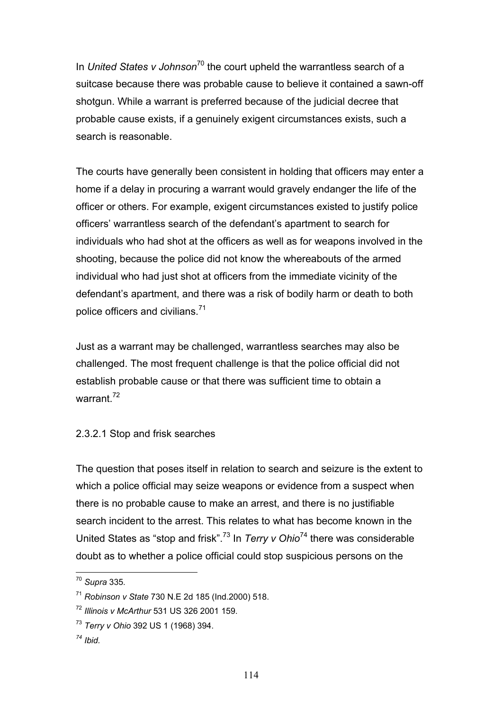In *United States v Johnson*70 the court upheld the warrantless search of a suitcase because there was probable cause to believe it contained a sawn-off shotgun. While a warrant is preferred because of the judicial decree that probable cause exists, if a genuinely exigent circumstances exists, such a search is reasonable.

The courts have generally been consistent in holding that officers may enter a home if a delay in procuring a warrant would gravely endanger the life of the officer or others. For example, exigent circumstances existed to justify police officers' warrantless search of the defendant's apartment to search for individuals who had shot at the officers as well as for weapons involved in the shooting, because the police did not know the whereabouts of the armed individual who had just shot at officers from the immediate vicinity of the defendant's apartment, and there was a risk of bodily harm or death to both police officers and civilians.<sup>71</sup>

Just as a warrant may be challenged, warrantless searches may also be challenged. The most frequent challenge is that the police official did not establish probable cause or that there was sufficient time to obtain a warrant $^{72}$ 

# 2.3.2.1 Stop and frisk searches

The question that poses itself in relation to search and seizure is the extent to which a police official may seize weapons or evidence from a suspect when there is no probable cause to make an arrest, and there is no justifiable search incident to the arrest. This relates to what has become known in the United States as "stop and frisk".73 In *Terry v Ohio*74 there was considerable doubt as to whether a police official could stop suspicious persons on the

<sup>70</sup> *Supra* 335*.* 

<sup>71</sup> *Robinson v State* 730 N.E 2d 185 (Ind.2000) 518.

<sup>72</sup> *Illinois v McArthur* 531 US 326 2001 159.

<sup>73</sup> *Terry v Ohio* 392 US 1 (1968) 394.

*<sup>74</sup> Ibid.*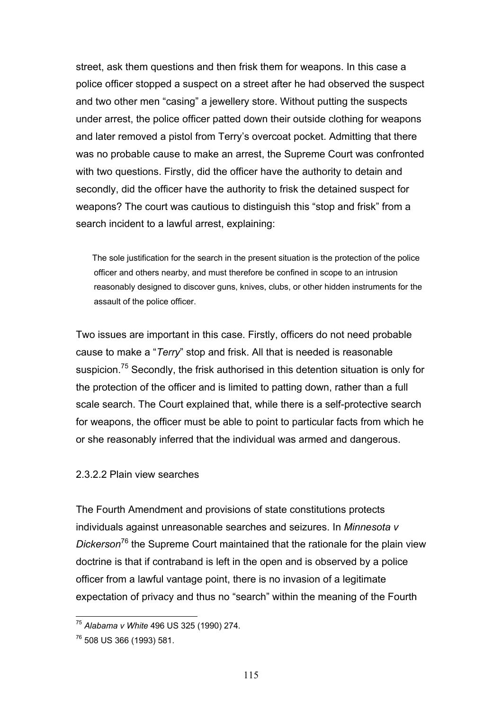street, ask them questions and then frisk them for weapons. In this case a police officer stopped a suspect on a street after he had observed the suspect and two other men "casing" a jewellery store. Without putting the suspects under arrest, the police officer patted down their outside clothing for weapons and later removed a pistol from Terry's overcoat pocket. Admitting that there was no probable cause to make an arrest, the Supreme Court was confronted with two questions. Firstly, did the officer have the authority to detain and secondly, did the officer have the authority to frisk the detained suspect for weapons? The court was cautious to distinguish this "stop and frisk" from a search incident to a lawful arrest, explaining:

 The sole justification for the search in the present situation is the protection of the police officer and others nearby, and must therefore be confined in scope to an intrusion reasonably designed to discover guns, knives, clubs, or other hidden instruments for the assault of the police officer.

Two issues are important in this case. Firstly, officers do not need probable cause to make a "*Terry*" stop and frisk. All that is needed is reasonable suspicion.<sup>75</sup> Secondly, the frisk authorised in this detention situation is only for the protection of the officer and is limited to patting down, rather than a full scale search. The Court explained that, while there is a self-protective search for weapons, the officer must be able to point to particular facts from which he or she reasonably inferred that the individual was armed and dangerous.

#### 2.3.2.2 Plain view searches

The Fourth Amendment and provisions of state constitutions protects individuals against unreasonable searches and seizures. In *Minnesota v Dickerson*76 the Supreme Court maintained that the rationale for the plain view doctrine is that if contraband is left in the open and is observed by a police officer from a lawful vantage point, there is no invasion of a legitimate expectation of privacy and thus no "search" within the meaning of the Fourth

<sup>75</sup> *Alabama v White* 496 US 325 (1990) 274.

<sup>76 508</sup> US 366 (1993) 581.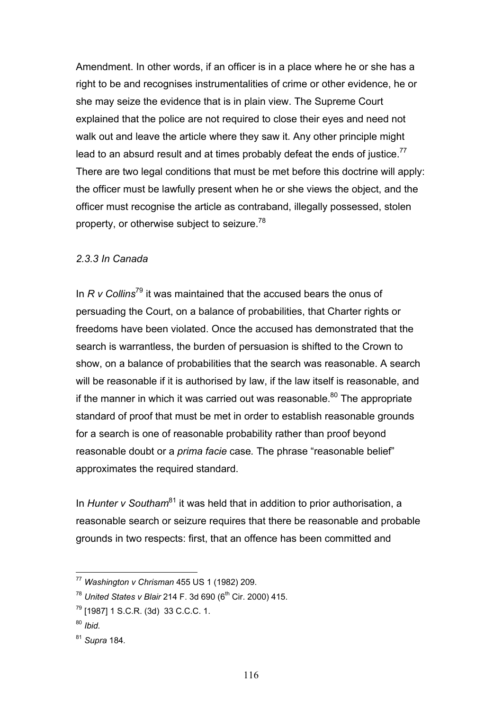Amendment. In other words, if an officer is in a place where he or she has a right to be and recognises instrumentalities of crime or other evidence, he or she may seize the evidence that is in plain view. The Supreme Court explained that the police are not required to close their eyes and need not walk out and leave the article where they saw it. Any other principle might lead to an absurd result and at times probably defeat the ends of justice.<sup>77</sup> There are two legal conditions that must be met before this doctrine will apply: the officer must be lawfully present when he or she views the object, and the officer must recognise the article as contraband, illegally possessed, stolen property, or otherwise subject to seizure.78

### *2.3.3 In Canada*

In *R v Collins*79 it was maintained that the accused bears the onus of persuading the Court, on a balance of probabilities, that Charter rights or freedoms have been violated. Once the accused has demonstrated that the search is warrantless, the burden of persuasion is shifted to the Crown to show, on a balance of probabilities that the search was reasonable. A search will be reasonable if it is authorised by law, if the law itself is reasonable, and if the manner in which it was carried out was reasonable. $80$  The appropriate standard of proof that must be met in order to establish reasonable grounds for a search is one of reasonable probability rather than proof beyond reasonable doubt or a *prima facie* case*.* The phrase "reasonable belief" approximates the required standard.

In *Hunter v Southam*<sup>81</sup> it was held that in addition to prior authorisation, a reasonable search or seizure requires that there be reasonable and probable grounds in two respects: first, that an offence has been committed and

<sup>77</sup> *Washington v Chrisman* 455 US 1 (1982) 209.

<sup>&</sup>lt;sup>78</sup> United States v Blair 214 F. 3d 690 (6<sup>th</sup> Cir. 2000) 415.

 $79$  [1987] 1 S.C.R. (3d) 33 C.C.C. 1.

<sup>80</sup> *Ibid.* 

<sup>81</sup> *Supra* 184*.*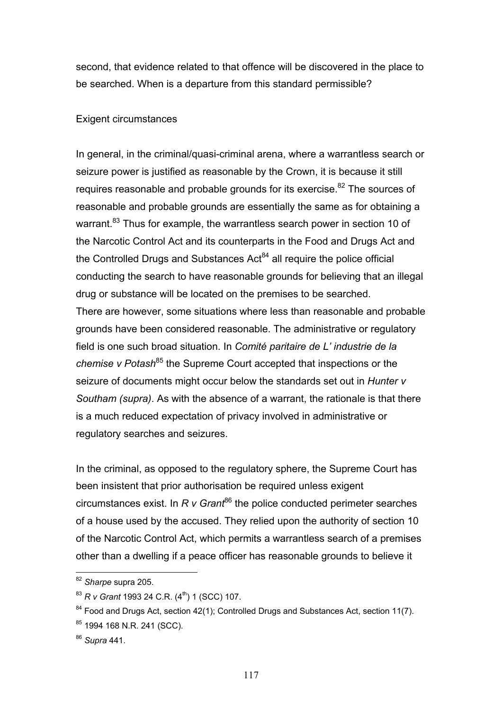second, that evidence related to that offence will be discovered in the place to be searched. When is a departure from this standard permissible?

#### Exigent circumstances

In general, in the criminal/quasi-criminal arena, where a warrantless search or seizure power is justified as reasonable by the Crown, it is because it still requires reasonable and probable grounds for its exercise.<sup>82</sup> The sources of reasonable and probable grounds are essentially the same as for obtaining a warrant.<sup>83</sup> Thus for example, the warrantless search power in section 10 of the Narcotic Control Act and its counterparts in the Food and Drugs Act and the Controlled Drugs and Substances  $Act<sup>84</sup>$  all require the police official conducting the search to have reasonable grounds for believing that an illegal drug or substance will be located on the premises to be searched. There are however, some situations where less than reasonable and probable grounds have been considered reasonable. The administrative or regulatory field is one such broad situation. In *Comité paritaire de L' industrie de la chemise v Potash*<sup>85</sup> the Supreme Court accepted that inspections or the seizure of documents might occur below the standards set out in *Hunter v Southam (supra)*. As with the absence of a warrant, the rationale is that there is a much reduced expectation of privacy involved in administrative or regulatory searches and seizures.

In the criminal, as opposed to the regulatory sphere, the Supreme Court has been insistent that prior authorisation be required unless exigent circumstances exist. In *R v Grant*86 the police conducted perimeter searches of a house used by the accused. They relied upon the authority of section 10 of the Narcotic Control Act, which permits a warrantless search of a premises other than a dwelling if a peace officer has reasonable grounds to believe it

<sup>82</sup> *Sharpe* supra 205.

<sup>&</sup>lt;sup>83</sup> *R v Grant* 1993 24 C.R. (4<sup>th</sup>) 1 (SCC) 107.

 $84$  Food and Drugs Act, section 42(1); Controlled Drugs and Substances Act, section 11(7).

<sup>85 1994 168</sup> N.R. 241 (SCC).

<sup>86</sup> *Supra* 441.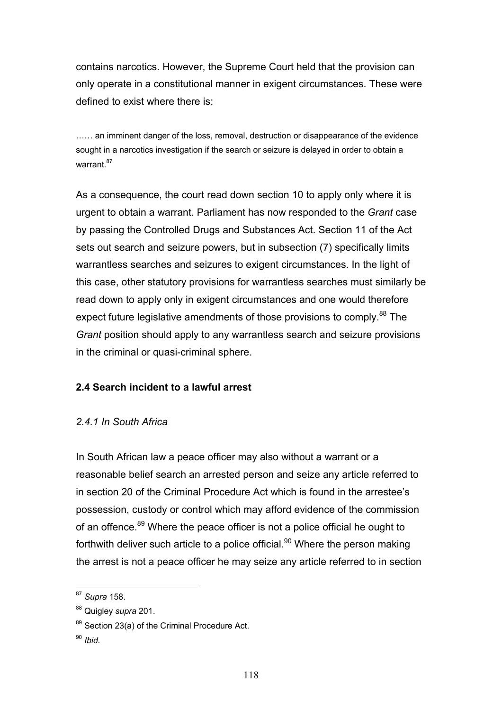contains narcotics. However, the Supreme Court held that the provision can only operate in a constitutional manner in exigent circumstances. These were defined to exist where there is:

...... an imminent danger of the loss, removal, destruction or disappearance of the evidence sought in a narcotics investigation if the search or seizure is delayed in order to obtain a warrant 87

As a consequence, the court read down section 10 to apply only where it is urgent to obtain a warrant. Parliament has now responded to the *Grant* case by passing the Controlled Drugs and Substances Act. Section 11 of the Act sets out search and seizure powers, but in subsection (7) specifically limits warrantless searches and seizures to exigent circumstances. In the light of this case, other statutory provisions for warrantless searches must similarly be read down to apply only in exigent circumstances and one would therefore expect future legislative amendments of those provisions to comply.<sup>88</sup> The *Grant* position should apply to any warrantless search and seizure provisions in the criminal or quasi-criminal sphere.

# **2.4 Search incident to a lawful arrest**

# *2.4.1 In South Africa*

In South African law a peace officer may also without a warrant or a reasonable belief search an arrested person and seize any article referred to in section 20 of the Criminal Procedure Act which is found in the arrestee's possession, custody or control which may afford evidence of the commission of an offence.<sup>89</sup> Where the peace officer is not a police official he ought to forthwith deliver such article to a police official.<sup>90</sup> Where the person making the arrest is not a peace officer he may seize any article referred to in section

 $\overline{a}$ <sup>87</sup> *Supra* 158.

<sup>88</sup> Quigley *supra* 201.

<sup>89</sup> Section 23(a) of the Criminal Procedure Act.

<sup>90</sup> *Ibid.*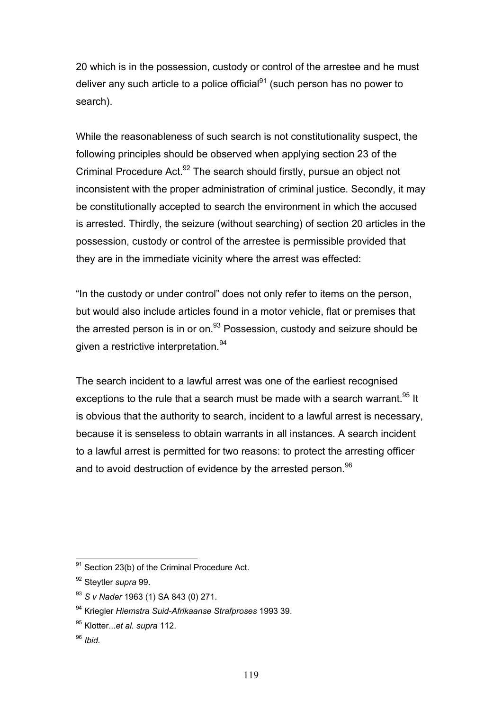20 which is in the possession, custody or control of the arrestee and he must deliver any such article to a police official $91$  (such person has no power to search).

While the reasonableness of such search is not constitutionality suspect, the following principles should be observed when applying section 23 of the Criminal Procedure Act. $92$  The search should firstly, pursue an object not inconsistent with the proper administration of criminal justice. Secondly, it may be constitutionally accepted to search the environment in which the accused is arrested. Thirdly, the seizure (without searching) of section 20 articles in the possession, custody or control of the arrestee is permissible provided that they are in the immediate vicinity where the arrest was effected:

"In the custody or under control" does not only refer to items on the person, but would also include articles found in a motor vehicle, flat or premises that the arrested person is in or on. $93$  Possession, custody and seizure should be given a restrictive interpretation.<sup>94</sup>

The search incident to a lawful arrest was one of the earliest recognised exceptions to the rule that a search must be made with a search warrant.<sup>95</sup> It is obvious that the authority to search, incident to a lawful arrest is necessary, because it is senseless to obtain warrants in all instances. A search incident to a lawful arrest is permitted for two reasons: to protect the arresting officer and to avoid destruction of evidence by the arrested person.<sup>96</sup>

 $91$  Section 23(b) of the Criminal Procedure Act.

<sup>92</sup> Steytler *supra* 99.

<sup>93</sup> *S v Nader* 1963 (1) SA 843 (0) 271.

<sup>94</sup> Kriegler *Hiemstra Suid-Afrikaanse Strafproses* 1993 39.

<sup>95</sup> Klotter...*et al. supra* 112.

<sup>96</sup> *Ibid.*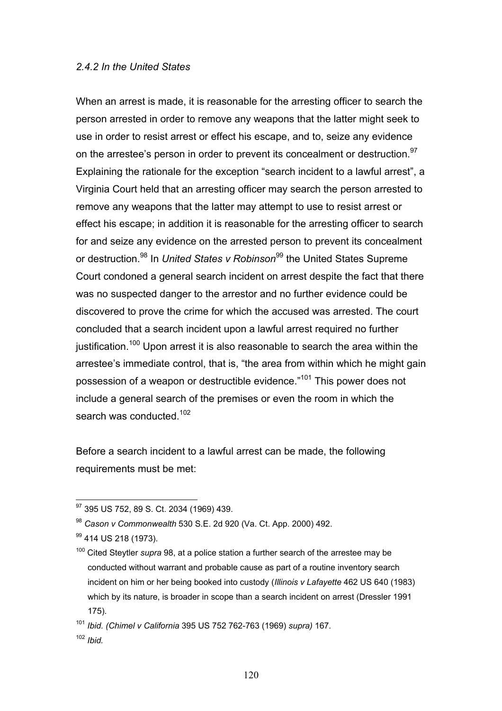#### *2.4.2 In the United States*

When an arrest is made, it is reasonable for the arresting officer to search the person arrested in order to remove any weapons that the latter might seek to use in order to resist arrest or effect his escape, and to, seize any evidence on the arrestee's person in order to prevent its concealment or destruction.<sup>97</sup> Explaining the rationale for the exception "search incident to a lawful arrest", a Virginia Court held that an arresting officer may search the person arrested to remove any weapons that the latter may attempt to use to resist arrest or effect his escape; in addition it is reasonable for the arresting officer to search for and seize any evidence on the arrested person to prevent its concealment or destruction.<sup>98</sup> In *United States v Robinson*<sup>99</sup> the United States Supreme Court condoned a general search incident on arrest despite the fact that there was no suspected danger to the arrestor and no further evidence could be discovered to prove the crime for which the accused was arrested. The court concluded that a search incident upon a lawful arrest required no further justification.<sup>100</sup> Upon arrest it is also reasonable to search the area within the arrestee's immediate control, that is, "the area from within which he might gain possession of a weapon or destructible evidence."101 This power does not include a general search of the premises or even the room in which the search was conducted.<sup>102</sup>

Before a search incident to a lawful arrest can be made, the following requirements must be met:

 $\overline{a}$ <sup>97</sup> 395 US 752, 89 S. Ct. 2034 (1969) 439.

<sup>98</sup> *Cason v Commonwealth* 530 S.E. 2d 920 (Va. Ct. App. 2000) 492.

<sup>&</sup>lt;sup>99</sup> 414 US 218 (1973).

<sup>100</sup> Cited Steytler *supra* 98, at a police station a further search of the arrestee may be conducted without warrant and probable cause as part of a routine inventory search incident on him or her being booked into custody (*Illinois v Lafayette* 462 US 640 (1983) which by its nature, is broader in scope than a search incident on arrest (Dressler 1991 175).

<sup>101</sup> *Ibid. (Chimel v California* 395 US 752 762-763 (1969) *supra)* 167*.*  <sup>102</sup> *Ibid.*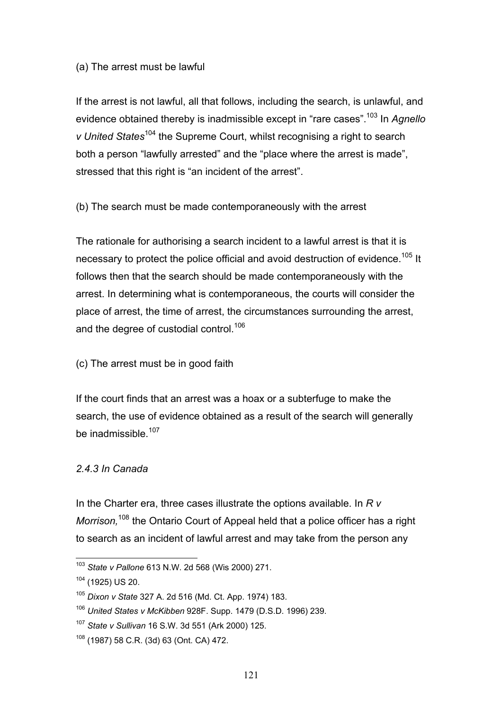#### (a) The arrest must be lawful

If the arrest is not lawful, all that follows, including the search, is unlawful, and evidence obtained thereby is inadmissible except in "rare cases".103 In *Agnello v United States*104 the Supreme Court, whilst recognising a right to search both a person "lawfully arrested" and the "place where the arrest is made", stressed that this right is "an incident of the arrest".

(b) The search must be made contemporaneously with the arrest

The rationale for authorising a search incident to a lawful arrest is that it is necessary to protect the police official and avoid destruction of evidence.<sup>105</sup> It follows then that the search should be made contemporaneously with the arrest. In determining what is contemporaneous, the courts will consider the place of arrest, the time of arrest, the circumstances surrounding the arrest, and the degree of custodial control.<sup>106</sup>

### (c) The arrest must be in good faith

If the court finds that an arrest was a hoax or a subterfuge to make the search, the use of evidence obtained as a result of the search will generally be inadmissible.<sup>107</sup>

### *2.4.3 In Canada*

In the Charter era, three cases illustrate the options available. In *R v Morrison,*108 the Ontario Court of Appeal held that a police officer has a right to search as an incident of lawful arrest and may take from the person any

 $\overline{a}$ <sup>103</sup> *State v Pallone* 613 N.W. 2d 568 (Wis 2000) 271.

<sup>104 (1925)</sup> US 20.

<sup>105</sup> *Dixon v State* 327 A. 2d 516 (Md. Ct. App. 1974) 183.

<sup>106</sup> *United States v McKibben* 928F. Supp. 1479 (D.S.D. 1996) 239.

<sup>107</sup> *State v Sullivan* 16 S.W. 3d 551 (Ark 2000) 125.

<sup>108 (1987) 58</sup> C.R. (3d) 63 (Ont. CA) 472.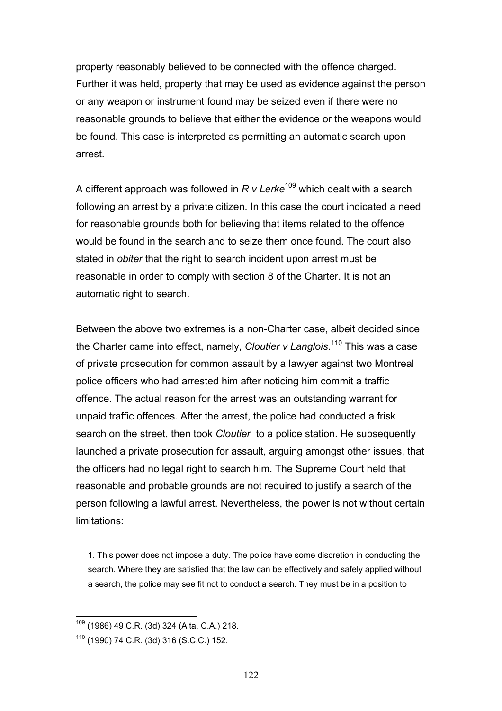property reasonably believed to be connected with the offence charged. Further it was held, property that may be used as evidence against the person or any weapon or instrument found may be seized even if there were no reasonable grounds to believe that either the evidence or the weapons would be found. This case is interpreted as permitting an automatic search upon arrest.

A different approach was followed in *R v Lerke*<sup>109</sup> which dealt with a search following an arrest by a private citizen. In this case the court indicated a need for reasonable grounds both for believing that items related to the offence would be found in the search and to seize them once found. The court also stated in *obiter* that the right to search incident upon arrest must be reasonable in order to comply with section 8 of the Charter. It is not an automatic right to search.

Between the above two extremes is a non-Charter case, albeit decided since the Charter came into effect, namely, *Cloutier v Langlois*. 110 This was a case of private prosecution for common assault by a lawyer against two Montreal police officers who had arrested him after noticing him commit a traffic offence. The actual reason for the arrest was an outstanding warrant for unpaid traffic offences. After the arrest, the police had conducted a frisk search on the street, then took *Cloutier* to a police station. He subsequently launched a private prosecution for assault, arguing amongst other issues, that the officers had no legal right to search him. The Supreme Court held that reasonable and probable grounds are not required to justify a search of the person following a lawful arrest. Nevertheless, the power is not without certain limitations:

1. This power does not impose a duty. The police have some discretion in conducting the search. Where they are satisfied that the law can be effectively and safely applied without a search, the police may see fit not to conduct a search. They must be in a position to

 $\overline{a}$  $109$  (1986) 49 C.R. (3d) 324 (Alta. C.A.) 218.

<sup>110 (1990) 74</sup> C.R. (3d) 316 (S.C.C.) 152.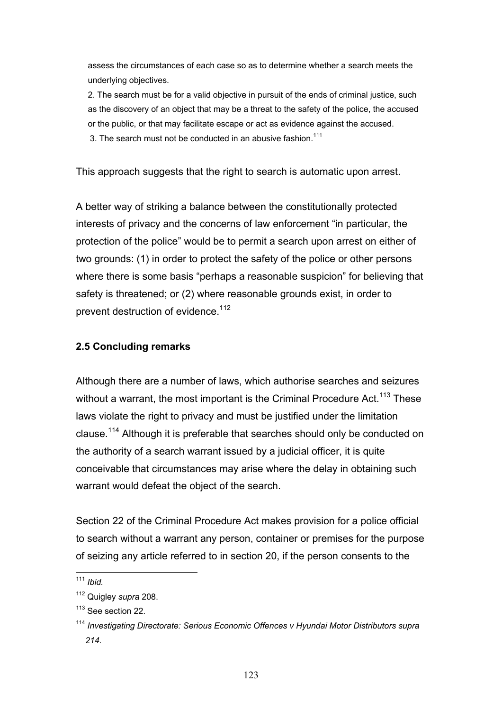assess the circumstances of each case so as to determine whether a search meets the underlying objectives.

2. The search must be for a valid objective in pursuit of the ends of criminal justice, such as the discovery of an object that may be a threat to the safety of the police, the accused or the public, or that may facilitate escape or act as evidence against the accused.

3. The search must not be conducted in an abusive fashion  $111$ 

This approach suggests that the right to search is automatic upon arrest.

A better way of striking a balance between the constitutionally protected interests of privacy and the concerns of law enforcement "in particular, the protection of the police" would be to permit a search upon arrest on either of two grounds: (1) in order to protect the safety of the police or other persons where there is some basis "perhaps a reasonable suspicion" for believing that safety is threatened; or (2) where reasonable grounds exist, in order to prevent destruction of evidence.<sup>112</sup>

# **2.5 Concluding remarks**

Although there are a number of laws, which authorise searches and seizures without a warrant, the most important is the Criminal Procedure Act.<sup>113</sup> These laws violate the right to privacy and must be justified under the limitation clause.114 Although it is preferable that searches should only be conducted on the authority of a search warrant issued by a judicial officer, it is quite conceivable that circumstances may arise where the delay in obtaining such warrant would defeat the object of the search.

Section 22 of the Criminal Procedure Act makes provision for a police official to search without a warrant any person, container or premises for the purpose of seizing any article referred to in section 20, if the person consents to the

 $\overline{a}$ <sup>111</sup> *Ibid.*

<sup>112</sup> Quigley *supra* 208.

<sup>&</sup>lt;sup>113</sup> See section 22.

<sup>114</sup> *Investigating Directorate: Serious Economic Offences v Hyundai Motor Distributors supra 214.*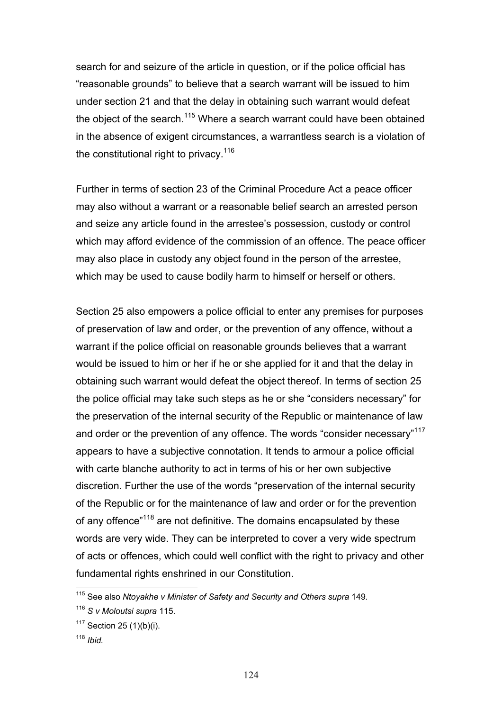search for and seizure of the article in question, or if the police official has "reasonable grounds" to believe that a search warrant will be issued to him under section 21 and that the delay in obtaining such warrant would defeat the object of the search.<sup>115</sup> Where a search warrant could have been obtained in the absence of exigent circumstances, a warrantless search is a violation of the constitutional right to privacy.<sup>116</sup>

Further in terms of section 23 of the Criminal Procedure Act a peace officer may also without a warrant or a reasonable belief search an arrested person and seize any article found in the arrestee's possession, custody or control which may afford evidence of the commission of an offence. The peace officer may also place in custody any object found in the person of the arrestee, which may be used to cause bodily harm to himself or herself or others.

Section 25 also empowers a police official to enter any premises for purposes of preservation of law and order, or the prevention of any offence, without a warrant if the police official on reasonable grounds believes that a warrant would be issued to him or her if he or she applied for it and that the delay in obtaining such warrant would defeat the object thereof. In terms of section 25 the police official may take such steps as he or she "considers necessary" for the preservation of the internal security of the Republic or maintenance of law and order or the prevention of any offence. The words "consider necessary"<sup>117</sup> appears to have a subjective connotation. It tends to armour a police official with carte blanche authority to act in terms of his or her own subjective discretion. Further the use of the words "preservation of the internal security of the Republic or for the maintenance of law and order or for the prevention of any offence<sup>"118</sup> are not definitive. The domains encapsulated by these words are very wide. They can be interpreted to cover a very wide spectrum of acts or offences, which could well conflict with the right to privacy and other fundamental rights enshrined in our Constitution.

<sup>115</sup> See also *Ntoyakhe v Minister of Safety and Security and Others supra* 149*.* 

<sup>116</sup> *S v Moloutsi supra* 115.

 $117$  Section 25 (1)(b)(i).

<sup>118</sup> *Ibid.*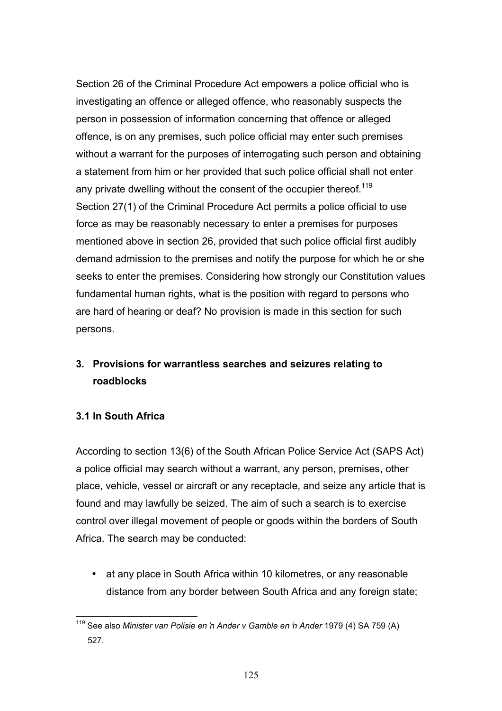Section 26 of the Criminal Procedure Act empowers a police official who is investigating an offence or alleged offence, who reasonably suspects the person in possession of information concerning that offence or alleged offence, is on any premises, such police official may enter such premises without a warrant for the purposes of interrogating such person and obtaining a statement from him or her provided that such police official shall not enter any private dwelling without the consent of the occupier thereof.<sup>119</sup> Section 27(1) of the Criminal Procedure Act permits a police official to use force as may be reasonably necessary to enter a premises for purposes mentioned above in section 26, provided that such police official first audibly demand admission to the premises and notify the purpose for which he or she seeks to enter the premises. Considering how strongly our Constitution values fundamental human rights, what is the position with regard to persons who are hard of hearing or deaf? No provision is made in this section for such persons.

# **3. Provisions for warrantless searches and seizures relating to roadblocks**

# **3.1 In South Africa**

According to section 13(6) of the South African Police Service Act (SAPS Act) a police official may search without a warrant, any person, premises, other place, vehicle, vessel or aircraft or any receptacle, and seize any article that is found and may lawfully be seized. The aim of such a search is to exercise control over illegal movement of people or goods within the borders of South Africa. The search may be conducted:

• at any place in South Africa within 10 kilometres, or any reasonable distance from any border between South Africa and any foreign state;

 $\overline{a}$ 119 See also *Minister van Polisie en 'n Ander v Gamble en 'n Ander* 1979 (4) SA 759 (A) 527.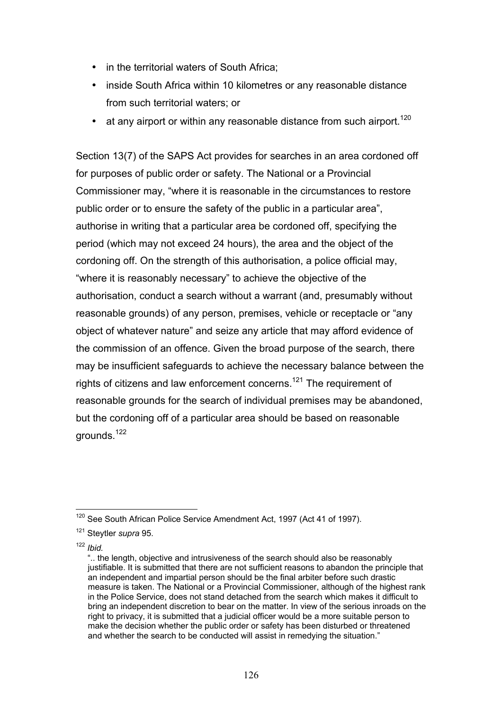- in the territorial waters of South Africa;
- inside South Africa within 10 kilometres or any reasonable distance from such territorial waters; or
- at any airport or within any reasonable distance from such airport.<sup>120</sup>

Section 13(7) of the SAPS Act provides for searches in an area cordoned off for purposes of public order or safety. The National or a Provincial Commissioner may, "where it is reasonable in the circumstances to restore public order or to ensure the safety of the public in a particular area", authorise in writing that a particular area be cordoned off, specifying the period (which may not exceed 24 hours), the area and the object of the cordoning off. On the strength of this authorisation, a police official may, "where it is reasonably necessary" to achieve the objective of the authorisation, conduct a search without a warrant (and, presumably without reasonable grounds) of any person, premises, vehicle or receptacle or "any object of whatever nature" and seize any article that may afford evidence of the commission of an offence. Given the broad purpose of the search, there may be insufficient safeguards to achieve the necessary balance between the rights of citizens and law enforcement concerns.<sup>121</sup> The requirement of reasonable grounds for the search of individual premises may be abandoned, but the cordoning off of a particular area should be based on reasonable grounds.<sup>122</sup>

 $\overline{a}$ <sup>120</sup> See South African Police Service Amendment Act, 1997 (Act 41 of 1997).

<sup>121</sup> Steytler *supra* 95.

<sup>122</sup> *Ibid.*

 <sup>&</sup>quot;.. the length, objective and intrusiveness of the search should also be reasonably justifiable. It is submitted that there are not sufficient reasons to abandon the principle that an independent and impartial person should be the final arbiter before such drastic measure is taken. The National or a Provincial Commissioner, although of the highest rank in the Police Service, does not stand detached from the search which makes it difficult to bring an independent discretion to bear on the matter. In view of the serious inroads on the right to privacy, it is submitted that a judicial officer would be a more suitable person to make the decision whether the public order or safety has been disturbed or threatened and whether the search to be conducted will assist in remedying the situation."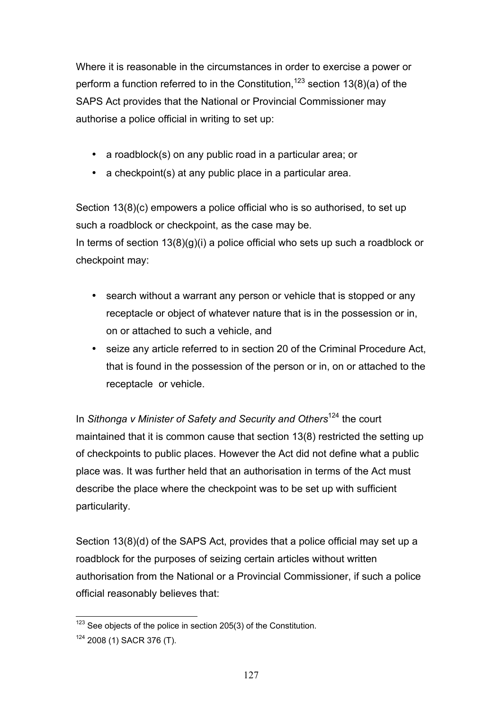Where it is reasonable in the circumstances in order to exercise a power or perform a function referred to in the Constitution,  $123$  section 13(8)(a) of the SAPS Act provides that the National or Provincial Commissioner may authorise a police official in writing to set up:

- a roadblock(s) on any public road in a particular area; or
- a checkpoint(s) at any public place in a particular area.

Section 13(8)(c) empowers a police official who is so authorised, to set up such a roadblock or checkpoint, as the case may be.

In terms of section  $13(8)(g)(i)$  a police official who sets up such a roadblock or checkpoint may:

- search without a warrant any person or vehicle that is stopped or any receptacle or object of whatever nature that is in the possession or in, on or attached to such a vehicle, and
- seize any article referred to in section 20 of the Criminal Procedure Act, that is found in the possession of the person or in, on or attached to the receptacle or vehicle.

In *Sithonga v Minister of Safety and Security and Others*<sup>124</sup> the court maintained that it is common cause that section 13(8) restricted the setting up of checkpoints to public places. However the Act did not define what a public place was. It was further held that an authorisation in terms of the Act must describe the place where the checkpoint was to be set up with sufficient particularity.

Section 13(8)(d) of the SAPS Act, provides that a police official may set up a roadblock for the purposes of seizing certain articles without written authorisation from the National or a Provincial Commissioner, if such a police official reasonably believes that:

 $\overline{a}$  $123$  See objects of the police in section 205(3) of the Constitution.

<sup>124 2008 (1)</sup> SACR 376 (T).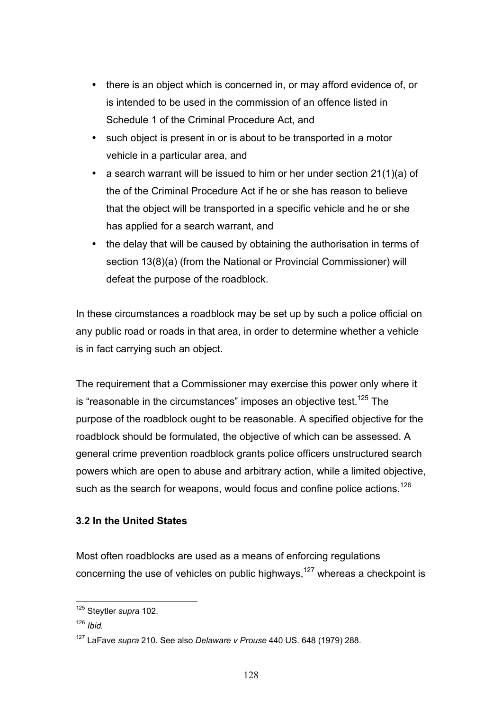- there is an object which is concerned in, or may afford evidence of, or is intended to be used in the commission of an offence listed in Schedule 1 of the Criminal Procedure Act, and
- such object is present in or is about to be transported in a motor vehicle in a particular area, and
- a search warrant will be issued to him or her under section 21(1)(a) of the of the Criminal Procedure Act if he or she has reason to believe that the object will be transported in a specific vehicle and he or she has applied for a search warrant, and
- the delay that will be caused by obtaining the authorisation in terms of section 13(8)(a) (from the National or Provincial Commissioner) will defeat the purpose of the roadblock.

In these circumstances a roadblock may be set up by such a police official on any public road or roads in that area, in order to determine whether a vehicle is in fact carrying such an object.

The requirement that a Commissioner may exercise this power only where it is "reasonable in the circumstances" imposes an objective test.<sup>125</sup> The purpose of the roadblock ought to be reasonable. A specified objective for the roadblock should be formulated, the objective of which can be assessed. A general crime prevention roadblock grants police officers unstructured search powers which are open to abuse and arbitrary action, while a limited objective, such as the search for weapons, would focus and confine police actions.<sup>126</sup>

# **3.2 In the United States**

Most often roadblocks are used as a means of enforcing regulations concerning the use of vehicles on public highways,  $127$  whereas a checkpoint is

 $\overline{a}$ 125 Steytler *supra* 102.

<sup>126</sup> *Ibid.* 

<sup>127</sup> LaFave *supra* 210*.* See also *Delaware v Prouse* 440 US. 648 (1979) 288.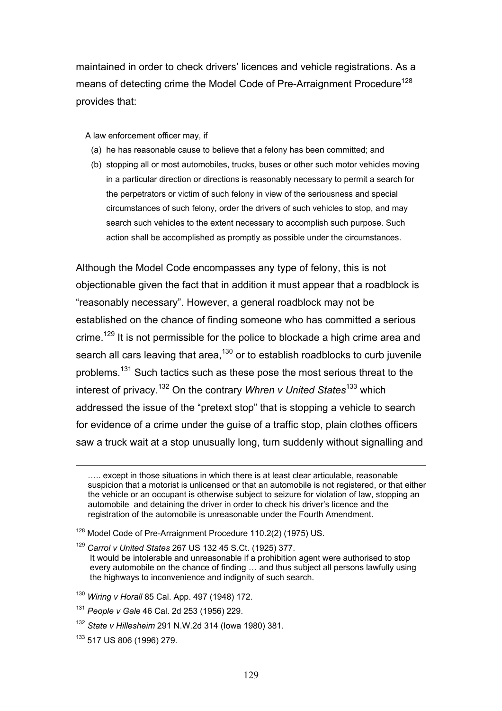maintained in order to check drivers' licences and vehicle registrations. As a means of detecting crime the Model Code of Pre-Arraignment Procedure<sup>128</sup> provides that:

A law enforcement officer may, if

- (a) he has reasonable cause to believe that a felony has been committed; and
- (b) stopping all or most automobiles, trucks, buses or other such motor vehicles moving in a particular direction or directions is reasonably necessary to permit a search for the perpetrators or victim of such felony in view of the seriousness and special circumstances of such felony, order the drivers of such vehicles to stop, and may search such vehicles to the extent necessary to accomplish such purpose. Such action shall be accomplished as promptly as possible under the circumstances.

Although the Model Code encompasses any type of felony, this is not objectionable given the fact that in addition it must appear that a roadblock is "reasonably necessary". However, a general roadblock may not be established on the chance of finding someone who has committed a serious crime.<sup>129</sup> It is not permissible for the police to blockade a high crime area and search all cars leaving that area, $130$  or to establish roadblocks to curb juvenile problems.<sup>131</sup> Such tactics such as these pose the most serious threat to the interest of privacy.132 On the contrary *Whren v United States*133 which addressed the issue of the "pretext stop" that is stopping a vehicle to search for evidence of a crime under the guise of a traffic stop, plain clothes officers saw a truck wait at a stop unusually long, turn suddenly without signalling and

<sup>130</sup> *Wiring v Horall* 85 Cal. App. 497 (1948) 172.

133 517 US 806 (1996) 279.

<sup>…..</sup> except in those situations in which there is at least clear articulable, reasonable suspicion that a motorist is unlicensed or that an automobile is not registered, or that either the vehicle or an occupant is otherwise subject to seizure for violation of law, stopping an automobile and detaining the driver in order to check his driver's licence and the registration of the automobile is unreasonable under the Fourth Amendment.

<sup>&</sup>lt;sup>128</sup> Model Code of Pre-Arraignment Procedure 110.2(2) (1975) US.

<sup>129</sup> *Carrol v United States* 267 US 132 45 S.Ct. (1925) 377.

It would be intolerable and unreasonable if a prohibition agent were authorised to stop every automobile on the chance of finding … and thus subject all persons lawfully using the highways to inconvenience and indignity of such search.

<sup>131</sup> *People v Gale* 46 Cal. 2d 253 (1956) 229.

<sup>132</sup> *State v Hillesheim* 291 N.W.2d 314 (Iowa 1980) 381.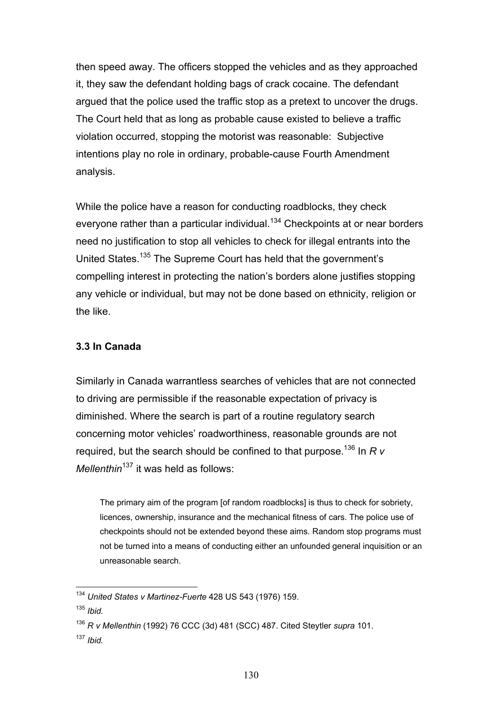then speed away. The officers stopped the vehicles and as they approached it, they saw the defendant holding bags of crack cocaine. The defendant argued that the police used the traffic stop as a pretext to uncover the drugs. The Court held that as long as probable cause existed to believe a traffic violation occurred, stopping the motorist was reasonable: Subjective intentions play no role in ordinary, probable-cause Fourth Amendment analysis.

While the police have a reason for conducting roadblocks, they check everyone rather than a particular individual.<sup>134</sup> Checkpoints at or near borders need no justification to stop all vehicles to check for illegal entrants into the United States.135 The Supreme Court has held that the government's compelling interest in protecting the nation's borders alone justifies stopping any vehicle or individual, but may not be done based on ethnicity, religion or the like.

## **3.3 In Canada**

Similarly in Canada warrantless searches of vehicles that are not connected to driving are permissible if the reasonable expectation of privacy is diminished. Where the search is part of a routine regulatory search concerning motor vehicles' roadworthiness, reasonable grounds are not required, but the search should be confined to that purpose.136 In *R v Mellenthin*<sup>137</sup> it was held as follows:

The primary aim of the program [of random roadblocks] is thus to check for sobriety, licences, ownership, insurance and the mechanical fitness of cars. The police use of checkpoints should not be extended beyond these aims. Random stop programs must not be turned into a means of conducting either an unfounded general inquisition or an unreasonable search.

 $\overline{a}$ <sup>134</sup> *United States v Martinez-Fuerte* 428 US 543 (1976) 159.

<sup>135</sup> *Ibid.* 

<sup>136</sup> *R v Mellenthin* (1992) 76 CCC (3d) 481 (SCC) 487. Cited Steytler *supra* 101. <sup>137</sup> *Ibid.*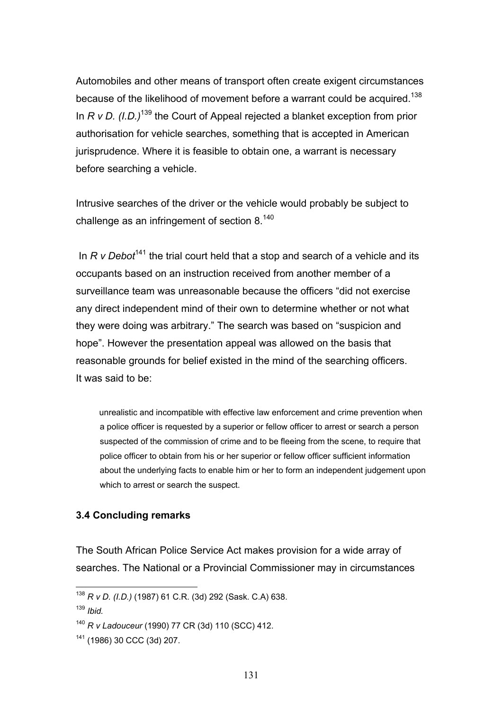Automobiles and other means of transport often create exigent circumstances because of the likelihood of movement before a warrant could be acquired.<sup>138</sup> In *R v D. (I.D.)*139 the Court of Appeal rejected a blanket exception from prior authorisation for vehicle searches, something that is accepted in American jurisprudence. Where it is feasible to obtain one, a warrant is necessary before searching a vehicle.

Intrusive searches of the driver or the vehicle would probably be subject to challenge as an infringement of section 8.140

In *R v Debot*<sup>141</sup> the trial court held that a stop and search of a vehicle and its occupants based on an instruction received from another member of a surveillance team was unreasonable because the officers "did not exercise any direct independent mind of their own to determine whether or not what they were doing was arbitrary." The search was based on "suspicion and hope". However the presentation appeal was allowed on the basis that reasonable grounds for belief existed in the mind of the searching officers. It was said to be:

 unrealistic and incompatible with effective law enforcement and crime prevention when a police officer is requested by a superior or fellow officer to arrest or search a person suspected of the commission of crime and to be fleeing from the scene, to require that police officer to obtain from his or her superior or fellow officer sufficient information about the underlying facts to enable him or her to form an independent judgement upon which to arrest or search the suspect.

#### **3.4 Concluding remarks**

The South African Police Service Act makes provision for a wide array of searches. The National or a Provincial Commissioner may in circumstances

<sup>138</sup> *R v D. (I.D.)* (1987) 61 C.R. (3d) 292 (Sask. C.A) 638.

<sup>139</sup> *Ibid.* 

<sup>140</sup> *R v Ladouceur* (1990) 77 CR (3d) 110 (SCC) 412.

<sup>141 (1986) 30</sup> CCC (3d) 207.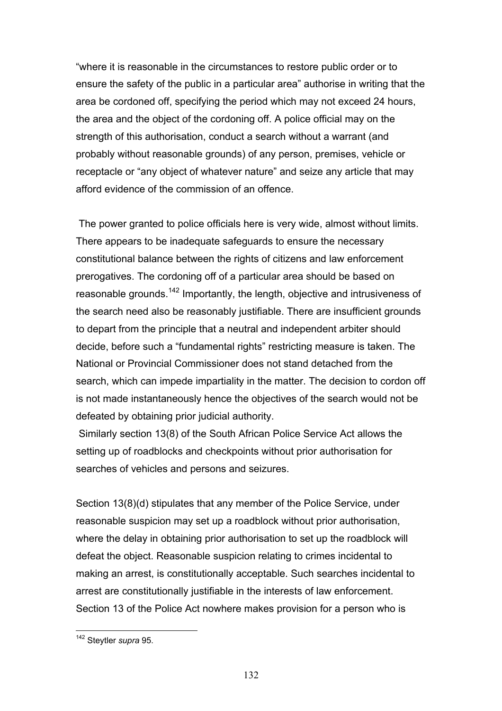"where it is reasonable in the circumstances to restore public order or to ensure the safety of the public in a particular area" authorise in writing that the area be cordoned off, specifying the period which may not exceed 24 hours, the area and the object of the cordoning off. A police official may on the strength of this authorisation, conduct a search without a warrant (and probably without reasonable grounds) of any person, premises, vehicle or receptacle or "any object of whatever nature" and seize any article that may afford evidence of the commission of an offence.

 The power granted to police officials here is very wide, almost without limits. There appears to be inadequate safeguards to ensure the necessary constitutional balance between the rights of citizens and law enforcement prerogatives. The cordoning off of a particular area should be based on reasonable grounds.<sup>142</sup> Importantly, the length, objective and intrusiveness of the search need also be reasonably justifiable. There are insufficient grounds to depart from the principle that a neutral and independent arbiter should decide, before such a "fundamental rights" restricting measure is taken. The National or Provincial Commissioner does not stand detached from the search, which can impede impartiality in the matter. The decision to cordon off is not made instantaneously hence the objectives of the search would not be defeated by obtaining prior judicial authority.

 Similarly section 13(8) of the South African Police Service Act allows the setting up of roadblocks and checkpoints without prior authorisation for searches of vehicles and persons and seizures.

Section 13(8)(d) stipulates that any member of the Police Service, under reasonable suspicion may set up a roadblock without prior authorisation, where the delay in obtaining prior authorisation to set up the roadblock will defeat the object. Reasonable suspicion relating to crimes incidental to making an arrest, is constitutionally acceptable. Such searches incidental to arrest are constitutionally justifiable in the interests of law enforcement. Section 13 of the Police Act nowhere makes provision for a person who is

<sup>142</sup> Steytler *supra* 95.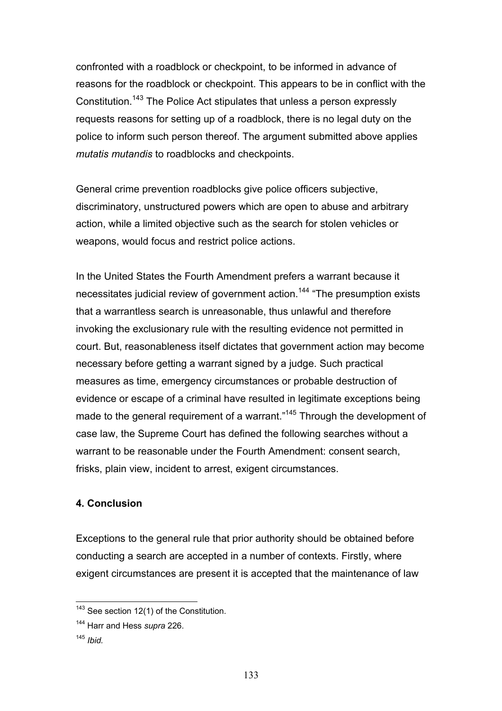confronted with a roadblock or checkpoint, to be informed in advance of reasons for the roadblock or checkpoint. This appears to be in conflict with the Constitution.143 The Police Act stipulates that unless a person expressly requests reasons for setting up of a roadblock, there is no legal duty on the police to inform such person thereof. The argument submitted above applies *mutatis mutandis* to roadblocks and checkpoints.

General crime prevention roadblocks give police officers subjective, discriminatory, unstructured powers which are open to abuse and arbitrary action, while a limited objective such as the search for stolen vehicles or weapons, would focus and restrict police actions.

In the United States the Fourth Amendment prefers a warrant because it necessitates judicial review of government action.<sup>144</sup> "The presumption exists that a warrantless search is unreasonable, thus unlawful and therefore invoking the exclusionary rule with the resulting evidence not permitted in court. But, reasonableness itself dictates that government action may become necessary before getting a warrant signed by a judge. Such practical measures as time, emergency circumstances or probable destruction of evidence or escape of a criminal have resulted in legitimate exceptions being made to the general requirement of a warrant."<sup>145</sup> Through the development of case law, the Supreme Court has defined the following searches without a warrant to be reasonable under the Fourth Amendment: consent search, frisks, plain view, incident to arrest, exigent circumstances.

### **4. Conclusion**

Exceptions to the general rule that prior authority should be obtained before conducting a search are accepted in a number of contexts. Firstly, where exigent circumstances are present it is accepted that the maintenance of law

<sup>145</sup> *Ibid.* 

 $\overline{a}$ 

 $143$  See section 12(1) of the Constitution.

<sup>144</sup> Harr and Hess *supra* 226.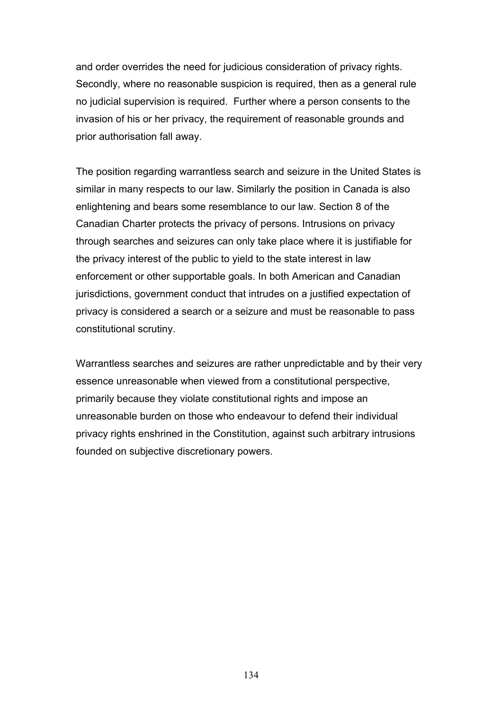and order overrides the need for judicious consideration of privacy rights. Secondly, where no reasonable suspicion is required, then as a general rule no judicial supervision is required. Further where a person consents to the invasion of his or her privacy, the requirement of reasonable grounds and prior authorisation fall away.

The position regarding warrantless search and seizure in the United States is similar in many respects to our law. Similarly the position in Canada is also enlightening and bears some resemblance to our law. Section 8 of the Canadian Charter protects the privacy of persons. Intrusions on privacy through searches and seizures can only take place where it is justifiable for the privacy interest of the public to yield to the state interest in law enforcement or other supportable goals. In both American and Canadian jurisdictions, government conduct that intrudes on a justified expectation of privacy is considered a search or a seizure and must be reasonable to pass constitutional scrutiny.

Warrantless searches and seizures are rather unpredictable and by their very essence unreasonable when viewed from a constitutional perspective, primarily because they violate constitutional rights and impose an unreasonable burden on those who endeavour to defend their individual privacy rights enshrined in the Constitution, against such arbitrary intrusions founded on subjective discretionary powers.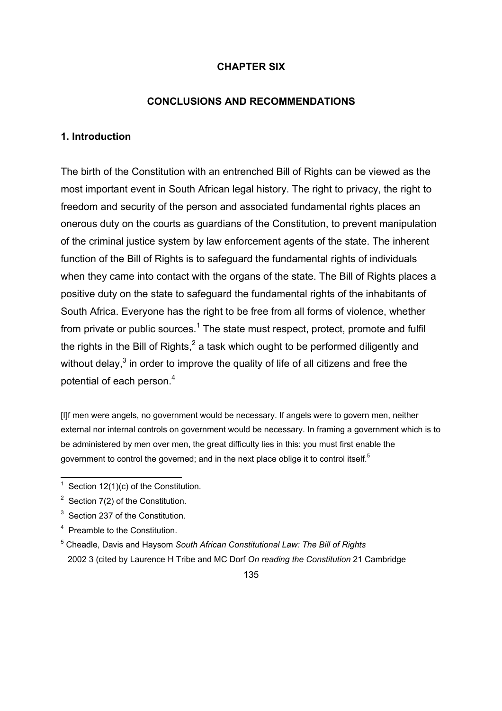### **CHAPTER SIX**

### **CONCLUSIONS AND RECOMMENDATIONS**

### **1. Introduction**

The birth of the Constitution with an entrenched Bill of Rights can be viewed as the most important event in South African legal history. The right to privacy, the right to freedom and security of the person and associated fundamental rights places an onerous duty on the courts as guardians of the Constitution, to prevent manipulation of the criminal justice system by law enforcement agents of the state. The inherent function of the Bill of Rights is to safeguard the fundamental rights of individuals when they came into contact with the organs of the state. The Bill of Rights places a positive duty on the state to safeguard the fundamental rights of the inhabitants of South Africa. Everyone has the right to be free from all forms of violence, whether from private or public sources.<sup>1</sup> The state must respect, protect, promote and fulfil the rights in the Bill of Rights,<sup>2</sup> a task which ought to be performed diligently and without delay,<sup>3</sup> in order to improve the quality of life of all citizens and free the potential of each person.<sup>4</sup>

[I]f men were angels, no government would be necessary. If angels were to govern men, neither external nor internal controls on government would be necessary. In framing a government which is to be administered by men over men, the great difficulty lies in this: you must first enable the government to control the governed; and in the next place oblige it to control itself.<sup>5</sup>

 $2^2$  Section 7(2) of the Constitution.

<sup>1</sup> Section 12(1)(c) of the Constitution.

 $3$  Section 237 of the Constitution.

<sup>&</sup>lt;sup>4</sup> Preamble to the Constitution.

<sup>5</sup> Cheadle, Davis and Haysom *South African Constitutional Law: The Bill of Rights* 2002 3 (cited by Laurence H Tribe and MC Dorf *On reading the Constitution* 21 Cambridge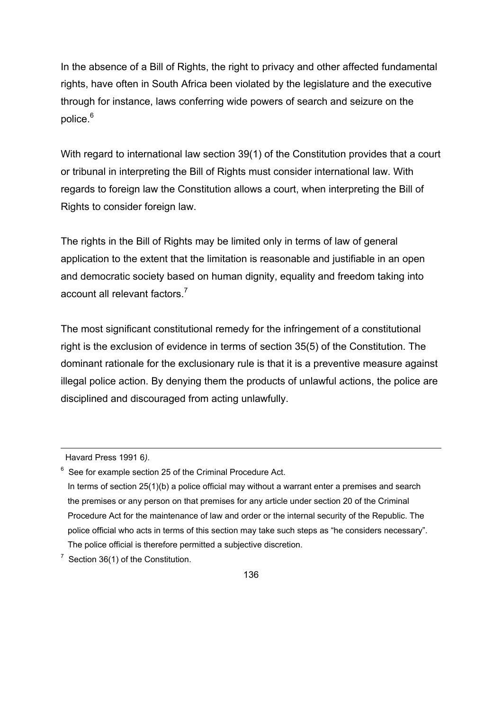In the absence of a Bill of Rights, the right to privacy and other affected fundamental rights, have often in South Africa been violated by the legislature and the executive through for instance, laws conferring wide powers of search and seizure on the police.<sup>6</sup>

With regard to international law section 39(1) of the Constitution provides that a court or tribunal in interpreting the Bill of Rights must consider international law. With regards to foreign law the Constitution allows a court, when interpreting the Bill of Rights to consider foreign law.

The rights in the Bill of Rights may be limited only in terms of law of general application to the extent that the limitation is reasonable and justifiable in an open and democratic society based on human dignity, equality and freedom taking into account all relevant factors.7

The most significant constitutional remedy for the infringement of a constitutional right is the exclusion of evidence in terms of section 35(5) of the Constitution. The dominant rationale for the exclusionary rule is that it is a preventive measure against illegal police action. By denying them the products of unlawful actions, the police are disciplined and discouraged from acting unlawfully.

 $\overline{\phantom{a}}$ 

 $7$  Section 36(1) of the Constitution.

Havard Press 1991 6*).*

 $6$  See for example section 25 of the Criminal Procedure Act.

In terms of section 25(1)(b) a police official may without a warrant enter a premises and search the premises or any person on that premises for any article under section 20 of the Criminal Procedure Act for the maintenance of law and order or the internal security of the Republic. The police official who acts in terms of this section may take such steps as "he considers necessary". The police official is therefore permitted a subjective discretion.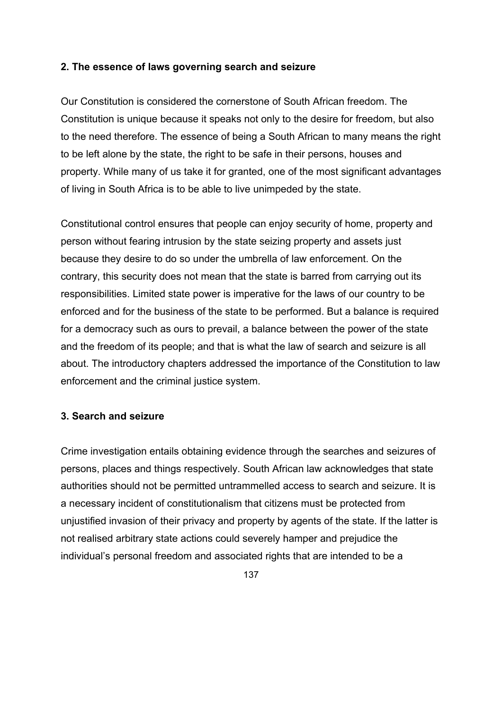### **2. The essence of laws governing search and seizure**

Our Constitution is considered the cornerstone of South African freedom. The Constitution is unique because it speaks not only to the desire for freedom, but also to the need therefore. The essence of being a South African to many means the right to be left alone by the state, the right to be safe in their persons, houses and property. While many of us take it for granted, one of the most significant advantages of living in South Africa is to be able to live unimpeded by the state.

Constitutional control ensures that people can enjoy security of home, property and person without fearing intrusion by the state seizing property and assets just because they desire to do so under the umbrella of law enforcement. On the contrary, this security does not mean that the state is barred from carrying out its responsibilities. Limited state power is imperative for the laws of our country to be enforced and for the business of the state to be performed. But a balance is required for a democracy such as ours to prevail, a balance between the power of the state and the freedom of its people; and that is what the law of search and seizure is all about. The introductory chapters addressed the importance of the Constitution to law enforcement and the criminal justice system.

### **3. Search and seizure**

Crime investigation entails obtaining evidence through the searches and seizures of persons, places and things respectively. South African law acknowledges that state authorities should not be permitted untrammelled access to search and seizure. It is a necessary incident of constitutionalism that citizens must be protected from unjustified invasion of their privacy and property by agents of the state. If the latter is not realised arbitrary state actions could severely hamper and prejudice the individual's personal freedom and associated rights that are intended to be a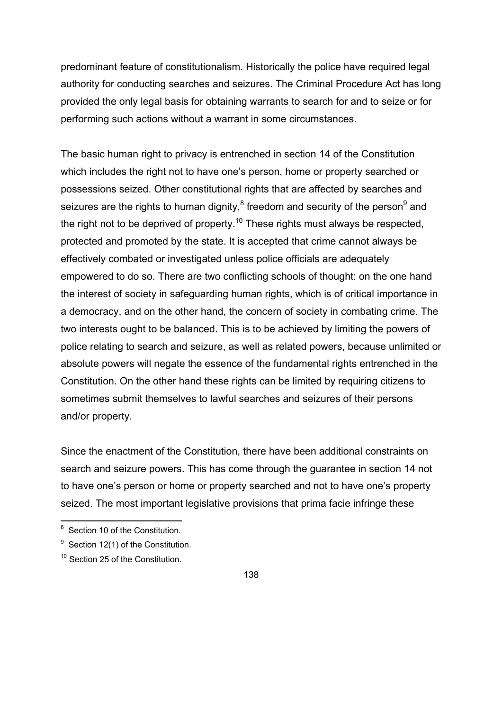predominant feature of constitutionalism. Historically the police have required legal authority for conducting searches and seizures. The Criminal Procedure Act has long provided the only legal basis for obtaining warrants to search for and to seize or for performing such actions without a warrant in some circumstances.

The basic human right to privacy is entrenched in section 14 of the Constitution which includes the right not to have one's person, home or property searched or possessions seized. Other constitutional rights that are affected by searches and seizures are the rights to human dignity, $^8$  freedom and security of the person $^9$  and the right not to be deprived of property.<sup>10</sup> These rights must always be respected, protected and promoted by the state. It is accepted that crime cannot always be effectively combated or investigated unless police officials are adequately empowered to do so. There are two conflicting schools of thought: on the one hand the interest of society in safeguarding human rights, which is of critical importance in a democracy, and on the other hand, the concern of society in combating crime. The two interests ought to be balanced. This is to be achieved by limiting the powers of police relating to search and seizure, as well as related powers, because unlimited or absolute powers will negate the essence of the fundamental rights entrenched in the Constitution. On the other hand these rights can be limited by requiring citizens to sometimes submit themselves to lawful searches and seizures of their persons and/or property.

Since the enactment of the Constitution, there have been additional constraints on search and seizure powers. This has come through the guarantee in section 14 not to have one's person or home or property searched and not to have one's property seized. The most important legislative provisions that prima facie infringe these

**<sup>8</sup>** Section 10 of the Constitution.

 $9$  Section 12(1) of the Constitution.

<sup>&</sup>lt;sup>10</sup> Section 25 of the Constitution.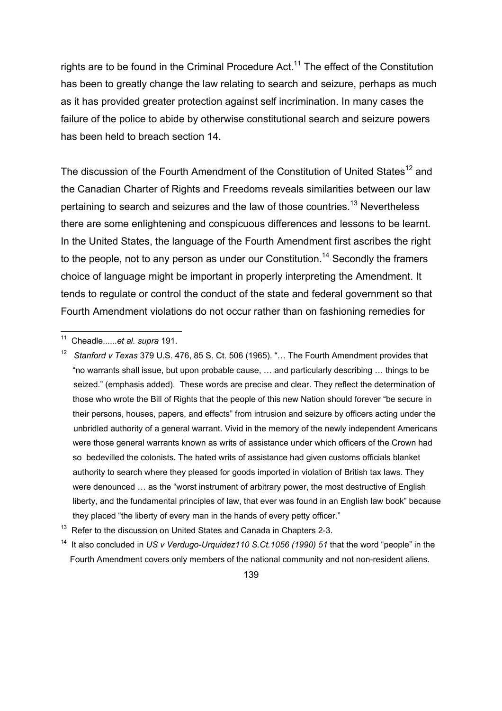rights are to be found in the Criminal Procedure Act.<sup>11</sup> The effect of the Constitution has been to greatly change the law relating to search and seizure, perhaps as much as it has provided greater protection against self incrimination. In many cases the failure of the police to abide by otherwise constitutional search and seizure powers has been held to breach section 14.

The discussion of the Fourth Amendment of the Constitution of United States<sup>12</sup> and the Canadian Charter of Rights and Freedoms reveals similarities between our law pertaining to search and seizures and the law of those countries.<sup>13</sup> Nevertheless there are some enlightening and conspicuous differences and lessons to be learnt. In the United States, the language of the Fourth Amendment first ascribes the right to the people, not to any person as under our Constitution.<sup>14</sup> Secondly the framers choice of language might be important in properly interpreting the Amendment. It tends to regulate or control the conduct of the state and federal government so that Fourth Amendment violations do not occur rather than on fashioning remedies for

11 Cheadle......*et al. supra* 191.

<sup>12</sup> *Stanford v Texas* 379 U.S. 476, 85 S. Ct. 506 (1965). "… The Fourth Amendment provides that "no warrants shall issue, but upon probable cause, … and particularly describing … things to be seized." (emphasis added). These words are precise and clear. They reflect the determination of those who wrote the Bill of Rights that the people of this new Nation should forever "be secure in their persons, houses, papers, and effects" from intrusion and seizure by officers acting under the unbridled authority of a general warrant. Vivid in the memory of the newly independent Americans were those general warrants known as writs of assistance under which officers of the Crown had so bedevilled the colonists. The hated writs of assistance had given customs officials blanket authority to search where they pleased for goods imported in violation of British tax laws. They were denounced ... as the "worst instrument of arbitrary power, the most destructive of English liberty, and the fundamental principles of law, that ever was found in an English law book" because they placed "the liberty of every man in the hands of every petty officer."

<sup>13</sup> Refer to the discussion on United States and Canada in Chapters 2-3.

<sup>14</sup> It also concluded in *US v Verdugo-Urquidez110 S.Ct.1056 (1990) 51* that the word "people" in the Fourth Amendment covers only members of the national community and not non-resident aliens.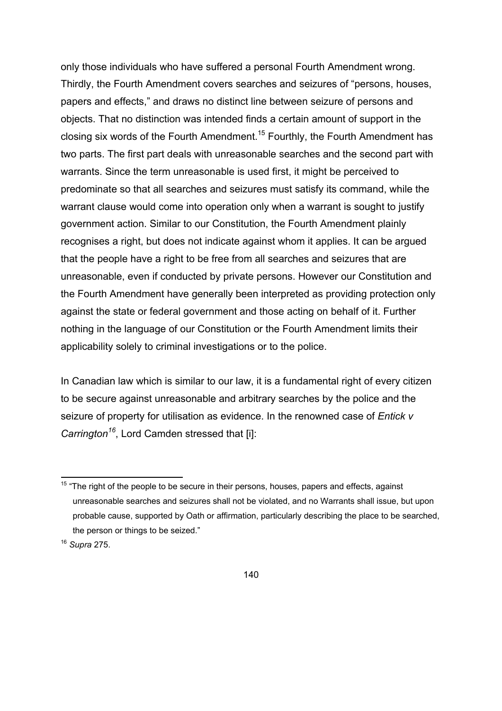only those individuals who have suffered a personal Fourth Amendment wrong. Thirdly, the Fourth Amendment covers searches and seizures of "persons, houses, papers and effects," and draws no distinct line between seizure of persons and objects. That no distinction was intended finds a certain amount of support in the closing six words of the Fourth Amendment.15 Fourthly, the Fourth Amendment has two parts. The first part deals with unreasonable searches and the second part with warrants. Since the term unreasonable is used first, it might be perceived to predominate so that all searches and seizures must satisfy its command, while the warrant clause would come into operation only when a warrant is sought to justify government action. Similar to our Constitution, the Fourth Amendment plainly recognises a right, but does not indicate against whom it applies. It can be argued that the people have a right to be free from all searches and seizures that are unreasonable, even if conducted by private persons. However our Constitution and the Fourth Amendment have generally been interpreted as providing protection only against the state or federal government and those acting on behalf of it. Further nothing in the language of our Constitution or the Fourth Amendment limits their applicability solely to criminal investigations or to the police.

In Canadian law which is similar to our law, it is a fundamental right of every citizen to be secure against unreasonable and arbitrary searches by the police and the seizure of property for utilisation as evidence. In the renowned case of *Entick v Carrington<sup>16</sup>*, Lord Camden stressed that [i]:

 $15$  "The right of the people to be secure in their persons, houses, papers and effects, against unreasonable searches and seizures shall not be violated, and no Warrants shall issue, but upon probable cause, supported by Oath or affirmation, particularly describing the place to be searched, the person or things to be seized."

<sup>16</sup> *Supra* 275.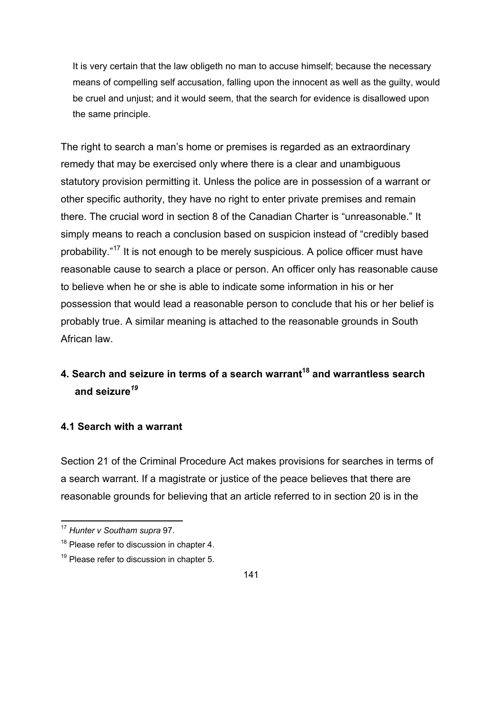It is very certain that the law obligeth no man to accuse himself; because the necessary means of compelling self accusation, falling upon the innocent as well as the guilty, would be cruel and unjust; and it would seem, that the search for evidence is disallowed upon the same principle.

The right to search a man's home or premises is regarded as an extraordinary remedy that may be exercised only where there is a clear and unambiguous statutory provision permitting it. Unless the police are in possession of a warrant or other specific authority, they have no right to enter private premises and remain there. The crucial word in section 8 of the Canadian Charter is "unreasonable." It simply means to reach a conclusion based on suspicion instead of "credibly based probability."17 It is not enough to be merely suspicious. A police officer must have reasonable cause to search a place or person. An officer only has reasonable cause to believe when he or she is able to indicate some information in his or her possession that would lead a reasonable person to conclude that his or her belief is probably true. A similar meaning is attached to the reasonable grounds in South African law.

# **4. Search and seizure in terms of a search warrant18 and warrantless search and seizure***<sup>19</sup>*

### **4.1 Search with a warrant**

Section 21 of the Criminal Procedure Act makes provisions for searches in terms of a search warrant. If a magistrate or justice of the peace believes that there are reasonable grounds for believing that an article referred to in section 20 is in the

<sup>17</sup> *Hunter v Southam supra* 97.

 $18$  Please refer to discussion in chapter 4.

 $19$  Please refer to discussion in chapter 5.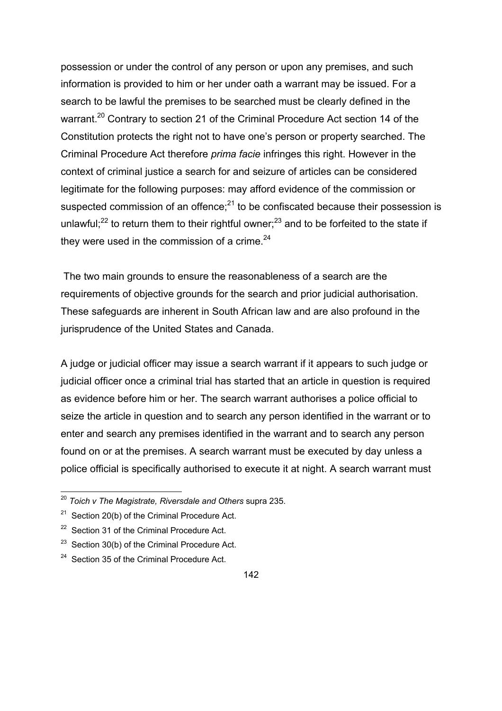possession or under the control of any person or upon any premises, and such information is provided to him or her under oath a warrant may be issued. For a search to be lawful the premises to be searched must be clearly defined in the warrant.<sup>20</sup> Contrary to section 21 of the Criminal Procedure Act section 14 of the Constitution protects the right not to have one's person or property searched. The Criminal Procedure Act therefore *prima facie* infringes this right. However in the context of criminal justice a search for and seizure of articles can be considered legitimate for the following purposes: may afford evidence of the commission or suspected commission of an offence; $^{21}$  to be confiscated because their possession is unlawful; $^{22}$  to return them to their rightful owner; $^{23}$  and to be forfeited to the state if they were used in the commission of a crime. $24$ 

 The two main grounds to ensure the reasonableness of a search are the requirements of objective grounds for the search and prior judicial authorisation. These safeguards are inherent in South African law and are also profound in the jurisprudence of the United States and Canada.

A judge or judicial officer may issue a search warrant if it appears to such judge or judicial officer once a criminal trial has started that an article in question is required as evidence before him or her. The search warrant authorises a police official to seize the article in question and to search any person identified in the warrant or to enter and search any premises identified in the warrant and to search any person found on or at the premises. A search warrant must be executed by day unless a police official is specifically authorised to execute it at night. A search warrant must

<sup>20</sup> *Toich v The Magistrate, Riversdale and Others* supra 235.

 $21$  Section 20(b) of the Criminal Procedure Act.

 $22$  Section 31 of the Criminal Procedure Act.

 $23$  Section 30(b) of the Criminal Procedure Act.

 $24$  Section 35 of the Criminal Procedure Act.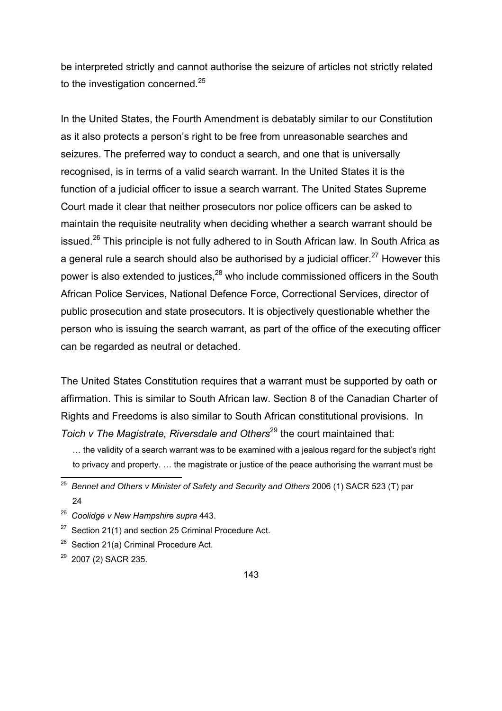be interpreted strictly and cannot authorise the seizure of articles not strictly related to the investigation concerned.<sup>25</sup>

In the United States, the Fourth Amendment is debatably similar to our Constitution as it also protects a person's right to be free from unreasonable searches and seizures. The preferred way to conduct a search, and one that is universally recognised, is in terms of a valid search warrant. In the United States it is the function of a judicial officer to issue a search warrant. The United States Supreme Court made it clear that neither prosecutors nor police officers can be asked to maintain the requisite neutrality when deciding whether a search warrant should be issued.<sup>26</sup> This principle is not fully adhered to in South African law. In South Africa as a general rule a search should also be authorised by a judicial officer.<sup>27</sup> However this power is also extended to justices, $^{28}$  who include commissioned officers in the South African Police Services, National Defence Force, Correctional Services, director of public prosecution and state prosecutors. It is objectively questionable whether the person who is issuing the search warrant, as part of the office of the executing officer can be regarded as neutral or detached.

The United States Constitution requires that a warrant must be supported by oath or affirmation. This is similar to South African law. Section 8 of the Canadian Charter of Rights and Freedoms is also similar to South African constitutional provisions. In *Toich v The Magistrate, Riversdale and Others*<sup>29</sup> the court maintained that:

- <sup>28</sup> Section 21(a) Criminal Procedure Act.
- 29 2007 (2) SACR 235.

 <sup>…</sup> the validity of a search warrant was to be examined with a jealous regard for the subject's right to privacy and property. … the magistrate or justice of the peace authorising the warrant must be

<sup>&</sup>lt;sup>25</sup> Bennet and Others v Minister of Safety and Security and Others 2006 (1) SACR 523 (T) par 24

<sup>26</sup> *Coolidge v New Hampshire supra* 443.

 $27$  Section 21(1) and section 25 Criminal Procedure Act.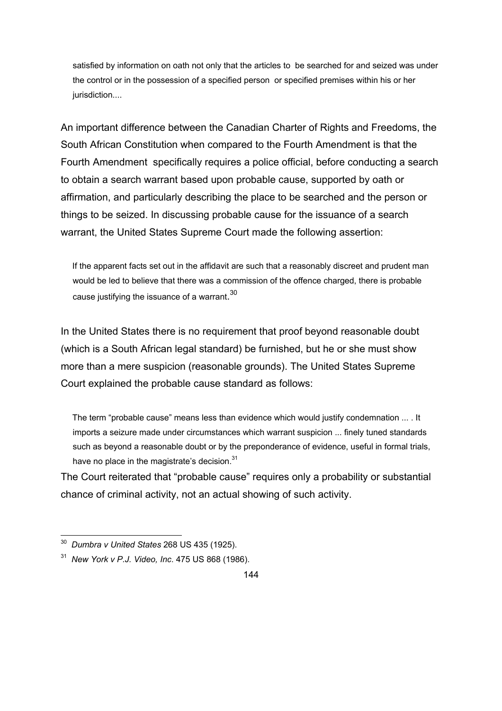satisfied by information on oath not only that the articles to be searched for and seized was under the control or in the possession of a specified person or specified premises within his or her jurisdiction....

An important difference between the Canadian Charter of Rights and Freedoms, the South African Constitution when compared to the Fourth Amendment is that the Fourth Amendment specifically requires a police official, before conducting a search to obtain a search warrant based upon probable cause, supported by oath or affirmation, and particularly describing the place to be searched and the person or things to be seized. In discussing probable cause for the issuance of a search warrant, the United States Supreme Court made the following assertion:

 If the apparent facts set out in the affidavit are such that a reasonably discreet and prudent man would be led to believe that there was a commission of the offence charged, there is probable cause justifying the issuance of a warrant.<sup>30</sup>

In the United States there is no requirement that proof beyond reasonable doubt (which is a South African legal standard) be furnished, but he or she must show more than a mere suspicion (reasonable grounds). The United States Supreme Court explained the probable cause standard as follows:

 The term "probable cause" means less than evidence which would justify condemnation ... . It imports a seizure made under circumstances which warrant suspicion ... finely tuned standards such as beyond a reasonable doubt or by the preponderance of evidence, useful in formal trials, have no place in the magistrate's decision.<sup>31</sup>

The Court reiterated that "probable cause" requires only a probability or substantial chance of criminal activity, not an actual showing of such activity.

<sup>30</sup>*Dumbra v United States* 268 US 435 (1925).

<sup>31</sup> *New York v P.J. Video, Inc*. 475 US 868 (1986).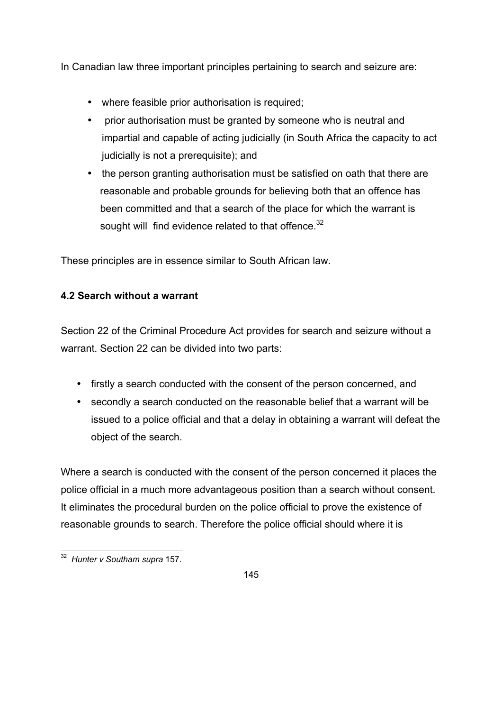In Canadian law three important principles pertaining to search and seizure are:

- where feasible prior authorisation is required;
- prior authorisation must be granted by someone who is neutral and impartial and capable of acting judicially (in South Africa the capacity to act judicially is not a prerequisite); and
- the person granting authorisation must be satisfied on oath that there are reasonable and probable grounds for believing both that an offence has been committed and that a search of the place for which the warrant is sought will find evidence related to that offence.<sup>32</sup>

These principles are in essence similar to South African law.

# **4.2 Search without a warrant**

Section 22 of the Criminal Procedure Act provides for search and seizure without a warrant. Section 22 can be divided into two parts:

- firstly a search conducted with the consent of the person concerned, and
- secondly a search conducted on the reasonable belief that a warrant will be issued to a police official and that a delay in obtaining a warrant will defeat the object of the search.

Where a search is conducted with the consent of the person concerned it places the police official in a much more advantageous position than a search without consent. It eliminates the procedural burden on the police official to prove the existence of reasonable grounds to search. Therefore the police official should where it is



<sup>32</sup>*Hunter v Southam supra* 157.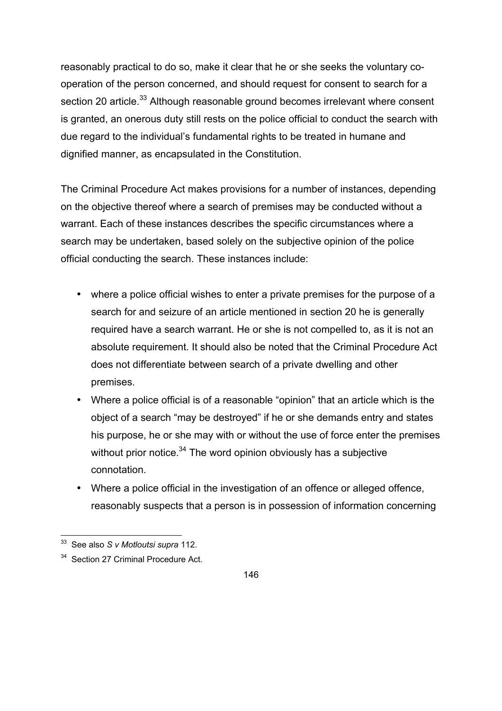reasonably practical to do so, make it clear that he or she seeks the voluntary cooperation of the person concerned, and should request for consent to search for a section 20 article.<sup>33</sup> Although reasonable ground becomes irrelevant where consent is granted, an onerous duty still rests on the police official to conduct the search with due regard to the individual's fundamental rights to be treated in humane and dignified manner, as encapsulated in the Constitution.

The Criminal Procedure Act makes provisions for a number of instances, depending on the objective thereof where a search of premises may be conducted without a warrant. Each of these instances describes the specific circumstances where a search may be undertaken, based solely on the subjective opinion of the police official conducting the search. These instances include:

- where a police official wishes to enter a private premises for the purpose of a search for and seizure of an article mentioned in section 20 he is generally required have a search warrant. He or she is not compelled to, as it is not an absolute requirement. It should also be noted that the Criminal Procedure Act does not differentiate between search of a private dwelling and other premises.
- Where a police official is of a reasonable "opinion" that an article which is the object of a search "may be destroyed" if he or she demands entry and states his purpose, he or she may with or without the use of force enter the premises without prior notice.<sup>34</sup> The word opinion obviously has a subjective connotation.
- Where a police official in the investigation of an offence or alleged offence, reasonably suspects that a person is in possession of information concerning

33 See also *S v Motloutsi supra* 112.

<sup>&</sup>lt;sup>34</sup> Section 27 Criminal Procedure Act.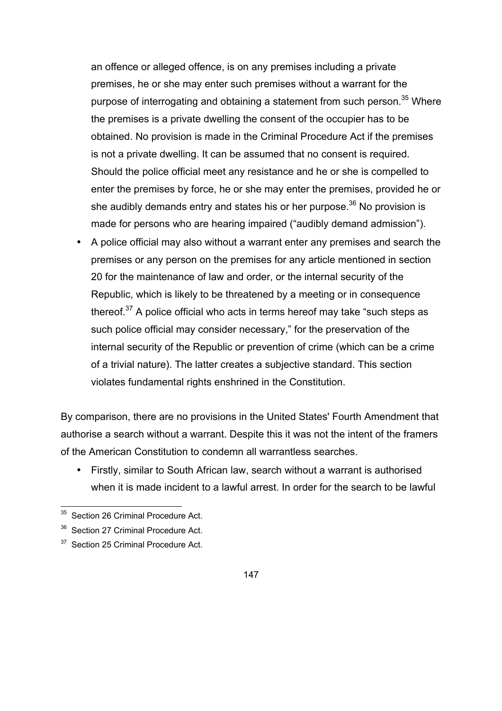an offence or alleged offence, is on any premises including a private premises, he or she may enter such premises without a warrant for the purpose of interrogating and obtaining a statement from such person.<sup>35</sup> Where the premises is a private dwelling the consent of the occupier has to be obtained. No provision is made in the Criminal Procedure Act if the premises is not a private dwelling. It can be assumed that no consent is required. Should the police official meet any resistance and he or she is compelled to enter the premises by force, he or she may enter the premises, provided he or she audibly demands entry and states his or her purpose.<sup>36</sup> No provision is made for persons who are hearing impaired ("audibly demand admission").

• A police official may also without a warrant enter any premises and search the premises or any person on the premises for any article mentioned in section 20 for the maintenance of law and order, or the internal security of the Republic, which is likely to be threatened by a meeting or in consequence thereof. $37$  A police official who acts in terms hereof may take "such steps as such police official may consider necessary," for the preservation of the internal security of the Republic or prevention of crime (which can be a crime of a trivial nature). The latter creates a subjective standard. This section violates fundamental rights enshrined in the Constitution.

By comparison, there are no provisions in the United States' Fourth Amendment that authorise a search without a warrant. Despite this it was not the intent of the framers of the American Constitution to condemn all warrantless searches.

• Firstly, similar to South African law, search without a warrant is authorised when it is made incident to a lawful arrest. In order for the search to be lawful

<sup>&</sup>lt;sup>35</sup> Section 26 Criminal Procedure Act.

<sup>&</sup>lt;sup>36</sup> Section 27 Criminal Procedure Act.

<sup>&</sup>lt;sup>37</sup> Section 25 Criminal Procedure Act.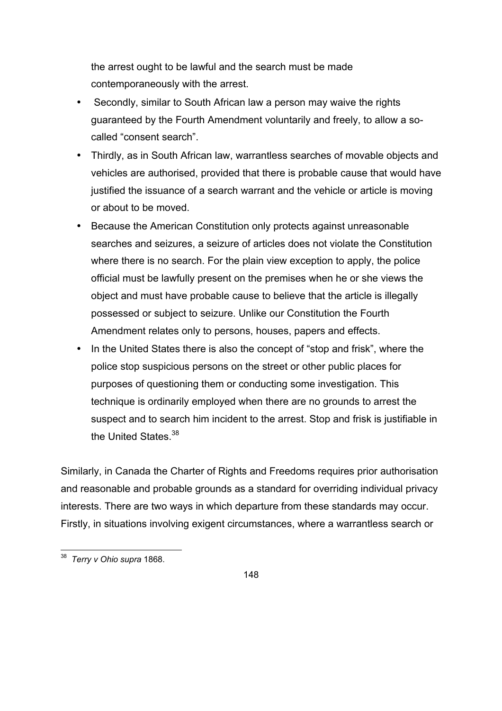the arrest ought to be lawful and the search must be made contemporaneously with the arrest.

- Secondly, similar to South African law a person may waive the rights guaranteed by the Fourth Amendment voluntarily and freely, to allow a socalled "consent search".
- Thirdly, as in South African law, warrantless searches of movable objects and vehicles are authorised, provided that there is probable cause that would have justified the issuance of a search warrant and the vehicle or article is moving or about to be moved.
- Because the American Constitution only protects against unreasonable searches and seizures, a seizure of articles does not violate the Constitution where there is no search. For the plain view exception to apply, the police official must be lawfully present on the premises when he or she views the object and must have probable cause to believe that the article is illegally possessed or subject to seizure. Unlike our Constitution the Fourth Amendment relates only to persons, houses, papers and effects.
- In the United States there is also the concept of "stop and frisk", where the police stop suspicious persons on the street or other public places for purposes of questioning them or conducting some investigation. This technique is ordinarily employed when there are no grounds to arrest the suspect and to search him incident to the arrest. Stop and frisk is justifiable in the United States 38

Similarly, in Canada the Charter of Rights and Freedoms requires prior authorisation and reasonable and probable grounds as a standard for overriding individual privacy interests. There are two ways in which departure from these standards may occur. Firstly, in situations involving exigent circumstances, where a warrantless search or

<sup>38</sup>*Terry v Ohio supra* 1868.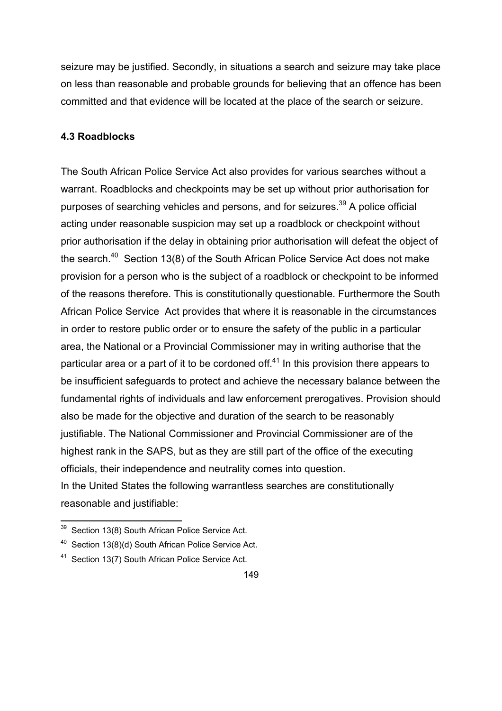seizure may be justified. Secondly, in situations a search and seizure may take place on less than reasonable and probable grounds for believing that an offence has been committed and that evidence will be located at the place of the search or seizure.

### **4.3 Roadblocks**

The South African Police Service Act also provides for various searches without a warrant. Roadblocks and checkpoints may be set up without prior authorisation for purposes of searching vehicles and persons, and for seizures.<sup>39</sup> A police official acting under reasonable suspicion may set up a roadblock or checkpoint without prior authorisation if the delay in obtaining prior authorisation will defeat the object of the search.<sup>40</sup> Section 13(8) of the South African Police Service Act does not make provision for a person who is the subject of a roadblock or checkpoint to be informed of the reasons therefore. This is constitutionally questionable. Furthermore the South African Police Service Act provides that where it is reasonable in the circumstances in order to restore public order or to ensure the safety of the public in a particular area, the National or a Provincial Commissioner may in writing authorise that the particular area or a part of it to be cordoned of  $f<sup>41</sup>$  In this provision there appears to be insufficient safeguards to protect and achieve the necessary balance between the fundamental rights of individuals and law enforcement prerogatives. Provision should also be made for the objective and duration of the search to be reasonably justifiable. The National Commissioner and Provincial Commissioner are of the highest rank in the SAPS, but as they are still part of the office of the executing officials, their independence and neutrality comes into question. In the United States the following warrantless searches are constitutionally reasonable and justifiable:

<sup>&</sup>lt;sup>39</sup> Section 13(8) South African Police Service Act.

<sup>&</sup>lt;sup>40</sup> Section 13(8)(d) South African Police Service Act.

<sup>&</sup>lt;sup>41</sup> Section 13(7) South African Police Service Act.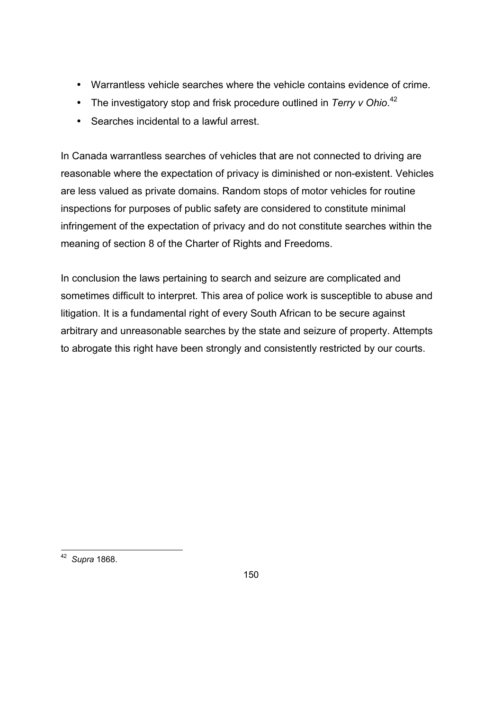- Warrantless vehicle searches where the vehicle contains evidence of crime.
- The investigatory stop and frisk procedure outlined in *Terry v Ohio*.<sup>42</sup>
- Searches incidental to a lawful arrest.

In Canada warrantless searches of vehicles that are not connected to driving are reasonable where the expectation of privacy is diminished or non-existent. Vehicles are less valued as private domains. Random stops of motor vehicles for routine inspections for purposes of public safety are considered to constitute minimal infringement of the expectation of privacy and do not constitute searches within the meaning of section 8 of the Charter of Rights and Freedoms.

In conclusion the laws pertaining to search and seizure are complicated and sometimes difficult to interpret. This area of police work is susceptible to abuse and litigation. It is a fundamental right of every South African to be secure against arbitrary and unreasonable searches by the state and seizure of property. Attempts to abrogate this right have been strongly and consistently restricted by our courts.

<sup>42</sup>*Supra* 1868.

150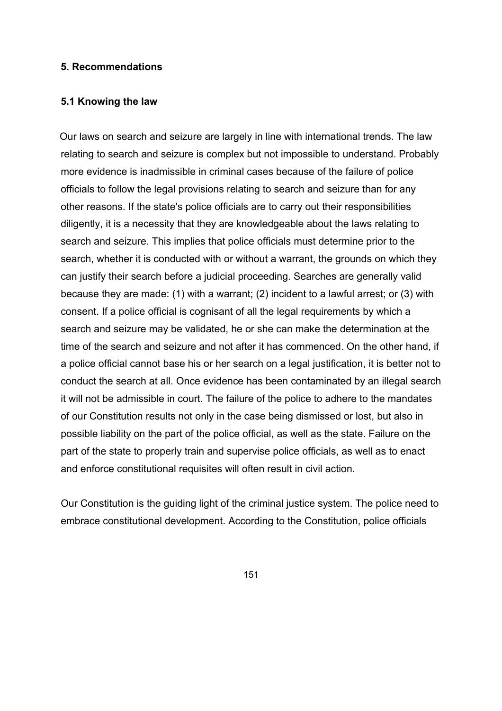#### **5. Recommendations**

#### **5.1 Knowing the law**

 Our laws on search and seizure are largely in line with international trends. The law relating to search and seizure is complex but not impossible to understand. Probably more evidence is inadmissible in criminal cases because of the failure of police officials to follow the legal provisions relating to search and seizure than for any other reasons. If the state's police officials are to carry out their responsibilities diligently, it is a necessity that they are knowledgeable about the laws relating to search and seizure. This implies that police officials must determine prior to the search, whether it is conducted with or without a warrant, the grounds on which they can justify their search before a judicial proceeding. Searches are generally valid because they are made: (1) with a warrant; (2) incident to a lawful arrest; or (3) with consent. If a police official is cognisant of all the legal requirements by which a search and seizure may be validated, he or she can make the determination at the time of the search and seizure and not after it has commenced. On the other hand, if a police official cannot base his or her search on a legal justification, it is better not to conduct the search at all. Once evidence has been contaminated by an illegal search it will not be admissible in court. The failure of the police to adhere to the mandates of our Constitution results not only in the case being dismissed or lost, but also in possible liability on the part of the police official, as well as the state. Failure on the part of the state to properly train and supervise police officials, as well as to enact and enforce constitutional requisites will often result in civil action.

Our Constitution is the guiding light of the criminal justice system. The police need to embrace constitutional development. According to the Constitution, police officials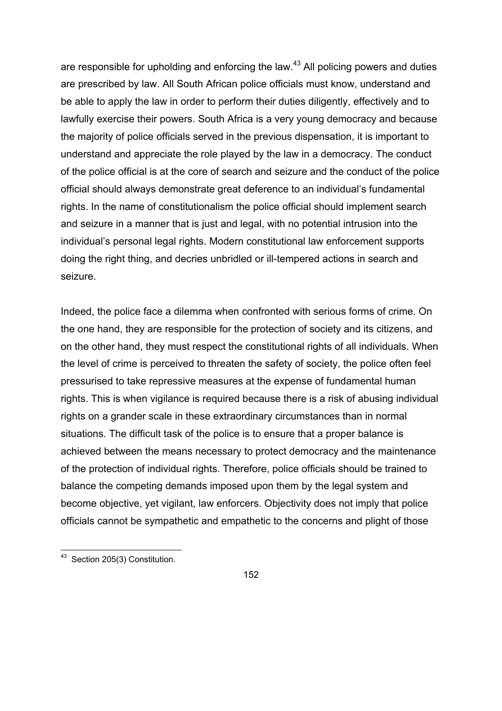are responsible for upholding and enforcing the law.<sup>43</sup> All policing powers and duties are prescribed by law. All South African police officials must know, understand and be able to apply the law in order to perform their duties diligently, effectively and to lawfully exercise their powers. South Africa is a very young democracy and because the majority of police officials served in the previous dispensation, it is important to understand and appreciate the role played by the law in a democracy. The conduct of the police official is at the core of search and seizure and the conduct of the police official should always demonstrate great deference to an individual's fundamental rights. In the name of constitutionalism the police official should implement search and seizure in a manner that is just and legal, with no potential intrusion into the individual's personal legal rights. Modern constitutional law enforcement supports doing the right thing, and decries unbridled or ill-tempered actions in search and seizure.

Indeed, the police face a dilemma when confronted with serious forms of crime. On the one hand, they are responsible for the protection of society and its citizens, and on the other hand, they must respect the constitutional rights of all individuals. When the level of crime is perceived to threaten the safety of society, the police often feel pressurised to take repressive measures at the expense of fundamental human rights. This is when vigilance is required because there is a risk of abusing individual rights on a grander scale in these extraordinary circumstances than in normal situations. The difficult task of the police is to ensure that a proper balance is achieved between the means necessary to protect democracy and the maintenance of the protection of individual rights. Therefore, police officials should be trained to balance the competing demands imposed upon them by the legal system and become objective, yet vigilant, law enforcers. Objectivity does not imply that police officials cannot be sympathetic and empathetic to the concerns and plight of those

43 Section 205(3) Constitution.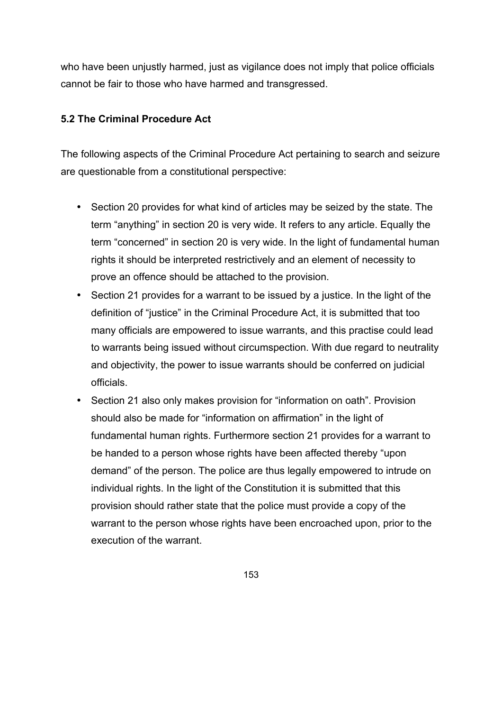who have been unjustly harmed, just as vigilance does not imply that police officials cannot be fair to those who have harmed and transgressed.

## **5.2 The Criminal Procedure Act**

The following aspects of the Criminal Procedure Act pertaining to search and seizure are questionable from a constitutional perspective:

- Section 20 provides for what kind of articles may be seized by the state. The term "anything" in section 20 is very wide. It refers to any article. Equally the term "concerned" in section 20 is very wide. In the light of fundamental human rights it should be interpreted restrictively and an element of necessity to prove an offence should be attached to the provision.
- Section 21 provides for a warrant to be issued by a justice. In the light of the definition of "justice" in the Criminal Procedure Act, it is submitted that too many officials are empowered to issue warrants, and this practise could lead to warrants being issued without circumspection. With due regard to neutrality and objectivity, the power to issue warrants should be conferred on judicial officials.
- Section 21 also only makes provision for "information on oath". Provision should also be made for "information on affirmation" in the light of fundamental human rights. Furthermore section 21 provides for a warrant to be handed to a person whose rights have been affected thereby "upon demand" of the person. The police are thus legally empowered to intrude on individual rights. In the light of the Constitution it is submitted that this provision should rather state that the police must provide a copy of the warrant to the person whose rights have been encroached upon, prior to the execution of the warrant.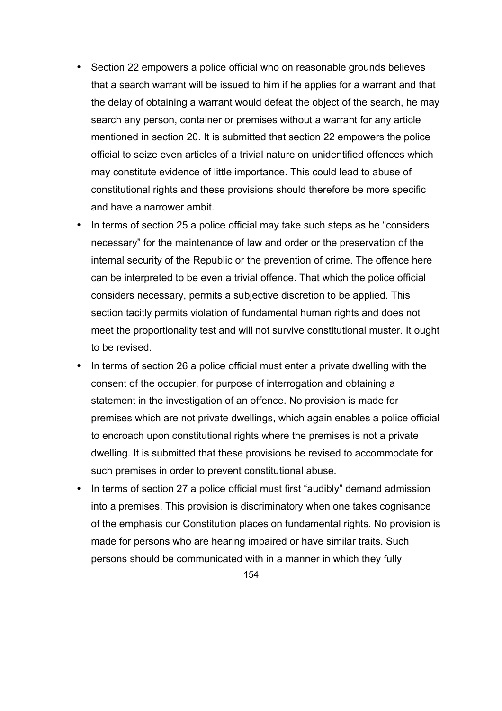- Section 22 empowers a police official who on reasonable grounds believes that a search warrant will be issued to him if he applies for a warrant and that the delay of obtaining a warrant would defeat the object of the search, he may search any person, container or premises without a warrant for any article mentioned in section 20. It is submitted that section 22 empowers the police official to seize even articles of a trivial nature on unidentified offences which may constitute evidence of little importance. This could lead to abuse of constitutional rights and these provisions should therefore be more specific and have a narrower ambit.
- In terms of section 25 a police official may take such steps as he "considers necessary" for the maintenance of law and order or the preservation of the internal security of the Republic or the prevention of crime. The offence here can be interpreted to be even a trivial offence. That which the police official considers necessary, permits a subjective discretion to be applied. This section tacitly permits violation of fundamental human rights and does not meet the proportionality test and will not survive constitutional muster. It ought to be revised.
- In terms of section 26 a police official must enter a private dwelling with the consent of the occupier, for purpose of interrogation and obtaining a statement in the investigation of an offence. No provision is made for premises which are not private dwellings, which again enables a police official to encroach upon constitutional rights where the premises is not a private dwelling. It is submitted that these provisions be revised to accommodate for such premises in order to prevent constitutional abuse.
- In terms of section 27 a police official must first "audibly" demand admission into a premises. This provision is discriminatory when one takes cognisance of the emphasis our Constitution places on fundamental rights. No provision is made for persons who are hearing impaired or have similar traits. Such persons should be communicated with in a manner in which they fully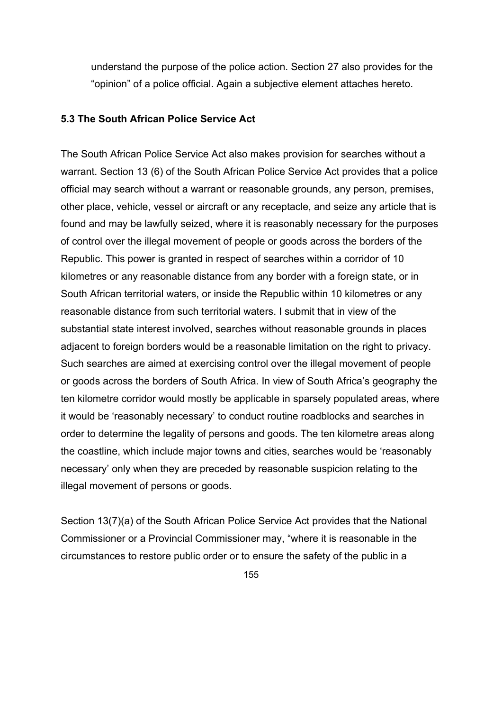understand the purpose of the police action. Section 27 also provides for the "opinion" of a police official. Again a subjective element attaches hereto.

#### **5.3 The South African Police Service Act**

The South African Police Service Act also makes provision for searches without a warrant. Section 13 (6) of the South African Police Service Act provides that a police official may search without a warrant or reasonable grounds, any person, premises, other place, vehicle, vessel or aircraft or any receptacle, and seize any article that is found and may be lawfully seized, where it is reasonably necessary for the purposes of control over the illegal movement of people or goods across the borders of the Republic. This power is granted in respect of searches within a corridor of 10 kilometres or any reasonable distance from any border with a foreign state, or in South African territorial waters, or inside the Republic within 10 kilometres or any reasonable distance from such territorial waters. I submit that in view of the substantial state interest involved, searches without reasonable grounds in places adjacent to foreign borders would be a reasonable limitation on the right to privacy. Such searches are aimed at exercising control over the illegal movement of people or goods across the borders of South Africa. In view of South Africa's geography the ten kilometre corridor would mostly be applicable in sparsely populated areas, where it would be 'reasonably necessary' to conduct routine roadblocks and searches in order to determine the legality of persons and goods. The ten kilometre areas along the coastline, which include major towns and cities, searches would be 'reasonably necessary' only when they are preceded by reasonable suspicion relating to the illegal movement of persons or goods.

Section 13(7)(a) of the South African Police Service Act provides that the National Commissioner or a Provincial Commissioner may, "where it is reasonable in the circumstances to restore public order or to ensure the safety of the public in a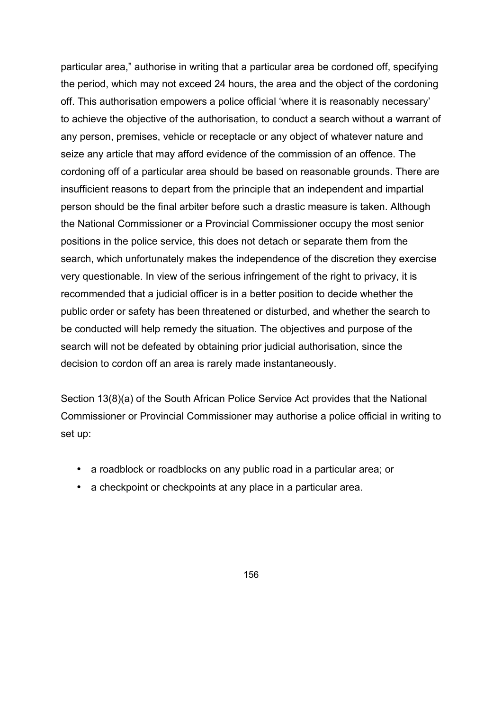particular area," authorise in writing that a particular area be cordoned off, specifying the period, which may not exceed 24 hours, the area and the object of the cordoning off. This authorisation empowers a police official 'where it is reasonably necessary' to achieve the objective of the authorisation, to conduct a search without a warrant of any person, premises, vehicle or receptacle or any object of whatever nature and seize any article that may afford evidence of the commission of an offence. The cordoning off of a particular area should be based on reasonable grounds. There are insufficient reasons to depart from the principle that an independent and impartial person should be the final arbiter before such a drastic measure is taken. Although the National Commissioner or a Provincial Commissioner occupy the most senior positions in the police service, this does not detach or separate them from the search, which unfortunately makes the independence of the discretion they exercise very questionable. In view of the serious infringement of the right to privacy, it is recommended that a judicial officer is in a better position to decide whether the public order or safety has been threatened or disturbed, and whether the search to be conducted will help remedy the situation. The objectives and purpose of the search will not be defeated by obtaining prior judicial authorisation, since the decision to cordon off an area is rarely made instantaneously.

Section 13(8)(a) of the South African Police Service Act provides that the National Commissioner or Provincial Commissioner may authorise a police official in writing to set up:

- a roadblock or roadblocks on any public road in a particular area; or
- a checkpoint or checkpoints at any place in a particular area.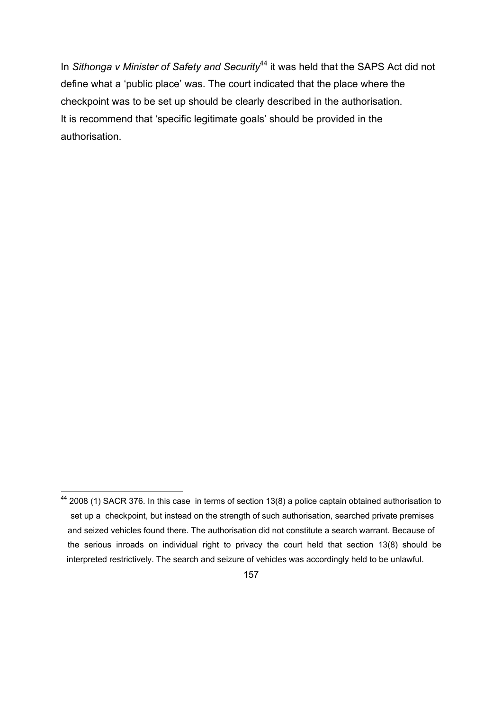In *Sithonga v Minister of Safety and Security*<sup>44</sup> it was held that the SAPS Act did not define what a 'public place' was. The court indicated that the place where the checkpoint was to be set up should be clearly described in the authorisation. It is recommend that 'specific legitimate goals' should be provided in the authorisation.

44 2008 (1) SACR 376. In this case in terms of section 13(8) a police captain obtained authorisation to set up a checkpoint, but instead on the strength of such authorisation, searched private premises and seized vehicles found there. The authorisation did not constitute a search warrant. Because of the serious inroads on individual right to privacy the court held that section 13(8) should be interpreted restrictively. The search and seizure of vehicles was accordingly held to be unlawful.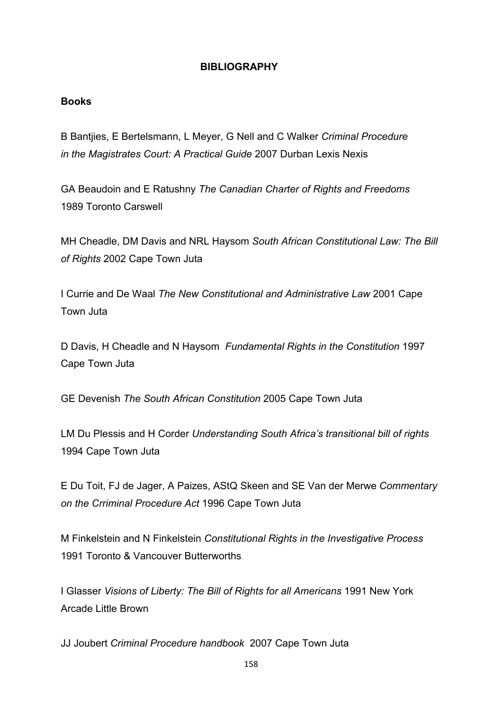### **BIBLIOGRAPHY**

### **Books**

B Bantjies, E Bertelsmann, L Meyer, G Nell and C Walker *Criminal Procedure in the Magistrates Court: A Practical Guide* 2007 Durban Lexis Nexis

GA Beaudoin and E Ratushny *The Canadian Charter of Rights and Freedoms* 1989 Toronto Carswell

MH Cheadle, DM Davis and NRL Haysom *South African Constitutional Law: The Bill of Rights* 2002 Cape Town Juta

I Currie and De Waal *The New Constitutional and Administrative Law* 2001 Cape Town Juta

D Davis, H Cheadle and N Haysom *Fundamental Rights in the Constitution* 1997 Cape Town Juta

GE Devenish *The South African Constitution* 2005 Cape Town Juta

LM Du Plessis and H Corder *Understanding South Africa's transitional bill of rights* 1994 Cape Town Juta

E Du Toit, FJ de Jager, A Paizes, AStQ Skeen and SE Van der Merwe *Commentary on the Crriminal Procedure Act* 1996 Cape Town Juta

M Finkelstein and N Finkelstein *Constitutional Rights in the Investigative Process* 1991 Toronto & Vancouver Butterworths

I Glasser *Visions of Liberty: The Bill of Rights for all Americans* 1991 New York Arcade Little Brown

JJ Joubert *Criminal Procedure handbook* 2007 Cape Town Juta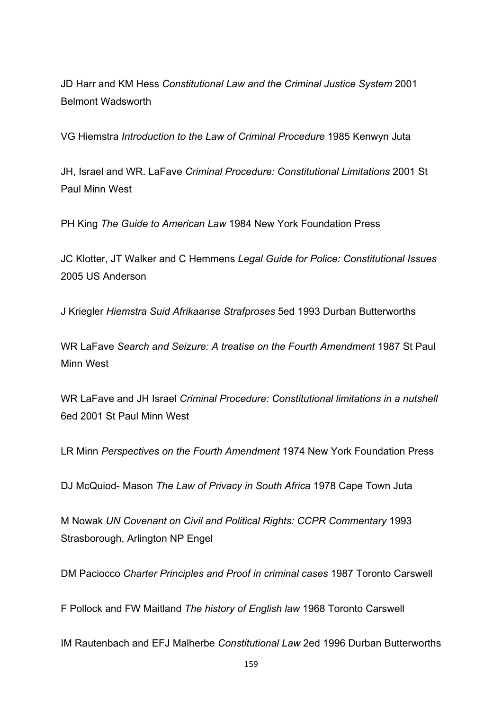JD Harr and KM Hess *Constitutional Law and the Criminal Justice System* 2001 Belmont Wadsworth

VG Hiemstra *Introduction to the Law of Criminal Procedure* 1985 Kenwyn Juta

JH, Israel and WR. LaFave *Criminal Procedure: Constitutional Limitations* 2001 St Paul Minn West

PH King *The Guide to American Law* 1984 New York Foundation Press

JC Klotter, JT Walker and C Hemmens *Legal Guide for Police: Constitutional Issues* 2005 US Anderson

J Kriegler *Hiemstra Suid Afrikaanse Strafproses* 5ed 1993 Durban Butterworths

WR LaFave *Search and Seizure: A treatise on the Fourth Amendment* 1987 St Paul Minn West

WR LaFave and JH Israel *Criminal Procedure: Constitutional limitations in a nutshell*  6ed 2001 St Paul Minn West

LR Minn *Perspectives on the Fourth Amendment* 1974 New York Foundation Press

DJ McQuiod- Mason *The Law of Privacy in South Africa* 1978 Cape Town Juta

M Nowak *UN Covenant on Civil and Political Rights: CCPR Commentary* 1993 Strasborough, Arlington NP Engel

DM Paciocco *Charter Principles and Proof in criminal cases* 1987 Toronto Carswell

F Pollock and FW Maitland *The history of English law* 1968 Toronto Carswell

IM Rautenbach and EFJ Malherbe *Constitutional Law* 2ed 1996 Durban Butterworths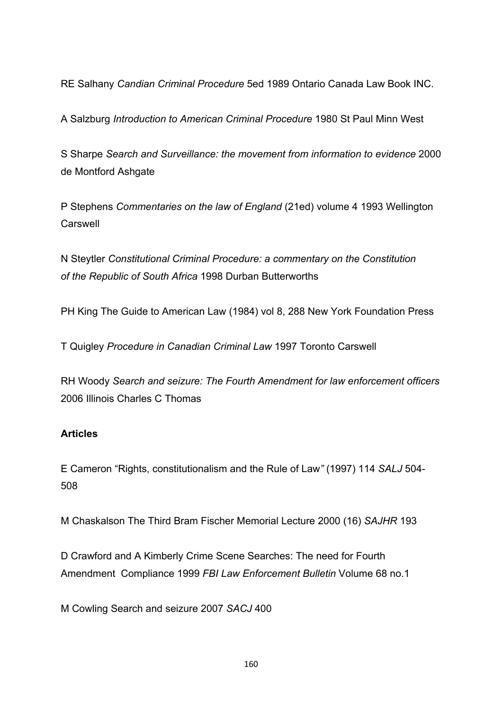RE Salhany *Candian Criminal Procedure* 5ed 1989 Ontario Canada Law Book INC.

A Salzburg *Introduction to American Criminal Procedure* 1980 St Paul Minn West

S Sharpe *Search and Surveillance: the movement from information to evidence* 2000 de Montford Ashgate

P Stephens *Commentaries on the law of England* (21ed) volume 4 1993 Wellington Carswell

N Steytler *Constitutional Criminal Procedure: a commentary on the Constitution of the Republic of South Africa* 1998 Durban Butterworths

PH King The Guide to American Law (1984) vol 8, 288 New York Foundation Press

T Quigley *Procedure in Canadian Criminal Law* 1997 Toronto Carswell

RH Woody *Search and seizure: The Fourth Amendment for law enforcement officers* 2006 Illinois Charles C Thomas

### **Articles**

E Cameron "Rights, constitutionalism and the Rule of Law*"* (1997) 114 *SALJ* 504- 508

M Chaskalson The Third Bram Fischer Memorial Lecture 2000 (16) *SAJHR* 193

D Crawford and A Kimberly Crime Scene Searches: The need for Fourth Amendment Compliance 1999 *FBI Law Enforcement Bulletin* Volume 68 no.1

M Cowling Search and seizure 2007 *SACJ* 400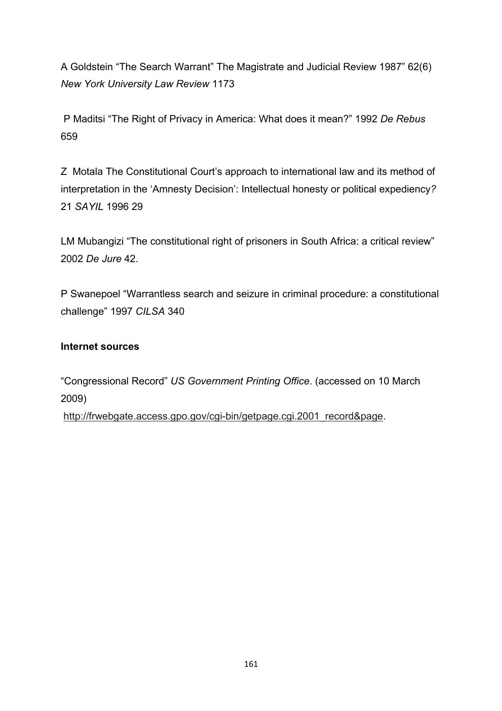A Goldstein "The Search Warrant" The Magistrate and Judicial Review 1987" 62(6) *New York University Law Review* 1173

 P Maditsi "The Right of Privacy in America: What does it mean?" 1992 *De Rebus* 659

Z Motala The Constitutional Court's approach to international law and its method of interpretation in the 'Amnesty Decision': Intellectual honesty or political expediency*?* 21 *SAYIL* 1996 29

LM Mubangizi "The constitutional right of prisoners in South Africa: a critical review" 2002 *De Jure* 42.

P Swanepoel "Warrantless search and seizure in criminal procedure: a constitutional challenge" 1997 *CILSA* 340

### **Internet sources**

"Congressional Record" *US Government Printing Office*. (accessed on 10 March 2009)

http://frwebgate.access.gpo.gov/cgi-bin/getpage.cgi.2001\_record&page.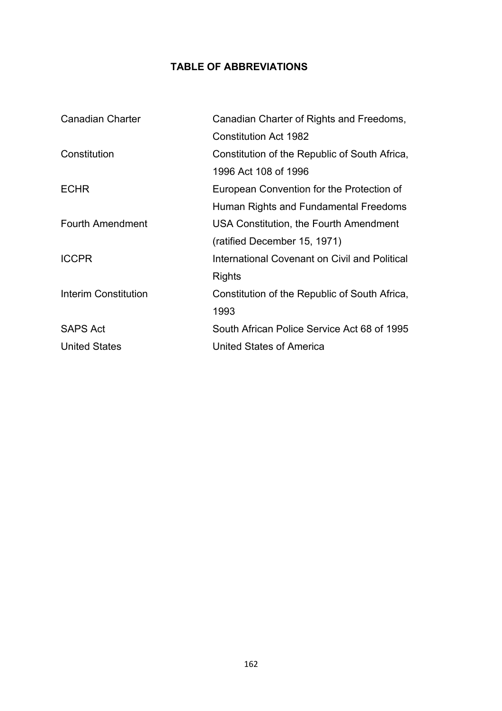# **TABLE OF ABBREVIATIONS**

| <b>Canadian Charter</b>     | Canadian Charter of Rights and Freedoms,      |
|-----------------------------|-----------------------------------------------|
|                             | <b>Constitution Act 1982</b>                  |
| Constitution                | Constitution of the Republic of South Africa, |
|                             | 1996 Act 108 of 1996                          |
| <b>ECHR</b>                 | European Convention for the Protection of     |
|                             | Human Rights and Fundamental Freedoms         |
| Fourth Amendment            | USA Constitution, the Fourth Amendment        |
|                             | (ratified December 15, 1971)                  |
| <b>ICCPR</b>                | International Covenant on Civil and Political |
|                             | Rights                                        |
| <b>Interim Constitution</b> | Constitution of the Republic of South Africa, |
|                             | 1993                                          |
| <b>SAPS Act</b>             | South African Police Service Act 68 of 1995   |
| <b>United States</b>        | United States of America                      |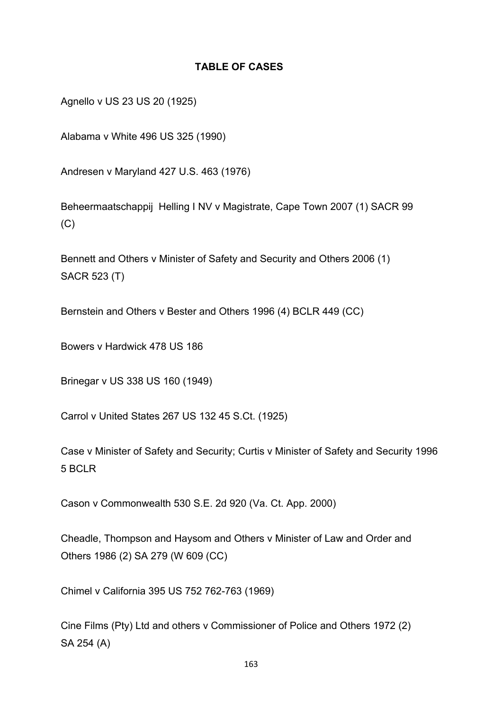### **TABLE OF CASES**

Agnello v US 23 US 20 (1925)

Alabama v White 496 US 325 (1990)

Andresen v Maryland 427 U.S. 463 (1976)

Beheermaatschappij Helling I NV v Magistrate, Cape Town 2007 (1) SACR 99  $(C)$ 

Bennett and Others v Minister of Safety and Security and Others 2006 (1) SACR 523 (T)

Bernstein and Others v Bester and Others 1996 (4) BCLR 449 (CC)

Bowers v Hardwick 478 US 186

Brinegar v US 338 US 160 (1949)

Carrol v United States 267 US 132 45 S.Ct. (1925)

Case v Minister of Safety and Security; Curtis v Minister of Safety and Security 1996 5 BCLR

Cason v Commonwealth 530 S.E. 2d 920 (Va. Ct. App. 2000)

Cheadle, Thompson and Haysom and Others v Minister of Law and Order and Others 1986 (2) SA 279 (W 609 (CC)

Chimel v California 395 US 752 762-763 (1969)

Cine Films (Pty) Ltd and others v Commissioner of Police and Others 1972 (2) SA 254 (A)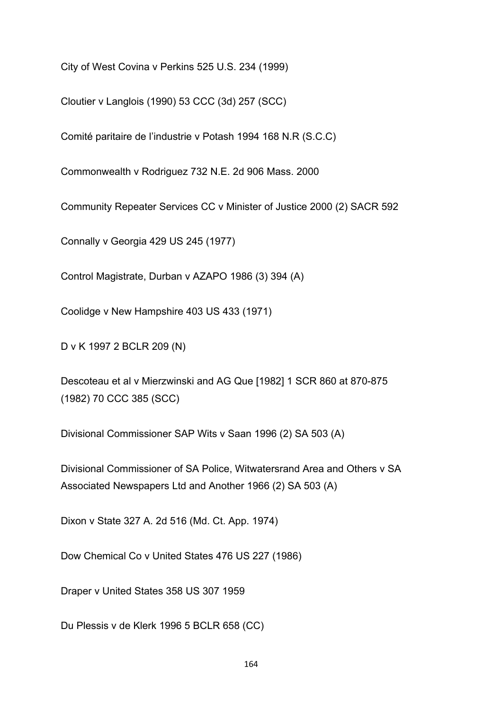City of West Covina v Perkins 525 U.S. 234 (1999)

Cloutier v Langlois (1990) 53 CCC (3d) 257 (SCC)

Comité paritaire de l'industrie v Potash 1994 168 N.R (S.C.C)

Commonwealth v Rodriguez 732 N.E. 2d 906 Mass. 2000

Community Repeater Services CC v Minister of Justice 2000 (2) SACR 592

Connally v Georgia 429 US 245 (1977)

Control Magistrate, Durban v AZAPO 1986 (3) 394 (A)

Coolidge v New Hampshire 403 US 433 (1971)

D v K 1997 2 BCLR 209 (N)

Descoteau et al v Mierzwinski and AG Que [1982] 1 SCR 860 at 870-875 (1982) 70 CCC 385 (SCC)

Divisional Commissioner SAP Wits v Saan 1996 (2) SA 503 (A)

Divisional Commissioner of SA Police, Witwatersrand Area and Others v SA Associated Newspapers Ltd and Another 1966 (2) SA 503 (A)

Dixon v State 327 A. 2d 516 (Md. Ct. App. 1974)

Dow Chemical Co v United States 476 US 227 (1986)

Draper v United States 358 US 307 1959

Du Plessis v de Klerk 1996 5 BCLR 658 (CC)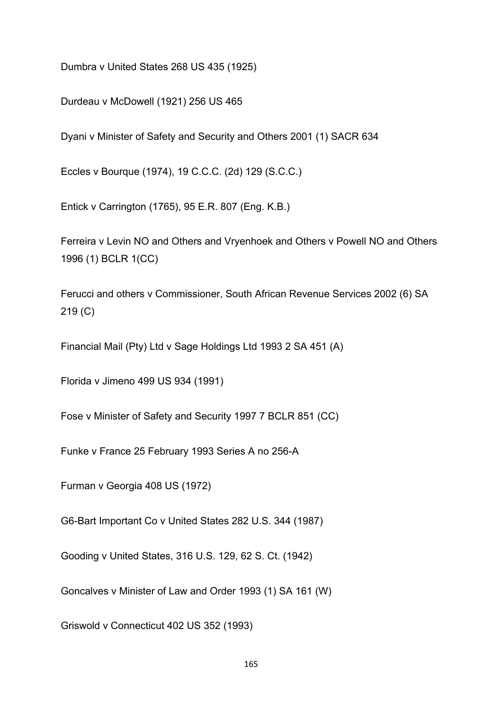Dumbra v United States 268 US 435 (1925)

Durdeau v McDowell (1921) 256 US 465

Dyani v Minister of Safety and Security and Others 2001 (1) SACR 634

Eccles v Bourque (1974), 19 C.C.C. (2d) 129 (S.C.C.)

Entick v Carrington (1765), 95 E.R. 807 (Eng. K.B.)

Ferreira v Levin NO and Others and Vryenhoek and Others v Powell NO and Others 1996 (1) BCLR 1(CC)

Ferucci and others v Commissioner, South African Revenue Services 2002 (6) SA 219 (C)

Financial Mail (Pty) Ltd v Sage Holdings Ltd 1993 2 SA 451 (A)

Florida v Jimeno 499 US 934 (1991)

Fose v Minister of Safety and Security 1997 7 BCLR 851 (CC)

Funke v France 25 February 1993 Series A no 256-A

Furman v Georgia 408 US (1972)

G6-Bart Important Co v United States 282 U.S. 344 (1987)

Gooding v United States, 316 U.S. 129, 62 S. Ct. (1942)

Goncalves v Minister of Law and Order 1993 (1) SA 161 (W)

Griswold v Connecticut 402 US 352 (1993)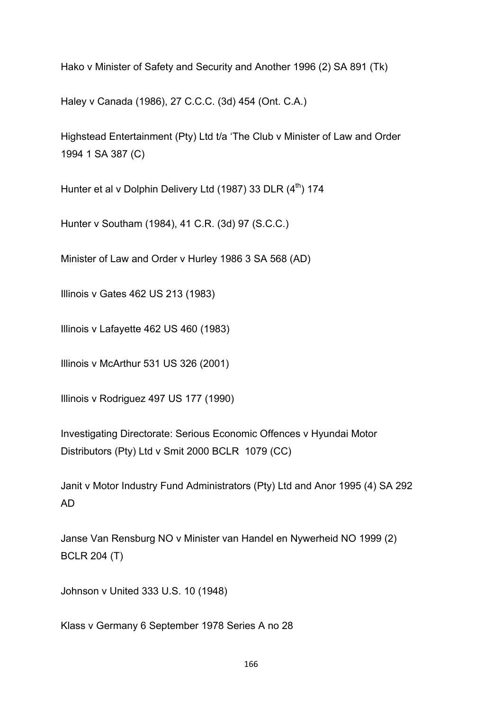Hako v Minister of Safety and Security and Another 1996 (2) SA 891 (Tk)

Haley v Canada (1986), 27 C.C.C. (3d) 454 (Ont. C.A.)

Highstead Entertainment (Pty) Ltd t/a 'The Club v Minister of Law and Order 1994 1 SA 387 (C)

Hunter et al v Dolphin Delivery Ltd  $(1987)$  33 DLR  $(4<sup>th</sup>)$  174

Hunter v Southam (1984), 41 C.R. (3d) 97 (S.C.C.)

Minister of Law and Order v Hurley 1986 3 SA 568 (AD)

Illinois v Gates 462 US 213 (1983)

Illinois v Lafayette 462 US 460 (1983)

Illinois v McArthur 531 US 326 (2001)

Illinois v Rodriguez 497 US 177 (1990)

Investigating Directorate: Serious Economic Offences v Hyundai Motor Distributors (Pty) Ltd v Smit 2000 BCLR 1079 (CC)

Janit v Motor Industry Fund Administrators (Pty) Ltd and Anor 1995 (4) SA 292 AD

Janse Van Rensburg NO v Minister van Handel en Nywerheid NO 1999 (2) BCLR 204 (T)

Johnson v United 333 U.S. 10 (1948)

Klass v Germany 6 September 1978 Series A no 28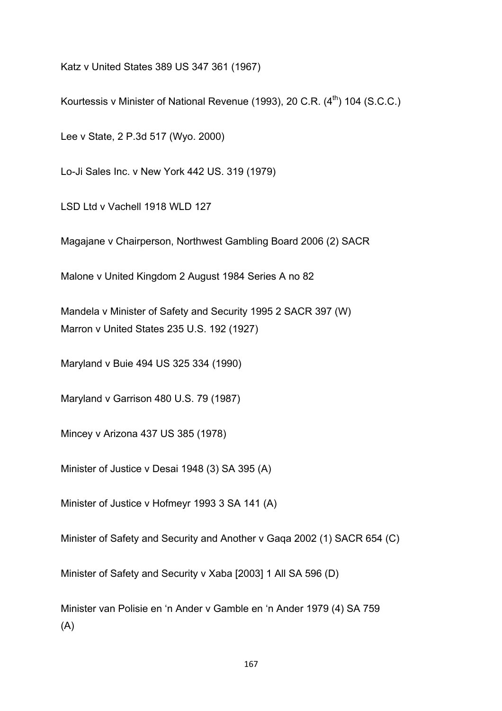Katz v United States 389 US 347 361 (1967)

Kourtessis v Minister of National Revenue (1993), 20 C.R.  $(4<sup>th</sup>)$  104 (S.C.C.)

Lee v State, 2 P.3d 517 (Wyo. 2000)

Lo-Ji Sales Inc. v New York 442 US. 319 (1979)

LSD Ltd v Vachell 1918 WLD 127

Magajane v Chairperson, Northwest Gambling Board 2006 (2) SACR

Malone v United Kingdom 2 August 1984 Series A no 82

Mandela v Minister of Safety and Security 1995 2 SACR 397 (W) Marron v United States 235 U.S. 192 (1927)

Maryland v Buie 494 US 325 334 (1990)

Maryland v Garrison 480 U.S. 79 (1987)

Mincey v Arizona 437 US 385 (1978)

Minister of Justice v Desai 1948 (3) SA 395 (A)

Minister of Justice v Hofmeyr 1993 3 SA 141 (A)

Minister of Safety and Security and Another v Gaqa 2002 (1) SACR 654 (C)

Minister of Safety and Security v Xaba [2003] 1 All SA 596 (D)

Minister van Polisie en 'n Ander v Gamble en 'n Ander 1979 (4) SA 759 (A)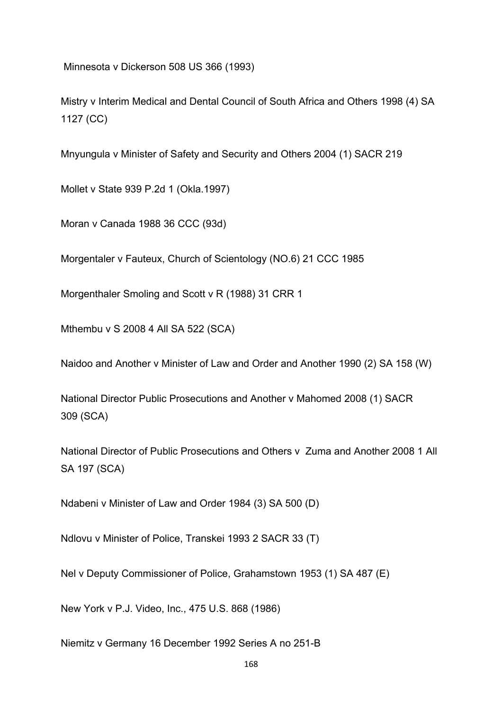Minnesota v Dickerson 508 US 366 (1993)

Mistry v Interim Medical and Dental Council of South Africa and Others 1998 (4) SA 1127 (CC)

Mnyungula v Minister of Safety and Security and Others 2004 (1) SACR 219

Mollet v State 939 P.2d 1 (Okla.1997)

Moran v Canada 1988 36 CCC (93d)

Morgentaler v Fauteux, Church of Scientology (NO.6) 21 CCC 1985

Morgenthaler Smoling and Scott v R (1988) 31 CRR 1

Mthembu v S 2008 4 All SA 522 (SCA)

Naidoo and Another v Minister of Law and Order and Another 1990 (2) SA 158 (W)

National Director Public Prosecutions and Another v Mahomed 2008 (1) SACR 309 (SCA)

National Director of Public Prosecutions and Others v Zuma and Another 2008 1 All SA 197 (SCA)

Ndabeni v Minister of Law and Order 1984 (3) SA 500 (D)

Ndlovu v Minister of Police, Transkei 1993 2 SACR 33 (T)

Nel v Deputy Commissioner of Police, Grahamstown 1953 (1) SA 487 (E)

New York v P.J. Video, Inc., 475 U.S. 868 (1986)

Niemitz v Germany 16 December 1992 Series A no 251-B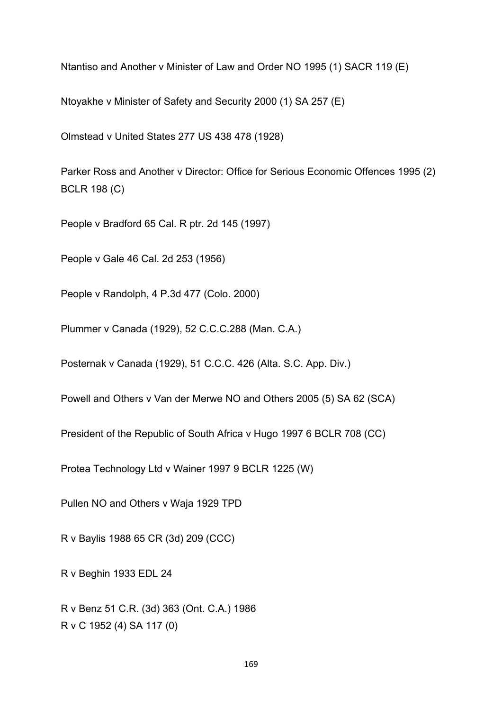Ntantiso and Another v Minister of Law and Order NO 1995 (1) SACR 119 (E)

Ntoyakhe v Minister of Safety and Security 2000 (1) SA 257 (E)

Olmstead v United States 277 US 438 478 (1928)

Parker Ross and Another v Director: Office for Serious Economic Offences 1995 (2) BCLR 198 (C)

People v Bradford 65 Cal. R ptr. 2d 145 (1997)

People v Gale 46 Cal. 2d 253 (1956)

People v Randolph, 4 P.3d 477 (Colo. 2000)

Plummer v Canada (1929), 52 C.C.C.288 (Man. C.A.)

Posternak v Canada (1929), 51 C.C.C. 426 (Alta. S.C. App. Div.)

Powell and Others v Van der Merwe NO and Others 2005 (5) SA 62 (SCA)

President of the Republic of South Africa v Hugo 1997 6 BCLR 708 (CC)

Protea Technology Ltd v Wainer 1997 9 BCLR 1225 (W)

Pullen NO and Others v Waja 1929 TPD

R v Baylis 1988 65 CR (3d) 209 (CCC)

R v Beghin 1933 EDL 24

R v Benz 51 C.R. (3d) 363 (Ont. C.A.) 1986 R v C 1952 (4) SA 117 (0)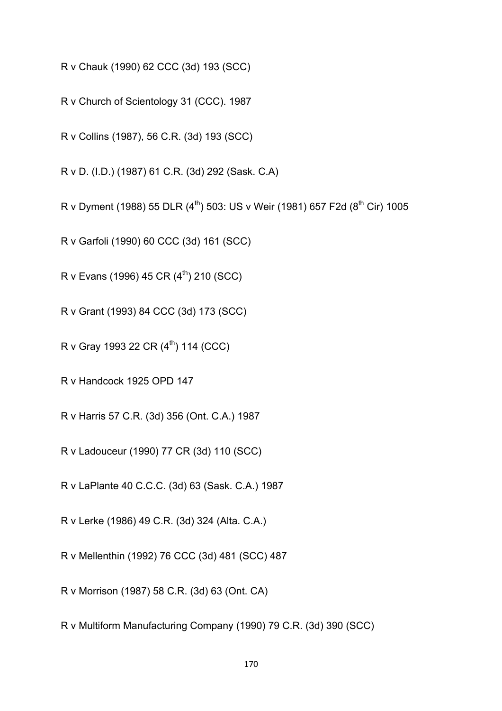R v Chauk (1990) 62 CCC (3d) 193 (SCC)

R v Church of Scientology 31 (CCC). 1987

R v Collins (1987), 56 C.R. (3d) 193 (SCC)

R v D. (I.D.) (1987) 61 C.R. (3d) 292 (Sask. C.A)

R v Dyment (1988) 55 DLR (4<sup>th</sup>) 503: US v Weir (1981) 657 F2d (8<sup>th</sup> Cir) 1005

R v Garfoli (1990) 60 CCC (3d) 161 (SCC)

R v Evans (1996) 45 CR  $(4^{th})$  210 (SCC)

R v Grant (1993) 84 CCC (3d) 173 (SCC)

R v Gray 1993 22 CR  $(4^{th})$  114 (CCC)

R v Handcock 1925 OPD 147

R v Harris 57 C.R. (3d) 356 (Ont. C.A.) 1987

R v Ladouceur (1990) 77 CR (3d) 110 (SCC)

R v LaPlante 40 C.C.C. (3d) 63 (Sask. C.A.) 1987

R v Lerke (1986) 49 C.R. (3d) 324 (Alta. C.A.)

R v Mellenthin (1992) 76 CCC (3d) 481 (SCC) 487

R v Morrison (1987) 58 C.R. (3d) 63 (Ont. CA)

R v Multiform Manufacturing Company (1990) 79 C.R. (3d) 390 (SCC)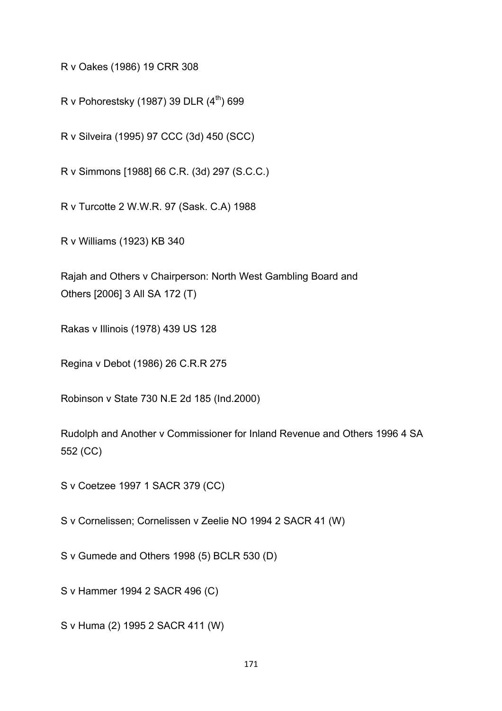R v Oakes (1986) 19 CRR 308

R v Pohorestsky (1987) 39 DLR  $(4<sup>th</sup>)$  699

R v Silveira (1995) 97 CCC (3d) 450 (SCC)

R v Simmons [1988] 66 C.R. (3d) 297 (S.C.C.)

R v Turcotte 2 W.W.R. 97 (Sask. C.A) 1988

R v Williams (1923) KB 340

Rajah and Others v Chairperson: North West Gambling Board and Others [2006] 3 All SA 172 (T)

Rakas v Illinois (1978) 439 US 128

Regina v Debot (1986) 26 C.R.R 275

Robinson v State 730 N.E 2d 185 (Ind.2000)

Rudolph and Another v Commissioner for Inland Revenue and Others 1996 4 SA 552 (CC)

S v Coetzee 1997 1 SACR 379 (CC)

S v Cornelissen; Cornelissen v Zeelie NO 1994 2 SACR 41 (W)

S v Gumede and Others 1998 (5) BCLR 530 (D)

S v Hammer 1994 2 SACR 496 (C)

S v Huma (2) 1995 2 SACR 411 (W)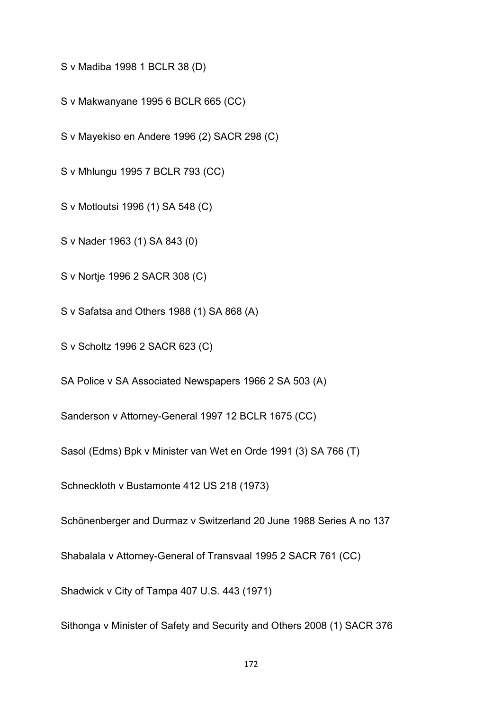S v Madiba 1998 1 BCLR 38 (D)

S v Makwanyane 1995 6 BCLR 665 (CC)

S v Mayekiso en Andere 1996 (2) SACR 298 (C)

S v Mhlungu 1995 7 BCLR 793 (CC)

S v Motloutsi 1996 (1) SA 548 (C)

S v Nader 1963 (1) SA 843 (0)

S v Nortje 1996 2 SACR 308 (C)

S v Safatsa and Others 1988 (1) SA 868 (A)

S v Scholtz 1996 2 SACR 623 (C)

SA Police v SA Associated Newspapers 1966 2 SA 503 (A)

Sanderson v Attorney-General 1997 12 BCLR 1675 (CC)

Sasol (Edms) Bpk v Minister van Wet en Orde 1991 (3) SA 766 (T)

Schneckloth v Bustamonte 412 US 218 (1973)

Schönenberger and Durmaz v Switzerland 20 June 1988 Series A no 137

Shabalala v Attorney-General of Transvaal 1995 2 SACR 761 (CC)

Shadwick v City of Tampa 407 U.S. 443 (1971)

Sithonga v Minister of Safety and Security and Others 2008 (1) SACR 376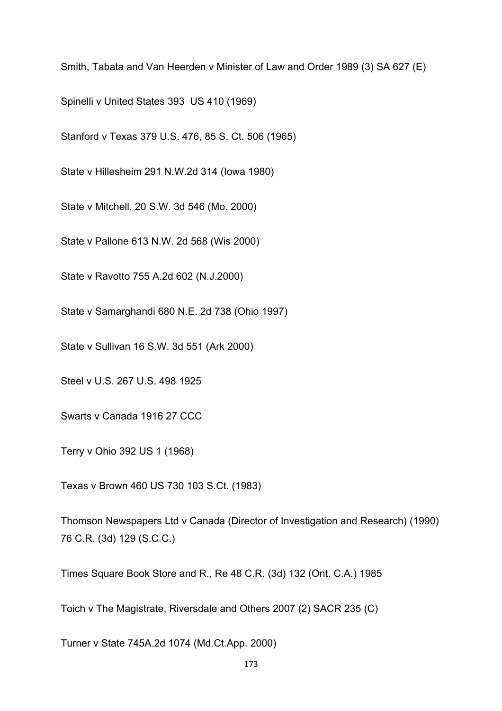Smith, Tabata and Van Heerden v Minister of Law and Order 1989 (3) SA 627 (E)

Spinelli v United States 393 US 410 (1969)

Stanford v Texas 379 U.S. 476, 85 S. Ct. 506 (1965)

State v Hillesheim 291 N.W.2d 314 (Iowa 1980)

State v Mitchell, 20 S.W. 3d 546 (Mo. 2000)

State v Pallone 613 N.W. 2d 568 (Wis 2000)

State v Ravotto 755 A.2d 602 (N.J.2000)

State v Samarghandi 680 N.E. 2d 738 (Ohio 1997)

State v Sullivan 16 S.W. 3d 551 (Ark 2000)

Steel v U.S. 267 U.S. 498 1925

Swarts v Canada 1916 27 CCC

Terry v Ohio 392 US 1 (1968)

Texas v Brown 460 US 730 103 S.Ct. (1983)

Thomson Newspapers Ltd v Canada (Director of Investigation and Research) (1990) 76 C.R. (3d) 129 (S.C.C.)

Times Square Book Store and R., Re 48 C.R. (3d) 132 (Ont. C.A.) 1985

Toich v The Magistrate, Riversdale and Others 2007 (2) SACR 235 (C)

Turner v State 745A.2d 1074 (Md.Ct.App. 2000)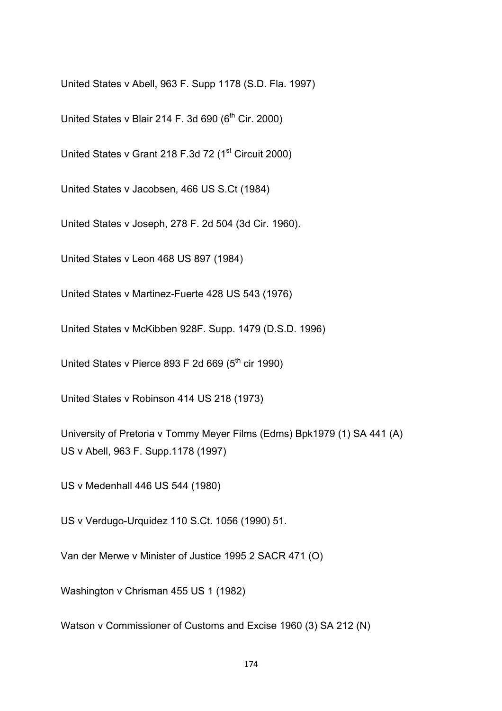United States v Abell, 963 F. Supp 1178 (S.D. Fla. 1997)

United States v Blair 214 F. 3d 690 ( $6<sup>th</sup>$  Cir. 2000)

United States v Grant 218 F.3d 72 (1<sup>st</sup> Circuit 2000)

United States v Jacobsen, 466 US S.Ct (1984)

United States v Joseph, 278 F. 2d 504 (3d Cir. 1960).

United States v Leon 468 US 897 (1984)

United States v Martinez-Fuerte 428 US 543 (1976)

United States v McKibben 928F. Supp. 1479 (D.S.D. 1996)

United States v Pierce 893 F 2d 669 ( $5<sup>th</sup>$  cir 1990)

United States v Robinson 414 US 218 (1973)

University of Pretoria v Tommy Meyer Films (Edms) Bpk1979 (1) SA 441 (A) US v Abell, 963 F. Supp.1178 (1997)

US v Medenhall 446 US 544 (1980)

US v Verdugo-Urquidez 110 S.Ct. 1056 (1990) 51.

Van der Merwe v Minister of Justice 1995 2 SACR 471 (O)

Washington v Chrisman 455 US 1 (1982)

Watson v Commissioner of Customs and Excise 1960 (3) SA 212 (N)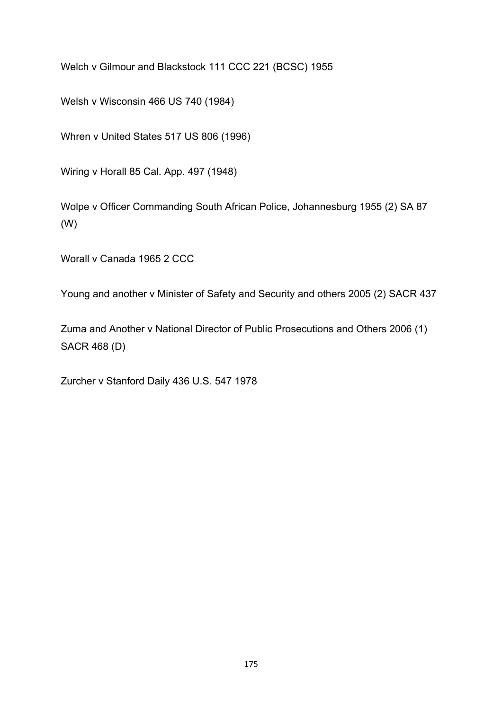Welch v Gilmour and Blackstock 111 CCC 221 (BCSC) 1955

Welsh v Wisconsin 466 US 740 (1984)

Whren v United States 517 US 806 (1996)

Wiring v Horall 85 Cal. App. 497 (1948)

Wolpe v Officer Commanding South African Police, Johannesburg 1955 (2) SA 87 (W)

Worall v Canada 1965 2 CCC

Young and another v Minister of Safety and Security and others 2005 (2) SACR 437

Zuma and Another v National Director of Public Prosecutions and Others 2006 (1) SACR 468 (D)

Zurcher v Stanford Daily 436 U.S. 547 1978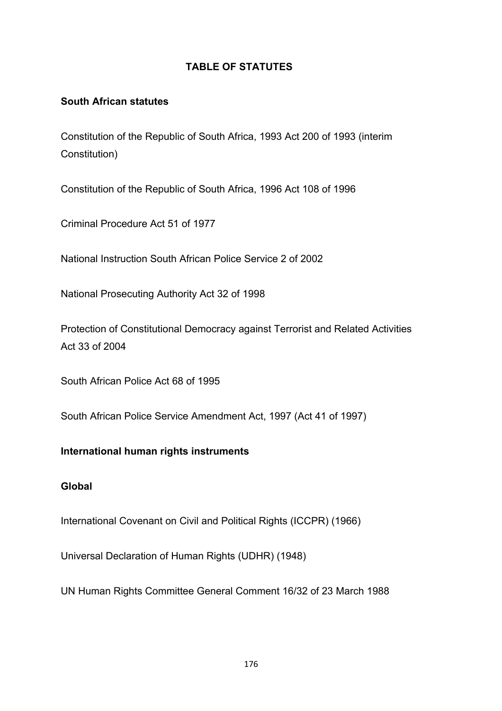### **TABLE OF STATUTES**

#### **South African statutes**

Constitution of the Republic of South Africa, 1993 Act 200 of 1993 (interim Constitution)

Constitution of the Republic of South Africa, 1996 Act 108 of 1996

Criminal Procedure Act 51 of 1977

National Instruction South African Police Service 2 of 2002

National Prosecuting Authority Act 32 of 1998

Protection of Constitutional Democracy against Terrorist and Related Activities Act 33 of 2004

South African Police Act 68 of 1995

South African Police Service Amendment Act, 1997 (Act 41 of 1997)

#### **International human rights instruments**

#### **Global**

International Covenant on Civil and Political Rights (ICCPR) (1966)

Universal Declaration of Human Rights (UDHR) (1948)

UN Human Rights Committee General Comment 16/32 of 23 March 1988